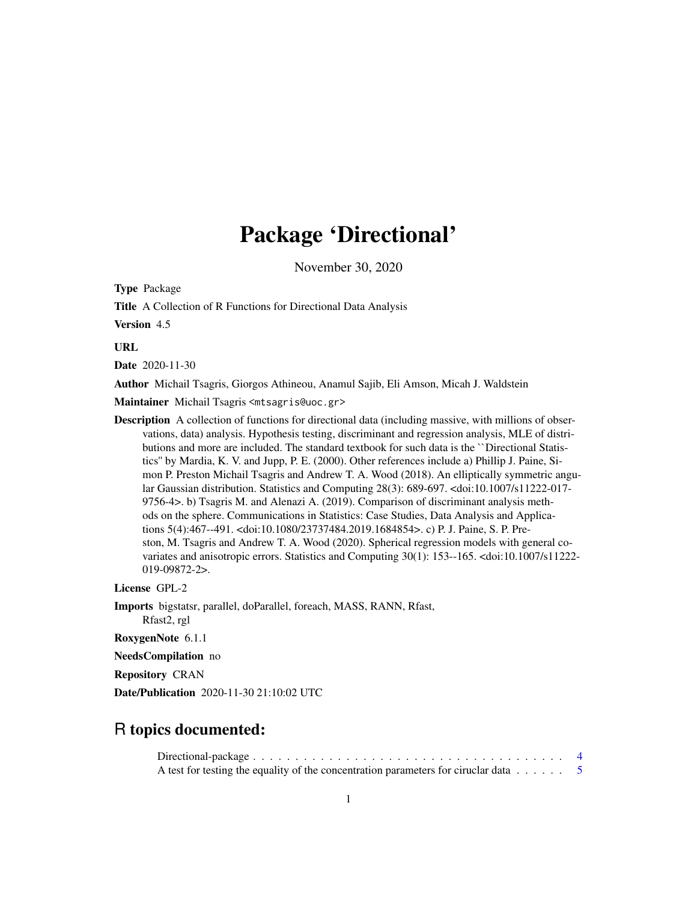# Package 'Directional'

November 30, 2020

<span id="page-0-0"></span>Type Package

Title A Collection of R Functions for Directional Data Analysis

Version 4.5

URL

Date 2020-11-30

Author Michail Tsagris, Giorgos Athineou, Anamul Sajib, Eli Amson, Micah J. Waldstein

Maintainer Michail Tsagris <mtsagris@uoc.gr>

Description A collection of functions for directional data (including massive, with millions of observations, data) analysis. Hypothesis testing, discriminant and regression analysis, MLE of distributions and more are included. The standard textbook for such data is the ``Directional Statistics'' by Mardia, K. V. and Jupp, P. E. (2000). Other references include a) Phillip J. Paine, Simon P. Preston Michail Tsagris and Andrew T. A. Wood (2018). An elliptically symmetric angular Gaussian distribution. Statistics and Computing 28(3): 689-697. <doi:10.1007/s11222-017- 9756-4>. b) Tsagris M. and Alenazi A. (2019). Comparison of discriminant analysis methods on the sphere. Communications in Statistics: Case Studies, Data Analysis and Applications 5(4):467--491. <doi:10.1080/23737484.2019.1684854>. c) P. J. Paine, S. P. Preston, M. Tsagris and Andrew T. A. Wood (2020). Spherical regression models with general covariates and anisotropic errors. Statistics and Computing 30(1): 153--165. <doi:10.1007/s11222- 019-09872-2>.

License GPL-2

Imports bigstatsr, parallel, doParallel, foreach, MASS, RANN, Rfast, Rfast2, rgl

RoxygenNote 6.1.1

NeedsCompilation no

Repository CRAN

Date/Publication 2020-11-30 21:10:02 UTC

## R topics documented:

Directional-package . . . . . . . . . . . . . . . . . . . . . . . . . . . . . . . . . . . . . [4](#page-3-0) A test for testing the equality of the concentration parameters for ciruclar data . . . . . . [5](#page-4-0)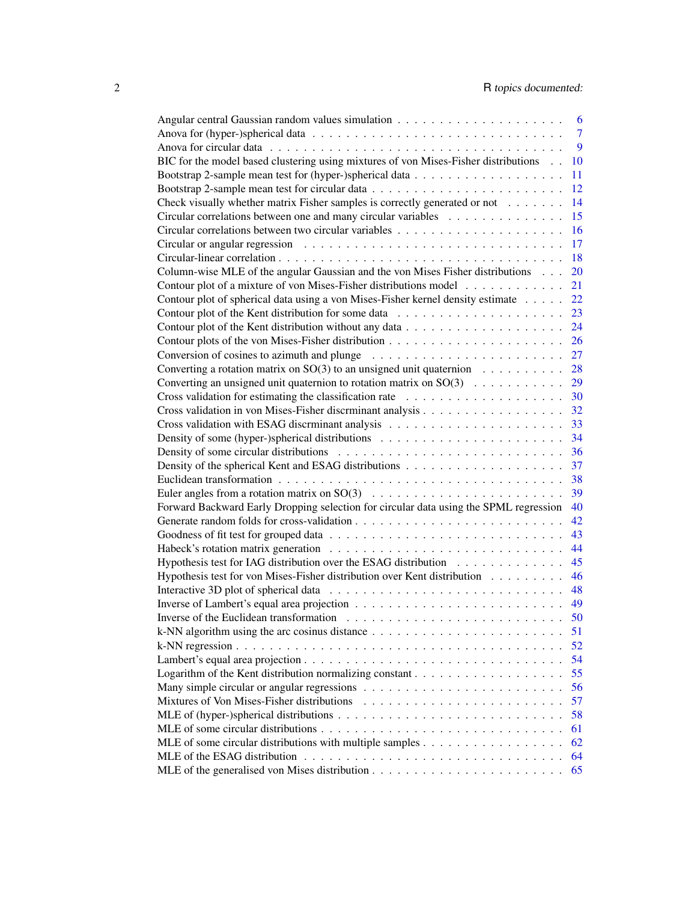|                                                                                                      | 6              |
|------------------------------------------------------------------------------------------------------|----------------|
|                                                                                                      | $\overline{7}$ |
|                                                                                                      | 9              |
| BIC for the model based clustering using mixtures of von Mises-Fisher distributions                  | 10             |
|                                                                                                      | 11             |
|                                                                                                      | 12             |
| Check visually whether matrix Fisher samples is correctly generated or not                           | 14             |
| Circular correlations between one and many circular variables                                        | 15             |
|                                                                                                      | 16             |
|                                                                                                      | 17             |
|                                                                                                      | 18             |
| Column-wise MLE of the angular Gaussian and the von Mises Fisher distributions                       | 20             |
| Contour plot of a mixture of von Mises-Fisher distributions model                                    | 21             |
| Contour plot of spherical data using a von Mises-Fisher kernel density estimate                      | 22             |
|                                                                                                      | 23             |
|                                                                                                      | 24             |
|                                                                                                      | 26             |
|                                                                                                      | 27             |
| Conversion of cosines to azimuth and plunge $\dots \dots \dots \dots \dots \dots \dots \dots$        | 28             |
| Converting a rotation matrix on $SO(3)$ to an unsigned unit quaternion                               |                |
| Converting an unsigned unit quaternion to rotation matrix on $SO(3)$                                 | 29             |
|                                                                                                      | 30             |
|                                                                                                      | 32             |
|                                                                                                      | 33             |
|                                                                                                      | 34             |
|                                                                                                      | 36             |
|                                                                                                      | 37             |
|                                                                                                      | 38             |
|                                                                                                      | 39             |
| Forward Backward Early Dropping selection for circular data using the SPML regression                | 40             |
|                                                                                                      | 42             |
|                                                                                                      | 43             |
|                                                                                                      | 44             |
| Hypothesis test for IAG distribution over the ESAG distribution                                      | 45             |
| Hypothesis test for von Mises-Fisher distribution over Kent distribution                             | 46             |
|                                                                                                      | 48             |
|                                                                                                      | 49             |
|                                                                                                      | 50             |
|                                                                                                      | 51             |
|                                                                                                      | 52             |
|                                                                                                      | 54             |
|                                                                                                      | 55             |
|                                                                                                      | 56             |
|                                                                                                      | 57             |
|                                                                                                      | 58             |
|                                                                                                      | 61             |
| MLE of some circular distributions with multiple samples $\dots \dots \dots \dots \dots \dots \dots$ | 62             |
|                                                                                                      | 64             |
|                                                                                                      | 65             |
|                                                                                                      |                |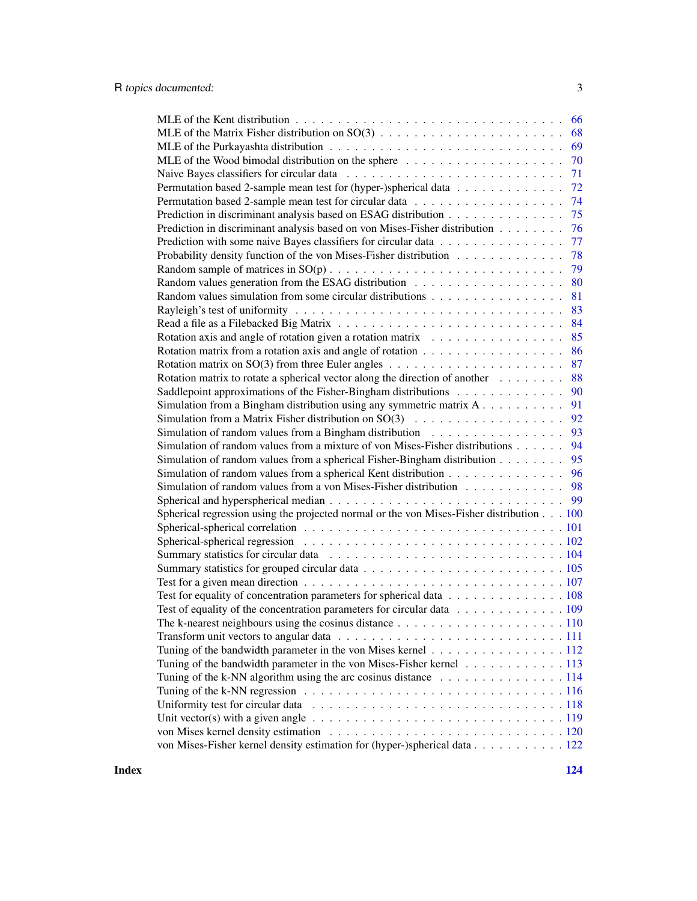|                                                                                                                   | 66  |
|-------------------------------------------------------------------------------------------------------------------|-----|
|                                                                                                                   | 68  |
|                                                                                                                   | 69  |
|                                                                                                                   | 70  |
|                                                                                                                   | 71  |
| Permutation based 2-sample mean test for (hyper-)spherical data                                                   | 72  |
|                                                                                                                   | 74  |
| Prediction in discriminant analysis based on ESAG distribution                                                    | 75  |
| Prediction in discriminant analysis based on von Mises-Fisher distribution                                        | 76  |
| Prediction with some naive Bayes classifiers for circular data                                                    | 77  |
| Probability density function of the von Mises-Fisher distribution                                                 | 78  |
|                                                                                                                   | 79  |
|                                                                                                                   | 80  |
|                                                                                                                   | 81  |
|                                                                                                                   | 83  |
|                                                                                                                   | 84  |
| Rotation axis and angle of rotation given a rotation matrix                                                       | 85  |
|                                                                                                                   | 86  |
|                                                                                                                   | 87  |
| Rotation matrix to rotate a spherical vector along the direction of another                                       | 88  |
| Saddlepoint approximations of the Fisher-Bingham distributions                                                    | 90  |
| Simulation from a Bingham distribution using any symmetric matrix $A$                                             | 91  |
| Simulation from a Matrix Fisher distribution on $SO(3)$                                                           | 92  |
| Simulation of random values from a Bingham distribution                                                           | 93  |
| Simulation of random values from a mixture of von Mises-Fisher distributions                                      | 94  |
| Simulation of random values from a spherical Fisher-Bingham distribution                                          | 95  |
| Simulation of random values from a spherical Kent distribution                                                    | 96  |
| Simulation of random values from a von Mises-Fisher distribution 98                                               |     |
|                                                                                                                   | -99 |
| Spherical regression using the projected normal or the von Mises-Fisher distribution 100                          |     |
|                                                                                                                   |     |
|                                                                                                                   |     |
|                                                                                                                   |     |
|                                                                                                                   |     |
|                                                                                                                   |     |
| Test for equality of concentration parameters for spherical data 108                                              |     |
| Test of equality of the concentration parameters for circular data 109                                            |     |
| The k-nearest neighbours using the cosinus distance $\ldots \ldots \ldots \ldots \ldots \ldots \ldots \ldots 110$ |     |
|                                                                                                                   |     |
| Tuning of the bandwidth parameter in the von Mises kernel 112                                                     |     |
| Tuning of the bandwidth parameter in the von Mises-Fisher kernel 113                                              |     |
| Tuning of the k-NN algorithm using the arc cosinus distance $\dots \dots \dots \dots \dots \dots \dots \dots$     |     |
|                                                                                                                   |     |
|                                                                                                                   |     |
|                                                                                                                   |     |
|                                                                                                                   |     |
| von Mises-Fisher kernel density estimation for (hyper-)spherical data 122                                         |     |

**Index** 2008 **[124](#page-123-0)**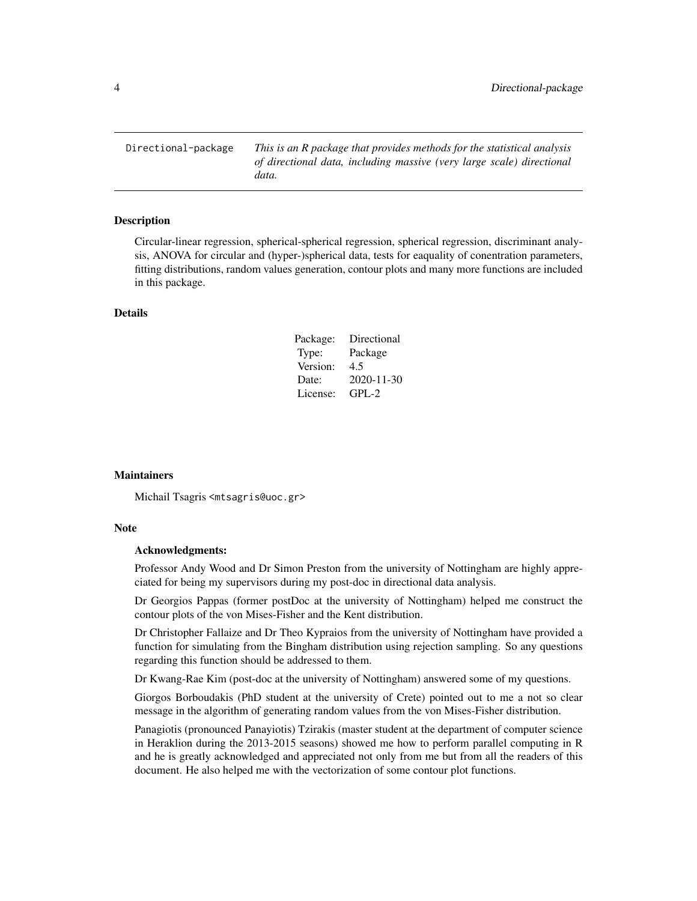<span id="page-3-0"></span>Directional-package *This is an R package that provides methods for the statistical analysis of directional data, including massive (very large scale) directional data.*

#### Description

Circular-linear regression, spherical-spherical regression, spherical regression, discriminant analysis, ANOVA for circular and (hyper-)spherical data, tests for eaquality of conentration parameters, fitting distributions, random values generation, contour plots and many more functions are included in this package.

### Details

| Package: | Directional |
|----------|-------------|
| Type:    | Package     |
| Version: | 4.5         |
| Date:    | 2020-11-30  |
| License: | $GPL-2$     |

#### **Maintainers**

Michail Tsagris <mtsagris@uoc.gr>

#### Note

#### Acknowledgments:

Professor Andy Wood and Dr Simon Preston from the university of Nottingham are highly appreciated for being my supervisors during my post-doc in directional data analysis.

Dr Georgios Pappas (former postDoc at the university of Nottingham) helped me construct the contour plots of the von Mises-Fisher and the Kent distribution.

Dr Christopher Fallaize and Dr Theo Kypraios from the university of Nottingham have provided a function for simulating from the Bingham distribution using rejection sampling. So any questions regarding this function should be addressed to them.

Dr Kwang-Rae Kim (post-doc at the university of Nottingham) answered some of my questions.

Giorgos Borboudakis (PhD student at the university of Crete) pointed out to me a not so clear message in the algorithm of generating random values from the von Mises-Fisher distribution.

Panagiotis (pronounced Panayiotis) Tzirakis (master student at the department of computer science in Heraklion during the 2013-2015 seasons) showed me how to perform parallel computing in R and he is greatly acknowledged and appreciated not only from me but from all the readers of this document. He also helped me with the vectorization of some contour plot functions.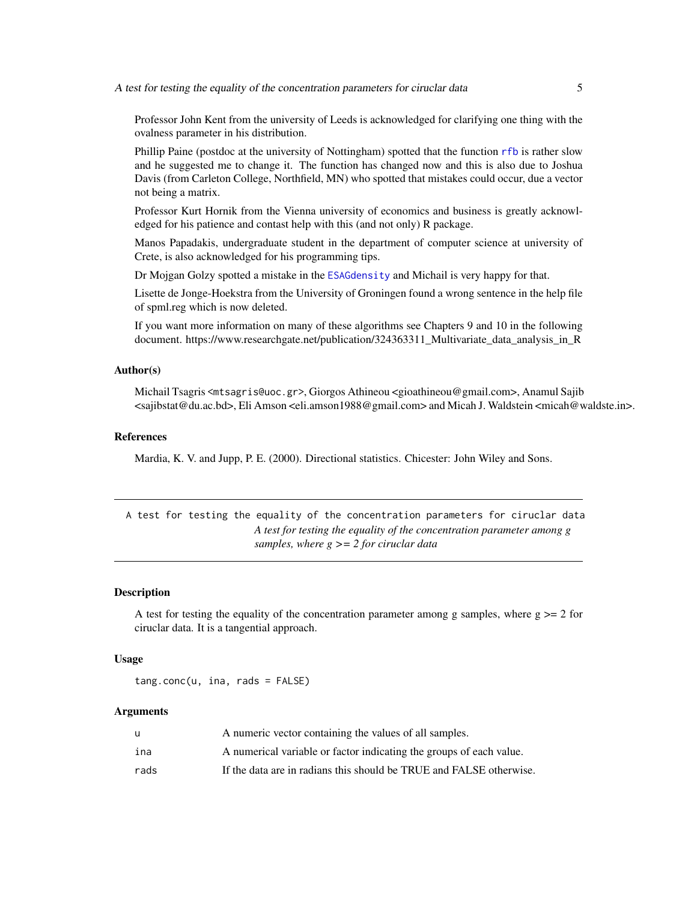<span id="page-4-0"></span>Professor John Kent from the university of Leeds is acknowledged for clarifying one thing with the ovalness parameter in his distribution.

Phillip Paine (postdoc at the university of Nottingham) spotted that the function [rfb](#page-94-1) is rather slow and he suggested me to change it. The function has changed now and this is also due to Joshua Davis (from Carleton College, Northfield, MN) who spotted that mistakes could occur, due a vector not being a matrix.

Professor Kurt Hornik from the Vienna university of economics and business is greatly acknowledged for his patience and contast help with this (and not only) R package.

Manos Papadakis, undergraduate student in the department of computer science at university of Crete, is also acknowledged for his programming tips.

Dr Mojgan Golzy spotted a mistake in the [ESAGdensity](#page-36-1) and Michail is very happy for that.

Lisette de Jonge-Hoekstra from the University of Groningen found a wrong sentence in the help file of spml.reg which is now deleted.

If you want more information on many of these algorithms see Chapters 9 and 10 in the following document. https://www.researchgate.net/publication/324363311 Multivariate data analysis in R

#### Author(s)

Michail Tsagris <mtsagris@uoc.gr>, Giorgos Athineou <gioathineou@gmail.com>, Anamul Sajib <sajibstat@du.ac.bd>, Eli Amson <eli.amson1988@gmail.com> and Micah J. Waldstein <micah@waldste.in>.

#### References

Mardia, K. V. and Jupp, P. E. (2000). Directional statistics. Chicester: John Wiley and Sons.

A test for testing the equality of the concentration parameters for ciruclar data *A test for testing the equality of the concentration parameter among g samples, where g >= 2 for ciruclar data*

#### **Description**

A test for testing the equality of the concentration parameter among g samples, where  $g \ge 2$  for ciruclar data. It is a tangential approach.

#### Usage

tang.conc(u, ina, rads = FALSE)

#### Arguments

| u    | A numeric vector containing the values of all samples.              |
|------|---------------------------------------------------------------------|
| ina  | A numerical variable or factor indicating the groups of each value. |
| rads | If the data are in radians this should be TRUE and FALSE otherwise. |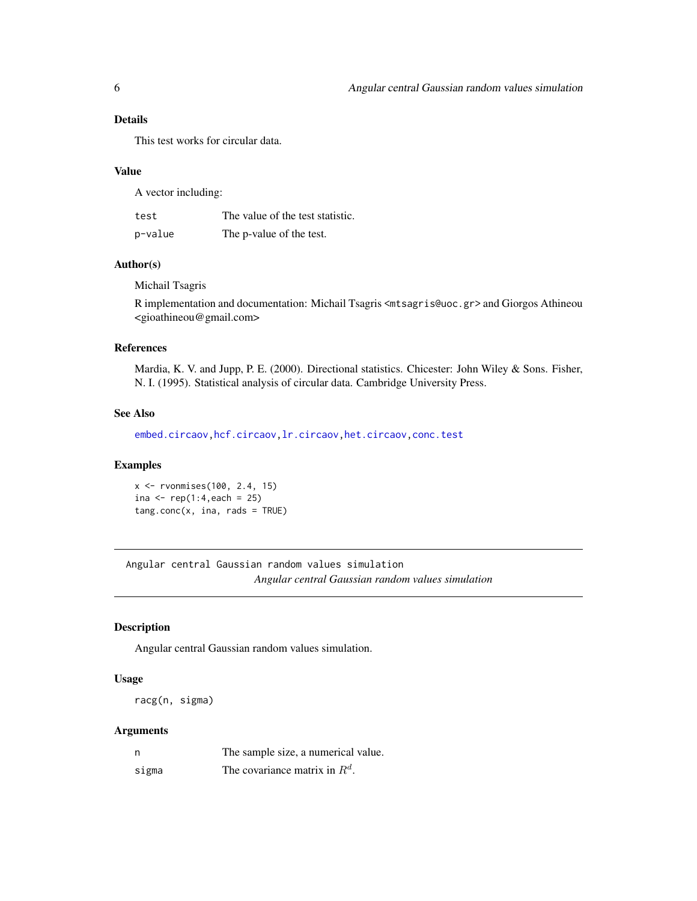### <span id="page-5-0"></span>Details

This test works for circular data.

#### Value

A vector including:

| test    | The value of the test statistic. |
|---------|----------------------------------|
| p-value | The p-value of the test.         |

### Author(s)

Michail Tsagris

R implementation and documentation: Michail Tsagris <mtsagris@uoc.gr> and Giorgos Athineou <gioathineou@gmail.com>

#### References

Mardia, K. V. and Jupp, P. E. (2000). Directional statistics. Chicester: John Wiley & Sons. Fisher, N. I. (1995). Statistical analysis of circular data. Cambridge University Press.

### See Also

[embed.circaov,hcf.circaov,lr.circaov,het.circaov](#page-8-1)[,conc.test](#page-108-1)

### Examples

```
x <- rvonmises(100, 2.4, 15)
ina \le rep(1:4, each = 25)
tang.conc(x, ina, rads = TRUE)
```
Angular central Gaussian random values simulation *Angular central Gaussian random values simulation*

### Description

Angular central Gaussian random values simulation.

#### Usage

racg(n, sigma)

### Arguments

|       | The sample size, a numerical value. |
|-------|-------------------------------------|
| sigma | The covariance matrix in $R^d$ .    |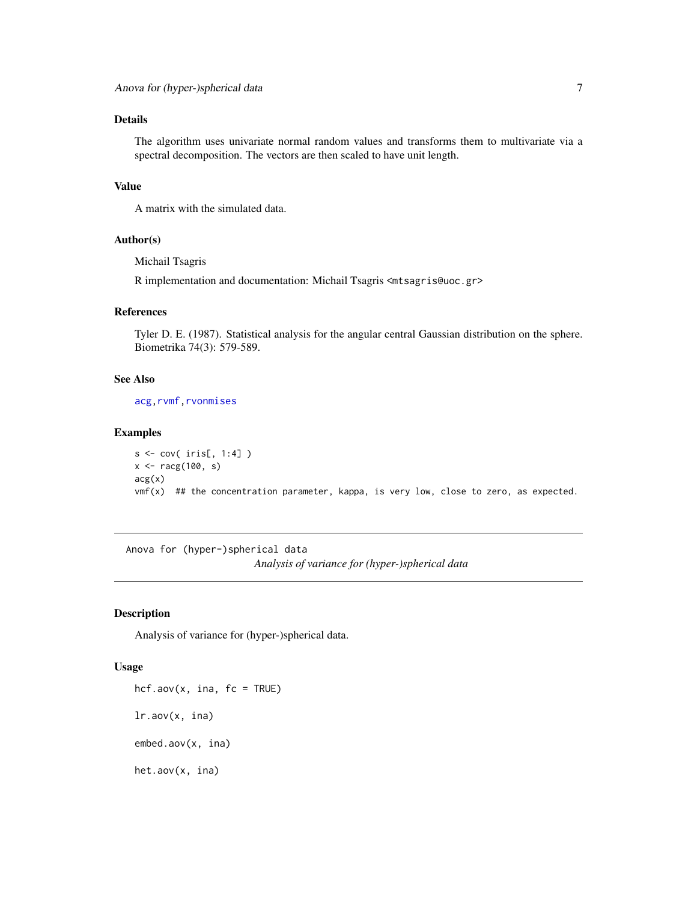### <span id="page-6-0"></span>Details

The algorithm uses univariate normal random values and transforms them to multivariate via a spectral decomposition. The vectors are then scaled to have unit length.

### Value

A matrix with the simulated data.

### Author(s)

Michail Tsagris

R implementation and documentation: Michail Tsagris <mtsagris@uoc.gr>

#### References

Tyler D. E. (1987). Statistical analysis for the angular central Gaussian distribution on the sphere. Biometrika 74(3): 579-589.

#### See Also

[acg](#page-57-1)[,rvmf](#page-97-1)[,rvonmises](#page-80-1)

### Examples

```
s <- cov( iris[, 1:4] )
x <- racg(100, s)
acg(x)
vmf(x) ## the concentration parameter, kappa, is very low, close to zero, as expected.
```
Anova for (hyper-)spherical data *Analysis of variance for (hyper-)spherical data*

### <span id="page-6-1"></span>Description

Analysis of variance for (hyper-)spherical data.

#### Usage

 $hc$ f.aov(x, ina,  $fc$  = TRUE) lr.aov(x, ina) embed.aov(x, ina) het.aov(x, ina)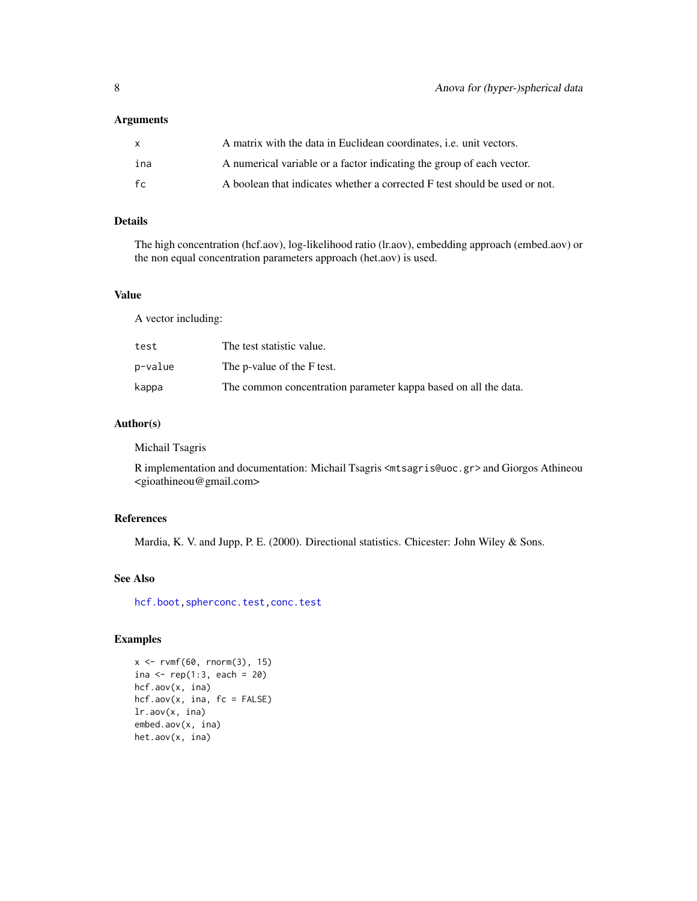### Arguments

| $\mathsf{x}$ | A matrix with the data in Euclidean coordinates, <i>i.e.</i> unit vectors. |
|--------------|----------------------------------------------------------------------------|
| ina          | A numerical variable or a factor indicating the group of each vector.      |
| fc           | A boolean that indicates whether a corrected F test should be used or not. |

### Details

The high concentration (hcf.aov), log-likelihood ratio (lr.aov), embedding approach (embed.aov) or the non equal concentration parameters approach (het.aov) is used.

### Value

A vector including:

| test    | The test statistic value.                                       |
|---------|-----------------------------------------------------------------|
| p−value | The p-value of the F test.                                      |
| kappa   | The common concentration parameter kappa based on all the data. |

### Author(s)

Michail Tsagris

R implementation and documentation: Michail Tsagris <mtsagris@uoc.gr> and Giorgos Athineou <gioathineou@gmail.com>

### References

Mardia, K. V. and Jupp, P. E. (2000). Directional statistics. Chicester: John Wiley & Sons.

### See Also

[hcf.boot](#page-10-1)[,spherconc.test,](#page-107-1)[conc.test](#page-108-1)

```
x <- rvmf(60, rnorm(3), 15)
ina <- rep(1:3, each = 20)hcf.aov(x, ina)
hcf.aov(x, ina, fc = FALSE)
lr.aov(x, ina)
embed.aov(x, ina)
het.aov(x, ina)
```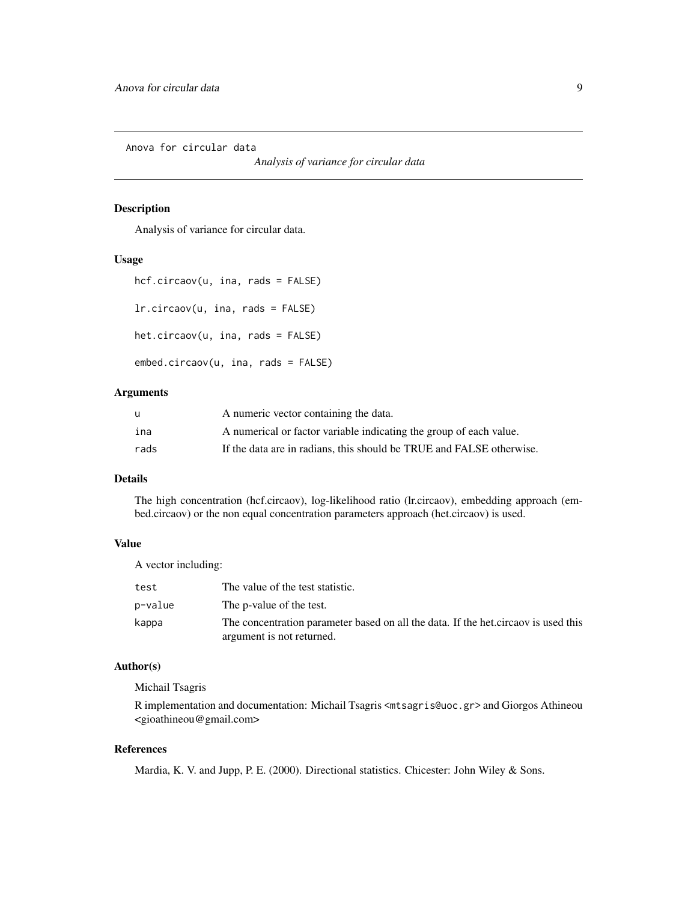<span id="page-8-0"></span>Anova for circular data

*Analysis of variance for circular data*

### <span id="page-8-1"></span>Description

Analysis of variance for circular data.

#### Usage

```
hcf.circaov(u, ina, rads = FALSE)
lr.circaov(u, ina, rads = FALSE)
```
het.circaov(u, ina, rads = FALSE)

```
embed.circaov(u, ina, rads = FALSE)
```
### Arguments

| u    | A numeric vector containing the data.                                |
|------|----------------------------------------------------------------------|
| ina  | A numerical or factor variable indicating the group of each value.   |
| rads | If the data are in radians, this should be TRUE and FALSE otherwise. |

### Details

The high concentration (hcf.circaov), log-likelihood ratio (lr.circaov), embedding approach (embed.circaov) or the non equal concentration parameters approach (het.circaov) is used.

### Value

A vector including:

| test    | The value of the test statistic.                                                                                 |
|---------|------------------------------------------------------------------------------------------------------------------|
| p-value | The p-value of the test.                                                                                         |
| kappa   | The concentration parameter based on all the data. If the het circa ov is used this<br>argument is not returned. |

#### Author(s)

Michail Tsagris

R implementation and documentation: Michail Tsagris <mtsagris@uoc.gr> and Giorgos Athineou <gioathineou@gmail.com>

### References

Mardia, K. V. and Jupp, P. E. (2000). Directional statistics. Chicester: John Wiley & Sons.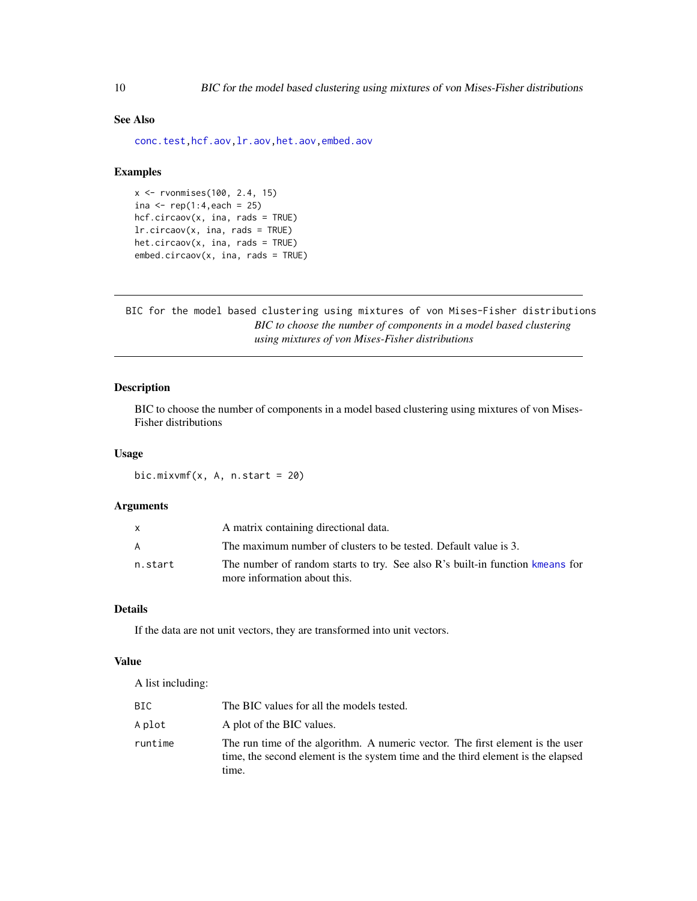### See Also

[conc.test](#page-108-1)[,hcf.aov,lr.aov,het.aov,embed.aov](#page-6-1)

#### Examples

```
x <- rvonmises(100, 2.4, 15)
ina <- rep(1:4, each = 25)hcf.circaov(x, ina, rads = TRUE)
lr.circaov(x, ina, rads = TRUE)
het.circaov(x, ina, rads = TRUE)
embed.circaov(x, ina, rads = TRUE)
```
BIC for the model based clustering using mixtures of von Mises-Fisher distributions *BIC to choose the number of components in a model based clustering using mixtures of von Mises-Fisher distributions*

### Description

BIC to choose the number of components in a model based clustering using mixtures of von Mises-Fisher distributions

#### Usage

bic.mixvmf $(x, A, n.start = 20)$ 

### Arguments

|         | A matrix containing directional data.                                                                         |
|---------|---------------------------------------------------------------------------------------------------------------|
| A       | The maximum number of clusters to be tested. Default value is 3.                                              |
| n.start | The number of random starts to try. See also R's built-in function kmeans for<br>more information about this. |

### Details

If the data are not unit vectors, they are transformed into unit vectors.

### Value

A list including:

| BIC     | The BIC values for all the models tested.                                                                                                                                   |
|---------|-----------------------------------------------------------------------------------------------------------------------------------------------------------------------------|
| A plot  | A plot of the BIC values.                                                                                                                                                   |
| runtime | The run time of the algorithm. A numeric vector. The first element is the user<br>time, the second element is the system time and the third element is the elapsed<br>time. |

<span id="page-9-0"></span>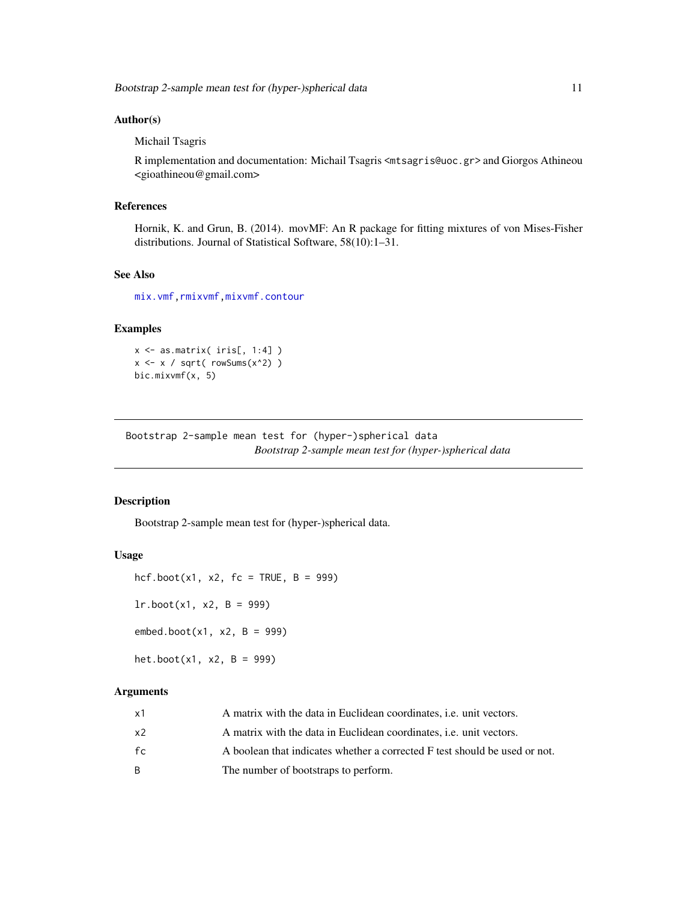#### <span id="page-10-0"></span>Author(s)

Michail Tsagris

R implementation and documentation: Michail Tsagris <mtsagris@uoc.gr> and Giorgos Athineou <gioathineou@gmail.com>

### References

Hornik, K. and Grun, B. (2014). movMF: An R package for fitting mixtures of von Mises-Fisher distributions. Journal of Statistical Software, 58(10):1–31.

### See Also

[mix.vmf](#page-56-1)[,rmixvmf](#page-93-1)[,mixvmf.contour](#page-20-1)

#### Examples

x <- as.matrix( iris[, 1:4] )  $x \leftarrow x / sqrt(rowsums(x^2))$ bic.mixvmf(x, 5)

Bootstrap 2-sample mean test for (hyper-)spherical data *Bootstrap 2-sample mean test for (hyper-)spherical data*

### <span id="page-10-1"></span>Description

Bootstrap 2-sample mean test for (hyper-)spherical data.

#### Usage

hcf.boot(x1, x2,  $fc = TRUE$ ,  $B = 999$ )  $lr.boot(x1, x2, B = 999)$  $embed〔x1, x2, B = 999)$ 

het.boot(x1, x2,  $B = 999$ )

### Arguments

| x1 | A matrix with the data in Euclidean coordinates, <i>i.e.</i> unit vectors. |
|----|----------------------------------------------------------------------------|
| x2 | A matrix with the data in Euclidean coordinates, <i>i.e.</i> unit vectors. |
| fc | A boolean that indicates whether a corrected F test should be used or not. |
| R  | The number of bootstraps to perform.                                       |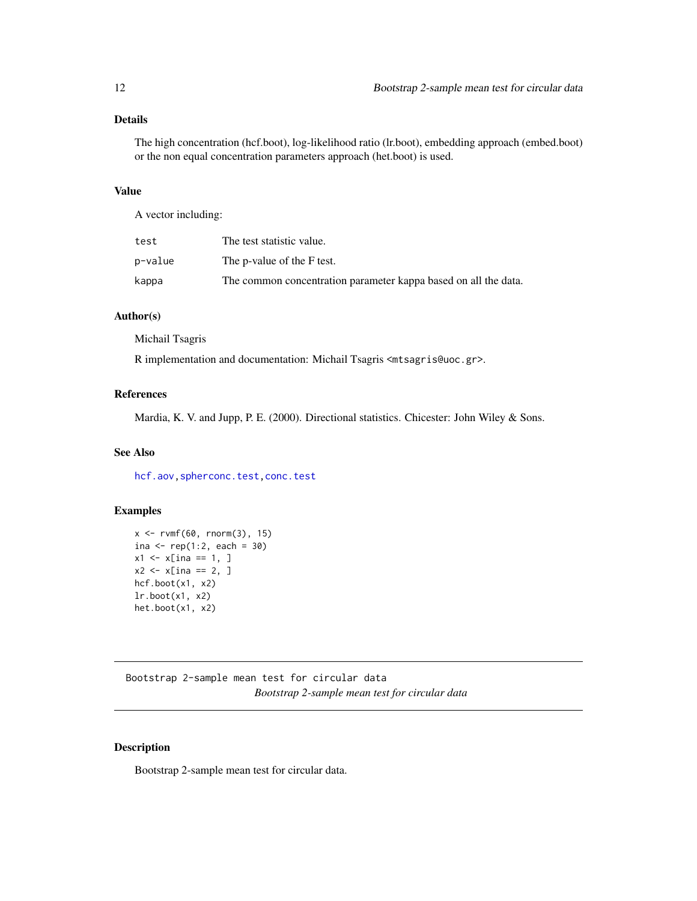### <span id="page-11-0"></span>Details

The high concentration (hcf.boot), log-likelihood ratio (lr.boot), embedding approach (embed.boot) or the non equal concentration parameters approach (het.boot) is used.

#### Value

A vector including:

| test    | The test statistic value.                                       |
|---------|-----------------------------------------------------------------|
| p−value | The p-value of the F test.                                      |
| kappa   | The common concentration parameter kappa based on all the data. |

### Author(s)

Michail Tsagris

R implementation and documentation: Michail Tsagris <mtsagris@uoc.gr>.

### References

Mardia, K. V. and Jupp, P. E. (2000). Directional statistics. Chicester: John Wiley & Sons.

### See Also

[hcf.aov](#page-6-1)[,spherconc.test,](#page-107-1)[conc.test](#page-108-1)

### Examples

```
x \le -r \text{vmf}(60, r \text{norm}(3), 15)ina \leq rep(1:2, each = 30)
x1 \le x [ina == 1, ]
x2 \le -x [ina == 2, ]
hcf.boot(x1, x2)
lr.boot(x1, x2)
het.boot(x1, x2)
```
Bootstrap 2-sample mean test for circular data *Bootstrap 2-sample mean test for circular data*

### Description

Bootstrap 2-sample mean test for circular data.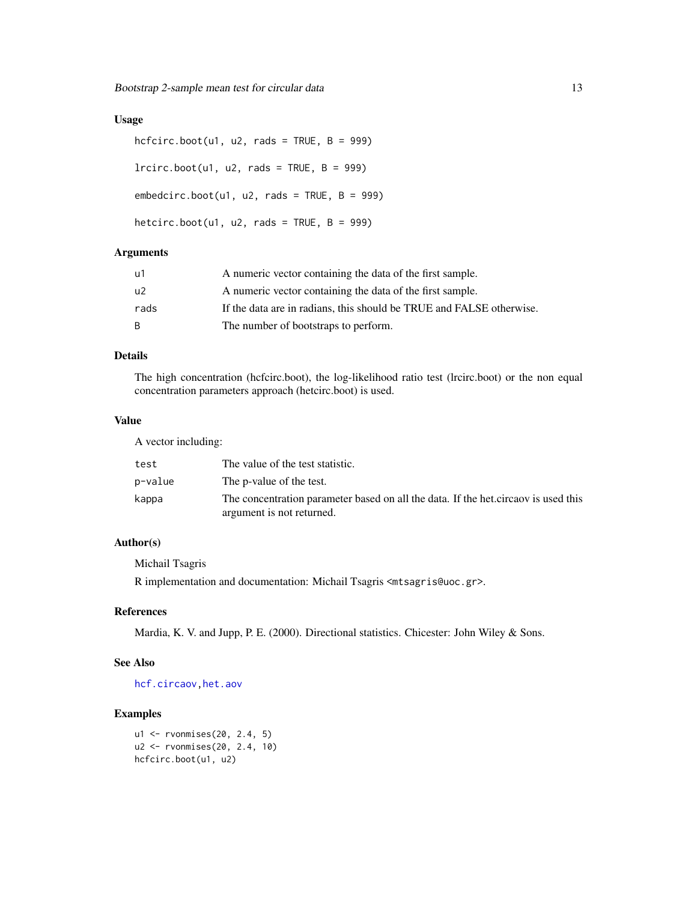### Usage

```
hcfcirc.boot(u1, u2, rads = TRUE, B = 999)lrcirc.boot(u1, u2, rads = TRUE, B = 999)embedcirc.boot(u1, u2, rads = TRUE, B = 999)hetcirc.boot(u1, u2, rads = TRUE, B = 999)
```
### Arguments

| u1   | A numeric vector containing the data of the first sample.            |
|------|----------------------------------------------------------------------|
| u2   | A numeric vector containing the data of the first sample.            |
| rads | If the data are in radians, this should be TRUE and FALSE otherwise. |
| B.   | The number of bootstraps to perform.                                 |

### Details

The high concentration (hcfcirc.boot), the log-likelihood ratio test (lrcirc.boot) or the non equal concentration parameters approach (hetcirc.boot) is used.

### Value

A vector including:

| test    | The value of the test statistic.                                                                                |
|---------|-----------------------------------------------------------------------------------------------------------------|
| p−value | The p-value of the test.                                                                                        |
| kappa   | The concentration parameter based on all the data. If the het circaov is used this<br>argument is not returned. |

### Author(s)

Michail Tsagris

R implementation and documentation: Michail Tsagris <mtsagris@uoc.gr>.

### References

Mardia, K. V. and Jupp, P. E. (2000). Directional statistics. Chicester: John Wiley & Sons.

### See Also

[hcf.circaov](#page-8-1)[,het.aov](#page-6-1)

### Examples

u1 <- rvonmises(20, 2.4, 5) u2 <- rvonmises(20, 2.4, 10) hcfcirc.boot(u1, u2)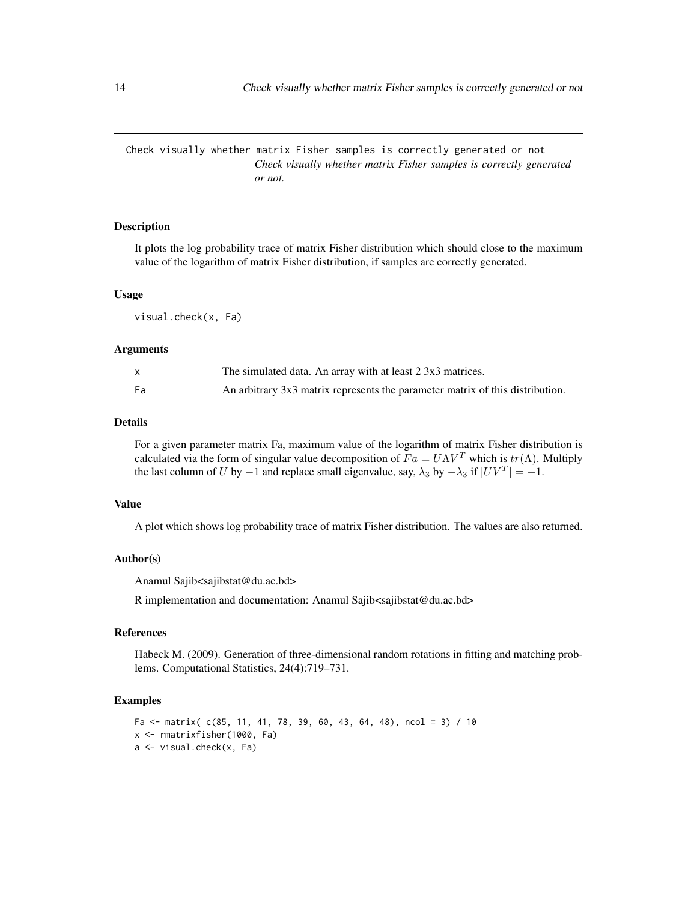<span id="page-13-0"></span>Check visually whether matrix Fisher samples is correctly generated or not *Check visually whether matrix Fisher samples is correctly generated or not.*

#### Description

It plots the log probability trace of matrix Fisher distribution which should close to the maximum value of the logarithm of matrix Fisher distribution, if samples are correctly generated.

#### Usage

visual.check(x, Fa)

### Arguments

|    | The simulated data. An array with at least 2 3x3 matrices.                    |
|----|-------------------------------------------------------------------------------|
| Fa | An arbitrary 3x3 matrix represents the parameter matrix of this distribution. |

#### Details

For a given parameter matrix Fa, maximum value of the logarithm of matrix Fisher distribution is calculated via the form of singular value decomposition of  $Fa = U\Lambda V^T$  which is  $tr(\Lambda)$ . Multiply the last column of U by  $-1$  and replace small eigenvalue, say,  $\lambda_3$  by  $-\lambda_3$  if  $|UV^T| = -1$ .

#### Value

A plot which shows log probability trace of matrix Fisher distribution. The values are also returned.

#### Author(s)

Anamul Sajib<sajibstat@du.ac.bd>

R implementation and documentation: Anamul Sajib<sajibstat@du.ac.bd>

#### References

Habeck M. (2009). Generation of three-dimensional random rotations in fitting and matching problems. Computational Statistics, 24(4):719–731.

```
Fa \le matrix( c(85, 11, 41, 78, 39, 60, 43, 64, 48), ncol = 3) / 10
x <- rmatrixfisher(1000, Fa)
a <- visual.check(x, Fa)
```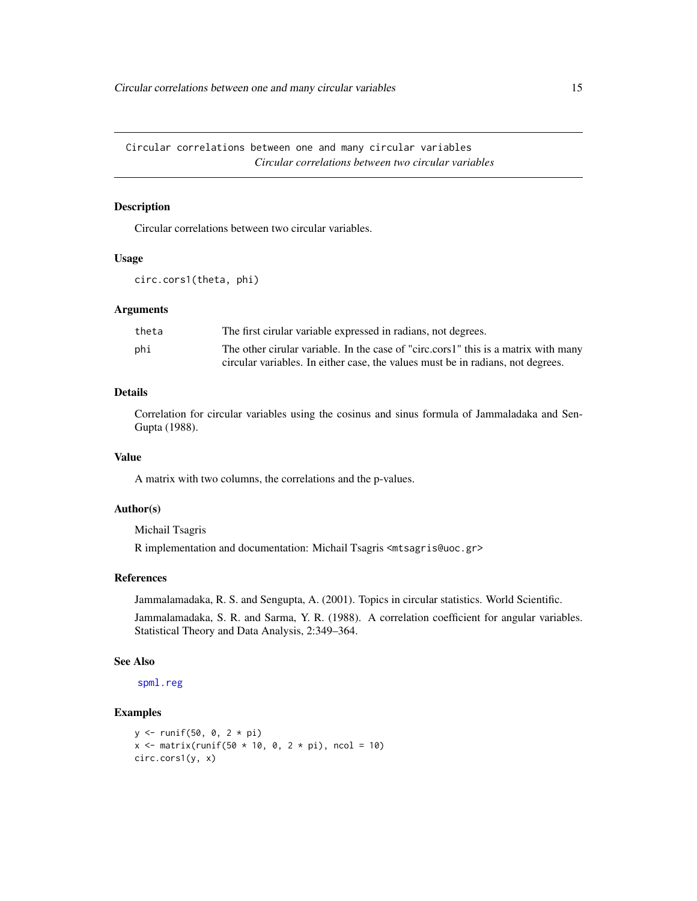<span id="page-14-0"></span>Circular correlations between one and many circular variables *Circular correlations between two circular variables*

### Description

Circular correlations between two circular variables.

#### Usage

```
circ.cors1(theta, phi)
```
### **Arguments**

| theta | The first circular variable expressed in radians, not degrees.                     |
|-------|------------------------------------------------------------------------------------|
| phi   | The other cirular variable. In the case of "circ.cors1" this is a matrix with many |
|       | circular variables. In either case, the values must be in radians, not degrees.    |

### Details

Correlation for circular variables using the cosinus and sinus formula of Jammaladaka and Sen-Gupta (1988).

### Value

A matrix with two columns, the correlations and the p-values.

#### Author(s)

Michail Tsagris

R implementation and documentation: Michail Tsagris <mtsagris@uoc.gr>

### References

Jammalamadaka, R. S. and Sengupta, A. (2001). Topics in circular statistics. World Scientific.

Jammalamadaka, S. R. and Sarma, Y. R. (1988). A correlation coefficient for angular variables. Statistical Theory and Data Analysis, 2:349–364.

#### See Also

[spml.reg](#page-16-1)

```
y <- runif(50, 0, 2 * pi)
x \le - matrix(runif(50 * 10, 0, 2 * pi), ncol = 10)
circ.cors1(y, x)
```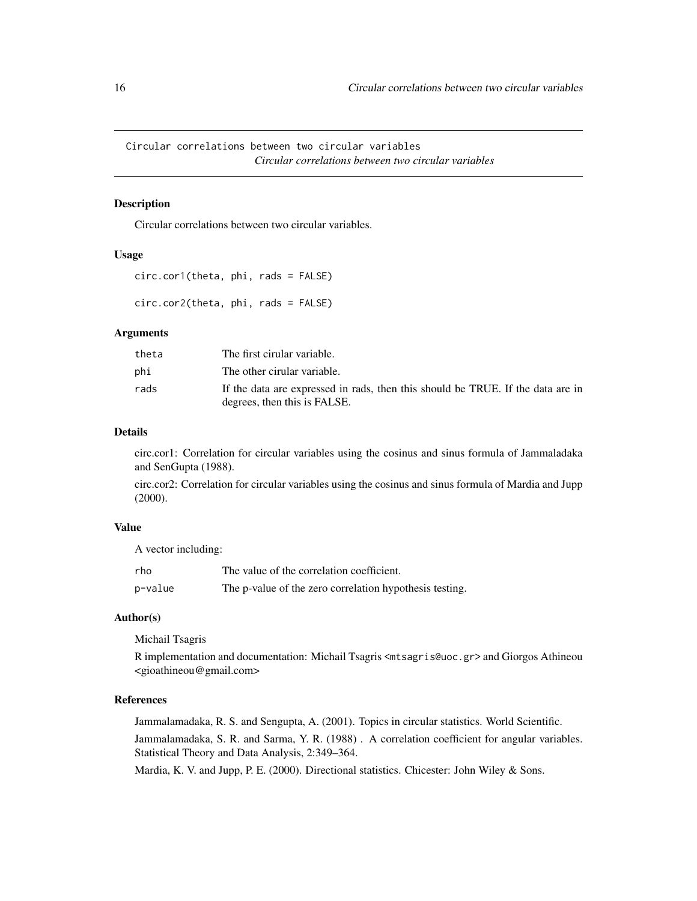<span id="page-15-0"></span>Circular correlations between two circular variables *Circular correlations between two circular variables*

#### <span id="page-15-1"></span>Description

Circular correlations between two circular variables.

#### Usage

```
circ.cor1(theta, phi, rads = FALSE)
circ.cor2(theta, phi, rads = FALSE)
```
#### Arguments

| theta | The first cirular variable.                                                                                     |
|-------|-----------------------------------------------------------------------------------------------------------------|
| phi   | The other cirular variable.                                                                                     |
| rads  | If the data are expressed in rads, then this should be TRUE. If the data are in<br>degrees, then this is FALSE. |

#### Details

circ.cor1: Correlation for circular variables using the cosinus and sinus formula of Jammaladaka and SenGupta (1988).

circ.cor2: Correlation for circular variables using the cosinus and sinus formula of Mardia and Jupp (2000).

#### Value

A vector including:

| rho     | The value of the correlation coefficient.               |
|---------|---------------------------------------------------------|
| p-value | The p-value of the zero correlation hypothesis testing. |

#### Author(s)

Michail Tsagris

R implementation and documentation: Michail Tsagris <mtsagris@uoc.gr> and Giorgos Athineou <gioathineou@gmail.com>

### References

Jammalamadaka, R. S. and Sengupta, A. (2001). Topics in circular statistics. World Scientific. Jammalamadaka, S. R. and Sarma, Y. R. (1988) . A correlation coefficient for angular variables. Statistical Theory and Data Analysis, 2:349–364.

Mardia, K. V. and Jupp, P. E. (2000). Directional statistics. Chicester: John Wiley & Sons.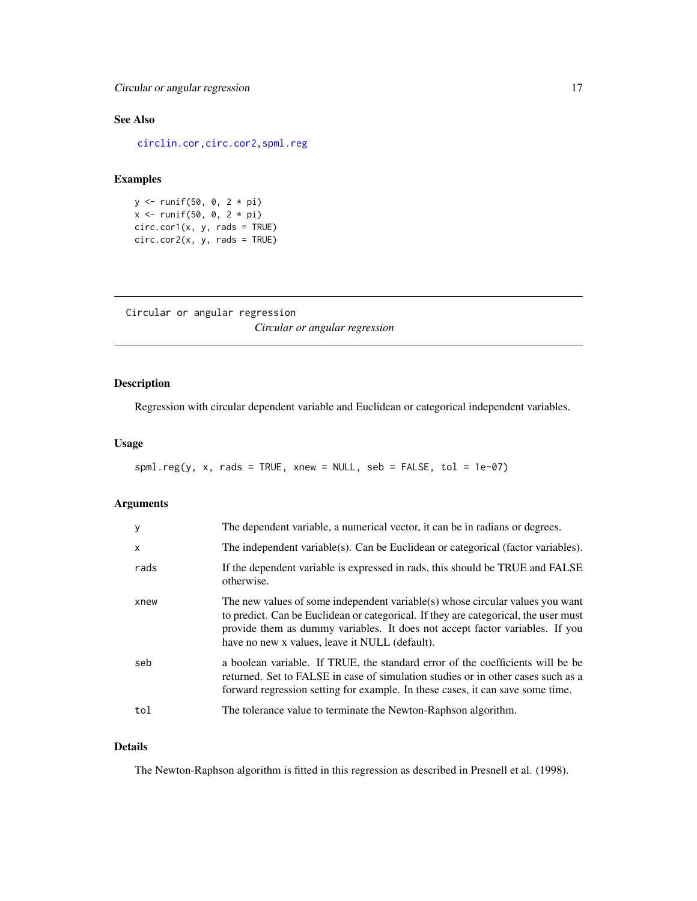### <span id="page-16-0"></span>See Also

[circlin.cor,](#page-17-1)[circ.cor2](#page-15-1)[,spml.reg](#page-16-1)

### Examples

y <- runif(50, 0, 2 \* pi)  $x \le$  runif(50, 0, 2 \* pi)  $circ.cor1(x, y, rads = TRUE)$  $circ.cor2(x, y, rads = TRUE)$ 

```
Circular or angular regression
                         Circular or angular regression
```
### <span id="page-16-1"></span>Description

Regression with circular dependent variable and Euclidean or categorical independent variables.

### Usage

```
spml-reg(y, x, rads = TRUE, xnew = NULL, seb = FALSE, tol = 1e-07)
```
#### Arguments

| y            | The dependent variable, a numerical vector, it can be in radians or degrees.                                                                                                                                                                                                                           |
|--------------|--------------------------------------------------------------------------------------------------------------------------------------------------------------------------------------------------------------------------------------------------------------------------------------------------------|
| $\mathsf{x}$ | The independent variable(s). Can be Euclidean or categorical (factor variables).                                                                                                                                                                                                                       |
| rads         | If the dependent variable is expressed in rads, this should be TRUE and FALSE<br>otherwise.                                                                                                                                                                                                            |
| xnew         | The new values of some independent variable(s) whose circular values you want<br>to predict. Can be Euclidean or categorical. If they are categorical, the user must<br>provide them as dummy variables. It does not accept factor variables. If you<br>have no new x values, leave it NULL (default). |
| seb          | a boolean variable. If TRUE, the standard error of the coefficients will be be<br>returned. Set to FALSE in case of simulation studies or in other cases such as a<br>forward regression setting for example. In these cases, it can save some time.                                                   |
| tol          | The tolerance value to terminate the Newton-Raphson algorithm.                                                                                                                                                                                                                                         |

### Details

The Newton-Raphson algorithm is fitted in this regression as described in Presnell et al. (1998).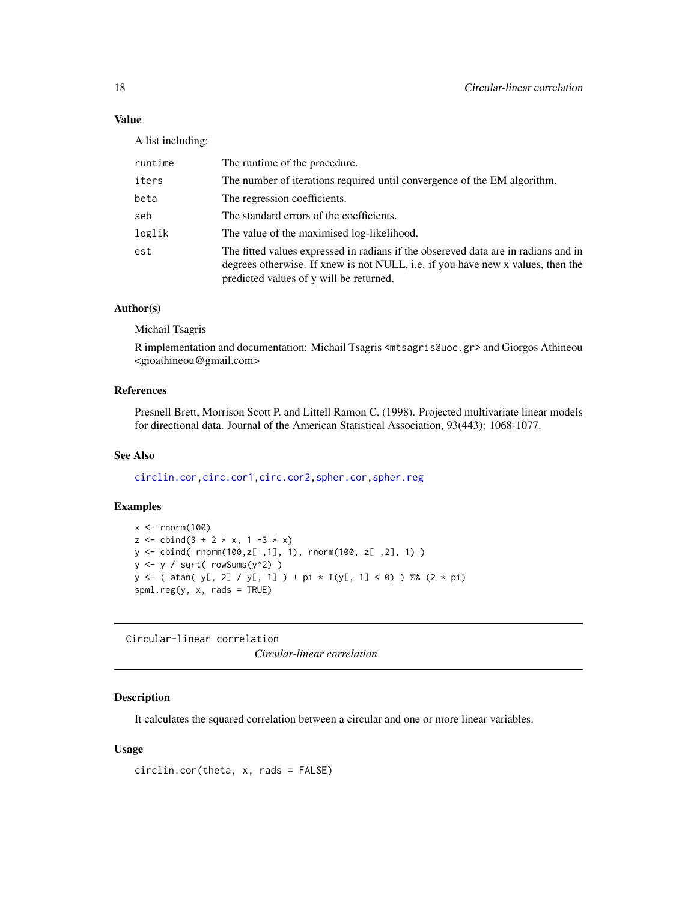### <span id="page-17-0"></span>Value

A list including:

| runtime | The runtime of the procedure.                                                                                                                                                                                    |
|---------|------------------------------------------------------------------------------------------------------------------------------------------------------------------------------------------------------------------|
| iters   | The number of iterations required until convergence of the EM algorithm.                                                                                                                                         |
| beta    | The regression coefficients.                                                                                                                                                                                     |
| seb     | The standard errors of the coefficients.                                                                                                                                                                         |
| loglik  | The value of the maximised log-likelihood.                                                                                                                                                                       |
| est     | The fitted values expressed in radians if the obsereved data are in radians and in<br>degrees otherwise. If xnew is not NULL, i.e. if you have new x values, then the<br>predicted values of y will be returned. |

### Author(s)

Michail Tsagris

R implementation and documentation: Michail Tsagris <mtsagris@uoc.gr> and Giorgos Athineou <gioathineou@gmail.com>

#### References

Presnell Brett, Morrison Scott P. and Littell Ramon C. (1998). Projected multivariate linear models for directional data. Journal of the American Statistical Association, 93(443): 1068-1077.

### See Also

[circlin.cor](#page-17-1)[,circ.cor1,circ.cor2,](#page-15-1)[spher.cor,](#page-100-1)[spher.reg](#page-101-1)

### Examples

```
x < - rnorm(100)
z \le cbind(3 + 2 * x, 1 -3 * x)
y <- cbind( rnorm(100,z[ ,1], 1), rnorm(100, z[ ,2], 1) )
y <- y / sqrt( rowSums(y^2) )
y \leftarrow ( atan( y[, 2] / y[, 1] ) + pi * I(y[, 1] < 0) ) %% (2 * pi)
spml.reg(y, x, rads = TRUE)
```
Circular-linear correlation *Circular-linear correlation*

### <span id="page-17-1"></span>Description

It calculates the squared correlation between a circular and one or more linear variables.

### Usage

circlin.cor(theta, x, rads = FALSE)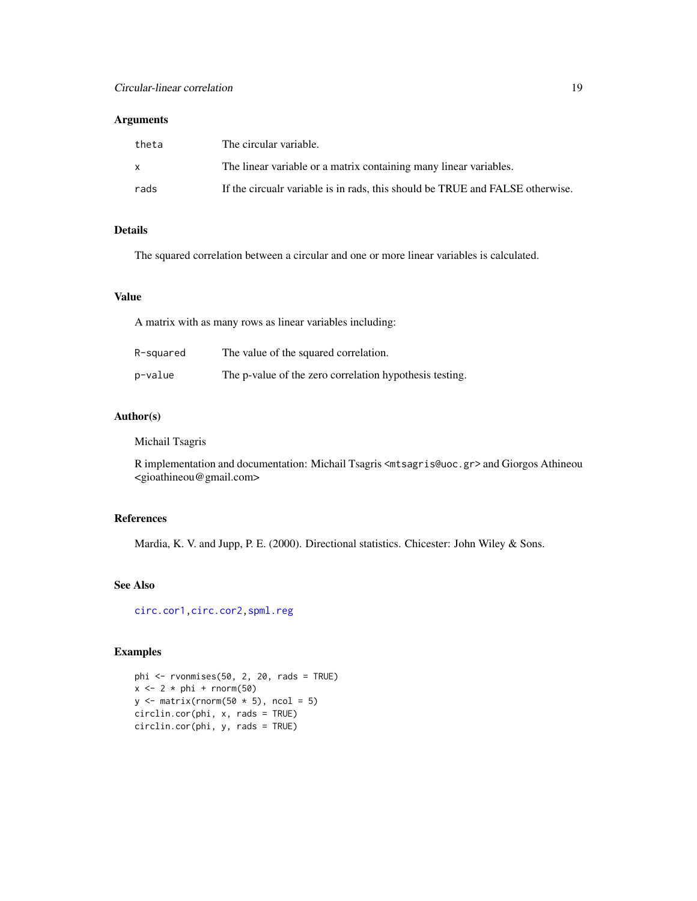### Arguments

| theta | The circular variable.                                                        |
|-------|-------------------------------------------------------------------------------|
|       | The linear variable or a matrix containing many linear variables.             |
| rads  | If the circualr variable is in rads, this should be TRUE and FALSE otherwise. |

### Details

The squared correlation between a circular and one or more linear variables is calculated.

### Value

A matrix with as many rows as linear variables including:

| R-squared | The value of the squared correlation.                   |
|-----------|---------------------------------------------------------|
| p-value   | The p-value of the zero correlation hypothesis testing. |

### Author(s)

Michail Tsagris

R implementation and documentation: Michail Tsagris <mtsagris@uoc.gr> and Giorgos Athineou <gioathineou@gmail.com>

#### References

Mardia, K. V. and Jupp, P. E. (2000). Directional statistics. Chicester: John Wiley & Sons.

### See Also

[circ.cor1,circ.cor2,](#page-15-1)[spml.reg](#page-16-1)

```
phi <- rvonmises(50, 2, 20, rads = TRUE)
x \leftarrow 2 * phi + rnorm(50)y \leftarrow \text{matrix}(rnorm(50 * 5), ncol = 5)circlin.cor(phi, x, rads = TRUE)
circlin.cor(phi, y, rads = TRUE)
```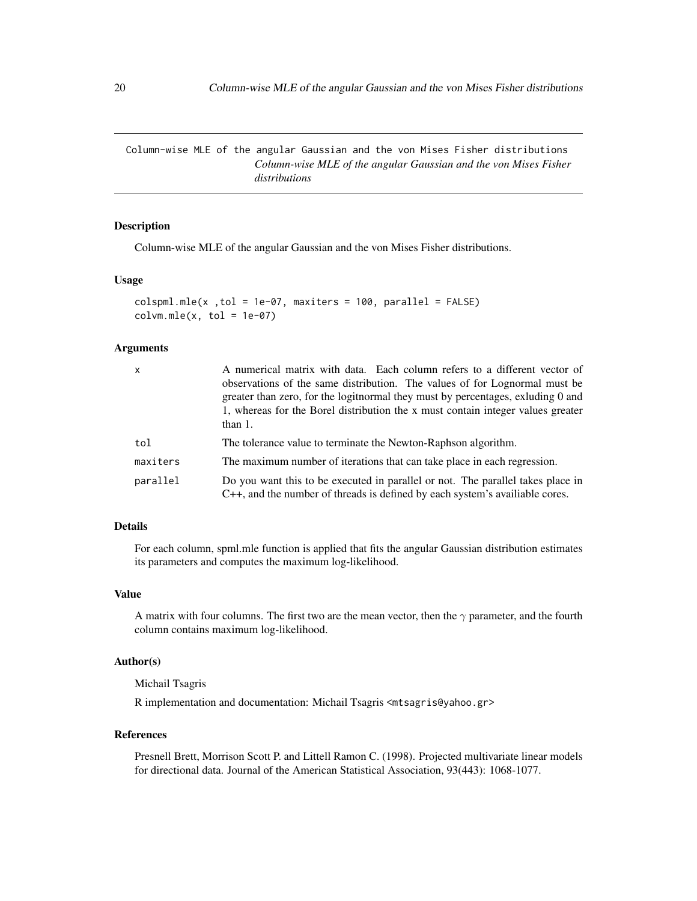<span id="page-19-0"></span>Column-wise MLE of the angular Gaussian and the von Mises Fisher distributions *Column-wise MLE of the angular Gaussian and the von Mises Fisher distributions*

### Description

Column-wise MLE of the angular Gaussian and the von Mises Fisher distributions.

#### Usage

```
colspml.mle(x , tol = 1e-07, maxiters = 100, parallel = FALSE)colvm.mle(x, tol = 1e-07)
```
#### Arguments

| $\mathsf{x}$ | A numerical matrix with data. Each column refers to a different vector of<br>observations of the same distribution. The values of for Lognormal must be<br>greater than zero, for the logitnormal they must by percentages, exluding 0 and<br>1, whereas for the Borel distribution the x must contain integer values greater<br>than $1$ . |
|--------------|---------------------------------------------------------------------------------------------------------------------------------------------------------------------------------------------------------------------------------------------------------------------------------------------------------------------------------------------|
| tol          | The tolerance value to terminate the Newton-Raphson algorithm.                                                                                                                                                                                                                                                                              |
| maxiters     | The maximum number of iterations that can take place in each regression.                                                                                                                                                                                                                                                                    |
| parallel     | Do you want this to be executed in parallel or not. The parallel takes place in<br>C++, and the number of threads is defined by each system's available cores.                                                                                                                                                                              |

### Details

For each column, spml.mle function is applied that fits the angular Gaussian distribution estimates its parameters and computes the maximum log-likelihood.

#### Value

A matrix with four columns. The first two are the mean vector, then the  $\gamma$  parameter, and the fourth column contains maximum log-likelihood.

#### Author(s)

Michail Tsagris

R implementation and documentation: Michail Tsagris <mtsagris@yahoo.gr>

### References

Presnell Brett, Morrison Scott P. and Littell Ramon C. (1998). Projected multivariate linear models for directional data. Journal of the American Statistical Association, 93(443): 1068-1077.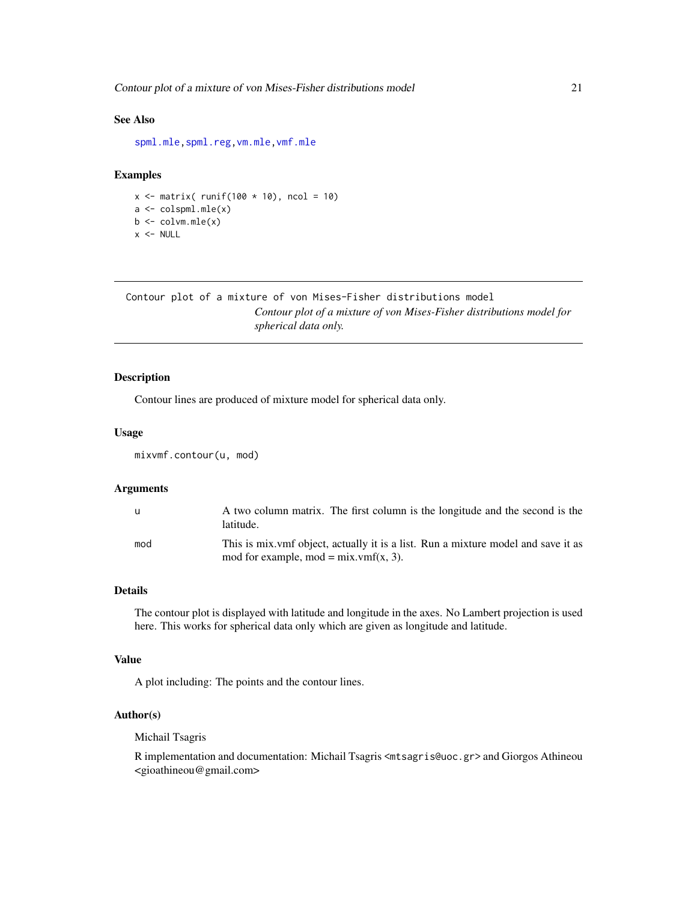<span id="page-20-0"></span>Contour plot of a mixture of von Mises-Fisher distributions model 21

### See Also

[spml.mle](#page-60-1)[,spml.reg](#page-16-1)[,vm.mle,vmf.mle](#page-0-0)

### Examples

 $x \le$  matrix( runif(100  $\star$  10), ncol = 10) a <- colspml.mle(x)  $b \leq$  colvm.mle $(x)$  $x < -$  NULL

Contour plot of a mixture of von Mises-Fisher distributions model *Contour plot of a mixture of von Mises-Fisher distributions model for spherical data only.*

### <span id="page-20-1"></span>Description

Contour lines are produced of mixture model for spherical data only.

#### Usage

mixvmf.contour(u, mod)

#### Arguments

| - u | A two column matrix. The first column is the longitude and the second is the<br>latitude.                                     |
|-----|-------------------------------------------------------------------------------------------------------------------------------|
| mod | This is mix vmf object, actually it is a list. Run a mixture model and save it as<br>mod for example, mod = $mix.vmf(x, 3)$ . |

#### Details

The contour plot is displayed with latitude and longitude in the axes. No Lambert projection is used here. This works for spherical data only which are given as longitude and latitude.

#### Value

A plot including: The points and the contour lines.

#### Author(s)

Michail Tsagris

R implementation and documentation: Michail Tsagris <mtsagris@uoc.gr> and Giorgos Athineou <gioathineou@gmail.com>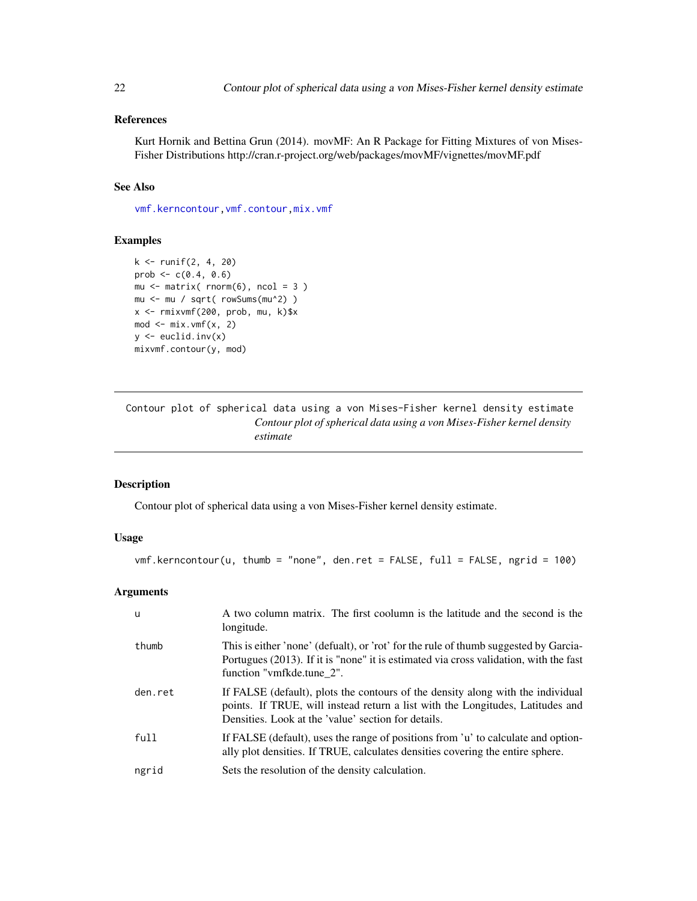### <span id="page-21-0"></span>References

Kurt Hornik and Bettina Grun (2014). movMF: An R Package for Fitting Mixtures of von Mises-Fisher Distributions http://cran.r-project.org/web/packages/movMF/vignettes/movMF.pdf

### See Also

[vmf.kerncontour](#page-21-1)[,vmf.contour,](#page-25-1)[mix.vmf](#page-56-1)

#### Examples

```
k <- runif(2, 4, 20)
prob <-c(0.4, 0.6)mu \le matrix( rnorm(6), ncol = 3)
mu <- mu / sqrt( rowSums(mu^2) )
x <- rmixvmf(200, prob, mu, k)$x
mod < - mix.vmf(x, 2)
y \leftarrow \text{euclid}.\text{inv}(x)mixvmf.contour(y, mod)
```
Contour plot of spherical data using a von Mises-Fisher kernel density estimate *Contour plot of spherical data using a von Mises-Fisher kernel density estimate*

#### <span id="page-21-1"></span>Description

Contour plot of spherical data using a von Mises-Fisher kernel density estimate.

### Usage

```
vmf.kerncontour(u, thumb = "none", den.ret = FALSE, full = FALSE, ngrid = 100)
```
### Arguments

| -u      | A two column matrix. The first coolumn is the latitude and the second is the<br>longitude.                                                                                                                               |
|---------|--------------------------------------------------------------------------------------------------------------------------------------------------------------------------------------------------------------------------|
| thumb   | This is either 'none' (defualt), or 'rot' for the rule of thumb suggested by Garcia-<br>Portugues (2013). If it is "none" it is estimated via cross validation, with the fast<br>function "vmfkde.tune 2".               |
| den.ret | If FALSE (default), plots the contours of the density along with the individual<br>points. If TRUE, will instead return a list with the Longitudes, Latitudes and<br>Densities. Look at the 'value' section for details. |
| full    | If FALSE (default), uses the range of positions from 'u' to calculate and option-<br>ally plot densities. If TRUE, calculates densities covering the entire sphere.                                                      |
| ngrid   | Sets the resolution of the density calculation.                                                                                                                                                                          |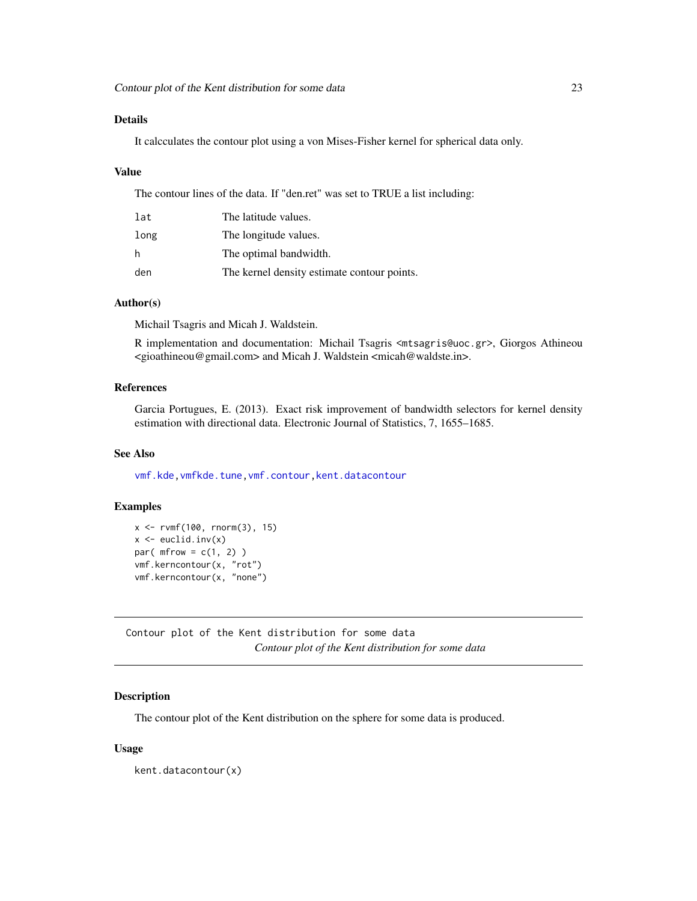### <span id="page-22-0"></span>Details

It calcculates the contour plot using a von Mises-Fisher kernel for spherical data only.

### Value

The contour lines of the data. If "den.ret" was set to TRUE a list including:

| lat  | The latitude values.                        |
|------|---------------------------------------------|
| long | The longitude values.                       |
| h    | The optimal bandwidth.                      |
| den  | The kernel density estimate contour points. |

### Author(s)

Michail Tsagris and Micah J. Waldstein.

R implementation and documentation: Michail Tsagris <mtsagris@uoc.gr>, Giorgos Athineou <gioathineou@gmail.com> and Micah J. Waldstein <micah@waldste.in>.

### References

Garcia Portugues, E. (2013). Exact risk improvement of bandwidth selectors for kernel density estimation with directional data. Electronic Journal of Statistics, 7, 1655–1685.

#### See Also

[vmf.kde](#page-121-1)[,vmfkde.tune,](#page-112-1)[vmf.contour,](#page-25-1)[kent.datacontour](#page-22-1)

### Examples

```
x <- rvmf(100, rnorm(3), 15)
x \leftarrow \text{euclid}.\text{inv}(x)par(mfrow = c(1, 2))
vmf.kerncontour(x, "rot")
vmf.kerncontour(x, "none")
```
Contour plot of the Kent distribution for some data *Contour plot of the Kent distribution for some data*

### <span id="page-22-1"></span>Description

The contour plot of the Kent distribution on the sphere for some data is produced.

#### Usage

kent.datacontour(x)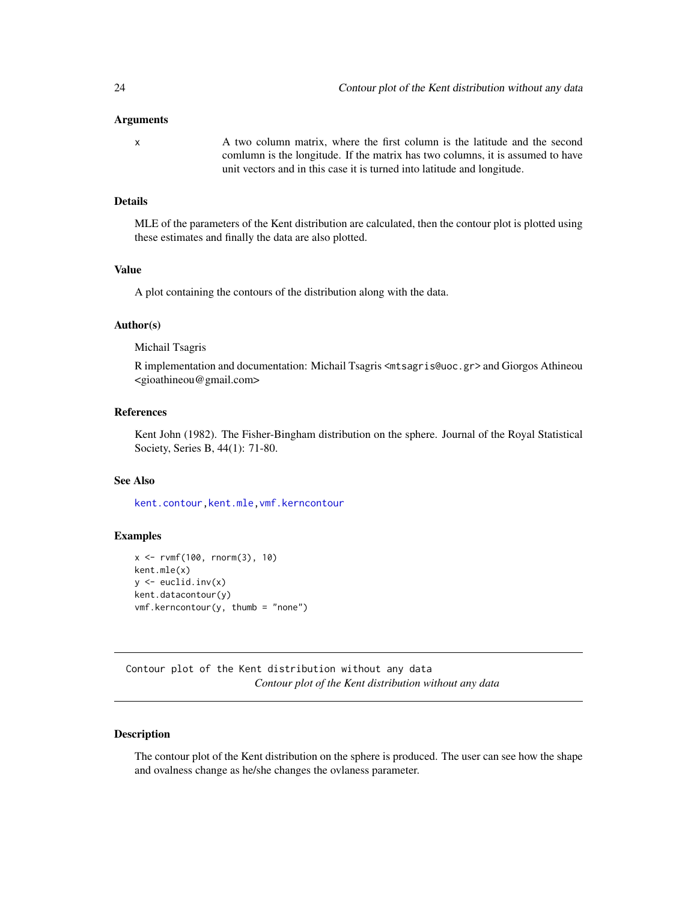#### <span id="page-23-0"></span>Arguments

x A two column matrix, where the first column is the latitude and the second comlumn is the longitude. If the matrix has two columns, it is assumed to have unit vectors and in this case it is turned into latitude and longitude.

### Details

MLE of the parameters of the Kent distribution are calculated, then the contour plot is plotted using these estimates and finally the data are also plotted.

#### Value

A plot containing the contours of the distribution along with the data.

### Author(s)

Michail Tsagris

R implementation and documentation: Michail Tsagris <mtsagris@uoc.gr> and Giorgos Athineou <gioathineou@gmail.com>

### References

Kent John (1982). The Fisher-Bingham distribution on the sphere. Journal of the Royal Statistical Society, Series B, 44(1): 71-80.

### See Also

[kent.contour](#page-23-1)[,kent.mle,](#page-65-1)[vmf.kerncontour](#page-21-1)

### Examples

```
x <- rvmf(100, rnorm(3), 10)
kent.mle(x)
y \leftarrow \text{euclid}.\text{inv}(x)kent.datacontour(y)
vmf.kerncontour(y, thumb = "none")
```
Contour plot of the Kent distribution without any data *Contour plot of the Kent distribution without any data*

### <span id="page-23-1"></span>Description

The contour plot of the Kent distribution on the sphere is produced. The user can see how the shape and ovalness change as he/she changes the ovlaness parameter.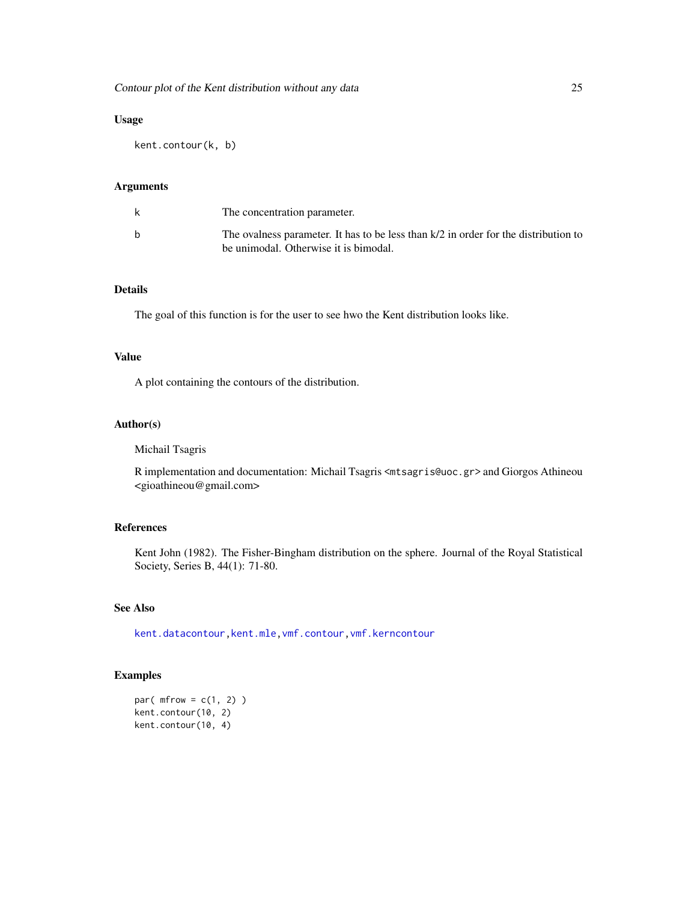### Usage

kent.contour(k, b)

### Arguments

| The concentration parameter.                                                                                                   |
|--------------------------------------------------------------------------------------------------------------------------------|
| The ovalness parameter. It has to be less than $k/2$ in order for the distribution to<br>be unimodal. Otherwise it is bimodal. |

### Details

The goal of this function is for the user to see hwo the Kent distribution looks like.

#### Value

A plot containing the contours of the distribution.

### Author(s)

Michail Tsagris

R implementation and documentation: Michail Tsagris <mtsagris@uoc.gr> and Giorgos Athineou <gioathineou@gmail.com>

### References

Kent John (1982). The Fisher-Bingham distribution on the sphere. Journal of the Royal Statistical Society, Series B, 44(1): 71-80.

### See Also

[kent.datacontour](#page-22-1)[,kent.mle,](#page-65-1)[vmf.contour,](#page-25-1)[vmf.kerncontour](#page-21-1)

```
par(mfrow = c(1, 2))
kent.contour(10, 2)
kent.contour(10, 4)
```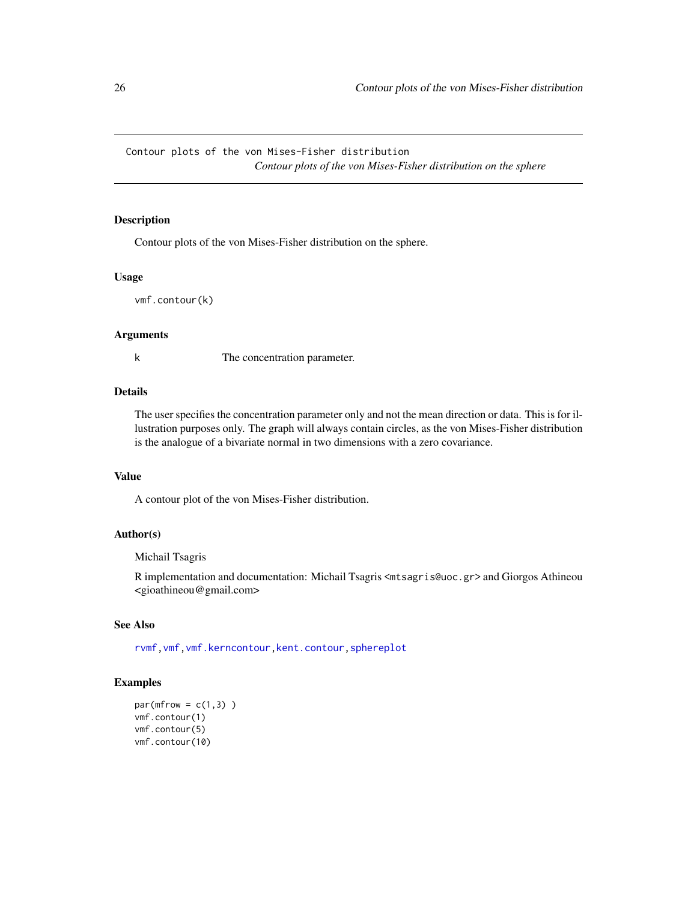<span id="page-25-0"></span>Contour plots of the von Mises-Fisher distribution *Contour plots of the von Mises-Fisher distribution on the sphere*

### <span id="page-25-1"></span>Description

Contour plots of the von Mises-Fisher distribution on the sphere.

#### Usage

vmf.contour(k)

#### Arguments

k The concentration parameter.

### Details

The user specifies the concentration parameter only and not the mean direction or data. This is for illustration purposes only. The graph will always contain circles, as the von Mises-Fisher distribution is the analogue of a bivariate normal in two dimensions with a zero covariance.

### Value

A contour plot of the von Mises-Fisher distribution.

### Author(s)

Michail Tsagris

R implementation and documentation: Michail Tsagris <mtsagris@uoc.gr> and Giorgos Athineou <gioathineou@gmail.com>

### See Also

[rvmf](#page-97-1)[,vmf](#page-57-1)[,vmf.kerncontour,](#page-21-1)[kent.contour,](#page-23-1)[sphereplot](#page-47-1)

```
par(mfrow = c(1,3))vmf.contour(1)
vmf.contour(5)
vmf.contour(10)
```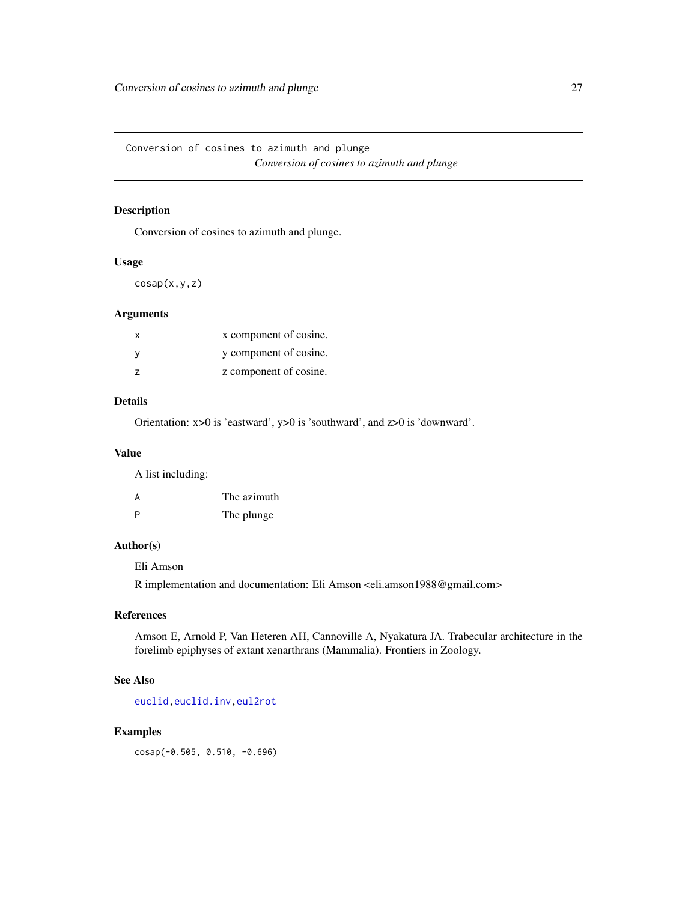<span id="page-26-0"></span>Conversion of cosines to azimuth and plunge *Conversion of cosines to azimuth and plunge*

### Description

Conversion of cosines to azimuth and plunge.

### Usage

 $cosap(x,y,z)$ 

### Arguments

| $\mathsf{x}$   | x component of cosine. |
|----------------|------------------------|
|                | y component of cosine. |
| $\overline{z}$ | z component of cosine. |

### Details

Orientation: x>0 is 'eastward', y>0 is 'southward', and z>0 is 'downward'.

#### Value

A list including:

| A | The azimuth |
|---|-------------|
| P | The plunge  |

#### Author(s)

Eli Amson

R implementation and documentation: Eli Amson <eli.amson1988@gmail.com>

#### References

Amson E, Arnold P, Van Heteren AH, Cannoville A, Nyakatura JA. Trabecular architecture in the forelimb epiphyses of extant xenarthrans (Mammalia). Frontiers in Zoology.

### See Also

[euclid](#page-37-1)[,euclid.inv](#page-49-1)[,eul2rot](#page-86-1)

### Examples

cosap(-0.505, 0.510, -0.696)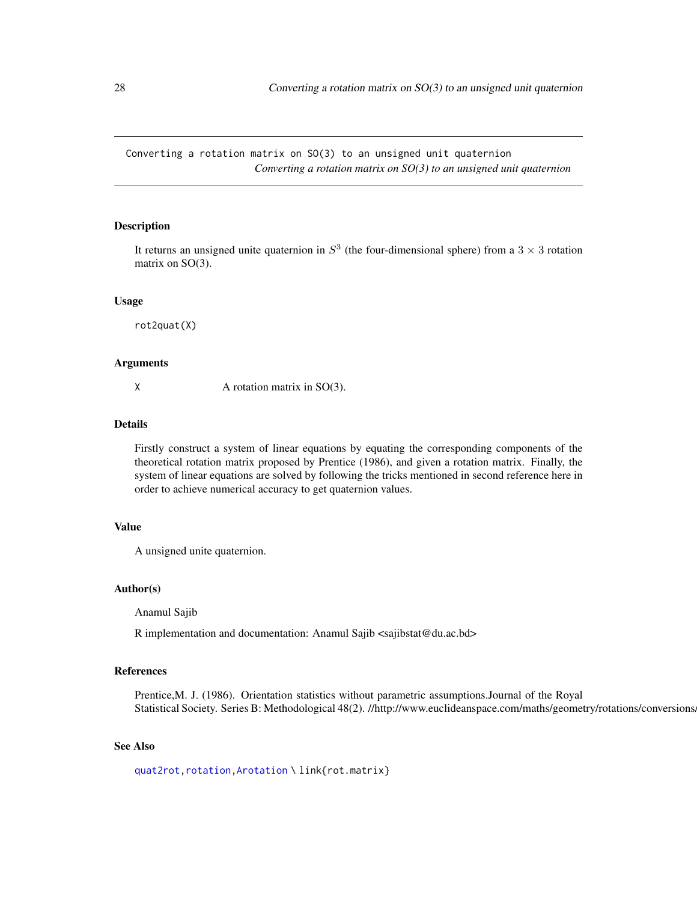<span id="page-27-0"></span>Converting a rotation matrix on SO(3) to an unsigned unit quaternion *Converting a rotation matrix on SO(3) to an unsigned unit quaternion*

### <span id="page-27-1"></span>Description

It returns an unsigned unite quaternion in  $S<sup>3</sup>$  (the four-dimensional sphere) from a 3  $\times$  3 rotation matrix on SO(3).

#### Usage

rot2quat(X)

#### Arguments

 $X \rightarrow A$  rotation matrix in SO(3).

#### Details

Firstly construct a system of linear equations by equating the corresponding components of the theoretical rotation matrix proposed by Prentice (1986), and given a rotation matrix. Finally, the system of linear equations are solved by following the tricks mentioned in second reference here in order to achieve numerical accuracy to get quaternion values.

### Value

A unsigned unite quaternion.

#### Author(s)

Anamul Sajib

R implementation and documentation: Anamul Sajib <sajibstat@du.ac.bd>

### References

Prentice,M. J. (1986). Orientation statistics without parametric assumptions.Journal of the Royal Statistical Society. Series B: Methodological 48(2). //http://www.euclideanspace.com/maths/geometry/rotations/conversions.

### See Also

[quat2rot](#page-28-1)[,rotation](#page-87-1)[,Arotation](#page-84-1) \ link{rot.matrix}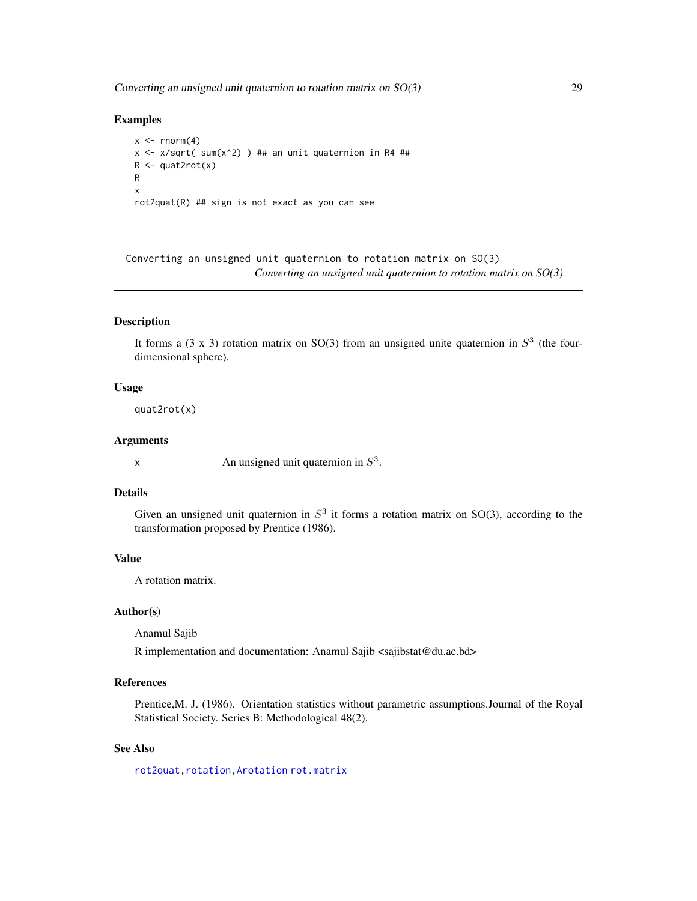<span id="page-28-0"></span>Converting an unsigned unit quaternion to rotation matrix on  $SO(3)$  29

#### Examples

```
x \le- rnorm(4)x \le -x/\sqrt{1 + x^2} ) ## an unit quaternion in R4 ##
R <- quat2rot(x)
R
x
rot2quat(R) ## sign is not exact as you can see
```
Converting an unsigned unit quaternion to rotation matrix on SO(3) *Converting an unsigned unit quaternion to rotation matrix on SO(3)*

#### <span id="page-28-1"></span>Description

It forms a  $(3 \times 3)$  rotation matrix on SO(3) from an unsigned unite quaternion in  $S^3$  (the fourdimensional sphere).

#### Usage

quat2rot(x)

#### Arguments

x An unsigned unit quaternion in  $S<sup>3</sup>$ .

### Details

Given an unsigned unit quaternion in  $S<sup>3</sup>$  it forms a rotation matrix on SO(3), according to the transformation proposed by Prentice (1986).

### Value

A rotation matrix.

#### Author(s)

Anamul Sajib

R implementation and documentation: Anamul Sajib <sajibstat@du.ac.bd>

### References

Prentice,M. J. (1986). Orientation statistics without parametric assumptions.Journal of the Royal Statistical Society. Series B: Methodological 48(2).

### See Also

[rot2quat](#page-27-1)[,rotation](#page-87-1)[,Arotation](#page-84-1) [rot.matrix](#page-85-1)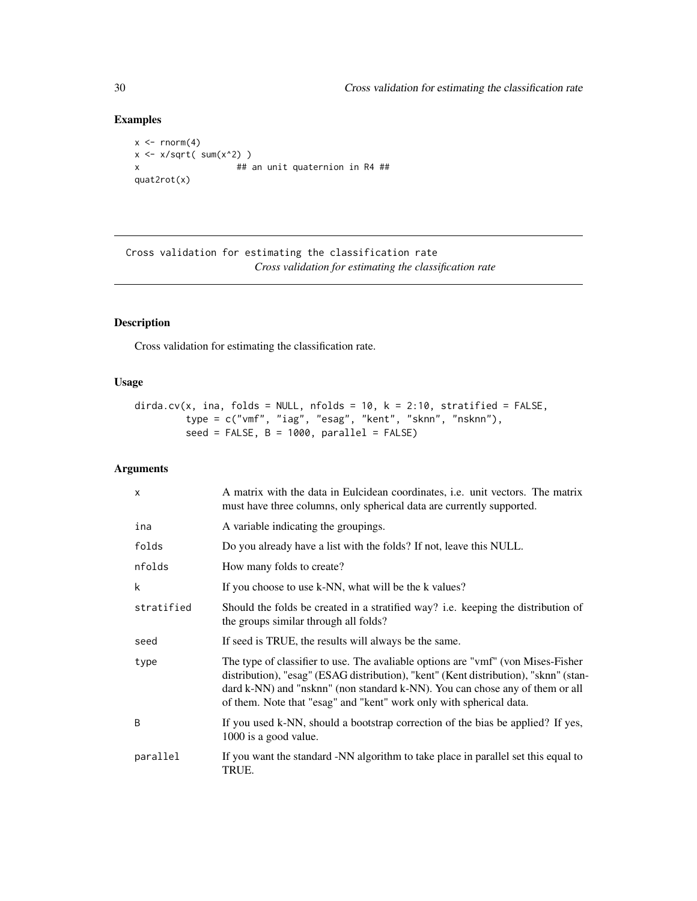### Examples

```
x \le rnorm(4)
x \leftarrow x/sqrt(\text{sum}(x^2))x ## an unit quaternion in R4 ##
quat2rot(x)
```
Cross validation for estimating the classification rate *Cross validation for estimating the classification rate*

### Description

Cross validation for estimating the classification rate.

### Usage

```
dirda.cv(x, ina, folds = NULL, nfolds = 10, k = 2:10, stratified = FALSE,
        type = c("vmf", "iag", "esag", "kent", "sknn", "nsknn"),
        seed = FALSE, B = 1000, parallel = FALSE)
```
### Arguments

| $\times$     | A matrix with the data in Eulcidean coordinates, <i>i.e.</i> unit vectors. The matrix<br>must have three columns, only spherical data are currently supported.                                                                                                                                                                  |
|--------------|---------------------------------------------------------------------------------------------------------------------------------------------------------------------------------------------------------------------------------------------------------------------------------------------------------------------------------|
| ina          | A variable indicating the groupings.                                                                                                                                                                                                                                                                                            |
| folds        | Do you already have a list with the folds? If not, leave this NULL.                                                                                                                                                                                                                                                             |
| nfolds       | How many folds to create?                                                                                                                                                                                                                                                                                                       |
| k            | If you choose to use k-NN, what will be the k values?                                                                                                                                                                                                                                                                           |
| stratified   | Should the folds be created in a stratified way? i.e. keeping the distribution of<br>the groups similar through all folds?                                                                                                                                                                                                      |
| seed         | If seed is TRUE, the results will always be the same.                                                                                                                                                                                                                                                                           |
| type         | The type of classifier to use. The avaliable options are "vmf" (von Mises-Fisher<br>distribution), "esag" (ESAG distribution), "kent" (Kent distribution), "sknn" (stan-<br>dard k-NN) and "nsknn" (non standard k-NN). You can chose any of them or all<br>of them. Note that "esag" and "kent" work only with spherical data. |
| <sub>B</sub> | If you used k-NN, should a bootstrap correction of the bias be applied? If yes,<br>1000 is a good value.                                                                                                                                                                                                                        |
| parallel     | If you want the standard -NN algorithm to take place in parallel set this equal to<br>TRUE.                                                                                                                                                                                                                                     |

<span id="page-29-0"></span>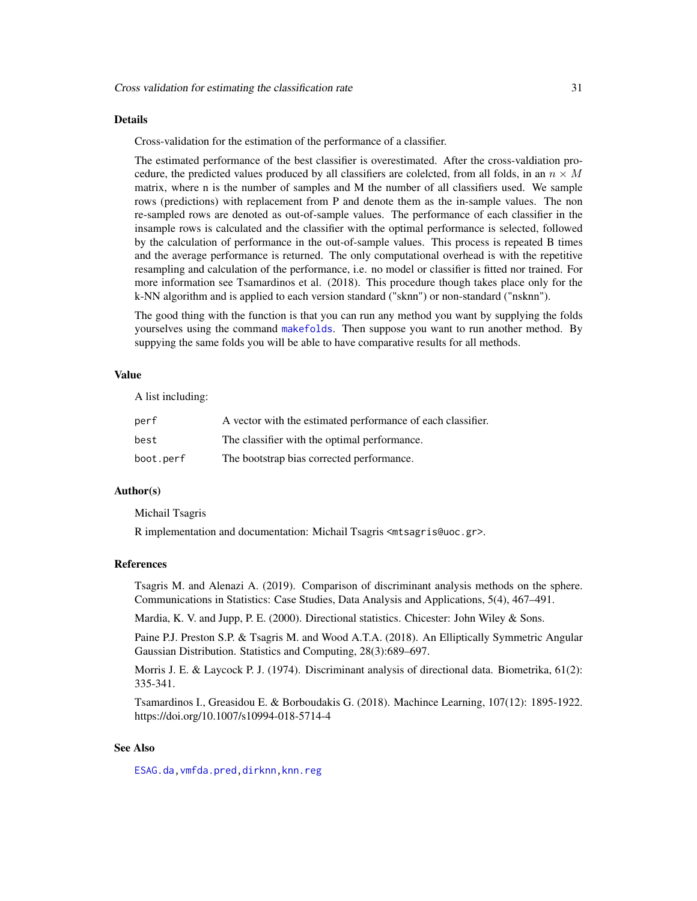#### Details

Cross-validation for the estimation of the performance of a classifier.

The estimated performance of the best classifier is overestimated. After the cross-valdiation procedure, the predicted values produced by all classifiers are colelcted, from all folds, in an  $n \times M$ matrix, where n is the number of samples and M the number of all classifiers used. We sample rows (predictions) with replacement from P and denote them as the in-sample values. The non re-sampled rows are denoted as out-of-sample values. The performance of each classifier in the insample rows is calculated and the classifier with the optimal performance is selected, followed by the calculation of performance in the out-of-sample values. This process is repeated B times and the average performance is returned. The only computational overhead is with the repetitive resampling and calculation of the performance, i.e. no model or classifier is fitted nor trained. For more information see Tsamardinos et al. (2018). This procedure though takes place only for the k-NN algorithm and is applied to each version standard ("sknn") or non-standard ("nsknn").

The good thing with the function is that you can run any method you want by supplying the folds yourselves using the command [makefolds](#page-41-1). Then suppose you want to run another method. By suppying the same folds you will be able to have comparative results for all methods.

### Value

A list including:

| perf      | A vector with the estimated performance of each classifier. |
|-----------|-------------------------------------------------------------|
| best      | The classifier with the optimal performance.                |
| boot.perf | The bootstrap bias corrected performance.                   |

### Author(s)

Michail Tsagris

R implementation and documentation: Michail Tsagris <mtsagris@uoc.gr>.

#### References

Tsagris M. and Alenazi A. (2019). Comparison of discriminant analysis methods on the sphere. Communications in Statistics: Case Studies, Data Analysis and Applications, 5(4), 467–491.

Mardia, K. V. and Jupp, P. E. (2000). Directional statistics. Chicester: John Wiley & Sons.

Paine P.J. Preston S.P. & Tsagris M. and Wood A.T.A. (2018). An Elliptically Symmetric Angular Gaussian Distribution. Statistics and Computing, 28(3):689–697.

Morris J. E. & Laycock P. J. (1974). Discriminant analysis of directional data. Biometrika, 61(2): 335-341.

Tsamardinos I., Greasidou E. & Borboudakis G. (2018). Machince Learning, 107(12): 1895-1922. https://doi.org/10.1007/s10994-018-5714-4

### See Also

[ESAG.da](#page-32-1)[,vmfda.pred](#page-75-1)[,dirknn,](#page-50-1)[knn.reg](#page-51-1)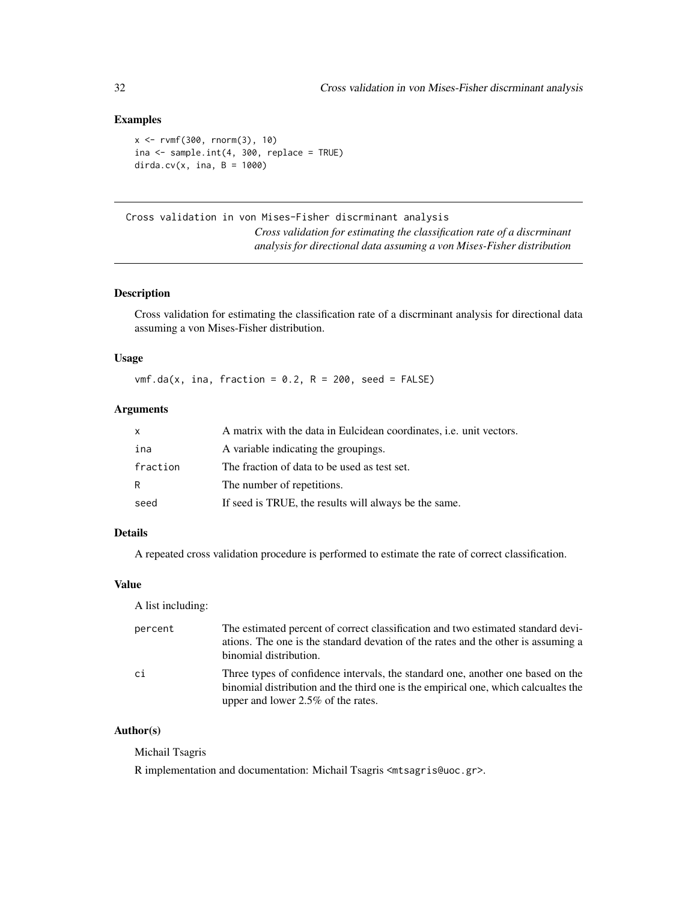### <span id="page-31-0"></span>Examples

```
x <- rvmf(300, rnorm(3), 10)
ina \leq sample.int(4, 300, replace = TRUE)
dirda.cv(x, ina, B = 1000)
```

```
Cross validation in von Mises-Fisher discrminant analysis
                          Cross validation for estimating the classification rate of a discrminant
                          analysis for directional data assuming a von Mises-Fisher distribution
```
### <span id="page-31-1"></span>Description

Cross validation for estimating the classification rate of a discrminant analysis for directional data assuming a von Mises-Fisher distribution.

### Usage

 $vmf.da(x, ina, fraction = 0.2, R = 200, seed = FALSE)$ 

### Arguments

| $\mathsf{x}$ | A matrix with the data in Eulcidean coordinates, <i>i.e.</i> unit vectors. |
|--------------|----------------------------------------------------------------------------|
| ina          | A variable indicating the groupings.                                       |
| fraction     | The fraction of data to be used as test set.                               |
| R            | The number of repetitions.                                                 |
| seed         | If seed is TRUE, the results will always be the same.                      |

### Details

A repeated cross validation procedure is performed to estimate the rate of correct classification.

### Value

A list including:

| percent | The estimated percent of correct classification and two estimated standard devi-<br>ations. The one is the standard devation of the rates and the other is assuming a<br>binomial distribution.                |
|---------|----------------------------------------------------------------------------------------------------------------------------------------------------------------------------------------------------------------|
| ci      | Three types of confidence intervals, the standard one, another one based on the<br>binomial distribution and the third one is the empirical one, which calcualtes the<br>upper and lower $2.5\%$ of the rates. |

### Author(s)

Michail Tsagris

R implementation and documentation: Michail Tsagris <mtsagris@uoc.gr>.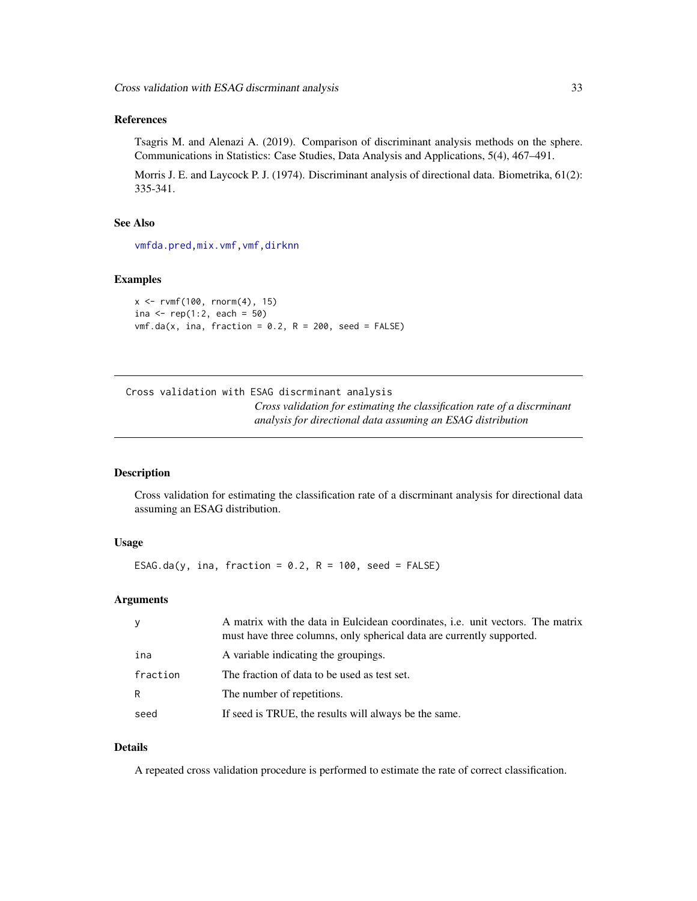#### <span id="page-32-0"></span>References

Tsagris M. and Alenazi A. (2019). Comparison of discriminant analysis methods on the sphere. Communications in Statistics: Case Studies, Data Analysis and Applications, 5(4), 467–491.

Morris J. E. and Laycock P. J. (1974). Discriminant analysis of directional data. Biometrika, 61(2): 335-341.

### See Also

[vmfda.pred](#page-75-1)[,mix.vmf](#page-56-1)[,vmf,](#page-57-1)[dirknn](#page-50-1)

#### Examples

```
x \leq -r \sqrt{100}, rnorm(4), 15)
ina <- rep(1:2, each = 50)vmf.da(x, ina, fraction = 0.2, R = 200, seed = FALSE)
```
Cross validation with ESAG discrminant analysis *Cross validation for estimating the classification rate of a discrminant analysis for directional data assuming an ESAG distribution*

#### <span id="page-32-1"></span>Description

Cross validation for estimating the classification rate of a discrminant analysis for directional data assuming an ESAG distribution.

#### Usage

ESAG.da(y, ina, fraction =  $0.2$ , R = 100, seed = FALSE)

#### Arguments

| y        | A matrix with the data in Eulcidean coordinates, i.e. unit vectors. The matrix<br>must have three columns, only spherical data are currently supported. |
|----------|---------------------------------------------------------------------------------------------------------------------------------------------------------|
| ina      | A variable indicating the groupings.                                                                                                                    |
| fraction | The fraction of data to be used as test set.                                                                                                            |
| R        | The number of repetitions.                                                                                                                              |
| seed     | If seed is TRUE, the results will always be the same.                                                                                                   |

#### Details

A repeated cross validation procedure is performed to estimate the rate of correct classification.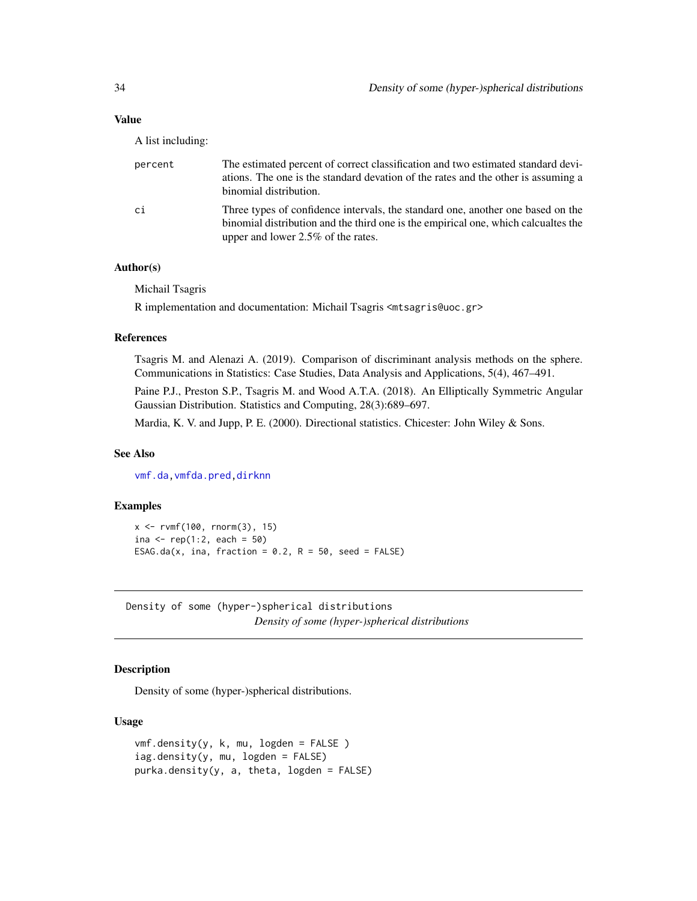### <span id="page-33-0"></span>Value

A list including:

| percent | The estimated percent of correct classification and two estimated standard devi-<br>ations. The one is the standard devation of the rates and the other is assuming a<br>binomial distribution.                |
|---------|----------------------------------------------------------------------------------------------------------------------------------------------------------------------------------------------------------------|
| сi      | Three types of confidence intervals, the standard one, another one based on the<br>binomial distribution and the third one is the empirical one, which calcualtes the<br>upper and lower $2.5\%$ of the rates. |

### Author(s)

Michail Tsagris

R implementation and documentation: Michail Tsagris <mtsagris@uoc.gr>

### References

Tsagris M. and Alenazi A. (2019). Comparison of discriminant analysis methods on the sphere. Communications in Statistics: Case Studies, Data Analysis and Applications, 5(4), 467–491.

Paine P.J., Preston S.P., Tsagris M. and Wood A.T.A. (2018). An Elliptically Symmetric Angular Gaussian Distribution. Statistics and Computing, 28(3):689–697.

Mardia, K. V. and Jupp, P. E. (2000). Directional statistics. Chicester: John Wiley & Sons.

#### See Also

[vmf.da](#page-31-1)[,vmfda.pred](#page-75-1)[,dirknn](#page-50-1)

### Examples

```
x <- rvmf(100, rnorm(3), 15)
ina <- rep(1:2, each = 50)ESAG.da(x, ina, fraction = 0.2, R = 50, seed = FALSE)
```
Density of some (hyper-)spherical distributions *Density of some (hyper-)spherical distributions*

### Description

Density of some (hyper-)spherical distributions.

### Usage

```
vmf.density(y, k, mu, logden = FALSE )
iag.density(y, mu, logden = FALSE)
purka.density(y, a, theta, logden = FALSE)
```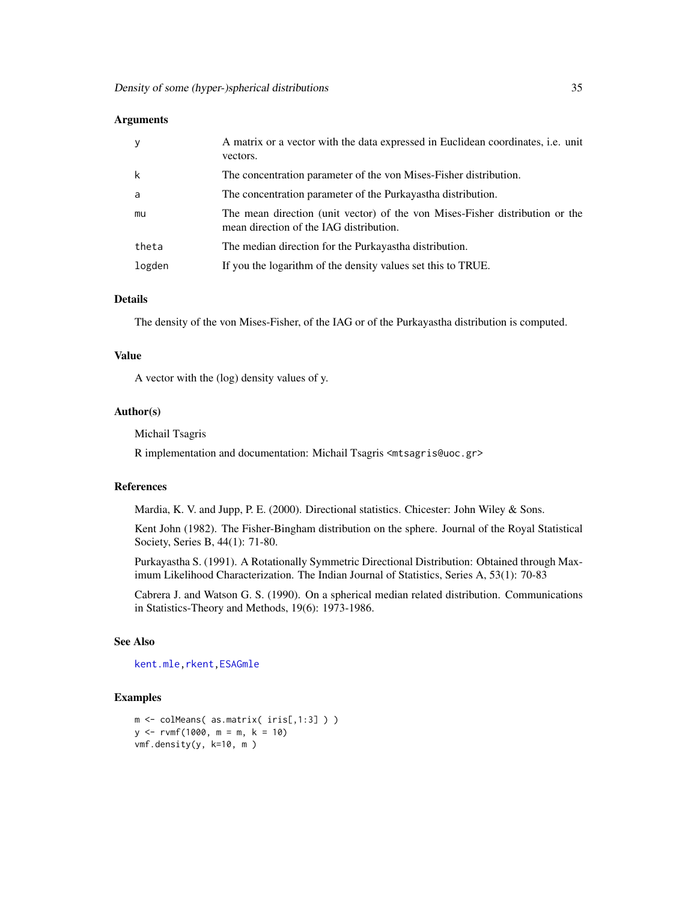#### Arguments

|        | A matrix or a vector with the data expressed in Euclidean coordinates, <i>i.e.</i> unit<br>vectors.                     |
|--------|-------------------------------------------------------------------------------------------------------------------------|
| k      | The concentration parameter of the von Mises-Fisher distribution.                                                       |
| a      | The concentration parameter of the Purkayastha distribution.                                                            |
| mu     | The mean direction (unit vector) of the von Mises-Fisher distribution or the<br>mean direction of the IAG distribution. |
| theta  | The median direction for the Purkayastha distribution.                                                                  |
| logden | If you the logarithm of the density values set this to TRUE.                                                            |

### Details

The density of the von Mises-Fisher, of the IAG or of the Purkayastha distribution is computed.

### Value

A vector with the (log) density values of y.

### Author(s)

Michail Tsagris

R implementation and documentation: Michail Tsagris <mtsagris@uoc.gr>

#### References

Mardia, K. V. and Jupp, P. E. (2000). Directional statistics. Chicester: John Wiley & Sons.

Kent John (1982). The Fisher-Bingham distribution on the sphere. Journal of the Royal Statistical Society, Series B, 44(1): 71-80.

Purkayastha S. (1991). A Rotationally Symmetric Directional Distribution: Obtained through Maximum Likelihood Characterization. The Indian Journal of Statistics, Series A, 53(1): 70-83

Cabrera J. and Watson G. S. (1990). On a spherical median related distribution. Communications in Statistics-Theory and Methods, 19(6): 1973-1986.

#### See Also

[kent.mle](#page-65-1)[,rkent](#page-95-1)[,ESAGmle](#page-63-1)

```
m <- colMeans( as.matrix( iris[,1:3] ) )
y \le -r \text{vmf}(1000, m = m, k = 10)vmf.density(y, k=10, m )
```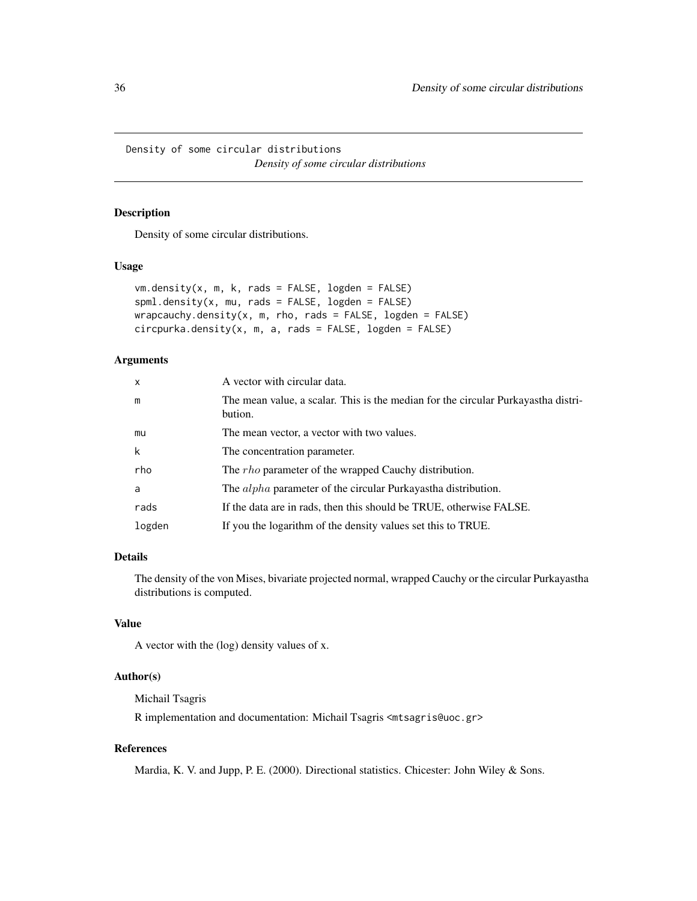<span id="page-35-0"></span>Density of some circular distributions *Density of some circular distributions*

### Description

Density of some circular distributions.

#### Usage

```
vm.density(x, m, k, rads = FALSE, logden = FALSE)spml.density(x, mu, rads = FALSE, logden = FALSE)wrapcauchy.density(x, m, rho, rads = FALSE, logden = FALSE)
circpurka.density(x, m, a, rads = FALSE, logden = FALSE)
```
#### Arguments

| $\mathsf{x}$ | A vector with circular data.                                                                 |
|--------------|----------------------------------------------------------------------------------------------|
| m            | The mean value, a scalar. This is the median for the circular Purkayastha distri-<br>bution. |
| mu           | The mean vector, a vector with two values.                                                   |
| k            | The concentration parameter.                                                                 |
| rho          | The <i>rho</i> parameter of the wrapped Cauchy distribution.                                 |
| a            | The <i>alpha</i> parameter of the circular Purkayastha distribution.                         |
| rads         | If the data are in rads, then this should be TRUE, otherwise FALSE.                          |
| logden       | If you the logarithm of the density values set this to TRUE.                                 |

### Details

The density of the von Mises, bivariate projected normal, wrapped Cauchy or the circular Purkayastha distributions is computed.

### Value

A vector with the (log) density values of x.

### Author(s)

Michail Tsagris

R implementation and documentation: Michail Tsagris <mtsagris@uoc.gr>

### References

Mardia, K. V. and Jupp, P. E. (2000). Directional statistics. Chicester: John Wiley & Sons.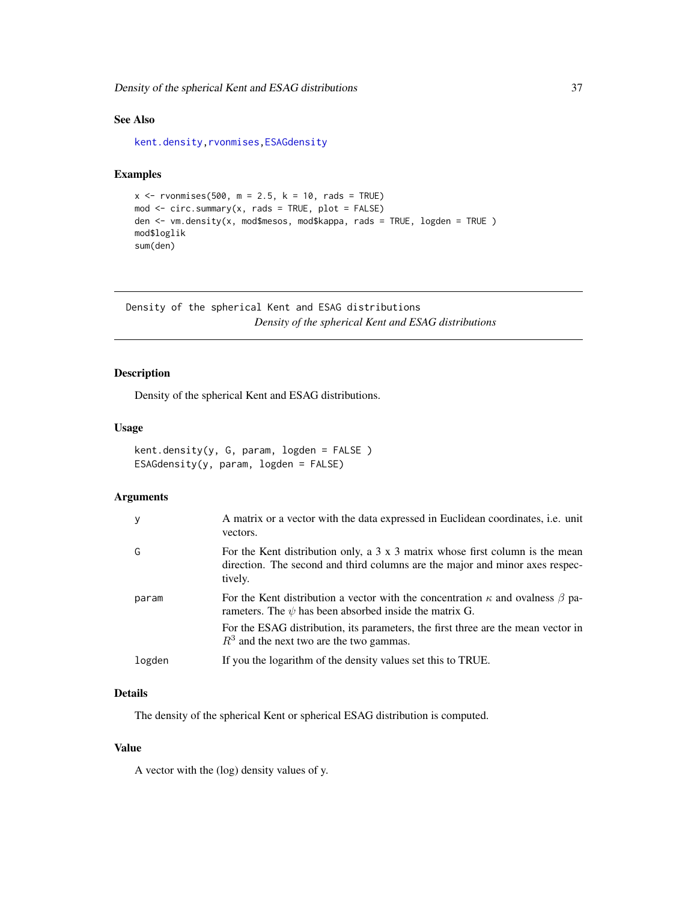Density of the spherical Kent and ESAG distributions 37

# See Also

[kent.density](#page-36-0)[,rvonmises,](#page-80-0)[ESAGdensity](#page-36-0)

# Examples

```
x <- rvonmises(500, m = 2.5, k = 10, rads = TRUE)
mod \le -circ.circ.summary(x, rads = TRUE, plot = FALSE)den <- vm.density(x, mod$mesos, mod$kappa, rads = TRUE, logden = TRUE )
mod$loglik
sum(den)
```
Density of the spherical Kent and ESAG distributions *Density of the spherical Kent and ESAG distributions*

# <span id="page-36-0"></span>Description

Density of the spherical Kent and ESAG distributions.

#### Usage

```
kent.density(y, G, param, logden = FALSE )
ESAGdensity(y, param, logden = FALSE)
```
## Arguments

| y      | A matrix or a vector with the data expressed in Euclidean coordinates, i.e. unit<br>vectors.                                                                                    |
|--------|---------------------------------------------------------------------------------------------------------------------------------------------------------------------------------|
| G      | For the Kent distribution only, a $3 \times 3$ matrix whose first column is the mean<br>direction. The second and third columns are the major and minor axes respec-<br>tively. |
| param  | For the Kent distribution a vector with the concentration $\kappa$ and ovalness $\beta$ pa-<br>rameters. The $\psi$ has been absorbed inside the matrix G.                      |
|        | For the ESAG distribution, its parameters, the first three are the mean vector in<br>$R3$ and the next two are the two gammas.                                                  |
| logden | If you the logarithm of the density values set this to TRUE.                                                                                                                    |

## Details

The density of the spherical Kent or spherical ESAG distribution is computed.

#### Value

A vector with the (log) density values of y.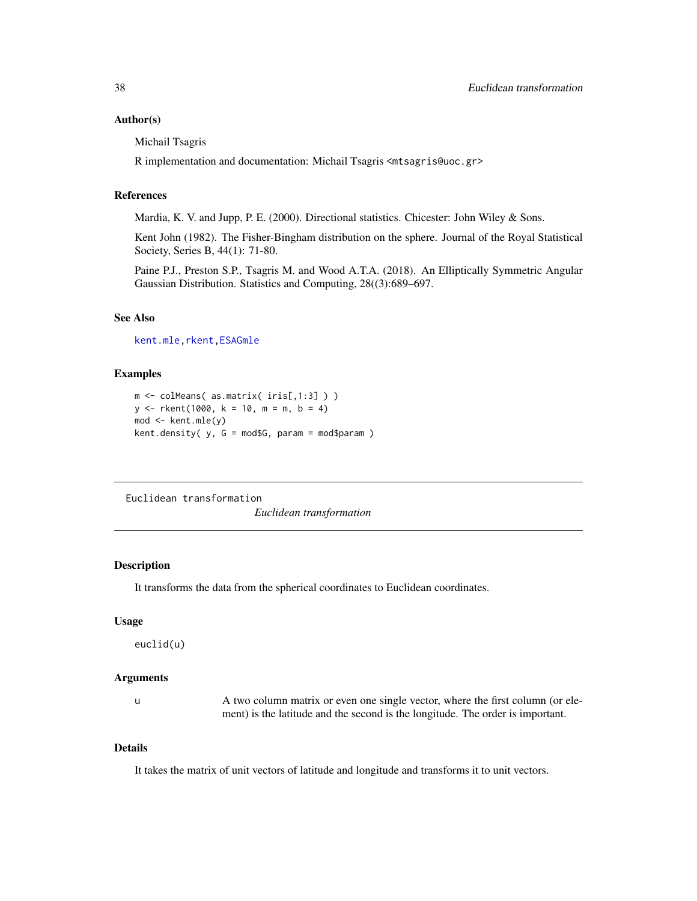#### Author(s)

Michail Tsagris

R implementation and documentation: Michail Tsagris <mtsagris@uoc.gr>

#### References

Mardia, K. V. and Jupp, P. E. (2000). Directional statistics. Chicester: John Wiley & Sons.

Kent John (1982). The Fisher-Bingham distribution on the sphere. Journal of the Royal Statistical Society, Series B, 44(1): 71-80.

Paine P.J., Preston S.P., Tsagris M. and Wood A.T.A. (2018). An Elliptically Symmetric Angular Gaussian Distribution. Statistics and Computing, 28((3):689–697.

#### See Also

[kent.mle](#page-65-0)[,rkent](#page-95-0)[,ESAGmle](#page-63-0)

## Examples

```
m <- colMeans( as.matrix( iris[,1:3] ) )
y \le - rkent(1000, k = 10, m = m, b = 4)
mod <- kent.mle(y)
kent.density( y, G = mod$G, param = mod$param )
```
Euclidean transformation

*Euclidean transformation*

## <span id="page-37-0"></span>Description

It transforms the data from the spherical coordinates to Euclidean coordinates.

#### Usage

euclid(u)

#### **Arguments**

u A two column matrix or even one single vector, where the first column (or element) is the latitude and the second is the longitude. The order is important.

#### Details

It takes the matrix of unit vectors of latitude and longitude and transforms it to unit vectors.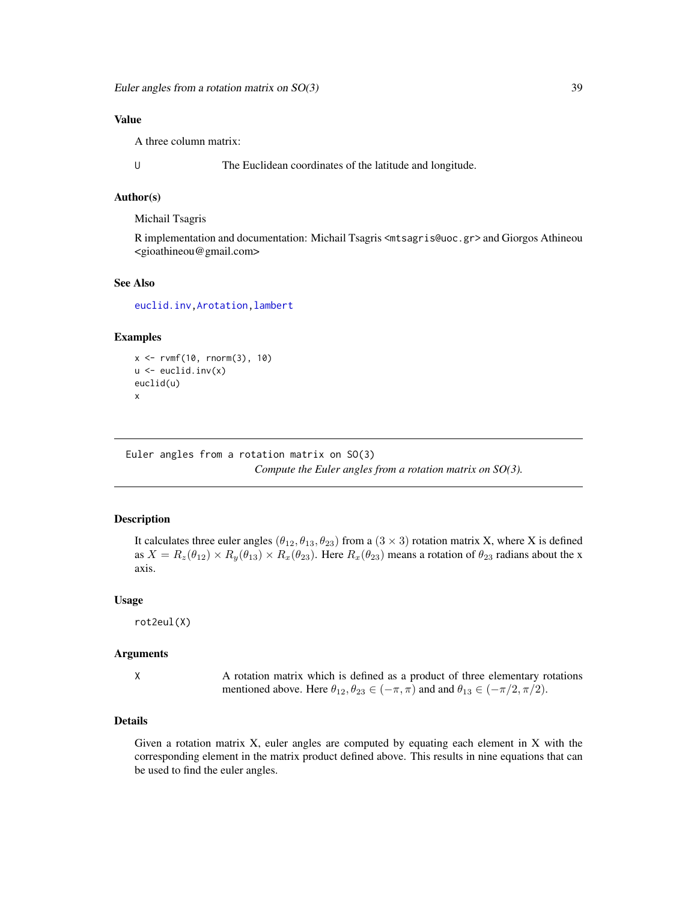Euler angles from a rotation matrix on  $SO(3)$  39

## Value

A three column matrix:

U The Euclidean coordinates of the latitude and longitude.

#### Author(s)

Michail Tsagris

R implementation and documentation: Michail Tsagris <mtsagris@uoc.gr> and Giorgos Athineou <gioathineou@gmail.com>

#### See Also

[euclid.inv](#page-49-0)[,Arotation,](#page-84-0)[lambert](#page-53-0)

# Examples

```
x <- rvmf(10, rnorm(3), 10)
u \leftarrow \text{euclid}.\text{inv}(x)euclid(u)
x
```
Euler angles from a rotation matrix on SO(3) *Compute the Euler angles from a rotation matrix on SO(3).*

#### Description

It calculates three euler angles  $(\theta_{12}, \theta_{13}, \theta_{23})$  from a  $(3 \times 3)$  rotation matrix X, where X is defined as  $X = R_z(\theta_{12}) \times R_y(\theta_{13}) \times R_x(\theta_{23})$ . Here  $R_x(\theta_{23})$  means a rotation of  $\theta_{23}$  radians about the x axis.

## Usage

rot2eul(X)

#### Arguments

X A rotation matrix which is defined as a product of three elementary rotations mentioned above. Here  $\theta_{12}, \theta_{23} \in (-\pi, \pi)$  and and  $\theta_{13} \in (-\pi/2, \pi/2)$ .

## Details

Given a rotation matrix X, euler angles are computed by equating each element in X with the corresponding element in the matrix product defined above. This results in nine equations that can be used to find the euler angles.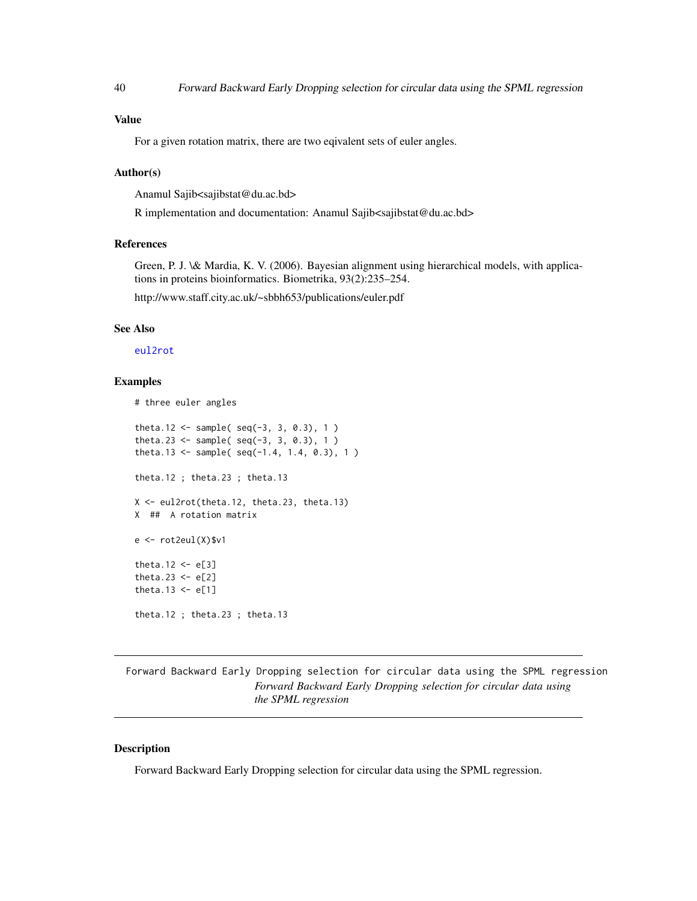## Value

For a given rotation matrix, there are two eqivalent sets of euler angles.

#### Author(s)

Anamul Sajib<sajibstat@du.ac.bd>

R implementation and documentation: Anamul Sajib<sajibstat@du.ac.bd>

## References

Green, P. J. \& Mardia, K. V. (2006). Bayesian alignment using hierarchical models, with applications in proteins bioinformatics. Biometrika, 93(2):235–254.

http://www.staff.city.ac.uk/~sbbh653/publications/euler.pdf

## See Also

[eul2rot](#page-86-0)

# Examples

```
# three euler angles
theta.12 <- sample(seq(-3, 3, 0.3), 1)theta.23 <- sample( seq(-3, 3, 0.3), 1)
theta.13 <- sample( seq(-1.4, 1.4, 0.3), 1)
theta.12 ; theta.23 ; theta.13
X <- eul2rot(theta.12, theta.23, theta.13)
X ## A rotation matrix
e \leftarrow rot2eu1(X)$v1
theta.12 \leq e[3]
theta.23 \leftarrow e[2]
theta.13 \leq e[1]
theta.12 ; theta.23 ; theta.13
```
Forward Backward Early Dropping selection for circular data using the SPML regression *Forward Backward Early Dropping selection for circular data using the SPML regression*

## Description

Forward Backward Early Dropping selection for circular data using the SPML regression.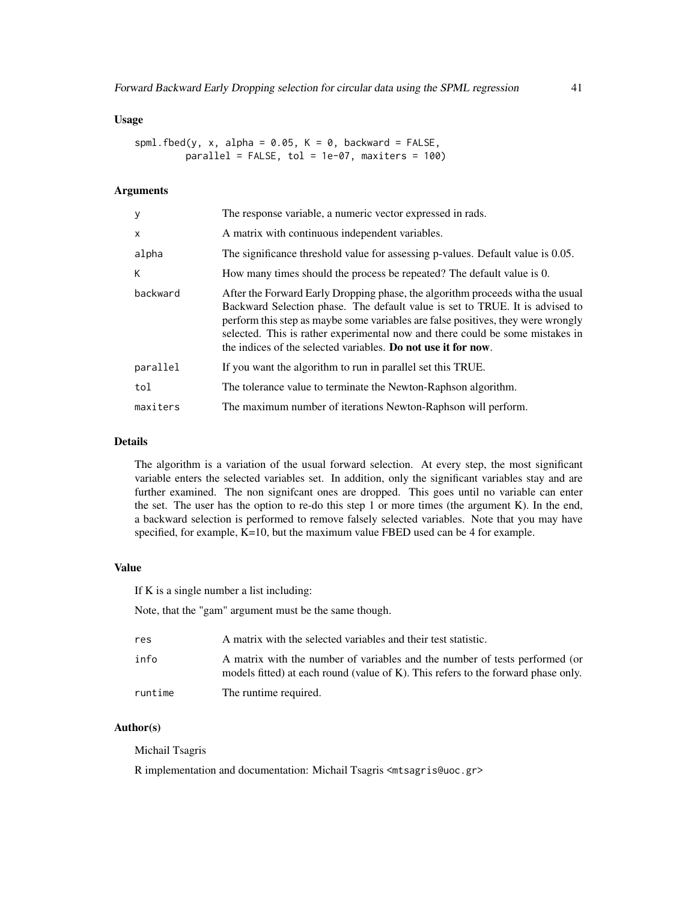```
spml.fbed(y, x, alpha = 0.05, K = 0, backward = FALSE,
        parallel = FALSE, tol = 1e-07, maxiters = 100
```
## Arguments

| y        | The response variable, a numeric vector expressed in rads.                                                                                                                                                                                                                                                                                                                                          |  |
|----------|-----------------------------------------------------------------------------------------------------------------------------------------------------------------------------------------------------------------------------------------------------------------------------------------------------------------------------------------------------------------------------------------------------|--|
| X        | A matrix with continuous independent variables.                                                                                                                                                                                                                                                                                                                                                     |  |
| alpha    | The significance threshold value for assessing p-values. Default value is 0.05.                                                                                                                                                                                                                                                                                                                     |  |
| K        | How many times should the process be repeated? The default value is 0.                                                                                                                                                                                                                                                                                                                              |  |
| backward | After the Forward Early Dropping phase, the algorithm proceeds with the usual<br>Backward Selection phase. The default value is set to TRUE. It is advised to<br>perform this step as maybe some variables are false positives, they were wrongly<br>selected. This is rather experimental now and there could be some mistakes in<br>the indices of the selected variables. Do not use it for now. |  |
| parallel | If you want the algorithm to run in parallel set this TRUE.                                                                                                                                                                                                                                                                                                                                         |  |
| tol      | The tolerance value to terminate the Newton-Raphson algorithm.                                                                                                                                                                                                                                                                                                                                      |  |
| maxiters | The maximum number of iterations Newton-Raphson will perform.                                                                                                                                                                                                                                                                                                                                       |  |

#### Details

The algorithm is a variation of the usual forward selection. At every step, the most significant variable enters the selected variables set. In addition, only the significant variables stay and are further examined. The non signifcant ones are dropped. This goes until no variable can enter the set. The user has the option to re-do this step 1 or more times (the argument K). In the end, a backward selection is performed to remove falsely selected variables. Note that you may have specified, for example, K=10, but the maximum value FBED used can be 4 for example.

#### Value

If K is a single number a list including:

Note, that the "gam" argument must be the same though.

| res     | A matrix with the selected variables and their test statistic.                                                                                                   |
|---------|------------------------------------------------------------------------------------------------------------------------------------------------------------------|
| info    | A matrix with the number of variables and the number of tests performed (or<br>models fitted) at each round (value of K). This refers to the forward phase only. |
| runtime | The runtime required.                                                                                                                                            |

# Author(s)

#### Michail Tsagris

R implementation and documentation: Michail Tsagris <mtsagris@uoc.gr>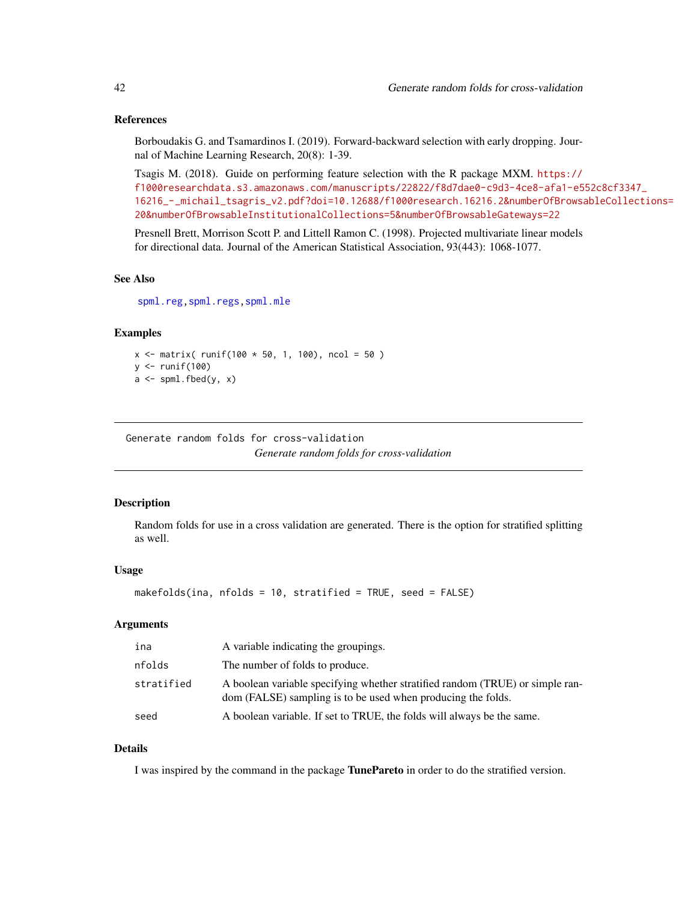## References

Borboudakis G. and Tsamardinos I. (2019). Forward-backward selection with early dropping. Journal of Machine Learning Research, 20(8): 1-39.

Tsagis M. (2018). Guide on performing feature selection with the R package MXM. [https://](https://f1000researchdata.s3.amazonaws.com/manuscripts/22822/f8d7dae0-c9d3-4ce8-afa1-e552c8cf3347_16216_-_michail_tsagris_v2.pdf?doi=10.12688/f1000research.16216.2&numberOfBrowsableCollections=20&numberOfBrowsableInstitutionalCollections=5&numberOfBrowsableGateways=22) [f1000researchdata.s3.amazonaws.com/manuscripts/22822/f8d7dae0-c9d3-4ce8-afa1-e5](https://f1000researchdata.s3.amazonaws.com/manuscripts/22822/f8d7dae0-c9d3-4ce8-afa1-e552c8cf3347_16216_-_michail_tsagris_v2.pdf?doi=10.12688/f1000research.16216.2&numberOfBrowsableCollections=20&numberOfBrowsableInstitutionalCollections=5&numberOfBrowsableGateways=22)52c8cf3347\_ [16216\\_-\\_michail\\_tsagris\\_v2.pdf?doi=10.12688/f1000research.16216.2&numberOfBrowsa](https://f1000researchdata.s3.amazonaws.com/manuscripts/22822/f8d7dae0-c9d3-4ce8-afa1-e552c8cf3347_16216_-_michail_tsagris_v2.pdf?doi=10.12688/f1000research.16216.2&numberOfBrowsableCollections=20&numberOfBrowsableInstitutionalCollections=5&numberOfBrowsableGateways=22)bleCollections= [20&numberOfBrowsableInstitutionalCollections=5&numberOfBrowsableGateways=22](https://f1000researchdata.s3.amazonaws.com/manuscripts/22822/f8d7dae0-c9d3-4ce8-afa1-e552c8cf3347_16216_-_michail_tsagris_v2.pdf?doi=10.12688/f1000research.16216.2&numberOfBrowsableCollections=20&numberOfBrowsableInstitutionalCollections=5&numberOfBrowsableGateways=22)

Presnell Brett, Morrison Scott P. and Littell Ramon C. (1998). Projected multivariate linear models for directional data. Journal of the American Statistical Association, 93(443): 1068-1077.

#### See Also

[spml.reg,](#page-16-0)[spml.regs](#page-55-0)[,spml.mle](#page-60-0)

#### Examples

```
x \le matrix( runif(100 * 50, 1, 100), ncol = 50)
y \leftarrow runif(100)a \leftarrow spml.fbed(y, x)
```
Generate random folds for cross-validation *Generate random folds for cross-validation*

## Description

Random folds for use in a cross validation are generated. There is the option for stratified splitting as well.

#### Usage

```
makefolds(ina, nfolds = 10, stratified = TRUE, seed = FALSE)
```
## Arguments

| ina        | A variable indicating the groupings.                                                                                                          |
|------------|-----------------------------------------------------------------------------------------------------------------------------------------------|
| nfolds     | The number of folds to produce.                                                                                                               |
| stratified | A boolean variable specifying whether stratified random (TRUE) or simple ran-<br>dom (FALSE) sampling is to be used when producing the folds. |
| seed       | A boolean variable. If set to TRUE, the folds will always be the same.                                                                        |

#### Details

I was inspired by the command in the package TunePareto in order to do the stratified version.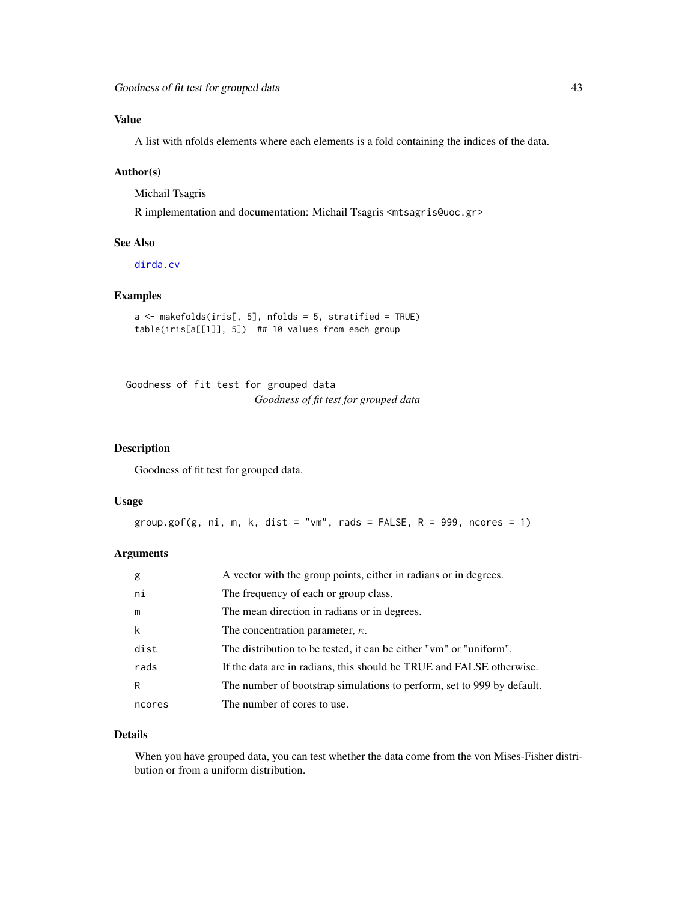# Value

A list with nfolds elements where each elements is a fold containing the indices of the data.

#### Author(s)

Michail Tsagris

R implementation and documentation: Michail Tsagris <mtsagris@uoc.gr>

## See Also

[dirda.cv](#page-29-0)

# Examples

```
a <- makefolds(iris[, 5], nfolds = 5, stratified = TRUE)
table(iris[a[[1]], 5]) ## 10 values from each group
```
Goodness of fit test for grouped data *Goodness of fit test for grouped data*

# Description

Goodness of fit test for grouped data.

#### Usage

```
group.gof(g, ni, m, k, dist = "vm", rads = FALSE, R = 999, ncores = 1)
```
# Arguments

| g      | A vector with the group points, either in radians or in degrees.       |
|--------|------------------------------------------------------------------------|
| ni     | The frequency of each or group class.                                  |
| m      | The mean direction in radians or in degrees.                           |
| k      | The concentration parameter, $\kappa$ .                                |
| dist   | The distribution to be tested, it can be either "vm" or "uniform".     |
| rads   | If the data are in radians, this should be TRUE and FALSE otherwise.   |
| R      | The number of bootstrap simulations to perform, set to 999 by default. |
| ncores | The number of cores to use.                                            |

#### Details

When you have grouped data, you can test whether the data come from the von Mises-Fisher distribution or from a uniform distribution.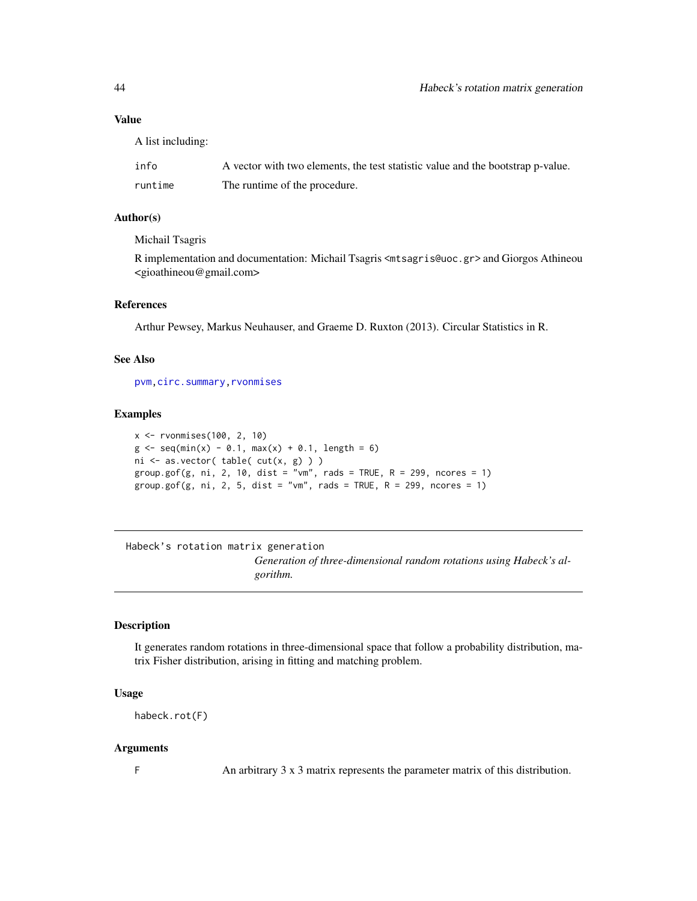#### Value

A list including:

| info    | A vector with two elements, the test statistic value and the bootstrap p-value. |
|---------|---------------------------------------------------------------------------------|
| runtime | The runtime of the procedure.                                                   |

## Author(s)

Michail Tsagris

R implementation and documentation: Michail Tsagris <mtsagris@uoc.gr> and Giorgos Athineou <gioathineou@gmail.com>

#### References

Arthur Pewsey, Markus Neuhauser, and Graeme D. Ruxton (2013). Circular Statistics in R.

#### See Also

[pvm](#page-77-0)[,circ.summary](#page-103-0)[,rvonmises](#page-80-0)

#### Examples

```
x <- rvonmises(100, 2, 10)
g \le -\text{seq(min(x) - 0.1, max(x) + 0.1, length = 6)}ni <- as.vector( table( cut(x, g) ) )
group.gof(g, ni, 2, 10, dist = "vm", rads = TRUE, R = 299, ncores = 1)
group.gof(g, ni, 2, 5, dist = "vm", rads = TRUE, R = 299, ncores = 1)
```
Habeck's rotation matrix generation *Generation of three-dimensional random rotations using Habeck's algorithm.*

# Description

It generates random rotations in three-dimensional space that follow a probability distribution, matrix Fisher distribution, arising in fitting and matching problem.

#### Usage

```
habeck.rot(F)
```
## Arguments

F An arbitrary 3 x 3 matrix represents the parameter matrix of this distribution.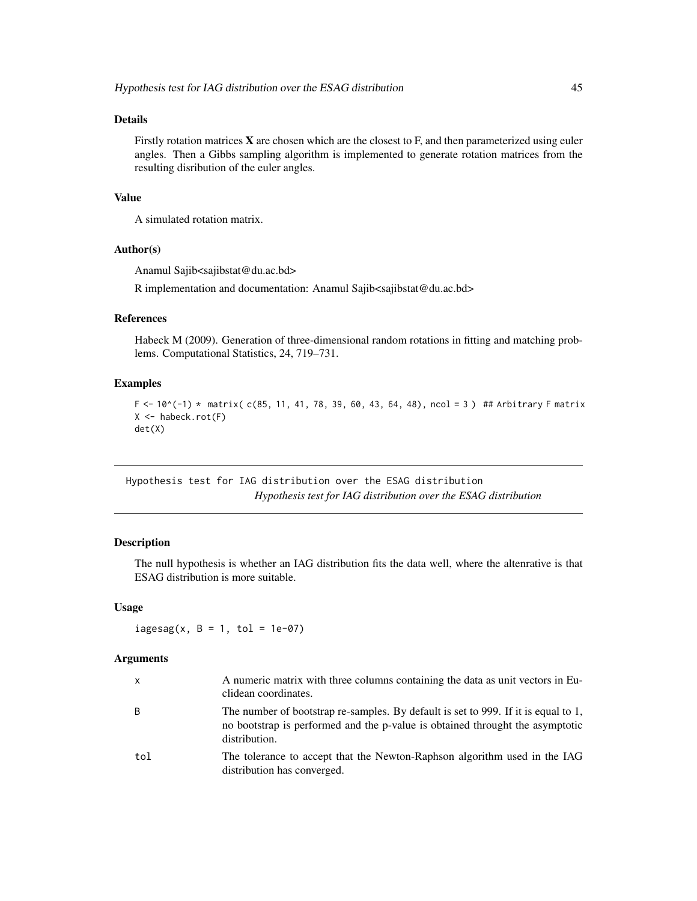## Details

Firstly rotation matrices  $X$  are chosen which are the closest to  $F$ , and then parameterized using euler angles. Then a Gibbs sampling algorithm is implemented to generate rotation matrices from the resulting disribution of the euler angles.

#### Value

A simulated rotation matrix.

# Author(s)

Anamul Sajib<sajibstat@du.ac.bd>

R implementation and documentation: Anamul Sajib<sajibstat@du.ac.bd>

## References

Habeck M (2009). Generation of three-dimensional random rotations in fitting and matching problems. Computational Statistics, 24, 719–731.

#### Examples

```
F <- 10^(-1) * matrix( c(85, 11, 41, 78, 39, 60, 43, 64, 48), ncol = 3) ## Arbitrary F matrix
X \leftarrow habeck.rot(F)det(X)
```
Hypothesis test for IAG distribution over the ESAG distribution *Hypothesis test for IAG distribution over the ESAG distribution*

## <span id="page-44-0"></span>Description

The null hypothesis is whether an IAG distribution fits the data well, where the altenrative is that ESAG distribution is more suitable.

# Usage

 $i$ agesag(x, B = 1, tol = 1e-07)

## **Arguments**

| x   | A numeric matrix with three columns containing the data as unit vectors in Eu-<br>clidean coordinates.                                                                               |
|-----|--------------------------------------------------------------------------------------------------------------------------------------------------------------------------------------|
| B   | The number of bootstrap re-samples. By default is set to 999. If it is equal to 1,<br>no bootstrap is performed and the p-value is obtained throught the asymptotic<br>distribution. |
| tol | The tolerance to accept that the Newton-Raphson algorithm used in the IAG<br>distribution has converged.                                                                             |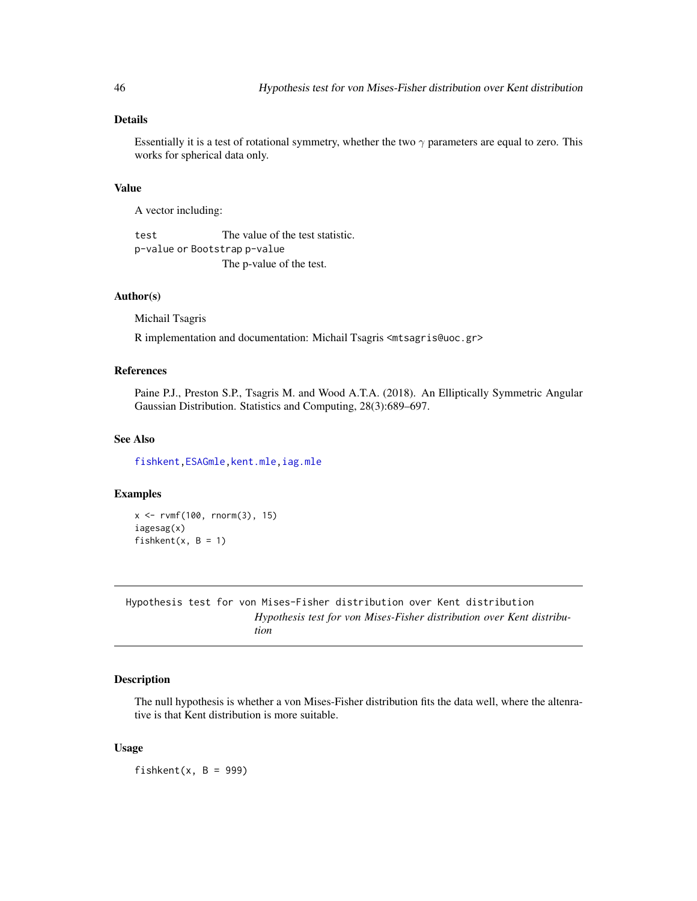# Details

Essentially it is a test of rotational symmetry, whether the two  $\gamma$  parameters are equal to zero. This works for spherical data only.

## Value

A vector including:

test The value of the test statistic. p-value or Bootstrap p-value The p-value of the test.

## Author(s)

Michail Tsagris

R implementation and documentation: Michail Tsagris <mtsagris@uoc.gr>

# References

Paine P.J., Preston S.P., Tsagris M. and Wood A.T.A. (2018). An Elliptically Symmetric Angular Gaussian Distribution. Statistics and Computing, 28(3):689–697.

## See Also

[fishkent](#page-45-0)[,ESAGmle](#page-63-0)[,kent.mle,](#page-65-0)[iag.mle](#page-57-0)

## Examples

x <- rvmf(100, rnorm(3), 15) iagesag(x) fishkent $(x, B = 1)$ 

Hypothesis test for von Mises-Fisher distribution over Kent distribution *Hypothesis test for von Mises-Fisher distribution over Kent distribution*

## <span id="page-45-0"></span>Description

The null hypothesis is whether a von Mises-Fisher distribution fits the data well, where the altenrative is that Kent distribution is more suitable.

#### Usage

fishkent $(x, B = 999)$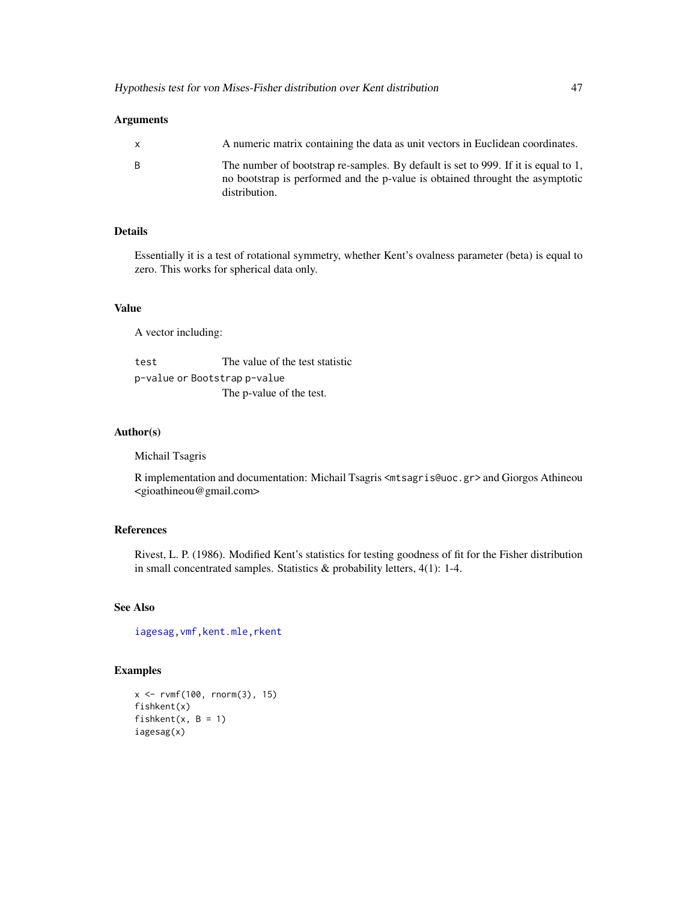## Arguments

| $\mathsf{X}$ | A numeric matrix containing the data as unit vectors in Euclidean coordinates.                                                                                                       |
|--------------|--------------------------------------------------------------------------------------------------------------------------------------------------------------------------------------|
| - B          | The number of bootstrap re-samples. By default is set to 999. If it is equal to 1,<br>no bootstrap is performed and the p-value is obtained throught the asymptotic<br>distribution. |

# Details

Essentially it is a test of rotational symmetry, whether Kent's ovalness parameter (beta) is equal to zero. This works for spherical data only.

## Value

A vector including:

test The value of the test statistic p-value or Bootstrap p-value The p-value of the test.

## Author(s)

Michail Tsagris

R implementation and documentation: Michail Tsagris <mtsagris@uoc.gr> and Giorgos Athineou <gioathineou@gmail.com>

# References

Rivest, L. P. (1986). Modified Kent's statistics for testing goodness of fit for the Fisher distribution in small concentrated samples. Statistics & probability letters, 4(1): 1-4.

# See Also

[iagesag](#page-44-0)[,vmf](#page-57-0)[,kent.mle,](#page-65-0)[rkent](#page-95-0)

# Examples

 $x \le -r \text{vmf}(100, r \text{norm}(3), 15)$ fishkent(x) fishkent $(x, B = 1)$ iagesag(x)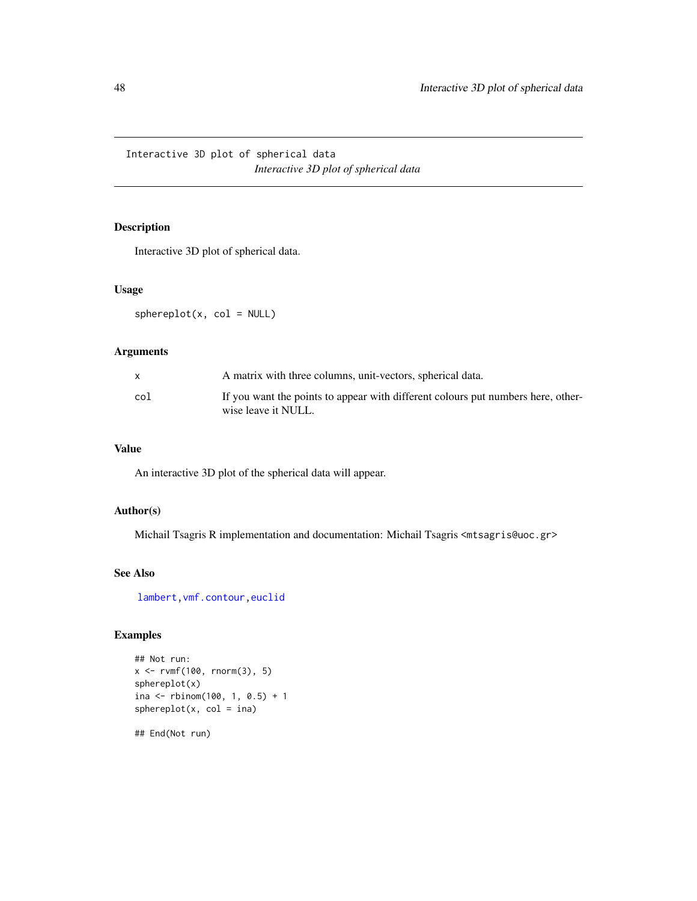Interactive 3D plot of spherical data *Interactive 3D plot of spherical data*

# <span id="page-47-0"></span>Description

Interactive 3D plot of spherical data.

## Usage

 $sphereplot(x, col = NULL)$ 

## Arguments

|     | A matrix with three columns, unit-vectors, spherical data.                                              |
|-----|---------------------------------------------------------------------------------------------------------|
| col | If you want the points to appear with different colours put numbers here, other-<br>wise leave it NULL. |

# Value

An interactive 3D plot of the spherical data will appear.

# Author(s)

Michail Tsagris R implementation and documentation: Michail Tsagris <mtsagris@uoc.gr>

## See Also

[lambert,](#page-53-0)[vmf.contour](#page-25-0)[,euclid](#page-37-0)

## Examples

```
## Not run:
x \le -r \text{vmf}(100, r \text{norm}(3), 5)sphereplot(x)
ina <- rbinom(100, 1, 0.5) + 1
sphereplot(x, col = ina)
```
## End(Not run)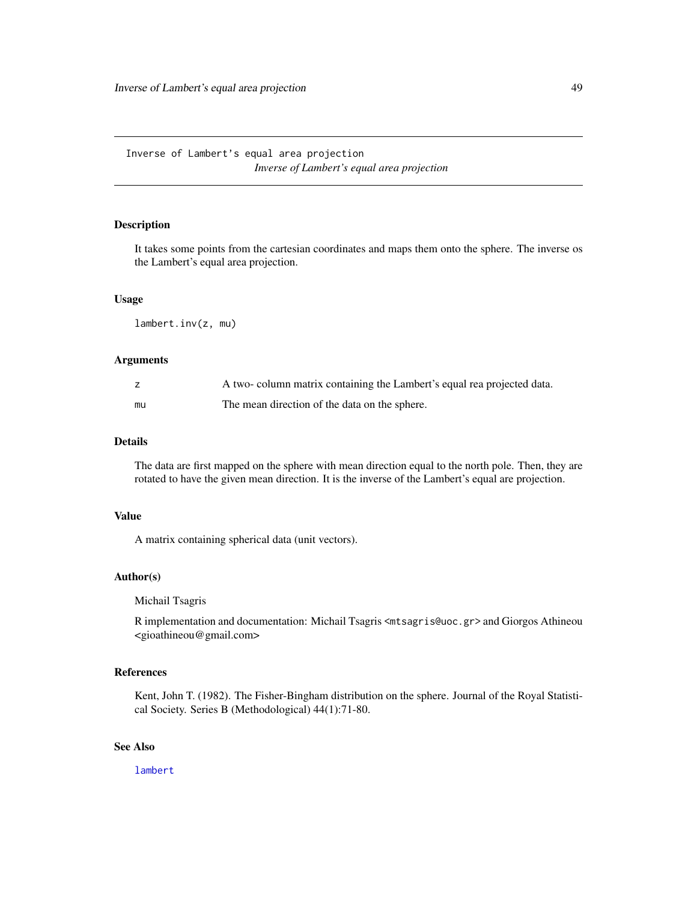# <span id="page-48-0"></span>Description

It takes some points from the cartesian coordinates and maps them onto the sphere. The inverse os the Lambert's equal area projection.

## Usage

lambert.inv(z, mu)

## Arguments

|    | A two-column matrix containing the Lambert's equal rea projected data. |
|----|------------------------------------------------------------------------|
| mu | The mean direction of the data on the sphere.                          |

#### Details

The data are first mapped on the sphere with mean direction equal to the north pole. Then, they are rotated to have the given mean direction. It is the inverse of the Lambert's equal are projection.

## Value

A matrix containing spherical data (unit vectors).

# Author(s)

Michail Tsagris

R implementation and documentation: Michail Tsagris <mtsagris@uoc.gr> and Giorgos Athineou <gioathineou@gmail.com>

## References

Kent, John T. (1982). The Fisher-Bingham distribution on the sphere. Journal of the Royal Statistical Society. Series B (Methodological) 44(1):71-80.

# See Also

[lambert](#page-53-0)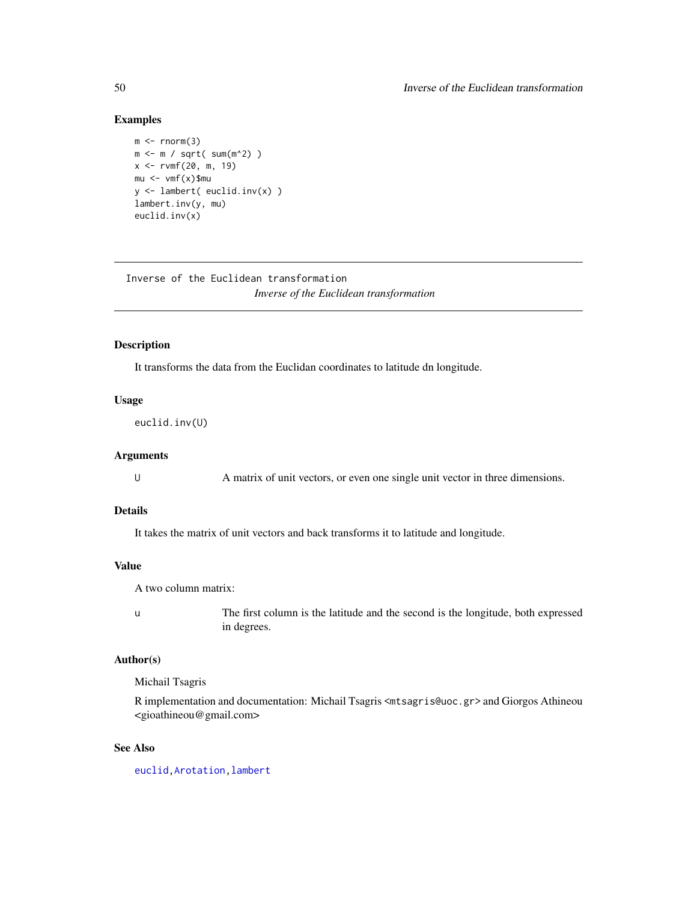## Examples

```
m \leftarrow \text{norm}(3)m <- m / sqrt( sum(m^2) )
x < -r \text{vmf}(20, m, 19)mu < - \nu m f(x)$mu
y <- lambert( euclid.inv(x) )
lambert.inv(y, mu)
euclid.inv(x)
```
Inverse of the Euclidean transformation *Inverse of the Euclidean transformation*

# <span id="page-49-0"></span>Description

It transforms the data from the Euclidan coordinates to latitude dn longitude.

# Usage

euclid.inv(U)

#### Arguments

U A matrix of unit vectors, or even one single unit vector in three dimensions.

#### Details

It takes the matrix of unit vectors and back transforms it to latitude and longitude.

#### Value

A two column matrix:

u The first column is the latitude and the second is the longitude, both expressed in degrees.

#### Author(s)

Michail Tsagris

R implementation and documentation: Michail Tsagris <mtsagris@uoc.gr> and Giorgos Athineou <gioathineou@gmail.com>

## See Also

[euclid](#page-37-0)[,Arotation](#page-84-0)[,lambert](#page-53-0)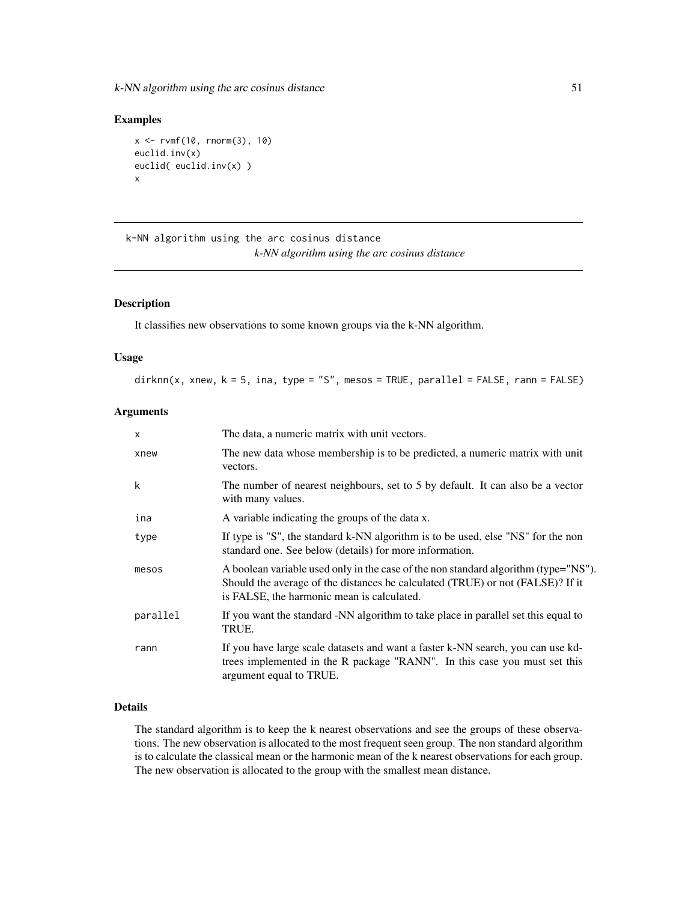k-NN algorithm using the arc cosinus distance 51

#### Examples

```
x \le -r \text{vmf}(10, r \text{norm}(3), 10)euclid.inv(x)
euclid( euclid.inv(x) )
x
```
k-NN algorithm using the arc cosinus distance *k-NN algorithm using the arc cosinus distance*

#### Description

It classifies new observations to some known groups via the k-NN algorithm.

#### Usage

 $dirknn(x, xnew, k = 5, ina, type = "S", mesos = TRUE, parallel = FALSE, rann = FALSE)$ 

# Arguments

| $\times$ | The data, a numeric matrix with unit vectors.                                                                                                                                                                       |
|----------|---------------------------------------------------------------------------------------------------------------------------------------------------------------------------------------------------------------------|
| xnew     | The new data whose membership is to be predicted, a numeric matrix with unit<br>vectors.                                                                                                                            |
| k        | The number of nearest neighbours, set to 5 by default. It can also be a vector<br>with many values.                                                                                                                 |
| ina      | A variable indicating the groups of the data x.                                                                                                                                                                     |
| type     | If type is "S", the standard k-NN algorithm is to be used, else "NS" for the non<br>standard one. See below (details) for more information.                                                                         |
| mesos    | A boolean variable used only in the case of the non standard algorithm (type="NS").<br>Should the average of the distances be calculated (TRUE) or not (FALSE)? If it<br>is FALSE, the harmonic mean is calculated. |
| parallel | If you want the standard -NN algorithm to take place in parallel set this equal to<br>TRUE.                                                                                                                         |
| rann     | If you have large scale datasets and want a faster k-NN search, you can use kd-<br>trees implemented in the R package "RANN". In this case you must set this<br>argument equal to TRUE.                             |

# Details

The standard algorithm is to keep the k nearest observations and see the groups of these observations. The new observation is allocated to the most frequent seen group. The non standard algorithm is to calculate the classical mean or the harmonic mean of the k nearest observations for each group. The new observation is allocated to the group with the smallest mean distance.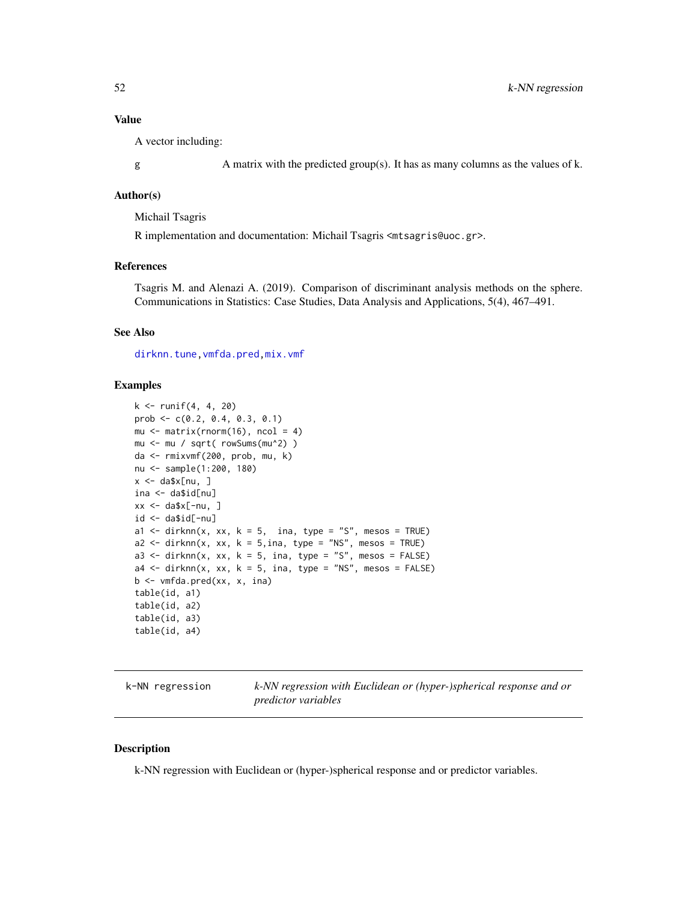## Value

A vector including:

g A matrix with the predicted group(s). It has as many columns as the values of k.

#### Author(s)

Michail Tsagris

R implementation and documentation: Michail Tsagris <mtsagris@uoc.gr>.

#### References

Tsagris M. and Alenazi A. (2019). Comparison of discriminant analysis methods on the sphere. Communications in Statistics: Case Studies, Data Analysis and Applications, 5(4), 467–491.

## See Also

[dirknn.tune](#page-113-0)[,vmfda.pred,](#page-75-0)[mix.vmf](#page-56-0)

#### Examples

```
k \le runif(4, 4, 20)
prob <- c(0.2, 0.4, 0.3, 0.1)
mu <- matrix(rnorm(16), ncol = 4)
mu <- mu / sqrt( rowSums(mu^2) )
da <- rmixvmf(200, prob, mu, k)
nu <- sample(1:200, 180)
x \leq -\text{da$x[nu, ]}ina <- da$id[nu]
xx <- da$x[-nu, ]
id <- da$id[-nu]
a1 \le dirknn(x, xx, k = 5, ina, type = "S", mesos = TRUE)
a2 \leq -dirknn(x, xx, k = 5, ina, type = "NS", mesos = TRUE)a3 <- dirknn(x, xx, k = 5, ina, type = "S", mesos = FALSE)a4 \le - \text{dirknn}(x, xx, k = 5, ina, type = "NS", mesos = FALSE)b \leq vmfda.pred(xx, x, ina)
table(id, a1)
table(id, a2)
table(id, a3)
table(id, a4)
```

| k-NN regression | k-NN regression with Euclidean or (hyper-)spherical response and or |
|-----------------|---------------------------------------------------------------------|
|                 | <i>predictor variables</i>                                          |

## Description

k-NN regression with Euclidean or (hyper-)spherical response and or predictor variables.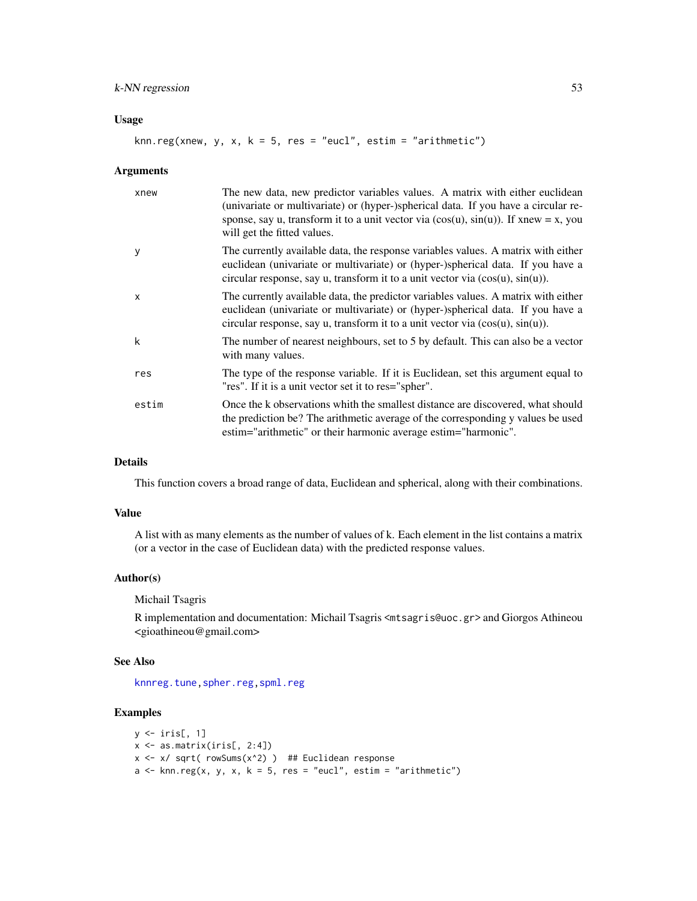# k-NN regression 53

## Usage

knn.reg(xnew, y, x, k = 5, res = "eucl", estim = "arithmetic")

#### Arguments

| xnew                      | The new data, new predictor variables values. A matrix with either euclidean<br>(univariate or multivariate) or (hyper-)spherical data. If you have a circular re-<br>sponse, say u, transform it to a unit vector via $(cos(u), sin(u))$ . If xnew = x, you<br>will get the fitted values. |
|---------------------------|---------------------------------------------------------------------------------------------------------------------------------------------------------------------------------------------------------------------------------------------------------------------------------------------|
| y                         | The currently available data, the response variables values. A matrix with either<br>euclidean (univariate or multivariate) or (hyper-)spherical data. If you have a<br>circular response, say u, transform it to a unit vector via $(cos(u), sin(u))$ .                                    |
| $\boldsymbol{\mathsf{x}}$ | The currently available data, the predictor variables values. A matrix with either<br>euclidean (univariate or multivariate) or (hyper-)spherical data. If you have a<br>circular response, say u, transform it to a unit vector via $(cos(u), sin(u))$ .                                   |
| k                         | The number of nearest neighbours, set to 5 by default. This can also be a vector<br>with many values.                                                                                                                                                                                       |
| res                       | The type of the response variable. If it is Euclidean, set this argument equal to<br>"res". If it is a unit vector set it to res="spher".                                                                                                                                                   |
| estim                     | Once the k observations whith the smallest distance are discovered, what should<br>the prediction be? The arithmetic average of the corresponding y values be used<br>estim="arithmetic" or their harmonic average estim="harmonic".                                                        |

# Details

This function covers a broad range of data, Euclidean and spherical, along with their combinations.

#### Value

A list with as many elements as the number of values of k. Each element in the list contains a matrix (or a vector in the case of Euclidean data) with the predicted response values.

## Author(s)

### Michail Tsagris

R implementation and documentation: Michail Tsagris <mtsagris@uoc.gr> and Giorgos Athineou <gioathineou@gmail.com>

#### See Also

[knnreg.tune](#page-115-0)[,spher.reg,](#page-101-0)[spml.reg](#page-16-0)

# Examples

```
y \leftarrow \text{iris}[, 1]x \leftarrow as.matrix(iris[, 2:4])x \le -x sqrt( rowSums(x^2) ) ## Euclidean response
a \le knn.reg(x, y, x, k = 5, res = "eucl", estim = "arithmetic")
```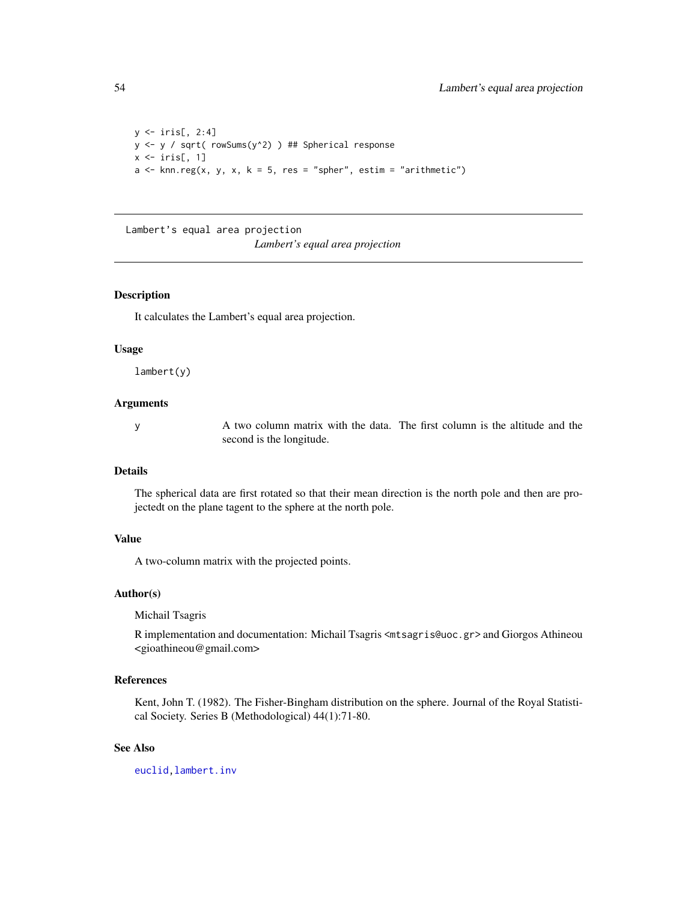```
y \leftarrow \text{iris}[, 2:4]y \leftarrow y / sqrt(rowsums(y^2)) ## Spherical response
x \leftarrow \text{iris}[, 1]a \le knn.reg(x, y, x, k = 5, res = "spher", estim = "arithmetic")
```
Lambert's equal area projection *Lambert's equal area projection*

## <span id="page-53-0"></span>Description

It calculates the Lambert's equal area projection.

## Usage

lambert(y)

## Arguments

y A two column matrix with the data. The first column is the altitude and the second is the longitude.

#### Details

The spherical data are first rotated so that their mean direction is the north pole and then are projectedt on the plane tagent to the sphere at the north pole.

# Value

A two-column matrix with the projected points.

#### Author(s)

Michail Tsagris

R implementation and documentation: Michail Tsagris <mtsagris@uoc.gr> and Giorgos Athineou <gioathineou@gmail.com>

#### References

Kent, John T. (1982). The Fisher-Bingham distribution on the sphere. Journal of the Royal Statistical Society. Series B (Methodological) 44(1):71-80.

## See Also

[euclid](#page-37-0)[,lambert.inv](#page-48-0)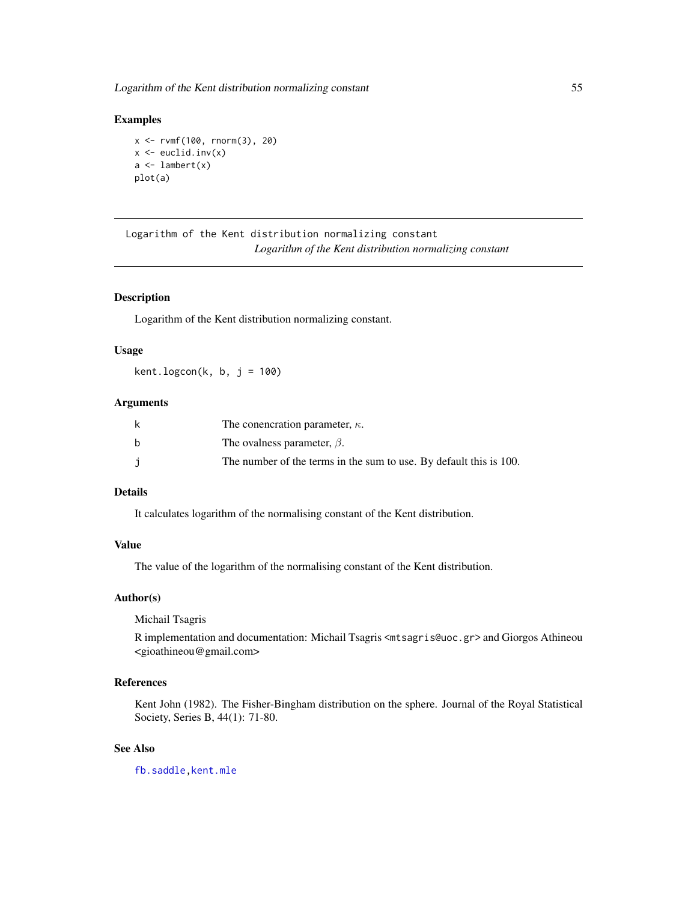## Examples

```
x <- rvmf(100, rnorm(3), 20)
x \leftarrow \text{euclid}.\text{inv}(x)a \leftarrow lambert(x)plot(a)
```

```
Logarithm of the Kent distribution normalizing constant
                         Logarithm of the Kent distribution normalizing constant
```
## Description

Logarithm of the Kent distribution normalizing constant.

## Usage

 $kent.logcon(k, b, j = 100)$ 

## Arguments

| k | The conencration parameter, $\kappa$ .                             |
|---|--------------------------------------------------------------------|
| h | The ovalness parameter, $\beta$ .                                  |
|   | The number of the terms in the sum to use. By default this is 100. |

# Details

It calculates logarithm of the normalising constant of the Kent distribution.

## Value

The value of the logarithm of the normalising constant of the Kent distribution.

### Author(s)

Michail Tsagris

R implementation and documentation: Michail Tsagris <mtsagris@uoc.gr> and Giorgos Athineou <gioathineou@gmail.com>

# References

Kent John (1982). The Fisher-Bingham distribution on the sphere. Journal of the Royal Statistical Society, Series B, 44(1): 71-80.

# See Also

[fb.saddle](#page-89-0)[,kent.mle](#page-65-0)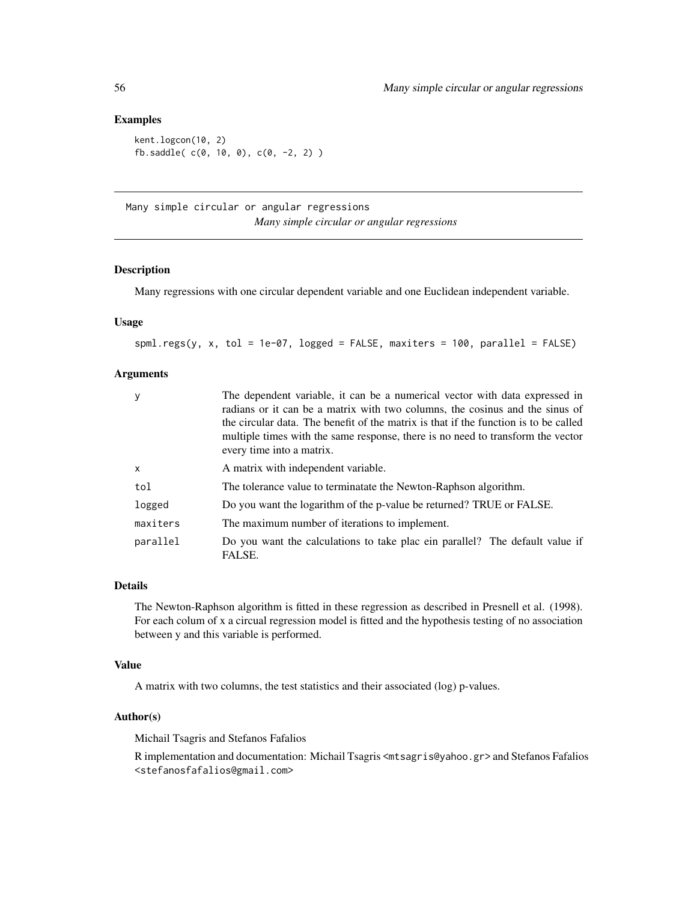### Examples

```
kent.logcon(10, 2)
fb.saddle( c(0, 10, 0), c(0, -2, 2) )
```
Many simple circular or angular regressions *Many simple circular or angular regressions*

## <span id="page-55-0"></span>Description

Many regressions with one circular dependent variable and one Euclidean independent variable.

# Usage

spml.regs(y, x, tol = 1e-07, logged = FALSE, maxiters = 100, parallel = FALSE)

## Arguments

| у        | The dependent variable, it can be a numerical vector with data expressed in<br>radians or it can be a matrix with two columns, the cosinus and the sinus of<br>the circular data. The benefit of the matrix is that if the function is to be called<br>multiple times with the same response, there is no need to transform the vector |
|----------|----------------------------------------------------------------------------------------------------------------------------------------------------------------------------------------------------------------------------------------------------------------------------------------------------------------------------------------|
|          | every time into a matrix.                                                                                                                                                                                                                                                                                                              |
| x        | A matrix with independent variable.                                                                                                                                                                                                                                                                                                    |
| tol      | The tolerance value to terminatate the Newton-Raphson algorithm.                                                                                                                                                                                                                                                                       |
| logged   | Do you want the logarithm of the p-value be returned? TRUE or FALSE.                                                                                                                                                                                                                                                                   |
| maxiters | The maximum number of iterations to implement.                                                                                                                                                                                                                                                                                         |
| parallel | Do you want the calculations to take plac ein parallel? The default value if<br>FALSE.                                                                                                                                                                                                                                                 |

#### Details

The Newton-Raphson algorithm is fitted in these regression as described in Presnell et al. (1998). For each colum of x a circual regression model is fitted and the hypothesis testing of no association between y and this variable is performed.

## Value

A matrix with two columns, the test statistics and their associated (log) p-values.

#### Author(s)

Michail Tsagris and Stefanos Fafalios

R implementation and documentation: Michail Tsagris <mtsagris@yahoo.gr> and Stefanos Fafalios <stefanosfafalios@gmail.com>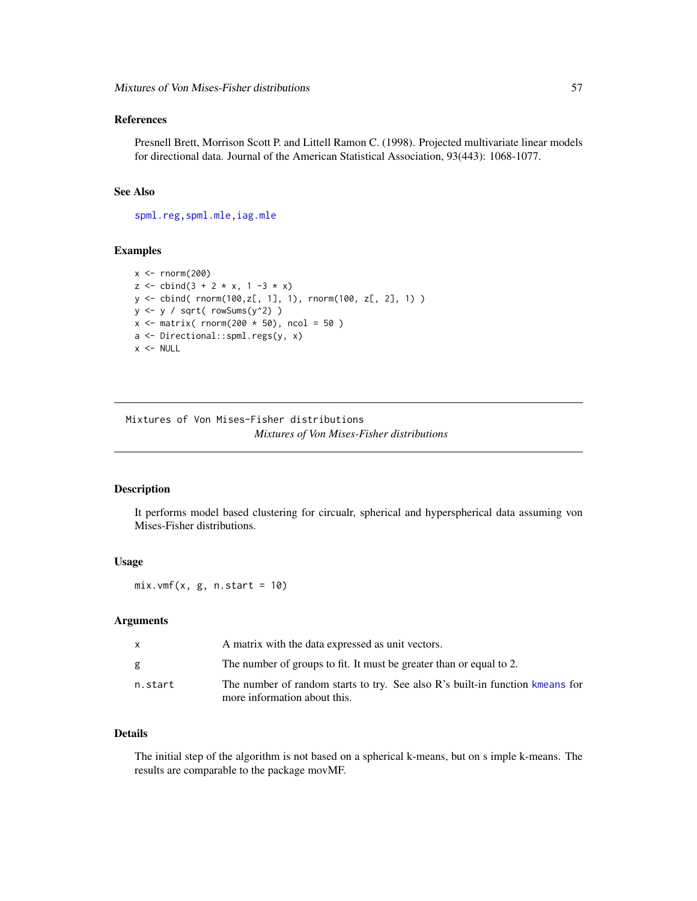## References

Presnell Brett, Morrison Scott P. and Littell Ramon C. (1998). Projected multivariate linear models for directional data. Journal of the American Statistical Association, 93(443): 1068-1077.

#### See Also

[spml.reg](#page-16-0)[,spml.mle](#page-60-0)[,iag.mle](#page-57-0)

# Examples

```
x < - rnorm(200)z \le cbind(3 + 2 * x, 1 -3 * x)
y <- cbind( rnorm(100,z[, 1], 1), rnorm(100, z[, 2], 1) )
y <- y / sqrt( rowSums(y^2) )
x \le matrix( rnorm(200 \star 50), ncol = 50)
a <- Directional::spml.regs(y, x)
x < - NULL
```
Mixtures of Von Mises-Fisher distributions *Mixtures of Von Mises-Fisher distributions*

## <span id="page-56-0"></span>Description

It performs model based clustering for circualr, spherical and hyperspherical data assuming von Mises-Fisher distributions.

## Usage

 $mix.vmf(x, g, n.start = 10)$ 

## Arguments

| $\mathsf{x}$ | A matrix with the data expressed as unit vectors.                                                             |
|--------------|---------------------------------------------------------------------------------------------------------------|
| g            | The number of groups to fit. It must be greater than or equal to 2.                                           |
| n.start      | The number of random starts to try. See also R's built-in function kmeans for<br>more information about this. |

## Details

The initial step of the algorithm is not based on a spherical k-means, but on s imple k-means. The results are comparable to the package movMF.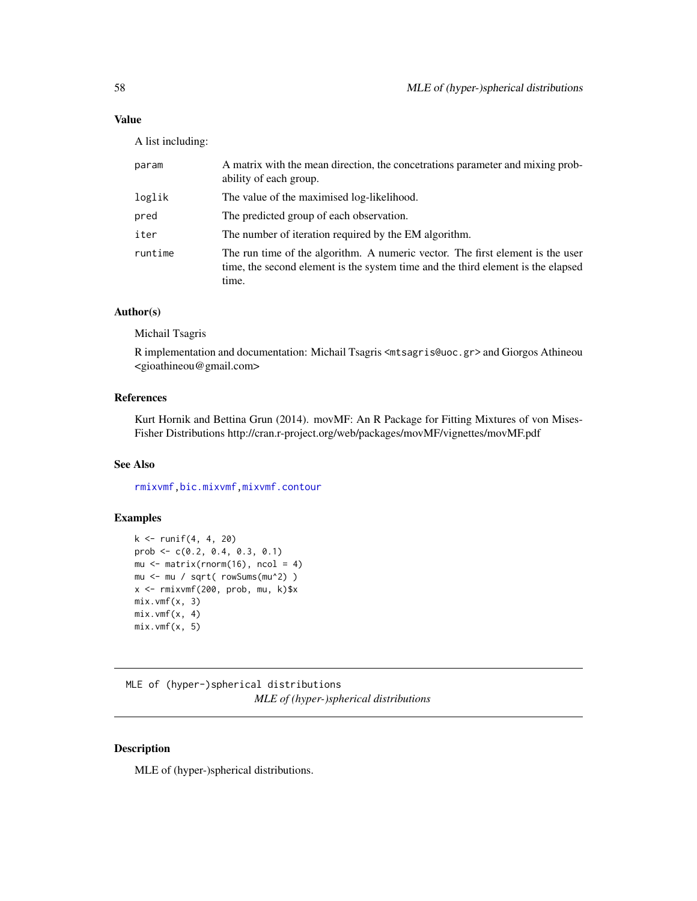# Value

A list including:

| param   | A matrix with the mean direction, the concertations parameter and mixing prob-<br>ability of each group.                                                                    |
|---------|-----------------------------------------------------------------------------------------------------------------------------------------------------------------------------|
| loglik  | The value of the maximised log-likelihood.                                                                                                                                  |
| pred    | The predicted group of each observation.                                                                                                                                    |
| iter    | The number of iteration required by the EM algorithm.                                                                                                                       |
| runtime | The run time of the algorithm. A numeric vector. The first element is the user<br>time, the second element is the system time and the third element is the elapsed<br>time. |

# Author(s)

Michail Tsagris

R implementation and documentation: Michail Tsagris <mtsagris@uoc.gr> and Giorgos Athineou <gioathineou@gmail.com>

# References

Kurt Hornik and Bettina Grun (2014). movMF: An R Package for Fitting Mixtures of von Mises-Fisher Distributions http://cran.r-project.org/web/packages/movMF/vignettes/movMF.pdf

# See Also

[rmixvmf](#page-93-0)[,bic.mixvmf](#page-9-0)[,mixvmf.contour](#page-20-0)

## Examples

```
k <- runif(4, 4, 20)
prob \leq -c(0.2, 0.4, 0.3, 0.1)mu \leq matrix(rnorm(16), ncol = 4)
mu <- mu / sqrt( rowSums(mu^2) )
x <- rmixvmf(200, prob, mu, k)$x
mix.vmf(x, 3)
mix.vmf(x, 4)mix.vmf(x, 5)
```
MLE of (hyper-)spherical distributions *MLE of (hyper-)spherical distributions*

# <span id="page-57-0"></span>Description

MLE of (hyper-)spherical distributions.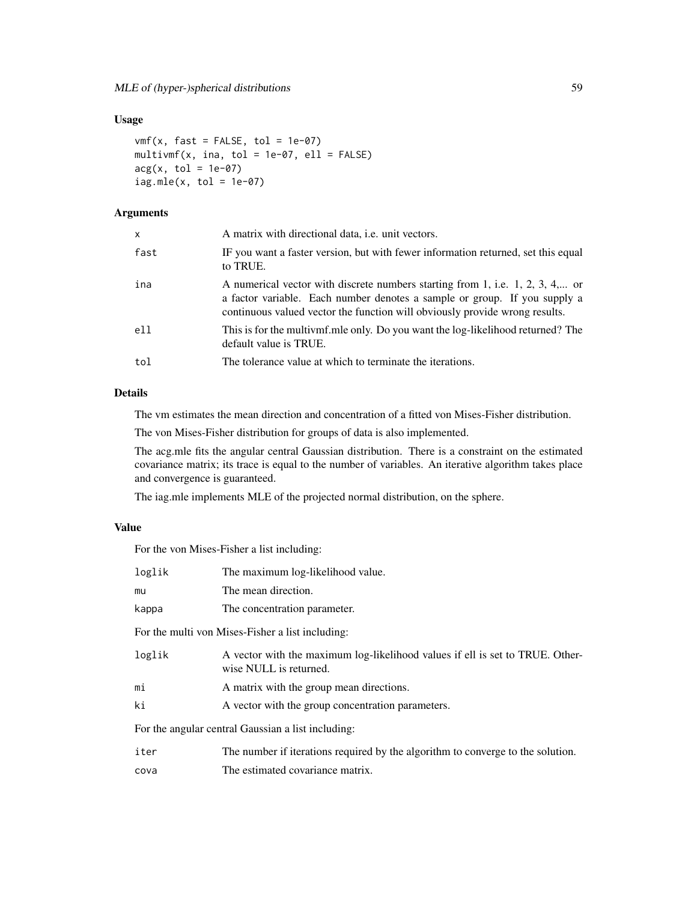# Usage

```
vmf(x, fast = FALSE, tol = 1e-07)multipmit(x, ina, tol = 1e-07, ell = FALSE)acg(x, tol = 1e-07)iag.mle(x, tol = 1e-07)
```
# Arguments

| X    | A matrix with directional data, <i>i.e.</i> unit vectors.                                                                                                                                                                                 |
|------|-------------------------------------------------------------------------------------------------------------------------------------------------------------------------------------------------------------------------------------------|
| fast | IF you want a faster version, but with fewer information returned, set this equal<br>to TRUE.                                                                                                                                             |
| ina  | A numerical vector with discrete numbers starting from 1, i.e. 1, 2, 3, 4, or<br>a factor variable. Each number denotes a sample or group. If you supply a<br>continuous valued vector the function will obviously provide wrong results. |
| e11  | This is for the multivmf.mle only. Do you want the log-likelihood returned? The<br>default value is TRUE.                                                                                                                                 |
| tol  | The tolerance value at which to terminate the iterations.                                                                                                                                                                                 |

# Details

The vm estimates the mean direction and concentration of a fitted von Mises-Fisher distribution.

The von Mises-Fisher distribution for groups of data is also implemented.

The acg.mle fits the angular central Gaussian distribution. There is a constraint on the estimated covariance matrix; its trace is equal to the number of variables. An iterative algorithm takes place and convergence is guaranteed.

The iag.mle implements MLE of the projected normal distribution, on the sphere.

## Value

For the von Mises-Fisher a list including:

| loglik | The maximum log-likelihood value.                                                                       |
|--------|---------------------------------------------------------------------------------------------------------|
| mu     | The mean direction.                                                                                     |
| kappa  | The concentration parameter.                                                                            |
|        | For the multi von Mises-Fisher a list including:                                                        |
| loglik | A vector with the maximum log-likelihood values if ell is set to TRUE. Other-<br>wise NULL is returned. |
| mi     | A matrix with the group mean directions.                                                                |
| ki     | A vector with the group concentration parameters.                                                       |
|        | For the angular central Gaussian a list including:                                                      |
| iter   | The number if iterations required by the algorithm to converge to the solution.                         |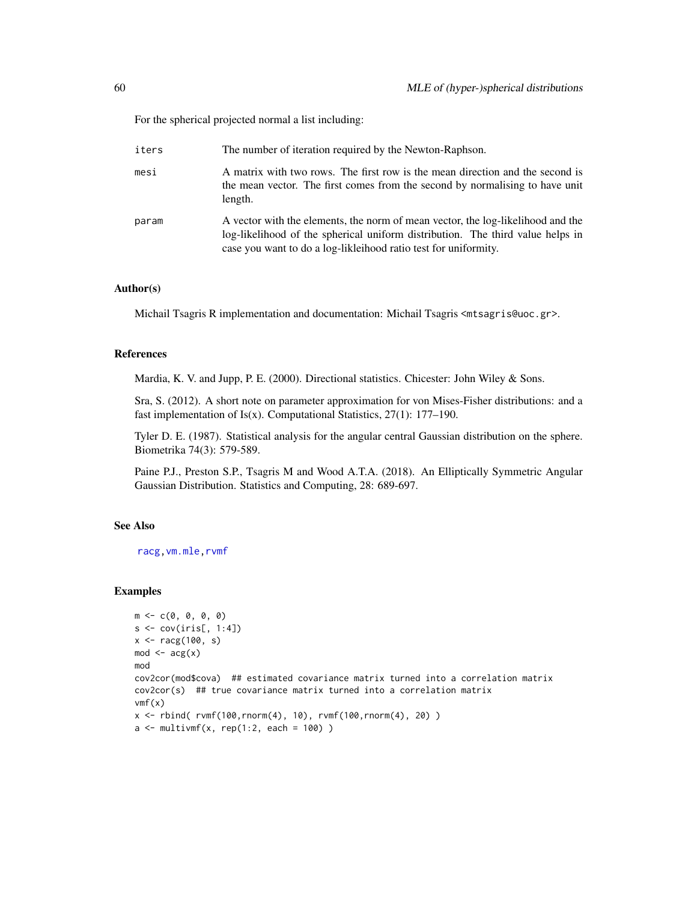For the spherical projected normal a list including:

| iters | The number of iteration required by the Newton-Raphson.                                                                                                                                                                              |
|-------|--------------------------------------------------------------------------------------------------------------------------------------------------------------------------------------------------------------------------------------|
| mesi  | A matrix with two rows. The first row is the mean direction and the second is<br>the mean vector. The first comes from the second by normalising to have unit<br>length.                                                             |
| param | A vector with the elements, the norm of mean vector, the log-likelihood and the<br>log-likelihood of the spherical uniform distribution. The third value helps in<br>case you want to do a log-likleihood ratio test for uniformity. |

### Author(s)

Michail Tsagris R implementation and documentation: Michail Tsagris <mtsagris@uoc.gr>.

#### References

Mardia, K. V. and Jupp, P. E. (2000). Directional statistics. Chicester: John Wiley & Sons.

Sra, S. (2012). A short note on parameter approximation for von Mises-Fisher distributions: and a fast implementation of  $Is(x)$ . Computational Statistics, 27(1): 177–190.

Tyler D. E. (1987). Statistical analysis for the angular central Gaussian distribution on the sphere. Biometrika 74(3): 579-589.

Paine P.J., Preston S.P., Tsagris M and Wood A.T.A. (2018). An Elliptically Symmetric Angular Gaussian Distribution. Statistics and Computing, 28: 689-697.

# See Also

[racg,](#page-5-0)[vm.mle,](#page-0-0)[rvmf](#page-97-0)

#### Examples

```
m \leq -c(0, 0, 0, 0)s \leftarrow cov(iris[, 1:4]x <- racg(100, s)
mod \leftarrow arg(x)mod
cov2cor(mod$cova) ## estimated covariance matrix turned into a correlation matrix
cov2cor(s) ## true covariance matrix turned into a correlation matrix
vmf(x)x \le rbind( rvmf(100, rnorm(4), 10), rvmf(100, rnorm(4), 20))
a \leq - multivmf(x, rep(1:2, each = 100))
```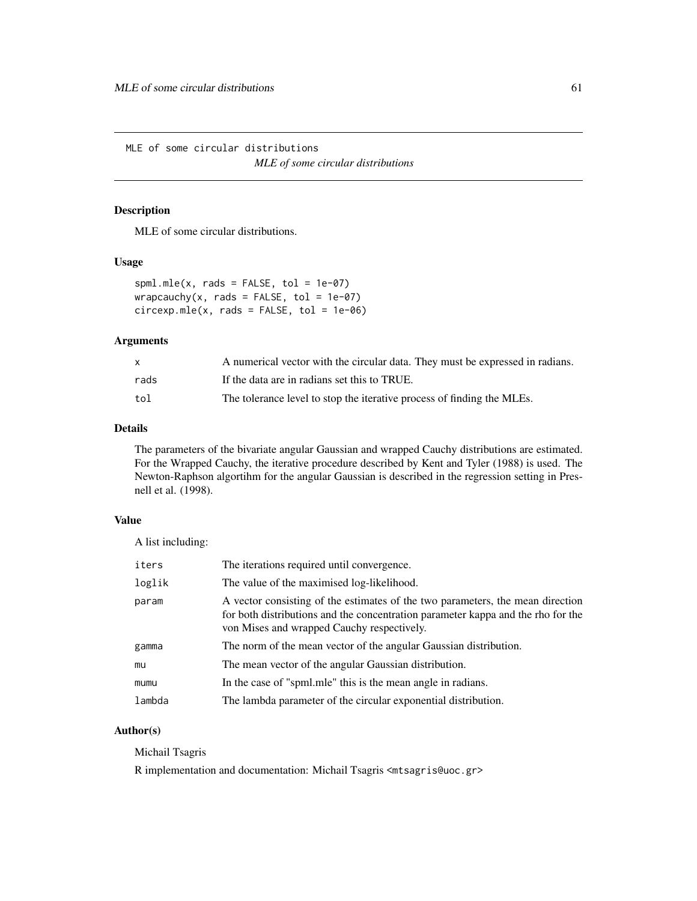MLE of some circular distributions *MLE of some circular distributions*

## <span id="page-60-0"></span>Description

MLE of some circular distributions.

## Usage

 $spml.mle(x, rads = FALSE, tol = 1e-07)$ wrapcauchy(x, rads = FALSE, tol =  $1e-07$ )  $circexp.mle(x, rads = FALSE, tol = 1e-06)$ 

#### Arguments

|      | A numerical vector with the circular data. They must be expressed in radians. |
|------|-------------------------------------------------------------------------------|
| rads | If the data are in radians set this to TRUE.                                  |
| tol  | The tolerance level to stop the iterative process of finding the MLEs.        |

## Details

The parameters of the bivariate angular Gaussian and wrapped Cauchy distributions are estimated. For the Wrapped Cauchy, the iterative procedure described by Kent and Tyler (1988) is used. The Newton-Raphson algortihm for the angular Gaussian is described in the regression setting in Presnell et al. (1998).

## Value

A list including:

| iters  | The iterations required until convergence.                                                                                                                                                                       |
|--------|------------------------------------------------------------------------------------------------------------------------------------------------------------------------------------------------------------------|
| loglik | The value of the maximised log-likelihood.                                                                                                                                                                       |
| param  | A vector consisting of the estimates of the two parameters, the mean direction<br>for both distributions and the concentration parameter kappa and the rho for the<br>von Mises and wrapped Cauchy respectively. |
| gamma  | The norm of the mean vector of the angular Gaussian distribution.                                                                                                                                                |
| mu     | The mean vector of the angular Gaussian distribution.                                                                                                                                                            |
| mumu   | In the case of "spml.mle" this is the mean angle in radians.                                                                                                                                                     |
| lambda | The lambda parameter of the circular exponential distribution.                                                                                                                                                   |

# Author(s)

Michail Tsagris

R implementation and documentation: Michail Tsagris <mtsagris@uoc.gr>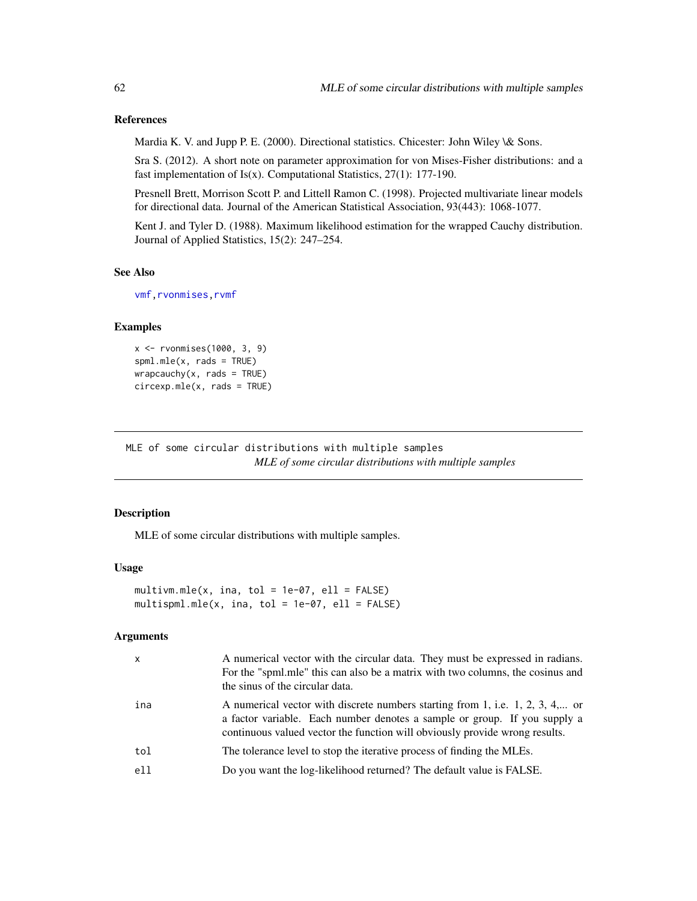## References

Mardia K. V. and Jupp P. E. (2000). Directional statistics. Chicester: John Wiley \& Sons.

Sra S. (2012). A short note on parameter approximation for von Mises-Fisher distributions: and a fast implementation of Is(x). Computational Statistics,  $27(1)$ : 177-190.

Presnell Brett, Morrison Scott P. and Littell Ramon C. (1998). Projected multivariate linear models for directional data. Journal of the American Statistical Association, 93(443): 1068-1077.

Kent J. and Tyler D. (1988). Maximum likelihood estimation for the wrapped Cauchy distribution. Journal of Applied Statistics, 15(2): 247–254.

#### See Also

```
vmf,rvonmises,rvmf
```
## Examples

```
x <- rvonmises(1000, 3, 9)
spml.mle(x, rads = TRUE)
wrapcauchy(x, rads = TRUE)circexp.mle(x, rads = TRUE)
```
MLE of some circular distributions with multiple samples *MLE of some circular distributions with multiple samples*

# Description

MLE of some circular distributions with multiple samples.

## Usage

```
multivm.mle(x, ina, tol = 1e-07, ell = FALSE)
multispml.mle(x, ina, tol = 1e-07, ell = FALKE)
```
#### Arguments

| $\mathsf{x}$ | A numerical vector with the circular data. They must be expressed in radians.<br>For the "spml.mle" this can also be a matrix with two columns, the cosinus and<br>the sinus of the circular data.                                        |
|--------------|-------------------------------------------------------------------------------------------------------------------------------------------------------------------------------------------------------------------------------------------|
| ina          | A numerical vector with discrete numbers starting from 1, i.e. 1, 2, 3, 4, or<br>a factor variable. Each number denotes a sample or group. If you supply a<br>continuous valued vector the function will obviously provide wrong results. |
| tol          | The tolerance level to stop the iterative process of finding the MLEs.                                                                                                                                                                    |
| ell          | Do you want the log-likelihood returned? The default value is FALSE.                                                                                                                                                                      |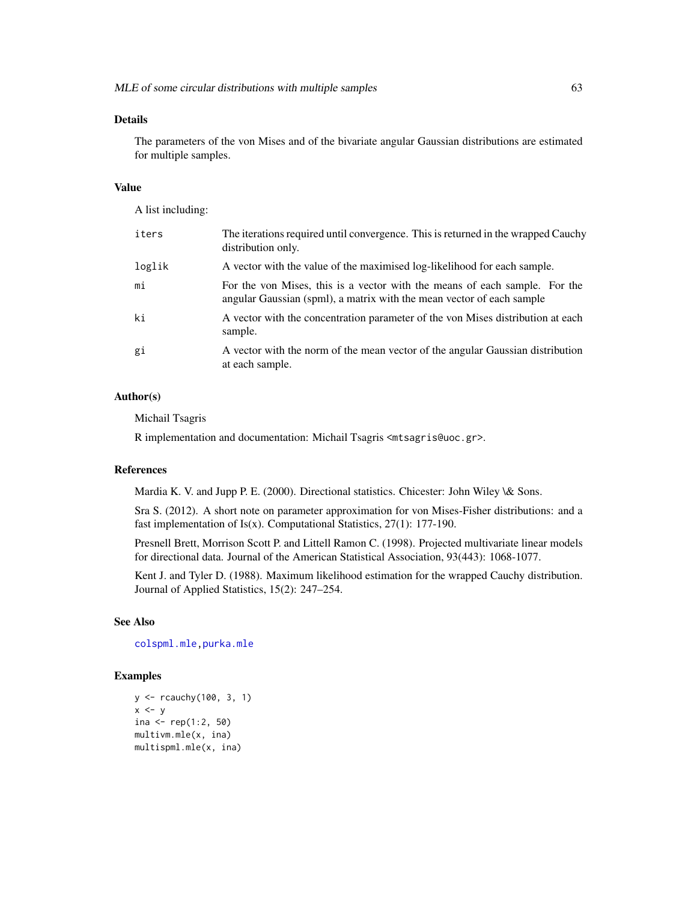## Details

The parameters of the von Mises and of the bivariate angular Gaussian distributions are estimated for multiple samples.

## Value

A list including:

| iters  | The iterations required until convergence. This is returned in the wrapped Cauchy<br>distribution only.                                             |
|--------|-----------------------------------------------------------------------------------------------------------------------------------------------------|
| loglik | A vector with the value of the maximised log-likelihood for each sample.                                                                            |
| mi     | For the von Mises, this is a vector with the means of each sample. For the<br>angular Gaussian (spml), a matrix with the mean vector of each sample |
| ki     | A vector with the concentration parameter of the von Mises distribution at each<br>sample.                                                          |
| gi     | A vector with the norm of the mean vector of the angular Gaussian distribution<br>at each sample.                                                   |

## Author(s)

Michail Tsagris

R implementation and documentation: Michail Tsagris <mtsagris@uoc.gr>.

## References

Mardia K. V. and Jupp P. E. (2000). Directional statistics. Chicester: John Wiley \& Sons.

Sra S. (2012). A short note on parameter approximation for von Mises-Fisher distributions: and a fast implementation of Is(x). Computational Statistics, 27(1): 177-190.

Presnell Brett, Morrison Scott P. and Littell Ramon C. (1998). Projected multivariate linear models for directional data. Journal of the American Statistical Association, 93(443): 1068-1077.

Kent J. and Tyler D. (1988). Maximum likelihood estimation for the wrapped Cauchy distribution. Journal of Applied Statistics, 15(2): 247–254.

#### See Also

[colspml.mle](#page-19-0)[,purka.mle](#page-68-0)

## Examples

```
y <- rcauchy(100, 3, 1)
x < -yina \leq rep(1:2, 50)
multivm.mle(x, ina)
multispml.mle(x, ina)
```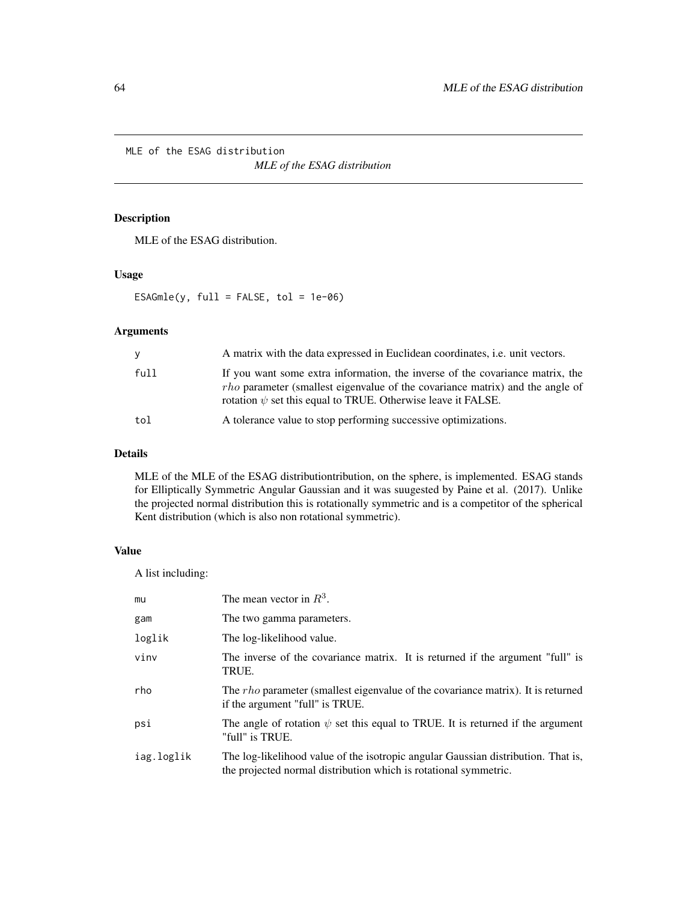MLE of the ESAG distribution

*MLE of the ESAG distribution*

# <span id="page-63-0"></span>Description

MLE of the ESAG distribution.

# Usage

 $ESAGmle(y, full = FALSE, tol = 1e-06)$ 

# Arguments

|      | A matrix with the data expressed in Euclidean coordinates, <i>i.e.</i> unit vectors.                                                                                                                                                       |
|------|--------------------------------------------------------------------------------------------------------------------------------------------------------------------------------------------------------------------------------------------|
| full | If you want some extra information, the inverse of the covariance matrix, the<br><i>rho</i> parameter (smallest eigenvalue of the covariance matrix) and the angle of<br>rotation $\psi$ set this equal to TRUE. Otherwise leave it FALSE. |
| tol  | A tolerance value to stop performing successive optimizations.                                                                                                                                                                             |

## Details

MLE of the MLE of the ESAG distributiontribution, on the sphere, is implemented. ESAG stands for Elliptically Symmetric Angular Gaussian and it was suugested by Paine et al. (2017). Unlike the projected normal distribution this is rotationally symmetric and is a competitor of the spherical Kent distribution (which is also non rotational symmetric).

# Value

A list including:

| mu         | The mean vector in $R^3$ .                                                                                                                            |
|------------|-------------------------------------------------------------------------------------------------------------------------------------------------------|
| gam        | The two gamma parameters.                                                                                                                             |
| loglik     | The log-likelihood value.                                                                                                                             |
| vinv       | The inverse of the covariance matrix. It is returned if the argument "full" is<br>TRUE.                                                               |
| rho        | The <i>rho</i> parameter (smallest eigenvalue of the covariance matrix). It is returned<br>if the argument "full" is TRUE.                            |
| psi        | The angle of rotation $\psi$ set this equal to TRUE. It is returned if the argument<br>"full" is TRUE.                                                |
| iag.loglik | The log-likelihood value of the isotropic angular Gaussian distribution. That is,<br>the projected normal distribution which is rotational symmetric. |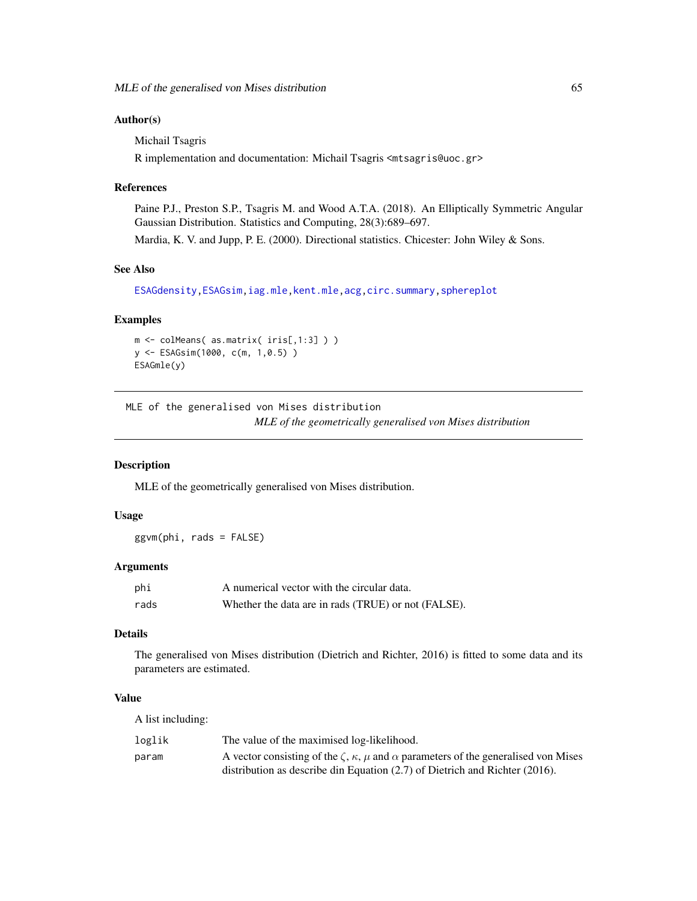## Author(s)

Michail Tsagris

R implementation and documentation: Michail Tsagris <mtsagris@uoc.gr>

## References

Paine P.J., Preston S.P., Tsagris M. and Wood A.T.A. (2018). An Elliptically Symmetric Angular Gaussian Distribution. Statistics and Computing, 28(3):689–697.

Mardia, K. V. and Jupp, P. E. (2000). Directional statistics. Chicester: John Wiley & Sons.

# See Also

[ESAGdensity](#page-36-0)[,ESAGsim,](#page-79-0)[iag.mle,](#page-57-0)[kent.mle,](#page-65-0)[acg,](#page-57-0)[circ.summary](#page-103-0)[,sphereplot](#page-47-0)

## Examples

```
m <- colMeans( as.matrix( iris[,1:3] ) )
y <- ESAGsim(1000, c(m, 1,0.5) )
ESAGmle(y)
```
MLE of the generalised von Mises distribution *MLE of the geometrically generalised von Mises distribution*

#### Description

MLE of the geometrically generalised von Mises distribution.

## Usage

ggvm(phi, rads = FALSE)

#### Arguments

| phi  | A numerical vector with the circular data.          |
|------|-----------------------------------------------------|
| rads | Whether the data are in rads (TRUE) or not (FALSE). |

## Details

The generalised von Mises distribution (Dietrich and Richter, 2016) is fitted to some data and its parameters are estimated.

# Value

A list including:

| loglik | The value of the maximised log-likelihood.                                                                 |
|--------|------------------------------------------------------------------------------------------------------------|
| param  | A vector consisting of the $\zeta$ , $\kappa$ , $\mu$ and $\alpha$ parameters of the generalised von Mises |
|        | distribution as describe din Equation $(2.7)$ of Dietrich and Richter $(2016)$ .                           |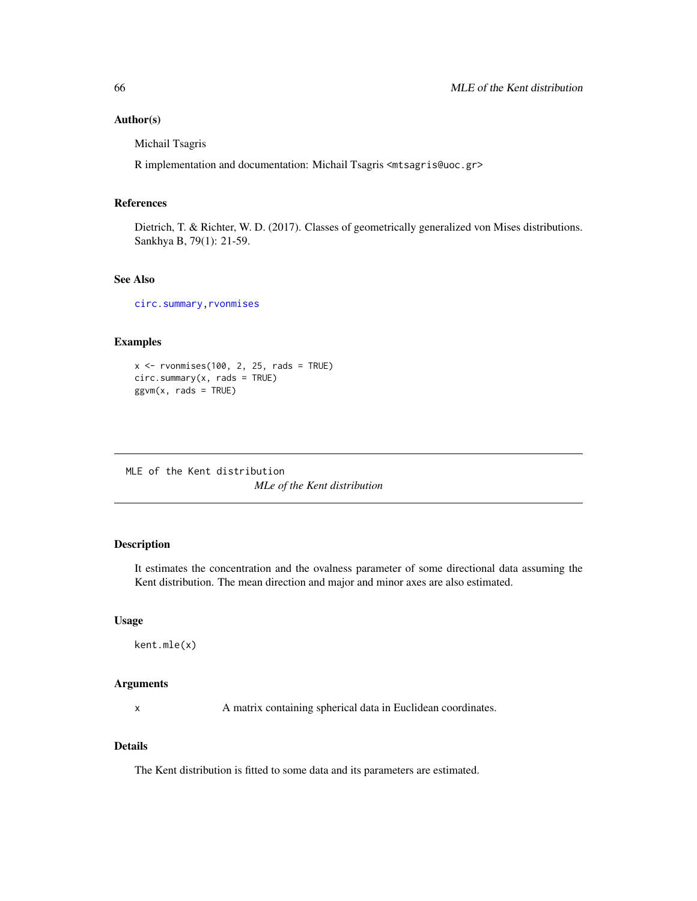#### Author(s)

Michail Tsagris

R implementation and documentation: Michail Tsagris <mtsagris@uoc.gr>

#### References

Dietrich, T. & Richter, W. D. (2017). Classes of geometrically generalized von Mises distributions. Sankhya B, 79(1): 21-59.

## See Also

[circ.summary](#page-103-0)[,rvonmises](#page-80-0)

## Examples

 $x \le -$  rvonmises(100, 2, 25, rads = TRUE) circ.summary(x, rads = TRUE)  $ggvm(x, rads = TRUE)$ 

MLE of the Kent distribution *MLe of the Kent distribution*

# <span id="page-65-0"></span>Description

It estimates the concentration and the ovalness parameter of some directional data assuming the Kent distribution. The mean direction and major and minor axes are also estimated.

#### Usage

```
kent.mle(x)
```
# Arguments

x A matrix containing spherical data in Euclidean coordinates.

# Details

The Kent distribution is fitted to some data and its parameters are estimated.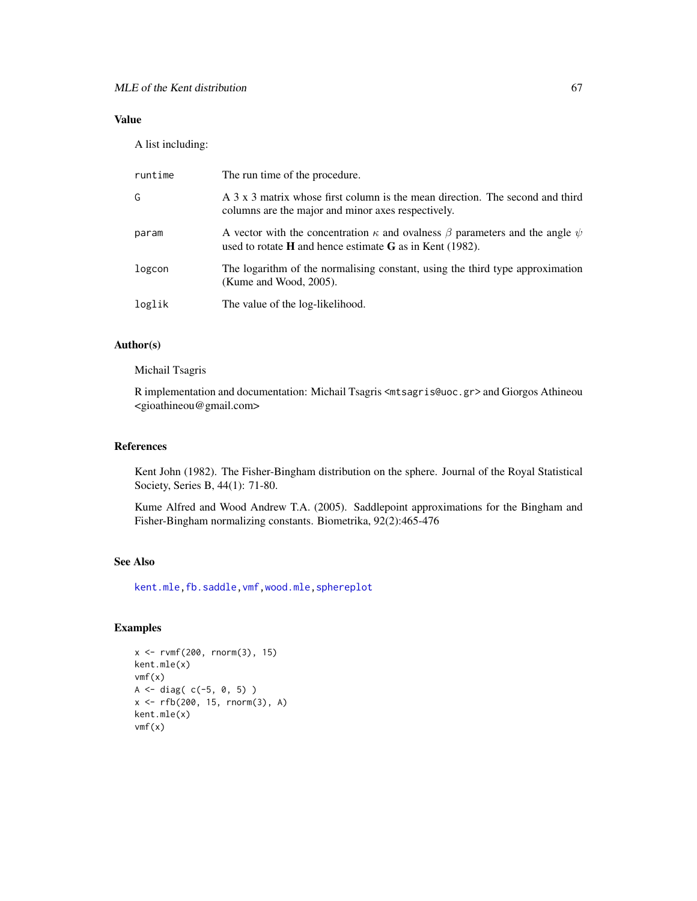# Value

A list including:

| runtime | The run time of the procedure.                                                                                                                                |
|---------|---------------------------------------------------------------------------------------------------------------------------------------------------------------|
| G       | A 3 x 3 matrix whose first column is the mean direction. The second and third<br>columns are the major and minor axes respectively.                           |
| param   | A vector with the concentration $\kappa$ and ovalness $\beta$ parameters and the angle $\psi$<br>used to rotate $H$ and hence estimate $G$ as in Kent (1982). |
| logcon  | The logarithm of the normalising constant, using the third type approximation<br>(Kume and Wood, $2005$ ).                                                    |
| loglik  | The value of the log-likelihood.                                                                                                                              |

# Author(s)

Michail Tsagris

R implementation and documentation: Michail Tsagris <mtsagris@uoc.gr> and Giorgos Athineou <gioathineou@gmail.com>

#### References

Kent John (1982). The Fisher-Bingham distribution on the sphere. Journal of the Royal Statistical Society, Series B, 44(1): 71-80.

Kume Alfred and Wood Andrew T.A. (2005). Saddlepoint approximations for the Bingham and Fisher-Bingham normalizing constants. Biometrika, 92(2):465-476

## See Also

[kent.mle](#page-65-0)[,fb.saddle](#page-89-0)[,vmf,](#page-57-0)[wood.mle,](#page-69-0)[sphereplot](#page-47-0)

# Examples

```
x \le -r \text{vmf}(200, r \text{norm}(3), 15)kent.mle(x)
vmf(x)A \leftarrow diag( c(-5, 0, 5) )
x <- rfb(200, 15, rnorm(3), A)
kent.mle(x)
vmf(x)
```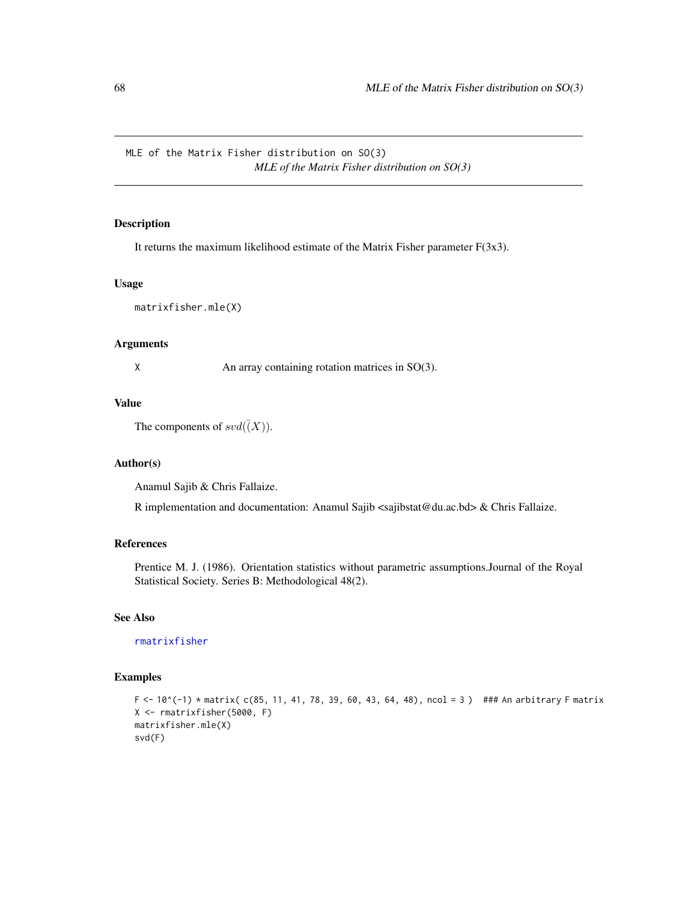MLE of the Matrix Fisher distribution on SO(3) *MLE of the Matrix Fisher distribution on SO(3)*

## Description

It returns the maximum likelihood estimate of the Matrix Fisher parameter  $F(3x3)$ .

#### Usage

matrixfisher.mle(X)

# Arguments

X An array containing rotation matrices in SO(3).

## Value

The components of  $svd(\bar(X))$ .

## Author(s)

Anamul Sajib & Chris Fallaize.

R implementation and documentation: Anamul Sajib <sajibstat@du.ac.bd> & Chris Fallaize.

## References

Prentice M. J. (1986). Orientation statistics without parametric assumptions.Journal of the Royal Statistical Society. Series B: Methodological 48(2).

# See Also

[rmatrixfisher](#page-91-0)

## Examples

```
F <- 10^{\circ}(-1) * matrix( c(85, 11, 41, 78, 39, 60, 43, 64, 48), ncol = 3 ) ### An arbitrary F matrix
X <- rmatrixfisher(5000, F)
matrixfisher.mle(X)
svd(F)
```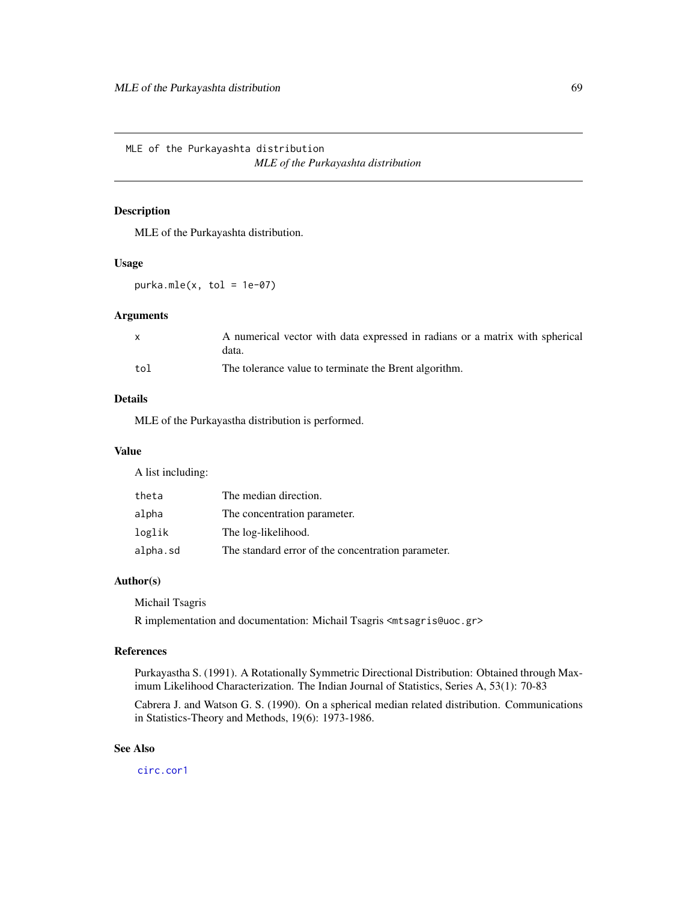MLE of the Purkayashta distribution *MLE of the Purkayashta distribution*

### <span id="page-68-0"></span>Description

MLE of the Purkayashta distribution.

#### Usage

 $purka.mle(x, tol = 1e-07)$ 

#### Arguments

|     | A numerical vector with data expressed in radians or a matrix with spherical<br>data. |
|-----|---------------------------------------------------------------------------------------|
| tol | The tolerance value to terminate the Brent algorithm.                                 |

# Details

MLE of the Purkayastha distribution is performed.

## Value

A list including:

| theta    | The median direction.                              |
|----------|----------------------------------------------------|
| alpha    | The concentration parameter.                       |
| loglik   | The log-likelihood.                                |
| alpha.sd | The standard error of the concentration parameter. |

## Author(s)

Michail Tsagris

R implementation and documentation: Michail Tsagris <mtsagris@uoc.gr>

## References

Purkayastha S. (1991). A Rotationally Symmetric Directional Distribution: Obtained through Maximum Likelihood Characterization. The Indian Journal of Statistics, Series A, 53(1): 70-83

Cabrera J. and Watson G. S. (1990). On a spherical median related distribution. Communications in Statistics-Theory and Methods, 19(6): 1973-1986.

# See Also

[circ.cor1](#page-15-0)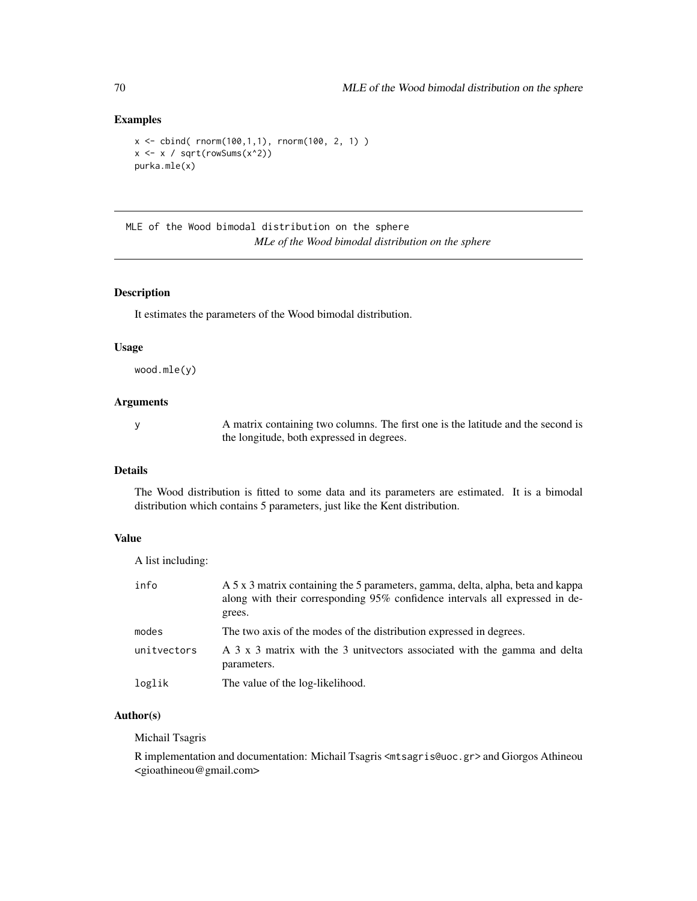## Examples

```
x \le cbind( rnorm(100,1,1), rnorm(100, 2, 1) )
x \leftarrow x / sqrt(rowSums(x^2))purka.mle(x)
```
MLE of the Wood bimodal distribution on the sphere *MLe of the Wood bimodal distribution on the sphere*

### <span id="page-69-0"></span>Description

It estimates the parameters of the Wood bimodal distribution.

### Usage

wood.mle(y)

### **Arguments**

y A matrix containing two columns. The first one is the latitude and the second is the longitude, both expressed in degrees.

## Details

The Wood distribution is fitted to some data and its parameters are estimated. It is a bimodal distribution which contains 5 parameters, just like the Kent distribution.

# Value

A list including:

| info        | A 5 x 3 matrix containing the 5 parameters, gamma, delta, alpha, beta and kappa<br>along with their corresponding 95% confidence intervals all expressed in de-<br>grees. |
|-------------|---------------------------------------------------------------------------------------------------------------------------------------------------------------------------|
| modes       | The two axis of the modes of the distribution expressed in degrees.                                                                                                       |
| unitvectors | A 3 x 3 matrix with the 3 unit vectors associated with the gamma and delta<br>parameters.                                                                                 |
| loglik      | The value of the log-likelihood.                                                                                                                                          |

## Author(s)

Michail Tsagris

R implementation and documentation: Michail Tsagris <mtsagris@uoc.gr> and Giorgos Athineou <gioathineou@gmail.com>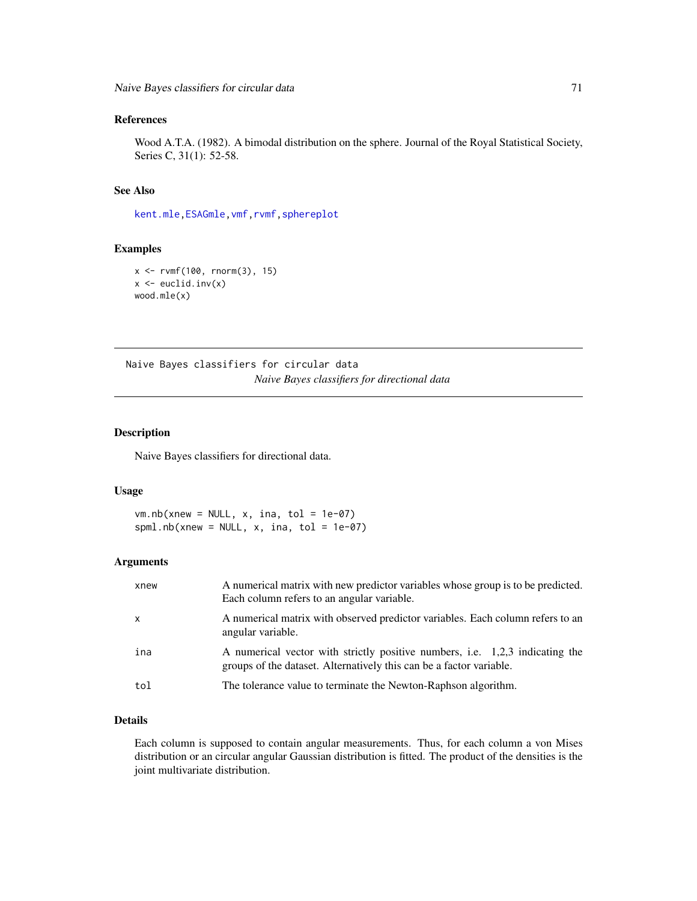## References

Wood A.T.A. (1982). A bimodal distribution on the sphere. Journal of the Royal Statistical Society, Series C, 31(1): 52-58.

## See Also

[kent.mle](#page-65-0)[,ESAGmle](#page-63-0)[,vmf,](#page-57-0)[rvmf,](#page-97-0)[sphereplot](#page-47-0)

#### Examples

```
x \le -r \text{vmf}(100, r \text{norm}(3), 15)x \leftarrow \text{euclid.inv}(x)wood.mle(x)
```
Naive Bayes classifiers for circular data *Naive Bayes classifiers for directional data*

## Description

Naive Bayes classifiers for directional data.

## Usage

 $vm.nb(xnew = NULL, x, ina, tol = 1e-07)$ spml.nb(xnew = NULL,  $x$ , ina, tol = 1e-07)

# Arguments

| xnew         | A numerical matrix with new predictor variables whose group is to be predicted.<br>Each column refers to an angular variable.                       |
|--------------|-----------------------------------------------------------------------------------------------------------------------------------------------------|
| $\mathsf{x}$ | A numerical matrix with observed predictor variables. Each column refers to an<br>angular variable.                                                 |
| ina          | A numerical vector with strictly positive numbers, i.e. 1,2,3 indicating the<br>groups of the dataset. Alternatively this can be a factor variable. |
| tol          | The tolerance value to terminate the Newton-Raphson algorithm.                                                                                      |

# Details

Each column is supposed to contain angular measurements. Thus, for each column a von Mises distribution or an circular angular Gaussian distribution is fitted. The product of the densities is the joint multivariate distribution.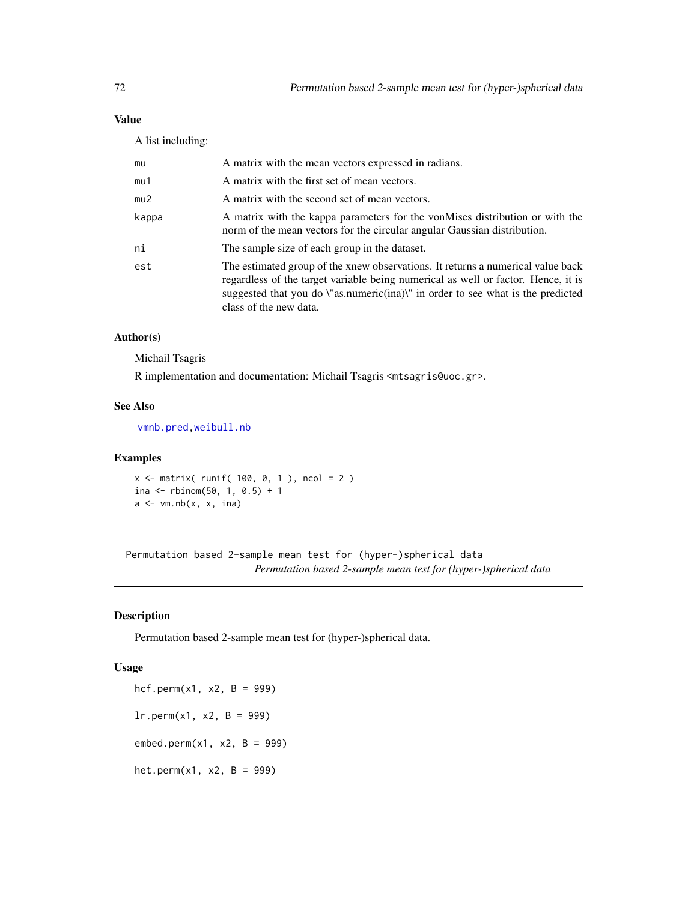# Value

A list including:

| mu    | A matrix with the mean vectors expressed in radians.                                                                                                                                                                                                                              |
|-------|-----------------------------------------------------------------------------------------------------------------------------------------------------------------------------------------------------------------------------------------------------------------------------------|
| mu1   | A matrix with the first set of mean vectors.                                                                                                                                                                                                                                      |
| mu2   | A matrix with the second set of mean vectors.                                                                                                                                                                                                                                     |
| kappa | A matrix with the kappa parameters for the vonMises distribution or with the<br>norm of the mean vectors for the circular angular Gaussian distribution.                                                                                                                          |
| ni    | The sample size of each group in the dataset.                                                                                                                                                                                                                                     |
| est   | The estimated group of the xnew observations. It returns a numerical value back<br>regardless of the target variable being numerical as well or factor. Hence, it is<br>suggested that you do \"as.numeric(ina)\" in order to see what is the predicted<br>class of the new data. |

# Author(s)

Michail Tsagris

R implementation and documentation: Michail Tsagris <mtsagris@uoc.gr>.

## See Also

[vmnb.pred,](#page-76-0)[weibull.nb](#page-0-0)

## Examples

 $x \le -$  matrix( runif( 100, 0, 1), ncol = 2) ina <- rbinom $(50, 1, 0.5) + 1$  $a \leftarrow \text{vm.nb}(x, x, \text{ ina})$ 

Permutation based 2-sample mean test for (hyper-)spherical data *Permutation based 2-sample mean test for (hyper-)spherical data*

# Description

Permutation based 2-sample mean test for (hyper-)spherical data.

#### Usage

 $hcf.perm(x1, x2, B = 999)$  $lr.perm(x1, x2, B = 999)$  $embed.perm(x1, x2, B = 999)$ het.perm $(x1, x2, B = 999)$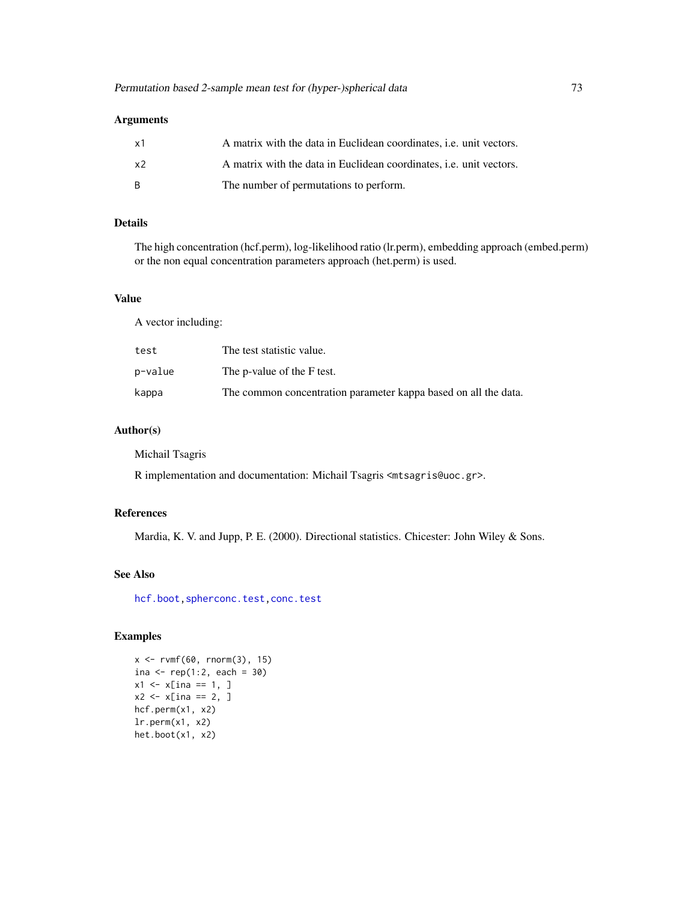| - x 1 | A matrix with the data in Euclidean coordinates, <i>i.e.</i> unit vectors. |
|-------|----------------------------------------------------------------------------|
| x2    | A matrix with the data in Euclidean coordinates, <i>i.e.</i> unit vectors. |
| - R   | The number of permutations to perform.                                     |

# Details

The high concentration (hcf.perm), log-likelihood ratio (lr.perm), embedding approach (embed.perm) or the non equal concentration parameters approach (het.perm) is used.

# Value

A vector including:

| test    | The test statistic value.                                       |
|---------|-----------------------------------------------------------------|
| p−value | The p-value of the F test.                                      |
| kappa   | The common concentration parameter kappa based on all the data. |

# Author(s)

Michail Tsagris

R implementation and documentation: Michail Tsagris <mtsagris@uoc.gr>.

# References

Mardia, K. V. and Jupp, P. E. (2000). Directional statistics. Chicester: John Wiley & Sons.

# See Also

[hcf.boot](#page-10-0)[,spherconc.test,](#page-107-0)[conc.test](#page-108-0)

## Examples

```
x \le -r \text{vmf}(60, r \text{norm}(3), 15)ina \leq rep(1:2, each = 30)
x1 \le x [ina == 1, ]
x2 \le -x [ina == 2, ]
hcf.perm(x1, x2)
lr.perm(x1, x2)
het.boot(x1, x2)
```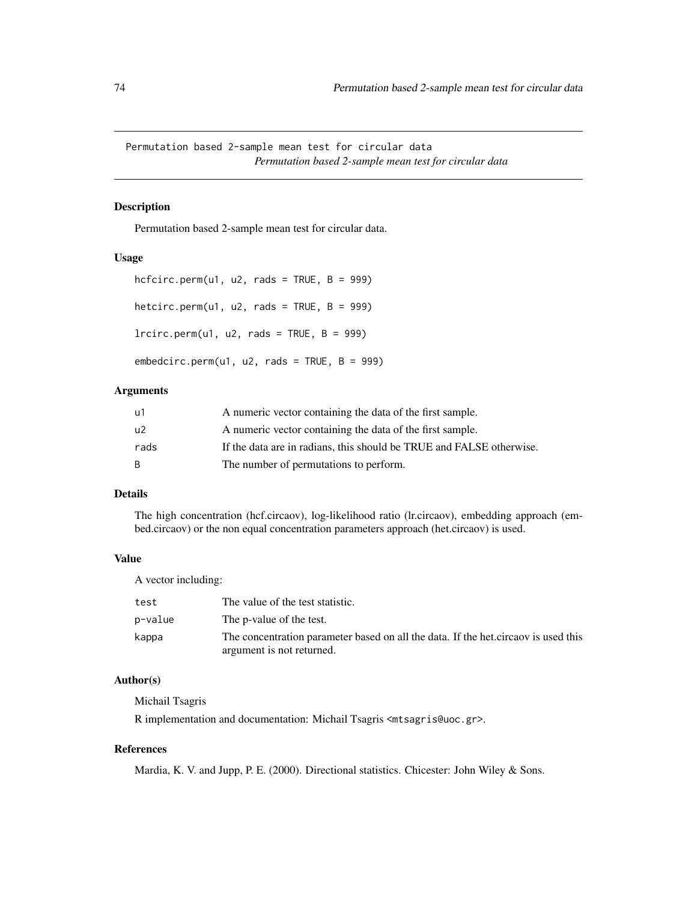Permutation based 2-sample mean test for circular data *Permutation based 2-sample mean test for circular data*

# Description

Permutation based 2-sample mean test for circular data.

## Usage

```
hcfcirc.perm(u1, u2, rads = TRUE, B = 999)
hetcirc.perm(u1, u2, rads = TRUE, B = 999)
lrcirc.perm(u1, u2, rads = TRUE, B = 999)
```
 $embedcirc.perm(u1, u2, rads = TRUE, B = 999)$ 

## Arguments

| u1   | A numeric vector containing the data of the first sample.            |
|------|----------------------------------------------------------------------|
| u2   | A numeric vector containing the data of the first sample.            |
| rads | If the data are in radians, this should be TRUE and FALSE otherwise. |
| B    | The number of permutations to perform.                               |

# Details

The high concentration (hcf.circaov), log-likelihood ratio (lr.circaov), embedding approach (embed.circaov) or the non equal concentration parameters approach (het.circaov) is used.

## Value

A vector including:

| test    | The value of the test statistic.                                                                                |
|---------|-----------------------------------------------------------------------------------------------------------------|
| p-value | The p-value of the test.                                                                                        |
| kappa   | The concentration parameter based on all the data. If the het circaov is used this<br>argument is not returned. |

## Author(s)

Michail Tsagris

R implementation and documentation: Michail Tsagris <mtsagris@uoc.gr>.

# References

Mardia, K. V. and Jupp, P. E. (2000). Directional statistics. Chicester: John Wiley & Sons.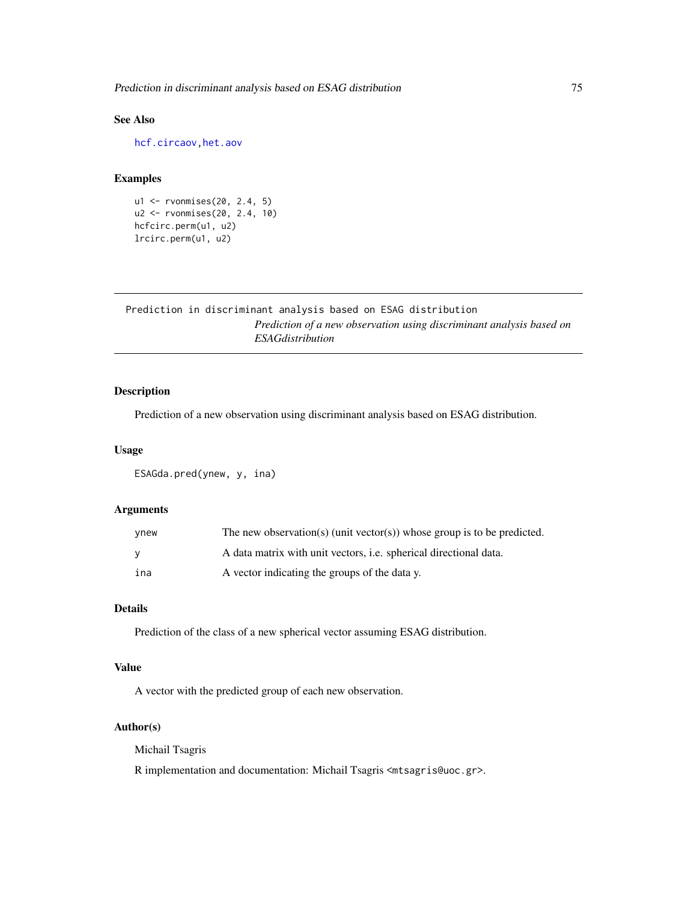# See Also

[hcf.circaov](#page-8-0)[,het.aov](#page-6-0)

#### Examples

```
u1 <- rvonmises(20, 2.4, 5)
u2 <- rvonmises(20, 2.4, 10)
hcfcirc.perm(u1, u2)
lrcirc.perm(u1, u2)
```
Prediction in discriminant analysis based on ESAG distribution *Prediction of a new observation using discriminant analysis based on ESAGdistribution*

# Description

Prediction of a new observation using discriminant analysis based on ESAG distribution.

## Usage

ESAGda.pred(ynew, y, ina)

# Arguments

| ynew     | The new observation(s) (unit vector(s)) whose group is to be predicted.  |
|----------|--------------------------------------------------------------------------|
| <b>V</b> | A data matrix with unit vectors, <i>i.e.</i> spherical directional data. |
| ina      | A vector indicating the groups of the data y.                            |

# Details

Prediction of the class of a new spherical vector assuming ESAG distribution.

## Value

A vector with the predicted group of each new observation.

## Author(s)

Michail Tsagris

R implementation and documentation: Michail Tsagris <mtsagris@uoc.gr>.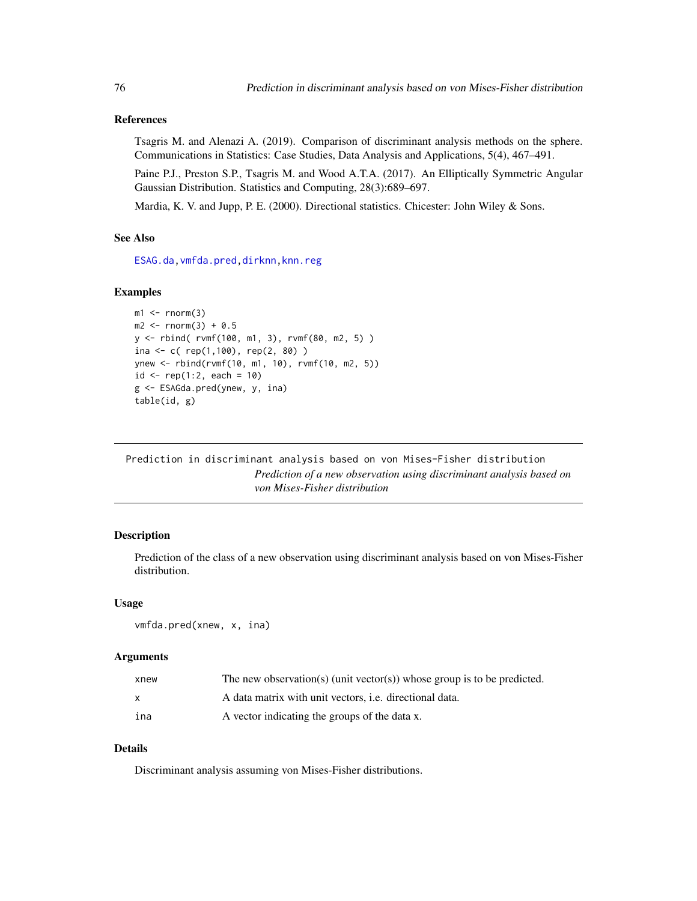## References

Tsagris M. and Alenazi A. (2019). Comparison of discriminant analysis methods on the sphere. Communications in Statistics: Case Studies, Data Analysis and Applications, 5(4), 467–491.

Paine P.J., Preston S.P., Tsagris M. and Wood A.T.A. (2017). An Elliptically Symmetric Angular Gaussian Distribution. Statistics and Computing, 28(3):689–697.

Mardia, K. V. and Jupp, P. E. (2000). Directional statistics. Chicester: John Wiley & Sons.

# See Also

[ESAG.da](#page-32-0)[,vmfda.pred](#page-75-0)[,dirknn,](#page-50-0)[knn.reg](#page-51-0)

#### Examples

```
ml \leftarrow rnorm(3)m2 < - rnorm(3) + 0.5
y <- rbind( rvmf(100, m1, 3), rvmf(80, m2, 5) )
ina <- c( rep(1,100), rep(2, 80) )
ynew <- rbind(rvmf(10, m1, 10), rvmf(10, m2, 5))
id \leq rep(1:2, each = 10)g <- ESAGda.pred(ynew, y, ina)
table(id, g)
```
Prediction in discriminant analysis based on von Mises-Fisher distribution *Prediction of a new observation using discriminant analysis based on von Mises-Fisher distribution*

## <span id="page-75-0"></span>Description

Prediction of the class of a new observation using discriminant analysis based on von Mises-Fisher distribution.

#### Usage

```
vmfda.pred(xnew, x, ina)
```
## Arguments

| xnew | The new observation(s) (unit vector(s)) whose group is to be predicted. |
|------|-------------------------------------------------------------------------|
|      | A data matrix with unit vectors, <i>i.e.</i> directional data.          |
| ina  | A vector indicating the groups of the data x.                           |

## Details

Discriminant analysis assuming von Mises-Fisher distributions.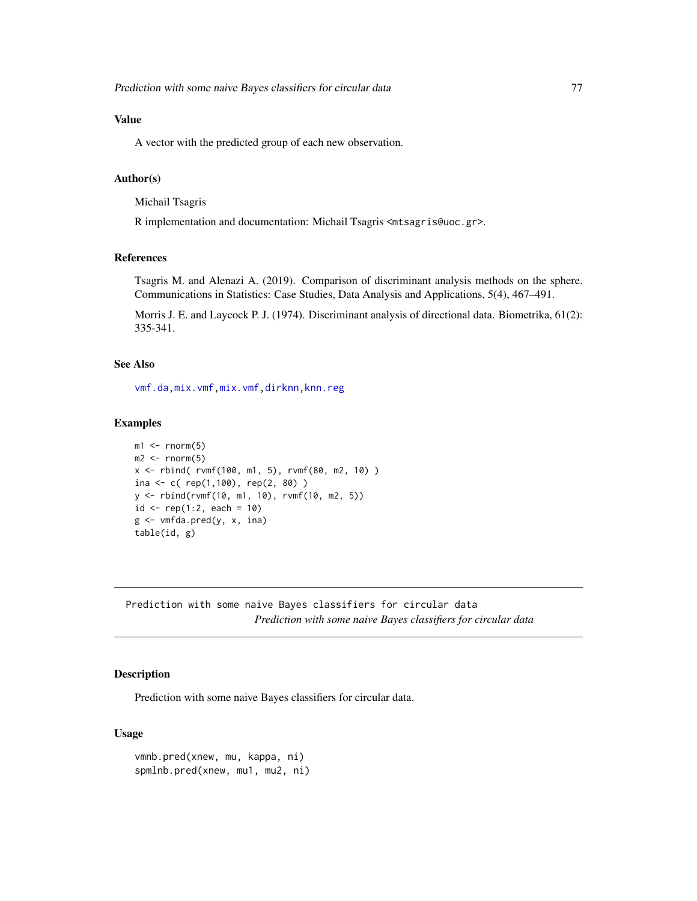# Value

A vector with the predicted group of each new observation.

## Author(s)

Michail Tsagris

R implementation and documentation: Michail Tsagris <mtsagris@uoc.gr>.

## References

Tsagris M. and Alenazi A. (2019). Comparison of discriminant analysis methods on the sphere. Communications in Statistics: Case Studies, Data Analysis and Applications, 5(4), 467–491.

Morris J. E. and Laycock P. J. (1974). Discriminant analysis of directional data. Biometrika, 61(2): 335-341.

# See Also

[vmf.da](#page-31-0)[,mix.vmf,mix.vmf,](#page-56-0)[dirknn,](#page-50-0)[knn.reg](#page-51-0)

## Examples

```
m1 < -rnorm(5)m2 < - rnorm(5)x \le rbind( rvmf(100, m1, 5), rvmf(80, m2, 10))
ina \leq c ( rep(1,100), rep(2, 80) )
y <- rbind(rvmf(10, m1, 10), rvmf(10, m2, 5))
id \leq rep(1:2, each = 10)g <- vmfda.pred(y, x, ina)
table(id, g)
```
Prediction with some naive Bayes classifiers for circular data *Prediction with some naive Bayes classifiers for circular data*

# Description

Prediction with some naive Bayes classifiers for circular data.

## Usage

```
vmnb.pred(xnew, mu, kappa, ni)
spmlnb.pred(xnew, mu1, mu2, ni)
```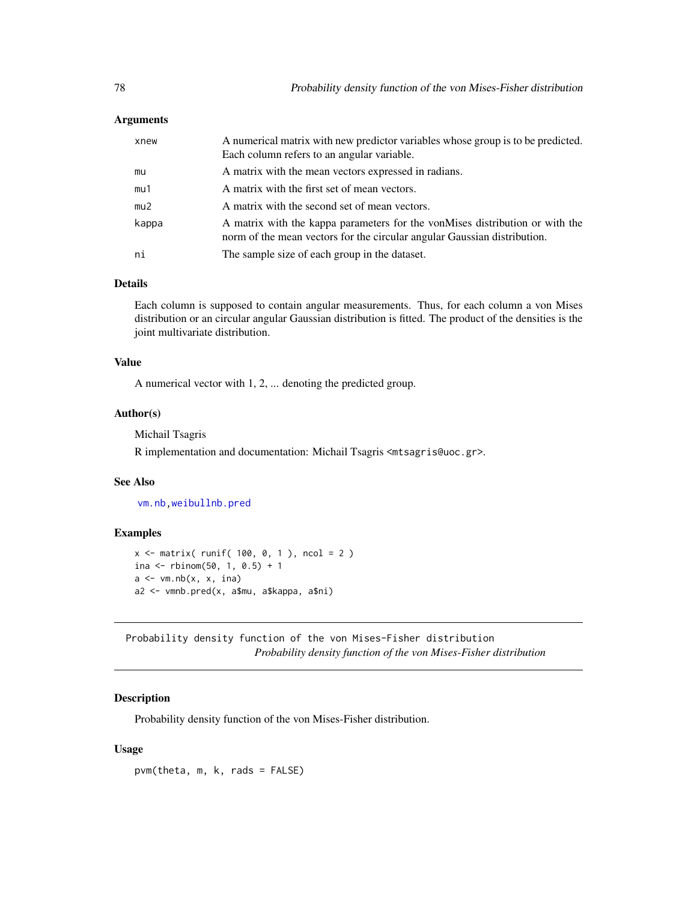| xnew  | A numerical matrix with new predictor variables whose group is to be predicted.<br>Each column refers to an angular variable.                             |
|-------|-----------------------------------------------------------------------------------------------------------------------------------------------------------|
| mu    | A matrix with the mean vectors expressed in radians.                                                                                                      |
| mu1   | A matrix with the first set of mean vectors.                                                                                                              |
| mu2   | A matrix with the second set of mean vectors.                                                                                                             |
| kappa | A matrix with the kappa parameters for the von Mises distribution or with the<br>norm of the mean vectors for the circular angular Gaussian distribution. |
| ni    | The sample size of each group in the dataset.                                                                                                             |

# Details

Each column is supposed to contain angular measurements. Thus, for each column a von Mises distribution or an circular angular Gaussian distribution is fitted. The product of the densities is the joint multivariate distribution.

## Value

A numerical vector with 1, 2, ... denoting the predicted group.

## Author(s)

Michail Tsagris

R implementation and documentation: Michail Tsagris <mtsagris@uoc.gr>.

# See Also

[vm.nb,](#page-70-0)[weibullnb.pred](#page-0-0)

# Examples

```
x <- matrix( runif( 100, 0, 1 ), ncol = 2 )
ina <- rbinom(50, 1, 0.5) + 1a \leftarrow \text{vm.nb}(x, x, \text{ ina})a2 <- vmnb.pred(x, a$mu, a$kappa, a$ni)
```
Probability density function of the von Mises-Fisher distribution *Probability density function of the von Mises-Fisher distribution*

# Description

Probability density function of the von Mises-Fisher distribution.

## Usage

pvm(theta, m, k, rads = FALSE)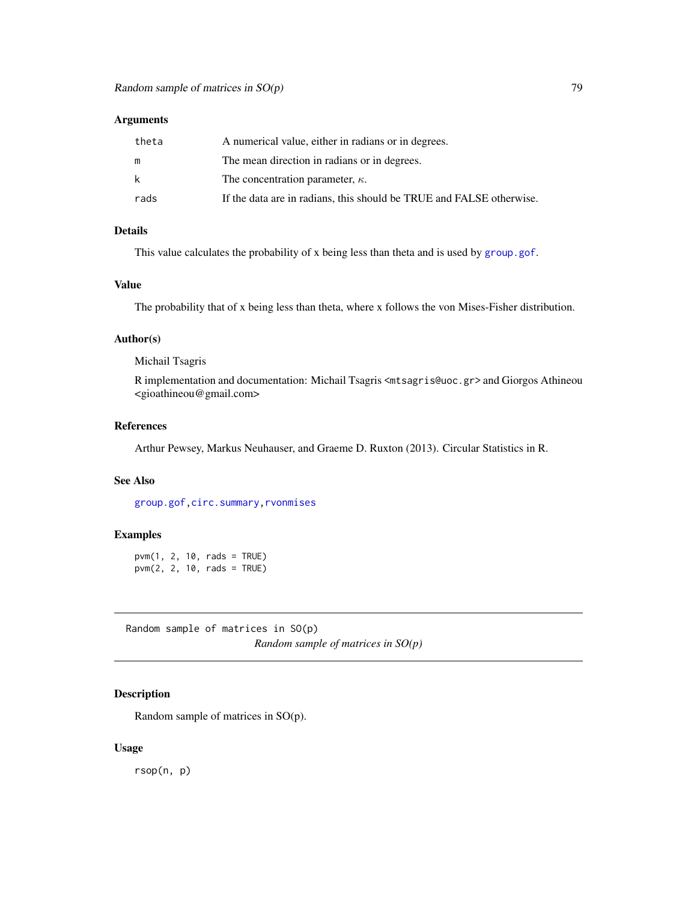| theta | A numerical value, either in radians or in degrees.                  |
|-------|----------------------------------------------------------------------|
| m     | The mean direction in radians or in degrees.                         |
| k     | The concentration parameter, $\kappa$ .                              |
| rads  | If the data are in radians, this should be TRUE and FALSE otherwise. |

# Details

This value calculates the probability of x being less than theta and is used by [group.gof](#page-42-0).

#### Value

The probability that of x being less than theta, where x follows the von Mises-Fisher distribution.

#### Author(s)

Michail Tsagris

R implementation and documentation: Michail Tsagris <mtsagris@uoc.gr> and Giorgos Athineou <gioathineou@gmail.com>

# References

Arthur Pewsey, Markus Neuhauser, and Graeme D. Ruxton (2013). Circular Statistics in R.

## See Also

[group.gof](#page-42-0)[,circ.summary,](#page-103-0)[rvonmises](#page-80-0)

## Examples

pvm(1, 2, 10, rads = TRUE) pvm(2, 2, 10, rads = TRUE)

Random sample of matrices in SO(p) *Random sample of matrices in SO(p)*

# <span id="page-78-0"></span>Description

Random sample of matrices in SO(p).

#### Usage

rsop(n, p)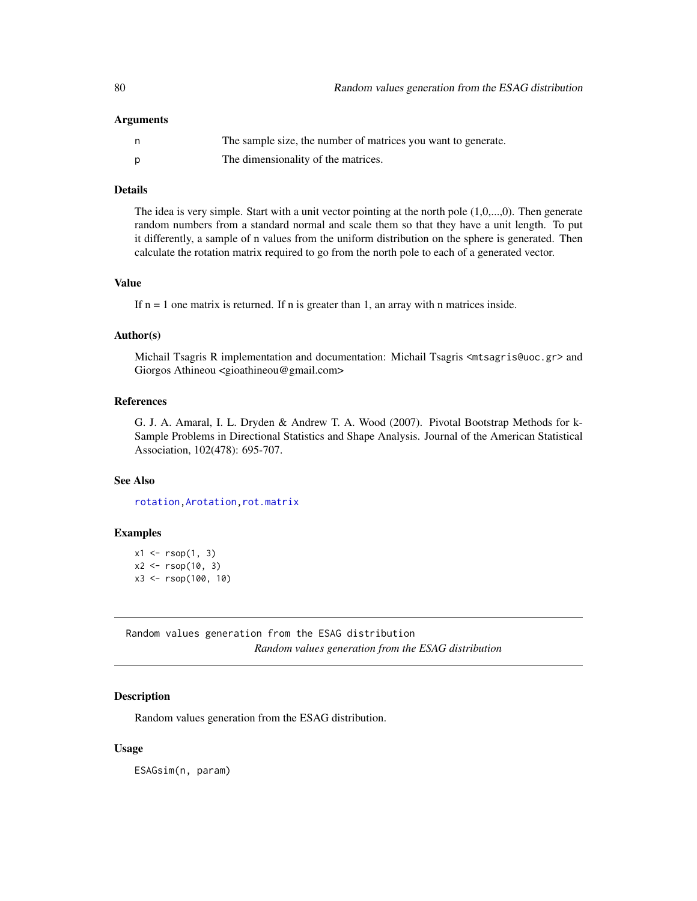| The sample size, the number of matrices you want to generate. |
|---------------------------------------------------------------|
| The dimensionality of the matrices.                           |

# Details

The idea is very simple. Start with a unit vector pointing at the north pole (1,0,...,0). Then generate random numbers from a standard normal and scale them so that they have a unit length. To put it differently, a sample of n values from the uniform distribution on the sphere is generated. Then calculate the rotation matrix required to go from the north pole to each of a generated vector.

# Value

If  $n = 1$  one matrix is returned. If n is greater than 1, an array with n matrices inside.

#### Author(s)

Michail Tsagris R implementation and documentation: Michail Tsagris <mtsagris@uoc.gr> and Giorgos Athineou <gioathineou@gmail.com>

## References

G. J. A. Amaral, I. L. Dryden & Andrew T. A. Wood (2007). Pivotal Bootstrap Methods for k-Sample Problems in Directional Statistics and Shape Analysis. Journal of the American Statistical Association, 102(478): 695-707.

## See Also

[rotation](#page-87-0)[,Arotation](#page-84-0)[,rot.matrix](#page-85-0)

### Examples

 $x1 \leftarrow \text{rsop}(1, 3)$  $x2 \le r \text{sop}(10, 3)$ x3 <- rsop(100, 10)

Random values generation from the ESAG distribution *Random values generation from the ESAG distribution*

## Description

Random values generation from the ESAG distribution.

#### Usage

ESAGsim(n, param)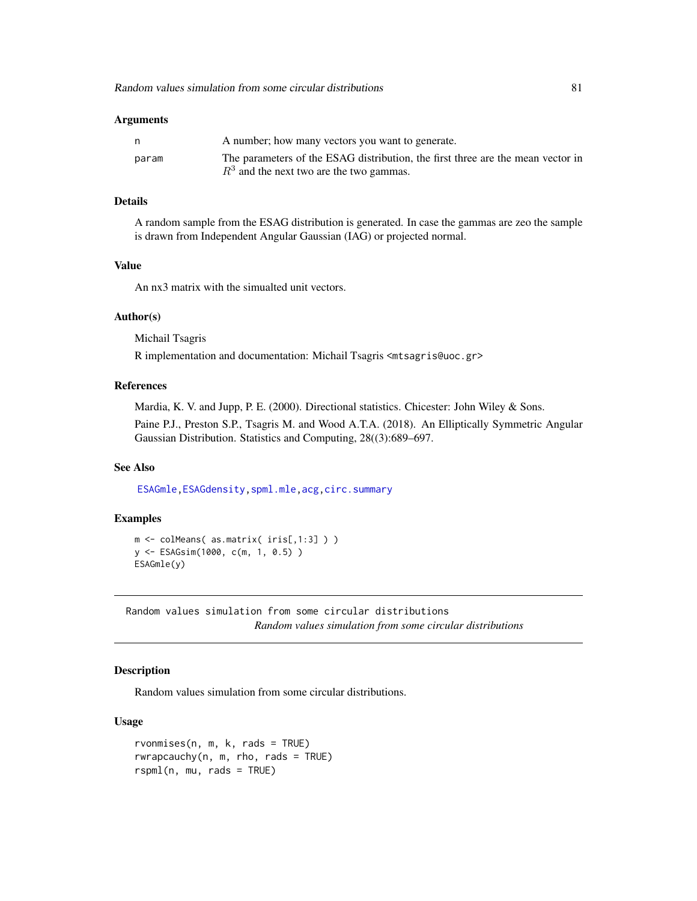|       | A number; how many vectors you want to generate.                                |
|-------|---------------------------------------------------------------------------------|
| param | The parameters of the ESAG distribution, the first three are the mean vector in |
|       | $R3$ and the next two are the two gammas.                                       |

# Details

A random sample from the ESAG distribution is generated. In case the gammas are zeo the sample is drawn from Independent Angular Gaussian (IAG) or projected normal.

## Value

An nx3 matrix with the simualted unit vectors.

## Author(s)

Michail Tsagris

R implementation and documentation: Michail Tsagris <mtsagris@uoc.gr>

## References

Mardia, K. V. and Jupp, P. E. (2000). Directional statistics. Chicester: John Wiley & Sons.

Paine P.J., Preston S.P., Tsagris M. and Wood A.T.A. (2018). An Elliptically Symmetric Angular Gaussian Distribution. Statistics and Computing, 28((3):689–697.

# See Also

[ESAGmle,](#page-63-0)[ESAGdensity](#page-36-0)[,spml.mle](#page-60-0)[,acg](#page-57-0)[,circ.summary](#page-103-0)

### Examples

```
m <- colMeans( as.matrix( iris[,1:3] ) )
y <- ESAGsim(1000, c(m, 1, 0.5) )
ESAGmle(y)
```
Random values simulation from some circular distributions *Random values simulation from some circular distributions*

## <span id="page-80-0"></span>Description

Random values simulation from some circular distributions.

#### Usage

```
rvonmises(n, m, k, rads = TRUE)rwrapcauchy(n, m, rho, rads = TRUE)rspml(n, mu, rads = TRUE)
```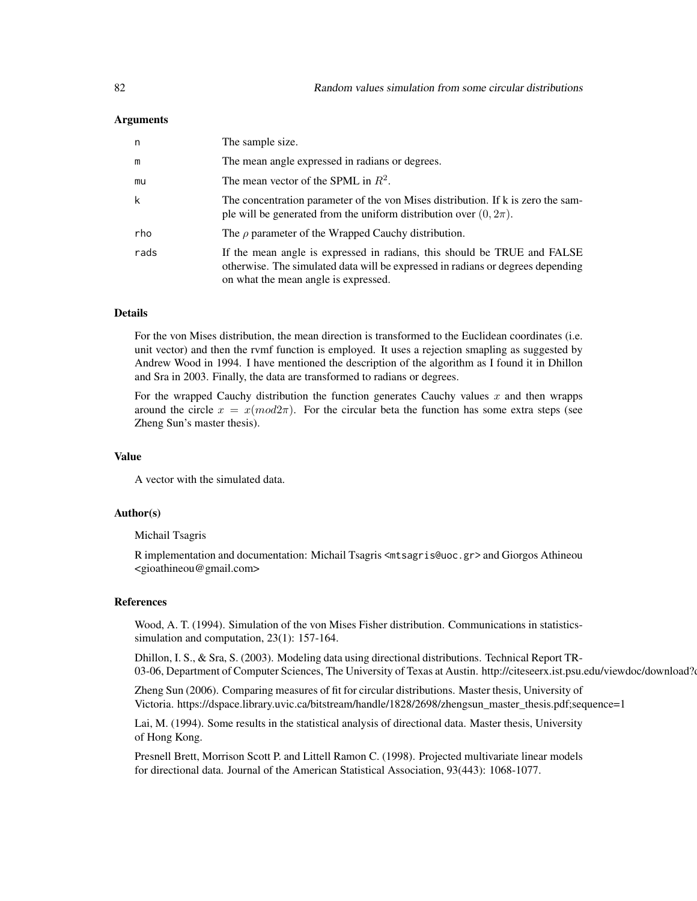| n    | The sample size.                                                                                                                                                                                    |
|------|-----------------------------------------------------------------------------------------------------------------------------------------------------------------------------------------------------|
| m    | The mean angle expressed in radians or degrees.                                                                                                                                                     |
| mu   | The mean vector of the SPML in $R^2$ .                                                                                                                                                              |
| k    | The concentration parameter of the von Mises distribution. If k is zero the sam-<br>ple will be generated from the uniform distribution over $(0, 2\pi)$ .                                          |
| rho  | The $\rho$ parameter of the Wrapped Cauchy distribution.                                                                                                                                            |
| rads | If the mean angle is expressed in radians, this should be TRUE and FALSE<br>otherwise. The simulated data will be expressed in radians or degrees depending<br>on what the mean angle is expressed. |

# Details

For the von Mises distribution, the mean direction is transformed to the Euclidean coordinates (i.e. unit vector) and then the rvmf function is employed. It uses a rejection smapling as suggested by Andrew Wood in 1994. I have mentioned the description of the algorithm as I found it in Dhillon and Sra in 2003. Finally, the data are transformed to radians or degrees.

For the wrapped Cauchy distribution the function generates Cauchy values  $x$  and then wrapps around the circle  $x = x \pmod{2\pi}$ . For the circular beta the function has some extra steps (see Zheng Sun's master thesis).

# Value

A vector with the simulated data.

# Author(s)

Michail Tsagris

R implementation and documentation: Michail Tsagris <mtsagris@uoc.gr> and Giorgos Athineou <gioathineou@gmail.com>

# References

Wood, A. T. (1994). Simulation of the von Mises Fisher distribution. Communications in statisticssimulation and computation, 23(1): 157-164.

Dhillon, I. S., & Sra, S. (2003). Modeling data using directional distributions. Technical Report TR-03-06, Department of Computer Sciences, The University of Texas at Austin. http://citeseerx.ist.psu.edu/viewdoc/download?

Zheng Sun (2006). Comparing measures of fit for circular distributions. Master thesis, University of Victoria. https://dspace.library.uvic.ca/bitstream/handle/1828/2698/zhengsun\_master\_thesis.pdf;sequence=1

Lai, M. (1994). Some results in the statistical analysis of directional data. Master thesis, University of Hong Kong.

Presnell Brett, Morrison Scott P. and Littell Ramon C. (1998). Projected multivariate linear models for directional data. Journal of the American Statistical Association, 93(443): 1068-1077.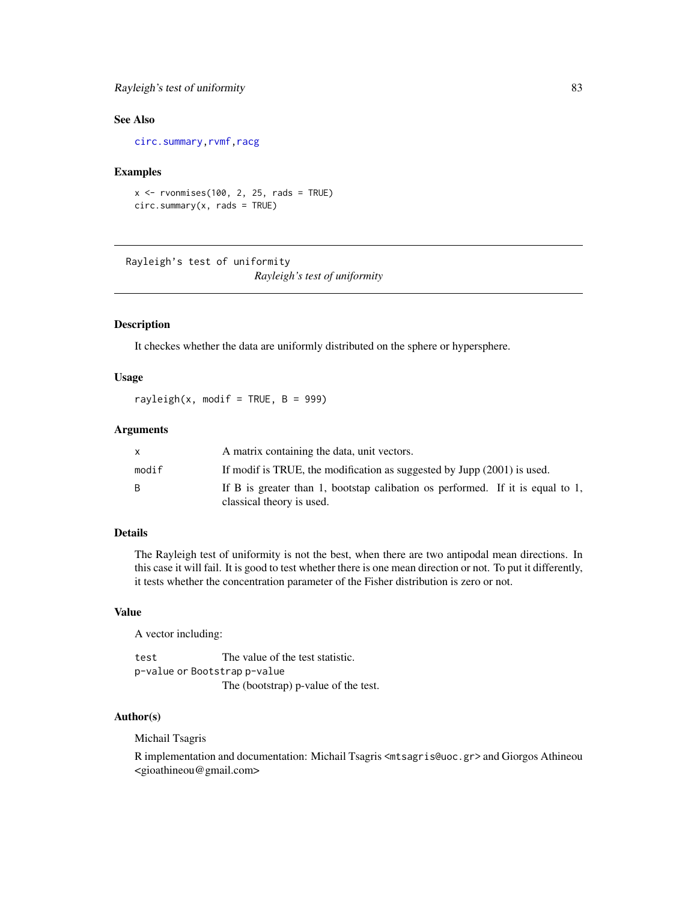# Rayleigh's test of uniformity 83

# See Also

[circ.summary](#page-103-0)[,rvmf](#page-97-0)[,racg](#page-5-0)

## Examples

```
x \le -rvonmises(100, 2, 25, rads = TRUE)
circ.summary(x, rads = TRUE)
```
Rayleigh's test of uniformity *Rayleigh's test of uniformity*

# <span id="page-82-0"></span>Description

It checkes whether the data are uniformly distributed on the sphere or hypersphere.

# Usage

rayleigh(x, modif = TRUE,  $B = 999$ )

## Arguments

|       | A matrix containing the data, unit vectors.                                    |
|-------|--------------------------------------------------------------------------------|
| modif | If modif is TRUE, the modification as suggested by Jupp (2001) is used.        |
| B.    | If B is greater than 1, bootstap calibation os performed. If it is equal to 1, |
|       | classical theory is used.                                                      |

# Details

The Rayleigh test of uniformity is not the best, when there are two antipodal mean directions. In this case it will fail. It is good to test whether there is one mean direction or not. To put it differently, it tests whether the concentration parameter of the Fisher distribution is zero or not.

#### Value

A vector including:

test The value of the test statistic. p-value or Bootstrap p-value The (bootstrap) p-value of the test.

## Author(s)

Michail Tsagris

R implementation and documentation: Michail Tsagris <mtsagris@uoc.gr> and Giorgos Athineou <gioathineou@gmail.com>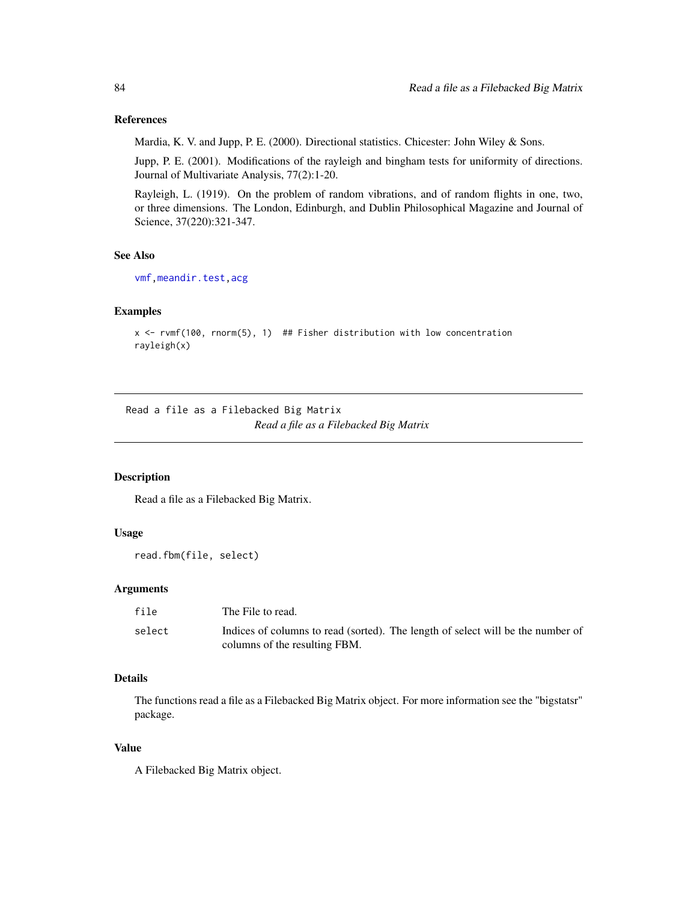## References

Mardia, K. V. and Jupp, P. E. (2000). Directional statistics. Chicester: John Wiley & Sons.

Jupp, P. E. (2001). Modifications of the rayleigh and bingham tests for uniformity of directions. Journal of Multivariate Analysis, 77(2):1-20.

Rayleigh, L. (1919). On the problem of random vibrations, and of random flights in one, two, or three dimensions. The London, Edinburgh, and Dublin Philosophical Magazine and Journal of Science, 37(220):321-347.

#### See Also

```
vmf,meandir.test,acg
```
## Examples

```
x \le rvmf(100, rnorm(5), 1) ## Fisher distribution with low concentration
rayleigh(x)
```
Read a file as a Filebacked Big Matrix *Read a file as a Filebacked Big Matrix*

### Description

Read a file as a Filebacked Big Matrix.

## Usage

```
read.fbm(file, select)
```
# Arguments

| file   | The File to read.                                                                                                |
|--------|------------------------------------------------------------------------------------------------------------------|
| select | Indices of columns to read (sorted). The length of select will be the number of<br>columns of the resulting FBM. |

# Details

The functions read a file as a Filebacked Big Matrix object. For more information see the "bigstatsr" package.

#### Value

A Filebacked Big Matrix object.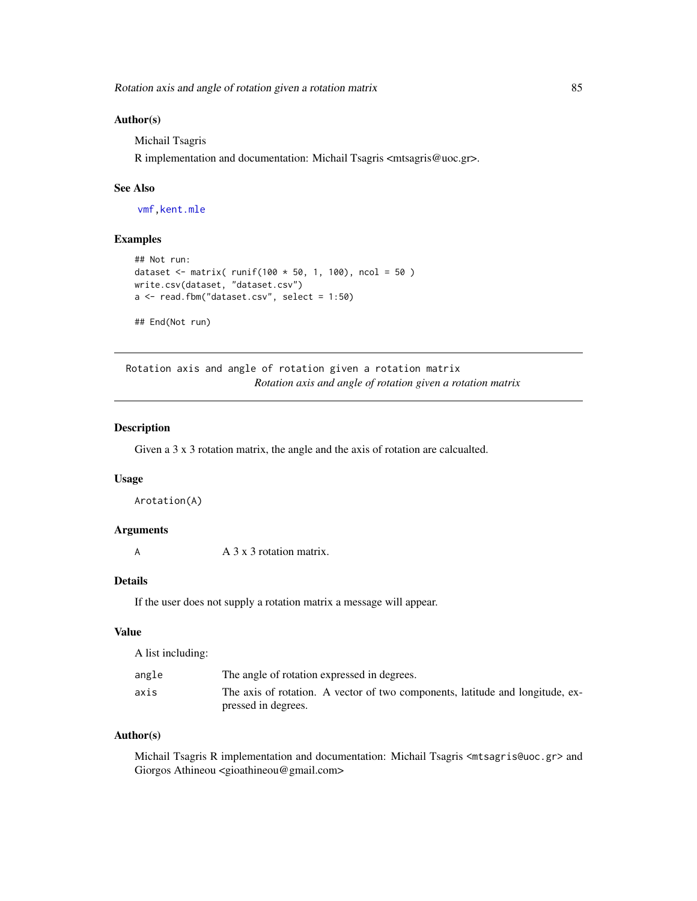## Author(s)

Michail Tsagris

R implementation and documentation: Michail Tsagris <mtsagris@uoc.gr>.

## See Also

[vmf,](#page-57-0)[kent.mle](#page-65-0)

## Examples

```
## Not run:
dataset <- matrix( runif(100 * 50, 1, 100), ncol = 50)
write.csv(dataset, "dataset.csv")
a \le read.fbm("dataset.csv", select = 1:50)
## End(Not run)
```
Rotation axis and angle of rotation given a rotation matrix *Rotation axis and angle of rotation given a rotation matrix*

# <span id="page-84-0"></span>Description

Given a 3 x 3 rotation matrix, the angle and the axis of rotation are calcualted.

#### Usage

Arotation(A)

#### Arguments

A A 3 x 3 rotation matrix.

# Details

If the user does not supply a rotation matrix a message will appear.

# Value

A list including:

| angle | The angle of rotation expressed in degrees.                                   |
|-------|-------------------------------------------------------------------------------|
| axis  | The axis of rotation. A vector of two components, latitude and longitude, ex- |
|       | pressed in degrees.                                                           |

## Author(s)

Michail Tsagris R implementation and documentation: Michail Tsagris <mtsagris@uoc.gr> and Giorgos Athineou <gioathineou@gmail.com>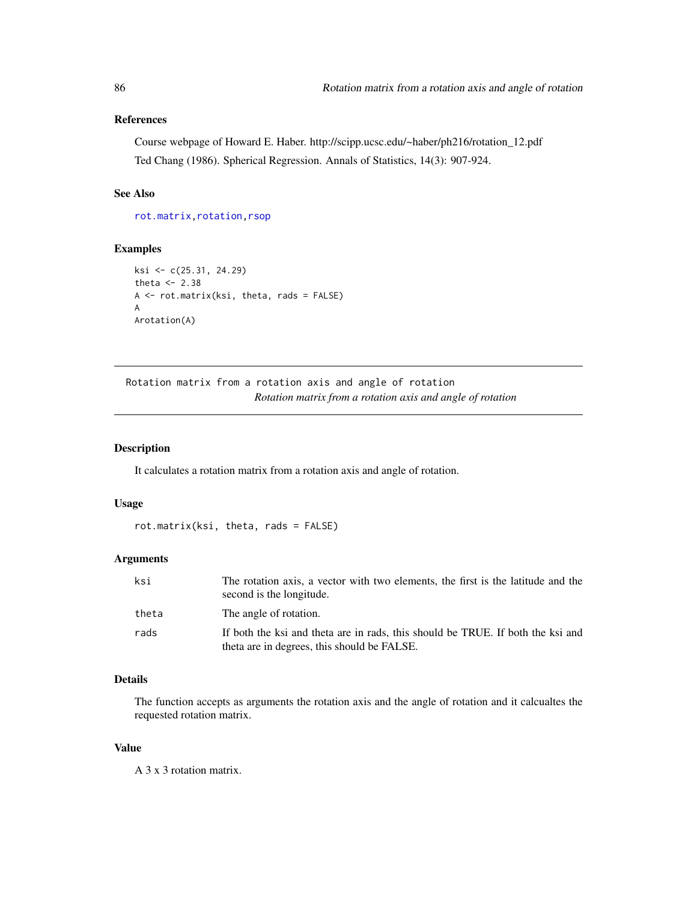# References

Course webpage of Howard E. Haber. http://scipp.ucsc.edu/~haber/ph216/rotation\_12.pdf Ted Chang (1986). Spherical Regression. Annals of Statistics, 14(3): 907-924.

# See Also

[rot.matrix](#page-85-0)[,rotation,](#page-87-0)[rsop](#page-78-0)

# Examples

```
ksi <- c(25.31, 24.29)
theta <-2.38A <- rot.matrix(ksi, theta, rads = FALSE)
A
Arotation(A)
```
Rotation matrix from a rotation axis and angle of rotation *Rotation matrix from a rotation axis and angle of rotation*

# <span id="page-85-0"></span>Description

It calculates a rotation matrix from a rotation axis and angle of rotation.

### Usage

```
rot.matrix(ksi, theta, rads = FALSE)
```
#### Arguments

| ksi   | The rotation axis, a vector with two elements, the first is the latitude and the<br>second is the longitude.                   |
|-------|--------------------------------------------------------------------------------------------------------------------------------|
| theta | The angle of rotation.                                                                                                         |
| rads  | If both the ksi and theta are in rads, this should be TRUE. If both the ksi and<br>theta are in degrees, this should be FALSE. |

# Details

The function accepts as arguments the rotation axis and the angle of rotation and it calcualtes the requested rotation matrix.

#### Value

A 3 x 3 rotation matrix.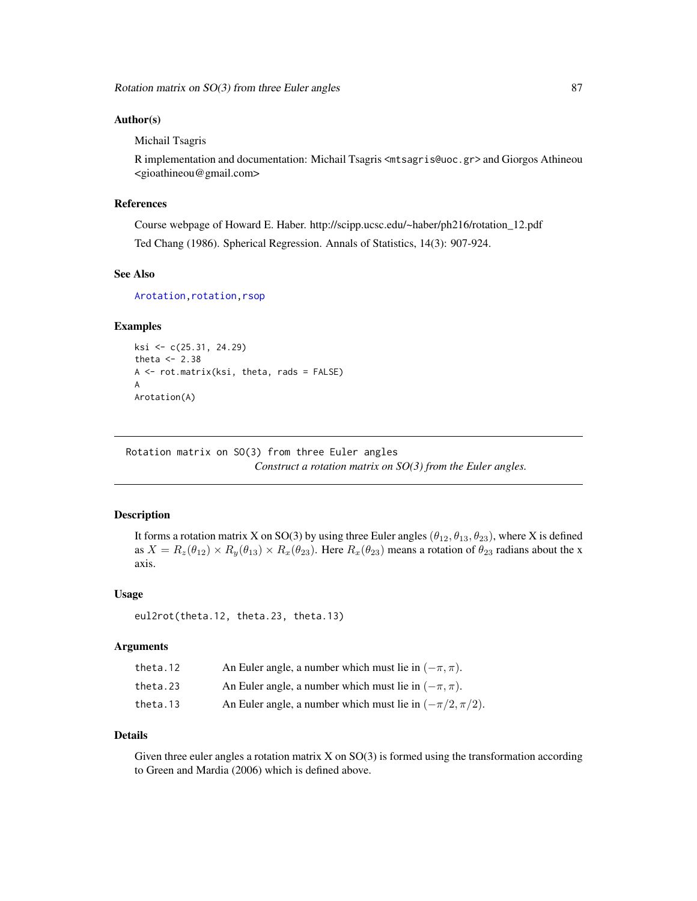## Author(s)

Michail Tsagris

R implementation and documentation: Michail Tsagris <mtsagris@uoc.gr> and Giorgos Athineou <gioathineou@gmail.com>

## References

Course webpage of Howard E. Haber. http://scipp.ucsc.edu/~haber/ph216/rotation\_12.pdf Ted Chang (1986). Spherical Regression. Annals of Statistics, 14(3): 907-924.

# See Also

[Arotation](#page-84-0), rotation, rsop

## Examples

```
ksi <- c(25.31, 24.29)
theta <-2.38A <- rot.matrix(ksi, theta, rads = FALSE)
A
Arotation(A)
```
Rotation matrix on SO(3) from three Euler angles *Construct a rotation matrix on SO(3) from the Euler angles.*

# Description

It forms a rotation matrix X on SO(3) by using three Euler angles  $(\theta_{12}, \theta_{13}, \theta_{23})$ , where X is defined as  $X = R_z(\theta_{12}) \times R_y(\theta_{13}) \times R_x(\theta_{23})$ . Here  $R_x(\theta_{23})$  means a rotation of  $\theta_{23}$  radians about the x axis.

#### Usage

```
eul2rot(theta.12, theta.23, theta.13)
```
## Arguments

| theta.12 | An Euler angle, a number which must lie in $(-\pi, \pi)$ .     |
|----------|----------------------------------------------------------------|
| theta.23 | An Euler angle, a number which must lie in $(-\pi, \pi)$ .     |
| theta.13 | An Euler angle, a number which must lie in $(-\pi/2, \pi/2)$ . |

## Details

Given three euler angles a rotation matrix  $X$  on  $SO(3)$  is formed using the transformation according to Green and Mardia (2006) which is defined above.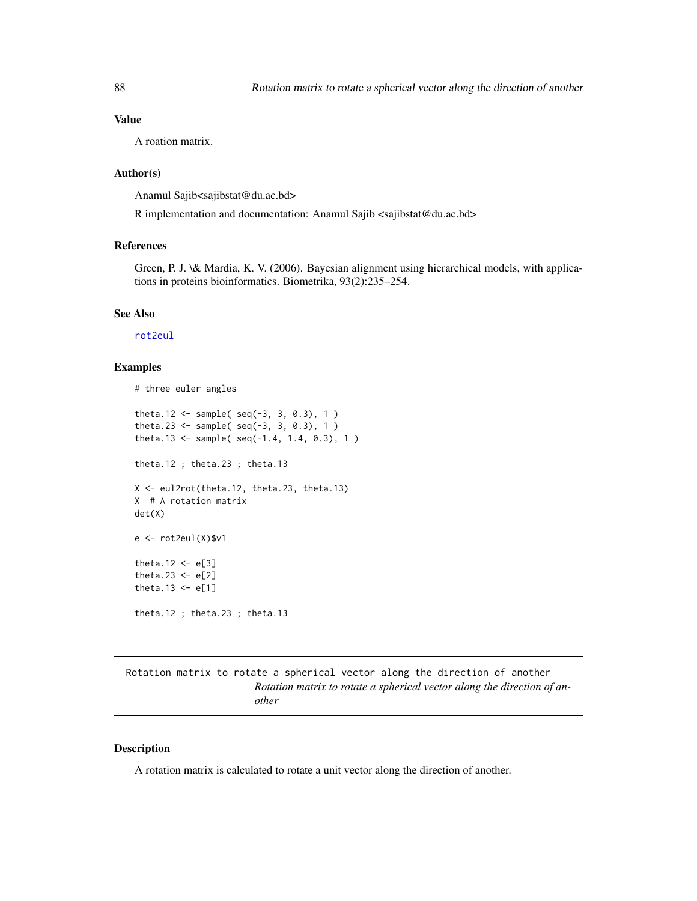# Value

A roation matrix.

# Author(s)

Anamul Sajib<sajibstat@du.ac.bd>

R implementation and documentation: Anamul Sajib <sajibstat@du.ac.bd>

#### References

Green, P. J. \& Mardia, K. V. (2006). Bayesian alignment using hierarchical models, with applications in proteins bioinformatics. Biometrika, 93(2):235–254.

## See Also

[rot2eul](#page-38-0)

## Examples

```
# three euler angles
theta.12 <- sample(seq(-3, 3, 0.3), 1)theta.23 <- sample( seq(-3, 3, 0.3), 1)
theta.13 <- sample(seq(-1.4, 1.4, 0.3), 1)theta.12 ; theta.23 ; theta.13
X <- eul2rot(theta.12, theta.23, theta.13)
X # A rotation matrix
det(X)
e <- rot2eul(X)$v1
theta.12 \leftarrow e[3]
theta.23 \leftarrow e[2]
theta.13 \leftarrow e[1]
theta.12 ; theta.23 ; theta.13
```
Rotation matrix to rotate a spherical vector along the direction of another *Rotation matrix to rotate a spherical vector along the direction of another*

#### <span id="page-87-0"></span>Description

A rotation matrix is calculated to rotate a unit vector along the direction of another.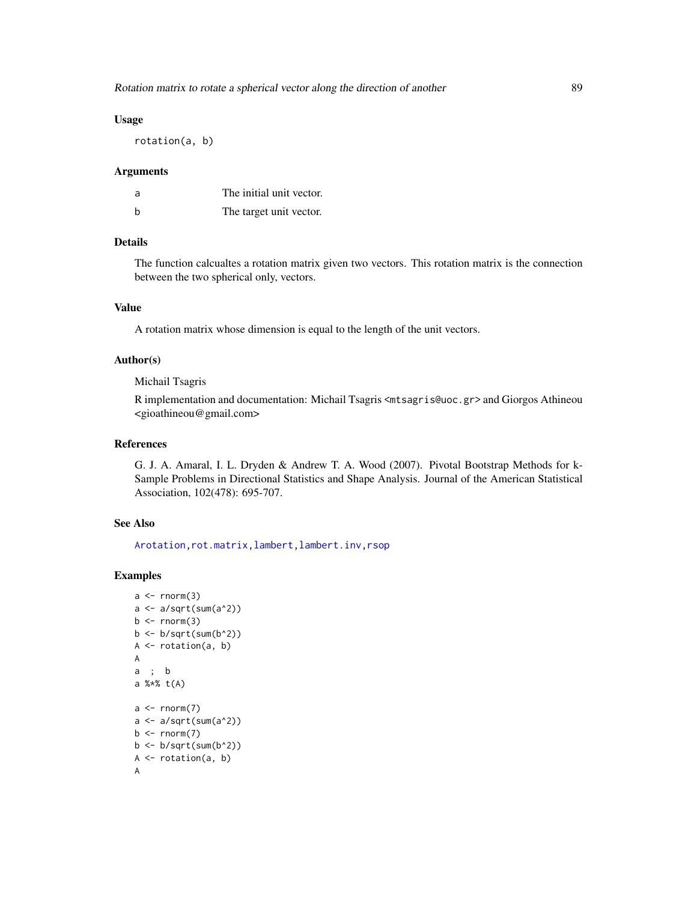## Usage

rotation(a, b)

#### Arguments

| a | The initial unit vector. |
|---|--------------------------|
| b | The target unit vector.  |

#### Details

The function calcualtes a rotation matrix given two vectors. This rotation matrix is the connection between the two spherical only, vectors.

# Value

A rotation matrix whose dimension is equal to the length of the unit vectors.

#### Author(s)

Michail Tsagris

R implementation and documentation: Michail Tsagris <mtsagris@uoc.gr> and Giorgos Athineou <gioathineou@gmail.com>

# References

G. J. A. Amaral, I. L. Dryden & Andrew T. A. Wood (2007). Pivotal Bootstrap Methods for k-Sample Problems in Directional Statistics and Shape Analysis. Journal of the American Statistical Association, 102(478): 695-707.

## See Also

[Arotation](#page-84-0)[,rot.matrix,](#page-85-0)[lambert,](#page-53-0)[lambert.inv,](#page-48-0)[rsop](#page-78-0)

## Examples

```
a \leftarrow \text{norm}(3)a \leftarrow a/\sqrt{sqrt(sum(a^2))}b \le rnorm(3)
b \leftarrow b/\sqrt{sqrt(sum(b^2))}A <- rotation(a, b)
A
a ; b
a %*% t(A)
a \leftarrow \text{norm}(7)a \leftarrow a/sqrt(sum(a^2))b \leq -rnorm(7)b \leftarrow b/sqrt(sum(b^2))A \leftarrow \text{rotation}(a, b)A
```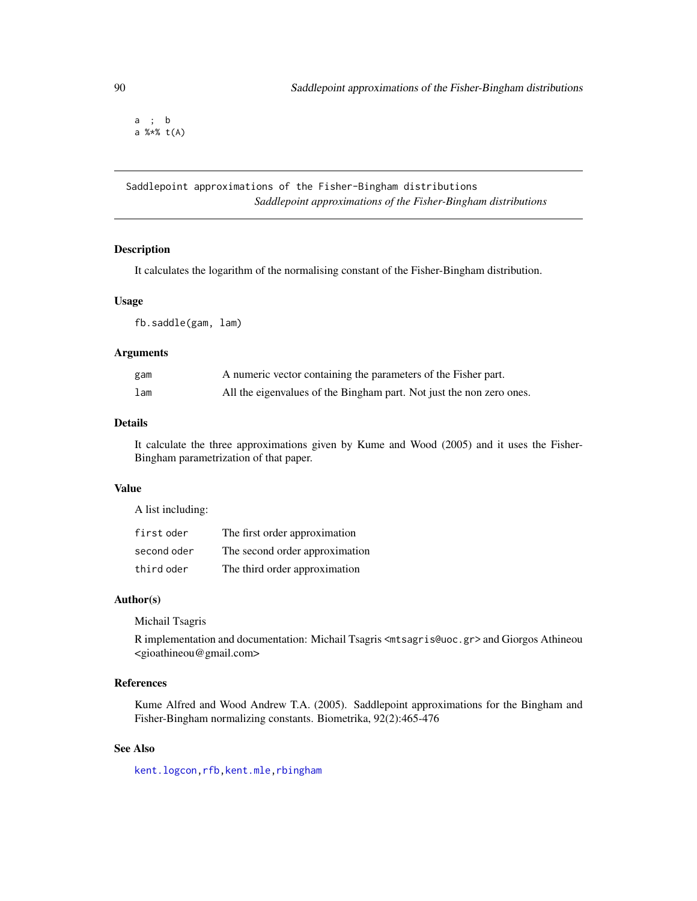a ; b a %\*% t(A)

Saddlepoint approximations of the Fisher-Bingham distributions *Saddlepoint approximations of the Fisher-Bingham distributions*

# Description

It calculates the logarithm of the normalising constant of the Fisher-Bingham distribution.

## Usage

fb.saddle(gam, lam)

#### Arguments

| gam | A numeric vector containing the parameters of the Fisher part.       |
|-----|----------------------------------------------------------------------|
| lam | All the eigenvalues of the Bingham part. Not just the non zero ones. |

#### Details

It calculate the three approximations given by Kume and Wood (2005) and it uses the Fisher-Bingham parametrization of that paper.

# Value

A list including:

| first oder  | The first order approximation  |
|-------------|--------------------------------|
| second oder | The second order approximation |
| third oder  | The third order approximation  |

## Author(s)

Michail Tsagris

R implementation and documentation: Michail Tsagris <mtsagris@uoc.gr> and Giorgos Athineou <gioathineou@gmail.com>

# References

Kume Alfred and Wood Andrew T.A. (2005). Saddlepoint approximations for the Bingham and Fisher-Bingham normalizing constants. Biometrika, 92(2):465-476

# See Also

[kent.logcon](#page-54-0)[,rfb](#page-94-0)[,kent.mle,](#page-65-0)[rbingham](#page-90-0)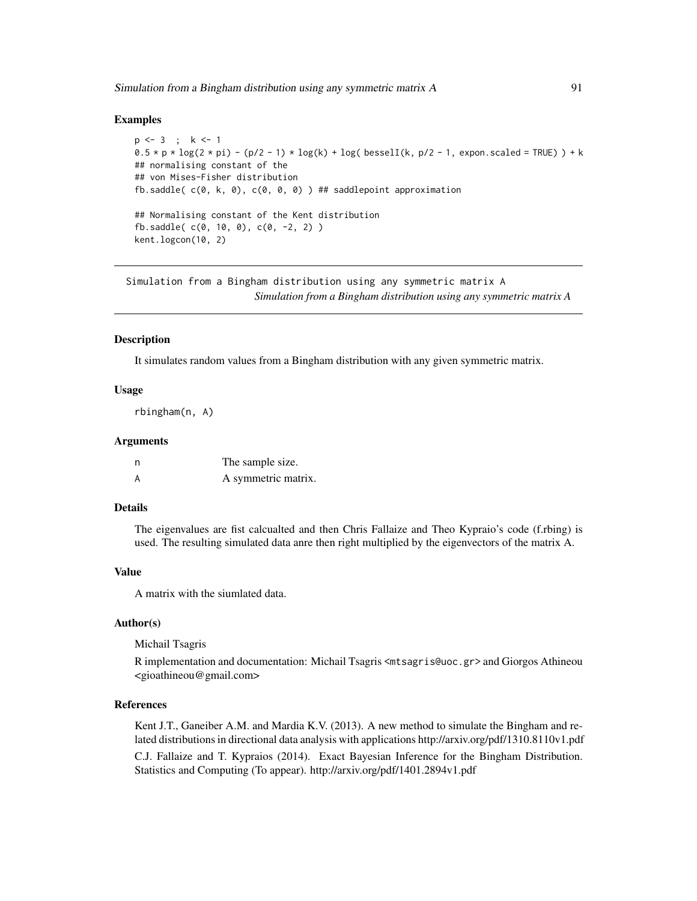## Examples

```
p <- 3 ; k <- 1
0.5 \times p \times \log(2 \times pi) - (p/2 - 1) \times \log(k) + \log(k) bessell(k, p/2 - 1, expon.scaled = TRUE)) + k
## normalising constant of the
## von Mises-Fisher distribution
fb.saddle(c(\emptyset, k, \emptyset), c(\emptyset, \emptyset, \emptyset)) ## saddlepoint approximation
## Normalising constant of the Kent distribution
fb.saddle( c(0, 10, 0), c(0, -2, 2) )
kent.logcon(10, 2)
```
Simulation from a Bingham distribution using any symmetric matrix A *Simulation from a Bingham distribution using any symmetric matrix A*

#### <span id="page-90-0"></span>Description

It simulates random values from a Bingham distribution with any given symmetric matrix.

## Usage

rbingham(n, A)

## Arguments

| n | The sample size.    |
|---|---------------------|
| А | A symmetric matrix. |

# Details

The eigenvalues are fist calcualted and then Chris Fallaize and Theo Kypraio's code (f.rbing) is used. The resulting simulated data anre then right multiplied by the eigenvectors of the matrix A.

#### Value

A matrix with the siumlated data.

## Author(s)

Michail Tsagris

R implementation and documentation: Michail Tsagris <mtsagris@uoc.gr> and Giorgos Athineou <gioathineou@gmail.com>

## References

Kent J.T., Ganeiber A.M. and Mardia K.V. (2013). A new method to simulate the Bingham and related distributions in directional data analysis with applications http://arxiv.org/pdf/1310.8110v1.pdf C.J. Fallaize and T. Kypraios (2014). Exact Bayesian Inference for the Bingham Distribution. Statistics and Computing (To appear). http://arxiv.org/pdf/1401.2894v1.pdf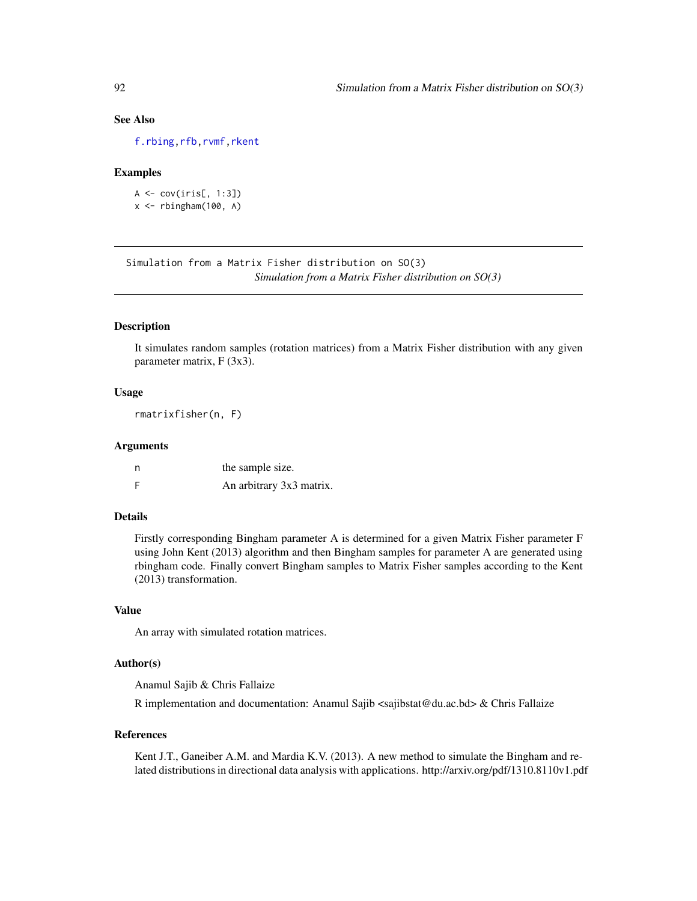# See Also

[f.rbing](#page-92-0)[,rfb](#page-94-0)[,rvmf](#page-97-0)[,rkent](#page-95-0)

## Examples

```
A \leftarrow cov(iris[, 1:3])x \leftarrow rbingham(100, A)
```
Simulation from a Matrix Fisher distribution on SO(3) *Simulation from a Matrix Fisher distribution on SO(3)*

# Description

It simulates random samples (rotation matrices) from a Matrix Fisher distribution with any given parameter matrix, F (3x3).

## Usage

rmatrixfisher(n, F)

#### Arguments

| n | the sample size.         |
|---|--------------------------|
| F | An arbitrary 3x3 matrix. |

## Details

Firstly corresponding Bingham parameter A is determined for a given Matrix Fisher parameter F using John Kent (2013) algorithm and then Bingham samples for parameter A are generated using rbingham code. Finally convert Bingham samples to Matrix Fisher samples according to the Kent (2013) transformation.

## Value

An array with simulated rotation matrices.

## Author(s)

Anamul Sajib & Chris Fallaize

R implementation and documentation: Anamul Sajib  $\langle$ sajibstat@du.ac.bd> & Chris Fallaize

#### References

Kent J.T., Ganeiber A.M. and Mardia K.V. (2013). A new method to simulate the Bingham and related distributions in directional data analysis with applications. http://arxiv.org/pdf/1310.8110v1.pdf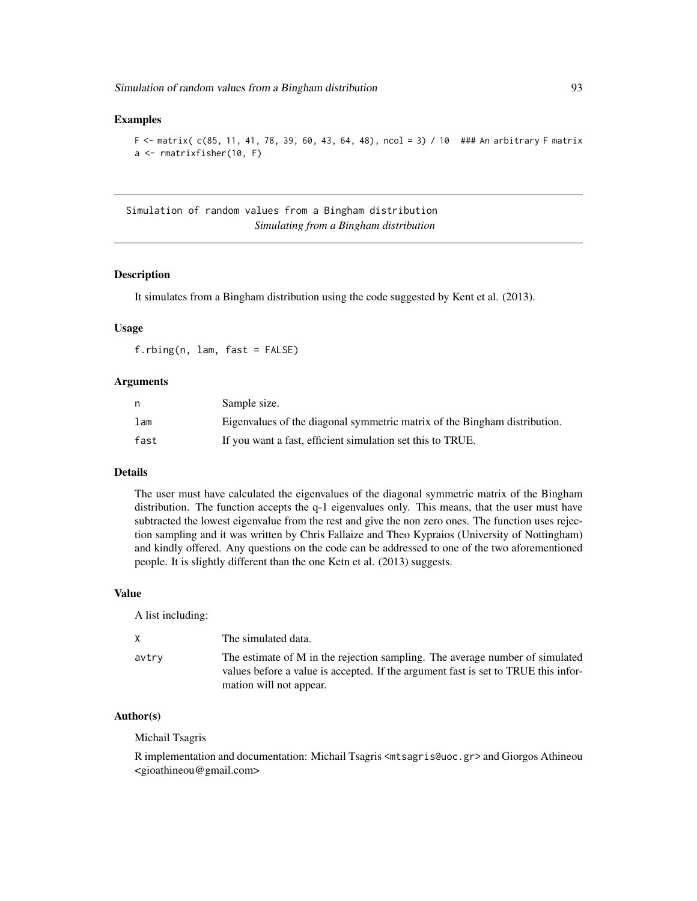## Examples

```
F \le matrix( c(85, 11, 41, 78, 39, 60, 43, 64, 48), ncol = 3) / 10 ### An arbitrary F matrix
a <- rmatrixfisher(10, F)
```
Simulation of random values from a Bingham distribution *Simulating from a Bingham distribution*

# <span id="page-92-0"></span>Description

It simulates from a Bingham distribution using the code suggested by Kent et al. (2013).

## Usage

f.rbing(n, lam, fast = FALSE)

#### Arguments

| n    | Sample size.                                                              |
|------|---------------------------------------------------------------------------|
| lam  | Eigenvalues of the diagonal symmetric matrix of the Bingham distribution. |
| fast | If you want a fast, efficient simulation set this to TRUE.                |

#### Details

The user must have calculated the eigenvalues of the diagonal symmetric matrix of the Bingham distribution. The function accepts the q-1 eigenvalues only. This means, that the user must have subtracted the lowest eigenvalue from the rest and give the non zero ones. The function uses rejection sampling and it was written by Chris Fallaize and Theo Kypraios (University of Nottingham) and kindly offered. Any questions on the code can be addressed to one of the two aforementioned people. It is slightly different than the one Ketn et al. (2013) suggests.

# Value

A list including:

| X     | The simulated data.                                                                                                                                                                           |
|-------|-----------------------------------------------------------------------------------------------------------------------------------------------------------------------------------------------|
| avtry | The estimate of M in the rejection sampling. The average number of simulated<br>values before a value is accepted. If the argument fast is set to TRUE this infor-<br>mation will not appear. |

## Author(s)

Michail Tsagris

R implementation and documentation: Michail Tsagris <mtsagris@uoc.gr> and Giorgos Athineou <gioathineou@gmail.com>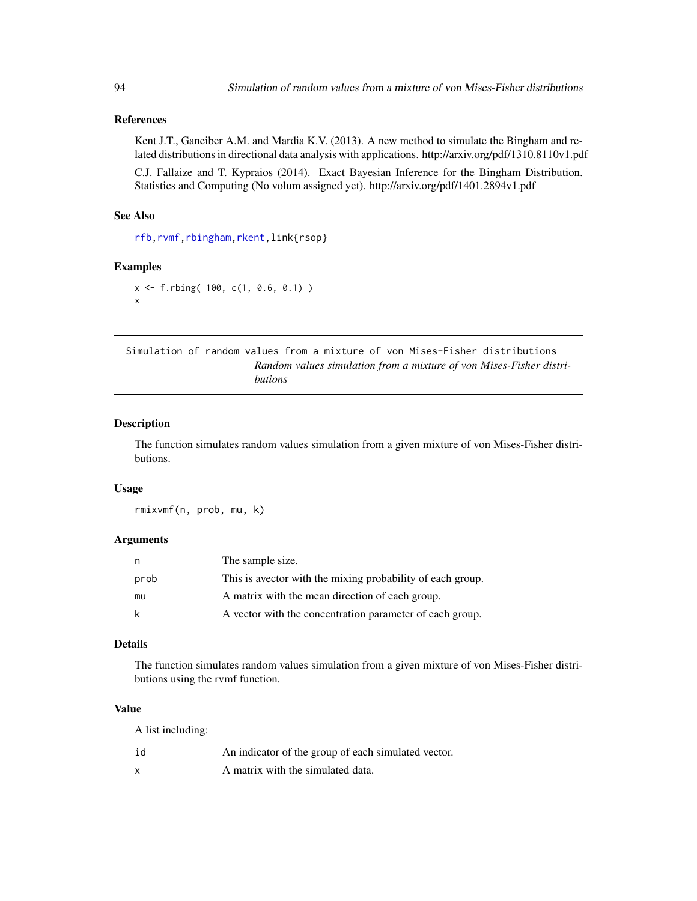# References

Kent J.T., Ganeiber A.M. and Mardia K.V. (2013). A new method to simulate the Bingham and related distributions in directional data analysis with applications. http://arxiv.org/pdf/1310.8110v1.pdf

C.J. Fallaize and T. Kypraios (2014). Exact Bayesian Inference for the Bingham Distribution. Statistics and Computing (No volum assigned yet). http://arxiv.org/pdf/1401.2894v1.pdf

## See Also

[rfb](#page-94-0)[,rvmf](#page-97-0)[,rbingham](#page-90-0)[,rkent,](#page-95-0)link{rsop}

#### Examples

```
x <- f.rbing( 100, c(1, 0.6, 0.1) )
x
```
Simulation of random values from a mixture of von Mises-Fisher distributions *Random values simulation from a mixture of von Mises-Fisher distributions*

#### <span id="page-93-0"></span>Description

The function simulates random values simulation from a given mixture of von Mises-Fisher distributions.

#### Usage

rmixvmf(n, prob, mu, k)

## Arguments

| n.   | The sample size.                                           |
|------|------------------------------------------------------------|
| prob | This is avector with the mixing probability of each group. |
| mu   | A matrix with the mean direction of each group.            |
| -k   | A vector with the concentration parameter of each group.   |

# Details

The function simulates random values simulation from a given mixture of von Mises-Fisher distributions using the rvmf function.

#### Value

A list including:

| id | An indicator of the group of each simulated vector. |
|----|-----------------------------------------------------|
|    | A matrix with the simulated data.                   |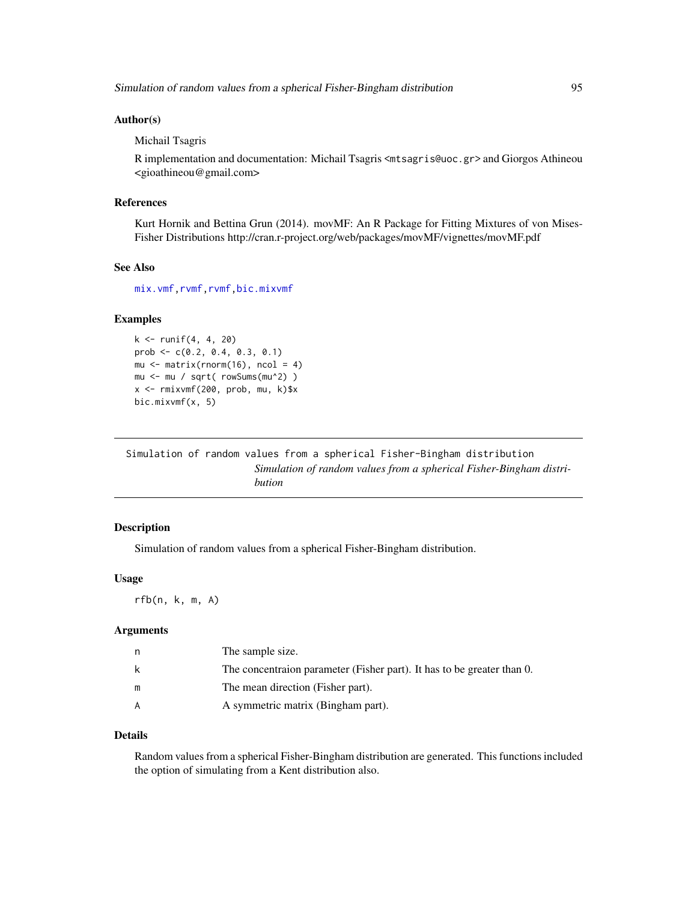## Author(s)

Michail Tsagris

R implementation and documentation: Michail Tsagris <mtsagris@uoc.gr> and Giorgos Athineou <gioathineou@gmail.com>

## References

Kurt Hornik and Bettina Grun (2014). movMF: An R Package for Fitting Mixtures of von Mises-Fisher Distributions http://cran.r-project.org/web/packages/movMF/vignettes/movMF.pdf

## See Also

[mix.vmf](#page-56-0)[,rvmf,rvmf](#page-97-0)[,bic.mixvmf](#page-9-0)

# Examples

```
k \le runif(4, 4, 20)
prob \leq -c(0.2, 0.4, 0.3, 0.1)mu \leq matrix(rnorm(16), ncol = 4)
mu <- mu / sqrt( rowSums(mu^2) )
x <- rmixvmf(200, prob, mu, k)$x
bic.mixvmf(x, 5)
```
Simulation of random values from a spherical Fisher-Bingham distribution *Simulation of random values from a spherical Fisher-Bingham distribution*

## <span id="page-94-0"></span>Description

Simulation of random values from a spherical Fisher-Bingham distribution.

## Usage

rfb(n, k, m, A)

#### Arguments

| n | The sample size.                                                       |
|---|------------------------------------------------------------------------|
| k | The concentraion parameter (Fisher part). It has to be greater than 0. |
| m | The mean direction (Fisher part).                                      |
| A | A symmetric matrix (Bingham part).                                     |

#### Details

Random values from a spherical Fisher-Bingham distribution are generated. This functions included the option of simulating from a Kent distribution also.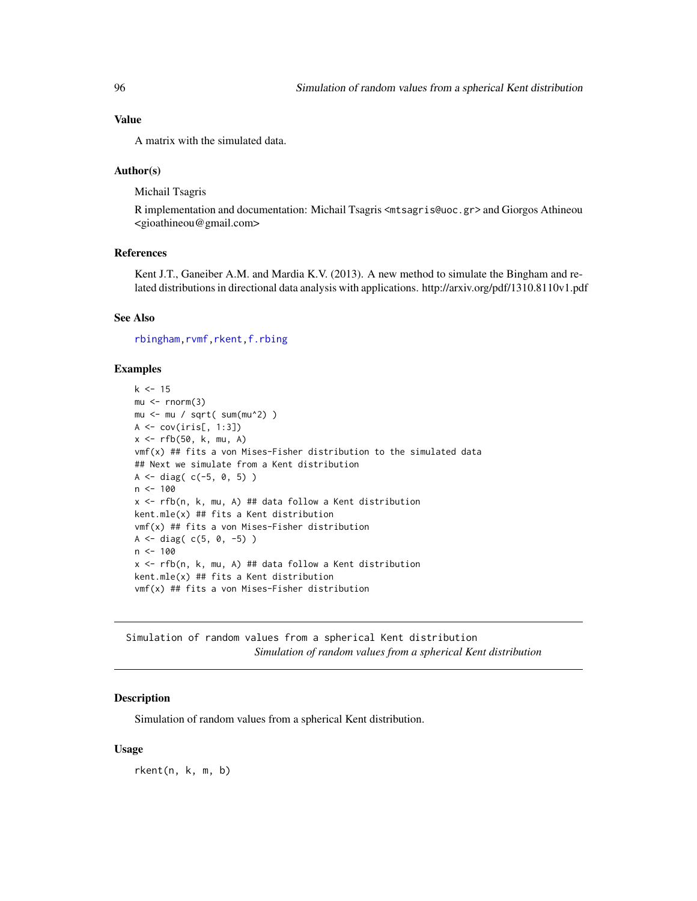## Value

A matrix with the simulated data.

## Author(s)

Michail Tsagris

R implementation and documentation: Michail Tsagris <mtsagris@uoc.gr> and Giorgos Athineou <gioathineou@gmail.com>

# References

Kent J.T., Ganeiber A.M. and Mardia K.V. (2013). A new method to simulate the Bingham and related distributions in directional data analysis with applications. http://arxiv.org/pdf/1310.8110v1.pdf

## See Also

[rbingham](#page-90-0)[,rvmf](#page-97-0)[,rkent,](#page-95-0)[f.rbing](#page-92-0)

## Examples

```
k < -15mu < -rnorm(3)mu <- mu / sqrt( sum(mu^2) )
A <- cov(iris[, 1:3])
x \leftarrow rfb(50, k, mu, A)vmf(x) ## fits a von Mises-Fisher distribution to the simulated data
## Next we simulate from a Kent distribution
A \leq - diag( c(-5, 0, 5) )
n < -100x <- rfb(n, k, mu, A) ## data follow a Kent distribution
kent.mle(x) ## fits a Kent distribution
vmf(x) ## fits a von Mises-Fisher distribution
A \leq -diag(c(5, 0, -5))n < - 100x \leq rfb(n, k, mu, A) ## data follow a Kent distribution
kent.mle(x) ## fits a Kent distribution
vmf(x) ## fits a von Mises-Fisher distribution
```
Simulation of random values from a spherical Kent distribution *Simulation of random values from a spherical Kent distribution*

## <span id="page-95-0"></span>Description

Simulation of random values from a spherical Kent distribution.

## Usage

rkent(n, k, m, b)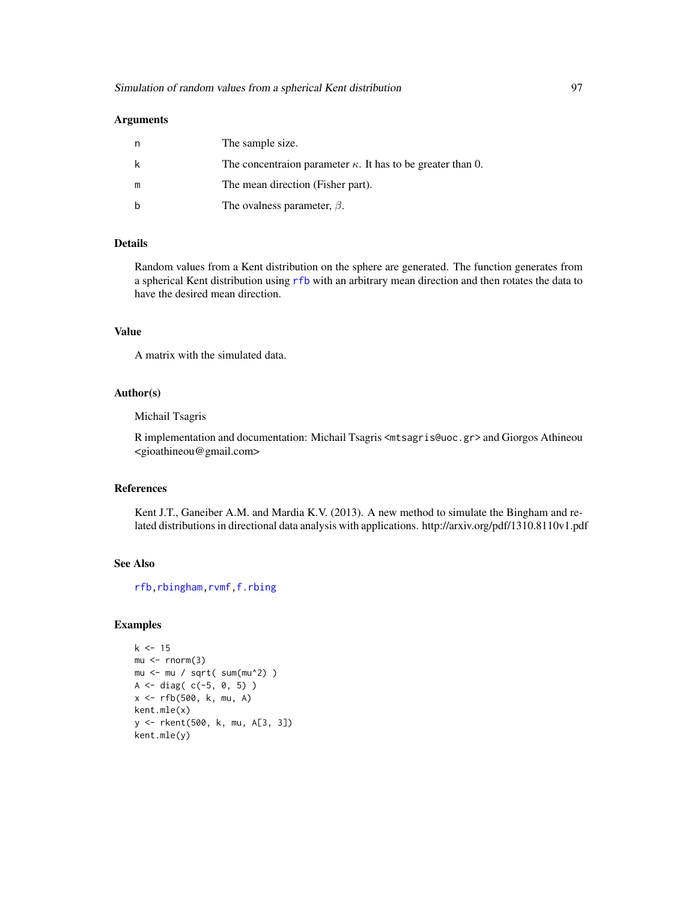| The sample size.                                                    |
|---------------------------------------------------------------------|
| The concentration parameter $\kappa$ . It has to be greater than 0. |
| The mean direction (Fisher part).                                   |
| The ovalness parameter, $\beta$ .                                   |

## Details

Random values from a Kent distribution on the sphere are generated. The function generates from a spherical Kent distribution using [rfb](#page-94-0) with an arbitrary mean direction and then rotates the data to have the desired mean direction.

# Value

A matrix with the simulated data.

# Author(s)

Michail Tsagris

R implementation and documentation: Michail Tsagris <mtsagris@uoc.gr> and Giorgos Athineou <gioathineou@gmail.com>

# References

Kent J.T., Ganeiber A.M. and Mardia K.V. (2013). A new method to simulate the Bingham and related distributions in directional data analysis with applications. http://arxiv.org/pdf/1310.8110v1.pdf

# See Also

[rfb](#page-94-0)[,rbingham](#page-90-0)[,rvmf](#page-97-0)[,f.rbing](#page-92-0)

# Examples

```
k < -15mu < -rnorm(3)mu \leq mu / sqrt( sum(mu^2) )
A <- diag( c(-5, 0, 5) )
x <- rfb(500, k, mu, A)
kent.mle(x)
y <- rkent(500, k, mu, A[3, 3])
kent.mle(y)
```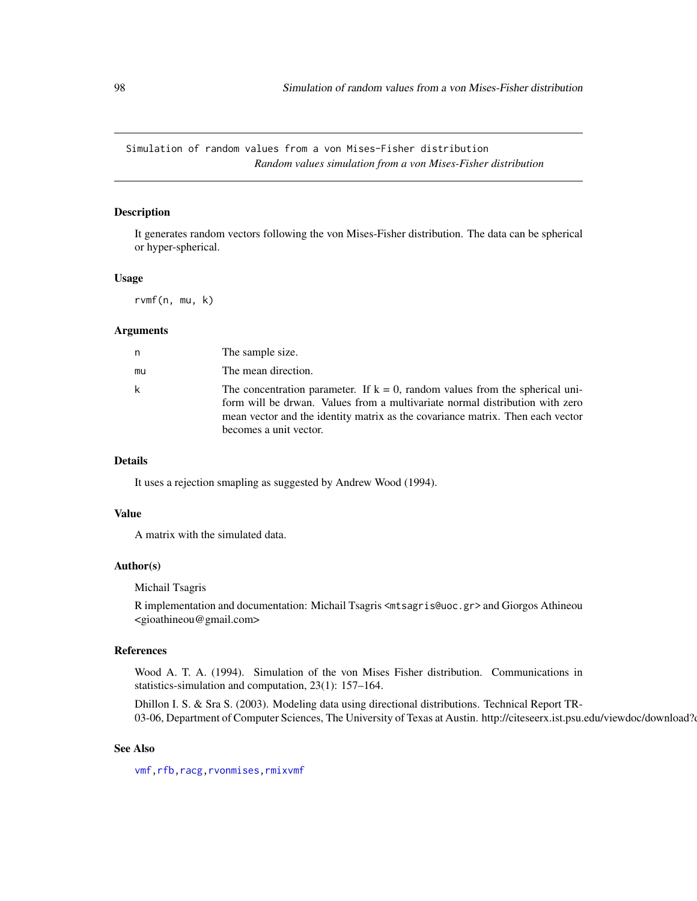Simulation of random values from a von Mises-Fisher distribution *Random values simulation from a von Mises-Fisher distribution*

# <span id="page-97-0"></span>Description

It generates random vectors following the von Mises-Fisher distribution. The data can be spherical or hyper-spherical.

#### Usage

rvmf(n, mu, k)

# Arguments

| n  | The sample size.                                                                                                                                                                                                                                                            |
|----|-----------------------------------------------------------------------------------------------------------------------------------------------------------------------------------------------------------------------------------------------------------------------------|
| mu | The mean direction.                                                                                                                                                                                                                                                         |
| k  | The concentration parameter. If $k = 0$ , random values from the spherical uni-<br>form will be drwan. Values from a multivariate normal distribution with zero<br>mean vector and the identity matrix as the covariance matrix. Then each vector<br>becomes a unit vector. |

#### Details

It uses a rejection smapling as suggested by Andrew Wood (1994).

# Value

A matrix with the simulated data.

## Author(s)

Michail Tsagris

R implementation and documentation: Michail Tsagris <mtsagris@uoc.gr> and Giorgos Athineou <gioathineou@gmail.com>

#### References

Wood A. T. A. (1994). Simulation of the von Mises Fisher distribution. Communications in statistics-simulation and computation, 23(1): 157–164.

Dhillon I. S. & Sra S. (2003). Modeling data using directional distributions. Technical Report TR-03-06, Department of Computer Sciences, The University of Texas at Austin. http://citeseerx.ist.psu.edu/viewdoc/download?

## See Also

[vmf](#page-57-0)[,rfb](#page-94-0)[,racg](#page-5-0)[,rvonmises,](#page-80-0)[rmixvmf](#page-93-0)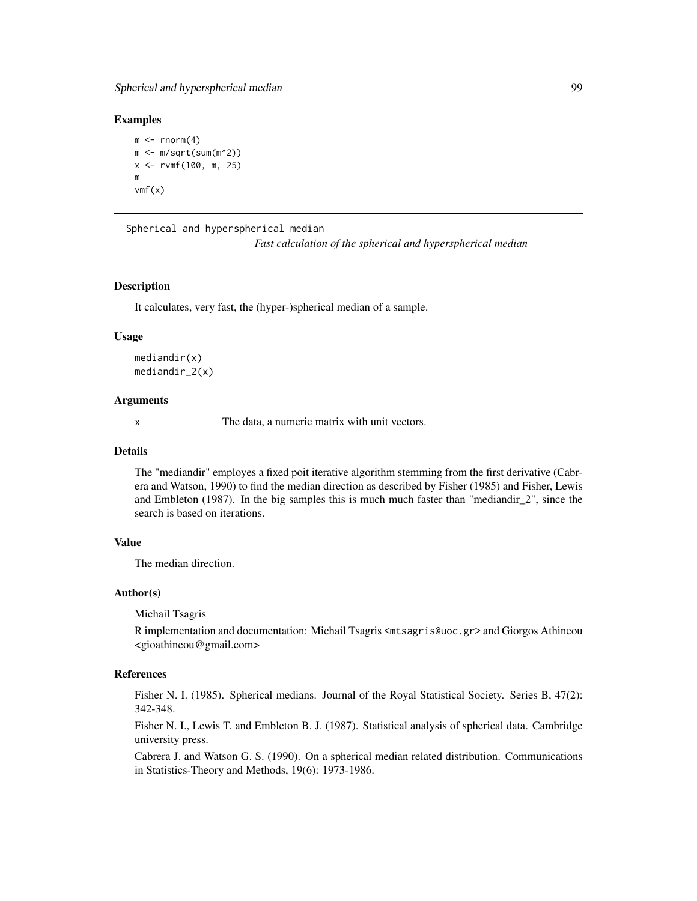Spherical and hyperspherical median 99

#### Examples

```
m \le - rnorm(4)m < -m/sqrt(sum(m^2))x \le -r \text{vmf}(100, m, 25)m
vmf(x)
```
Spherical and hyperspherical median

*Fast calculation of the spherical and hyperspherical median*

### Description

It calculates, very fast, the (hyper-)spherical median of a sample.

#### Usage

mediandir(x) mediandir\_2(x)

## Arguments

x The data, a numeric matrix with unit vectors.

## Details

The "mediandir" employes a fixed poit iterative algorithm stemming from the first derivative (Cabrera and Watson, 1990) to find the median direction as described by Fisher (1985) and Fisher, Lewis and Embleton (1987). In the big samples this is much much faster than "mediandir\_2", since the search is based on iterations.

## Value

The median direction.

## Author(s)

Michail Tsagris

R implementation and documentation: Michail Tsagris <mtsagris@uoc.gr> and Giorgos Athineou <gioathineou@gmail.com>

# References

Fisher N. I. (1985). Spherical medians. Journal of the Royal Statistical Society. Series B, 47(2): 342-348.

Fisher N. I., Lewis T. and Embleton B. J. (1987). Statistical analysis of spherical data. Cambridge university press.

Cabrera J. and Watson G. S. (1990). On a spherical median related distribution. Communications in Statistics-Theory and Methods, 19(6): 1973-1986.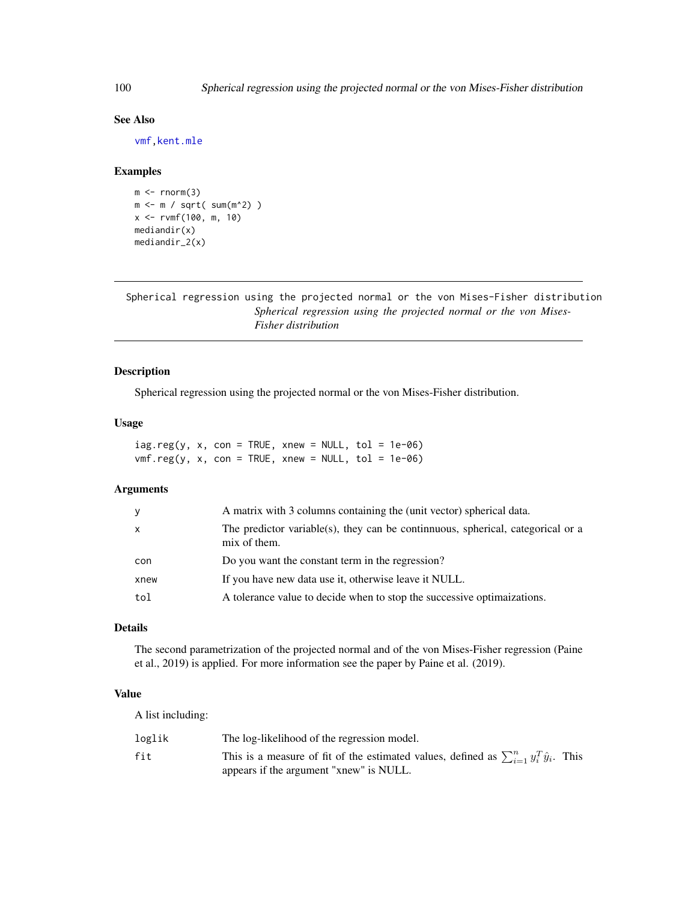# See Also

[vmf](#page-57-0)[,kent.mle](#page-65-0)

# Examples

```
m < - rnorm(3)
m <- m / sqrt( sum(m^2) )
x <- rvmf(100, m, 10)
mediandir(x)
mediandir_2(x)
```
Spherical regression using the projected normal or the von Mises-Fisher distribution *Spherical regression using the projected normal or the von Mises-Fisher distribution*

# Description

Spherical regression using the projected normal or the von Mises-Fisher distribution.

#### Usage

| $iag.read(y, x, con = TRUE, xnew = NULL, tol = 1e-06)$ |  |  |  |  |
|--------------------------------------------------------|--|--|--|--|
| $vmf.reg(y, x, con = TRUE, xnew = NULL, tol = 1e-06)$  |  |  |  |  |

# Arguments

| У    | A matrix with 3 columns containing the (unit vector) spherical data.                           |
|------|------------------------------------------------------------------------------------------------|
| X    | The predictor variable(s), they can be continuous, spherical, categorical or a<br>mix of them. |
| con  | Do you want the constant term in the regression?                                               |
| xnew | If you have new data use it, otherwise leave it NULL.                                          |
| tol  | A tolerance value to decide when to stop the successive optimaizations.                        |
|      |                                                                                                |

# Details

The second parametrization of the projected normal and of the von Mises-Fisher regression (Paine et al., 2019) is applied. For more information see the paper by Paine et al. (2019).

# Value

A list including:

| loglik | The log-likelihood of the regression model.                                                          |
|--------|------------------------------------------------------------------------------------------------------|
| fit    | This is a measure of fit of the estimated values, defined as $\sum_{i=1}^{n} y_i^T \hat{y}_i$ . This |
|        | appears if the argument "xnew" is NULL.                                                              |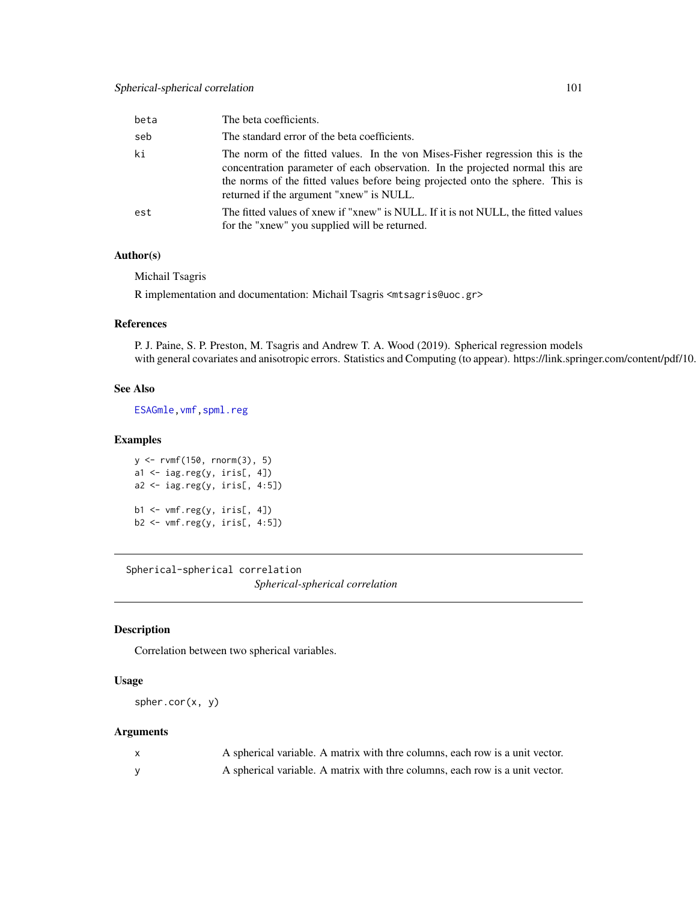# Spherical-spherical correlation 101

| beta | The beta coefficients.                                                                                                                                                                                                                                                                       |
|------|----------------------------------------------------------------------------------------------------------------------------------------------------------------------------------------------------------------------------------------------------------------------------------------------|
| seb  | The standard error of the beta coefficients.                                                                                                                                                                                                                                                 |
| ki   | The norm of the fitted values. In the von Mises-Fisher regression this is the<br>concentration parameter of each observation. In the projected normal this are<br>the norms of the fitted values before being projected onto the sphere. This is<br>returned if the argument "xnew" is NULL. |
| est  | The fitted values of xnew if "xnew" is NULL. If it is not NULL, the fitted values<br>for the "xnew" you supplied will be returned.                                                                                                                                                           |

# Author(s)

Michail Tsagris

R implementation and documentation: Michail Tsagris <mtsagris@uoc.gr>

#### References

P. J. Paine, S. P. Preston, M. Tsagris and Andrew T. A. Wood (2019). Spherical regression models with general covariates and anisotropic errors. Statistics and Computing (to appear). https://link.springer.com/content/pdf/10.

# See Also

[ESAGmle](#page-63-0)[,vmf](#page-57-0)[,spml.reg](#page-16-0)

## Examples

```
y <- rvmf(150, rnorm(3), 5)
a1 <- iag.reg(y, iris[, 4])
a2 <- iag.reg(y, iris[, 4:5])
b1 <- vmf.reg(y, iris[, 4])
b2 \leftarrow \text{vmf}.\text{reg}(y, \text{iris}[, 4:5])
```
Spherical-spherical correlation *Spherical-spherical correlation*

# <span id="page-100-0"></span>Description

Correlation between two spherical variables.

## Usage

```
spher.cor(x, y)
```
# Arguments

| A spherical variable. A matrix with thre columns, each row is a unit vector. |
|------------------------------------------------------------------------------|
| A spherical variable. A matrix with thre columns, each row is a unit vector. |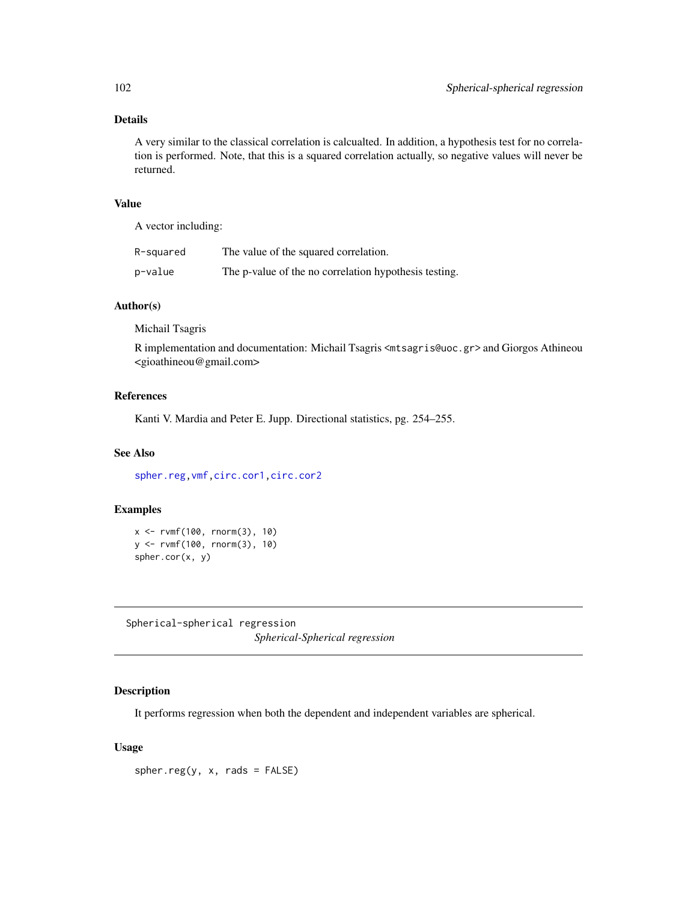# Details

A very similar to the classical correlation is calcualted. In addition, a hypothesis test for no correlation is performed. Note, that this is a squared correlation actually, so negative values will never be returned.

#### Value

A vector including:

| R-squared | The value of the squared correlation.                 |
|-----------|-------------------------------------------------------|
| p-value   | The p-value of the no correlation hypothesis testing. |

## Author(s)

Michail Tsagris

R implementation and documentation: Michail Tsagris <mtsagris@uoc.gr> and Giorgos Athineou <gioathineou@gmail.com>

# References

Kanti V. Mardia and Peter E. Jupp. Directional statistics, pg. 254–255.

## See Also

[spher.reg](#page-101-0)[,vmf](#page-57-0)[,circ.cor1,circ.cor2](#page-15-0)

## Examples

```
x <- rvmf(100, rnorm(3), 10)
y <- rvmf(100, rnorm(3), 10)
spher.cor(x, y)
```
Spherical-spherical regression *Spherical-Spherical regression*

# <span id="page-101-0"></span>Description

It performs regression when both the dependent and independent variables are spherical.

## Usage

 $spher.reg(y, x, rads = FALSE)$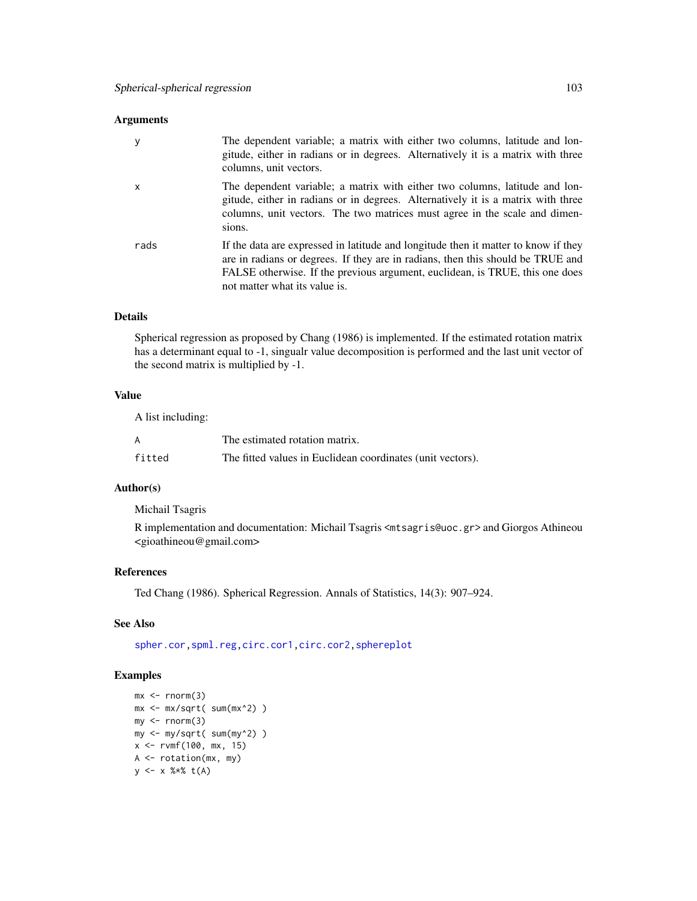| y    | The dependent variable; a matrix with either two columns, latitude and lon-<br>gitude, either in radians or in degrees. Alternatively it is a matrix with three<br>columns, unit vectors.                                                                                              |
|------|----------------------------------------------------------------------------------------------------------------------------------------------------------------------------------------------------------------------------------------------------------------------------------------|
| X    | The dependent variable; a matrix with either two columns, latitude and lon-<br>gitude, either in radians or in degrees. Alternatively it is a matrix with three<br>columns, unit vectors. The two matrices must agree in the scale and dimen-<br>sions.                                |
| rads | If the data are expressed in latitude and longitude then it matter to know if they<br>are in radians or degrees. If they are in radians, then this should be TRUE and<br>FALSE otherwise. If the previous argument, euclidean, is TRUE, this one does<br>not matter what its value is. |

# Details

Spherical regression as proposed by Chang (1986) is implemented. If the estimated rotation matrix has a determinant equal to -1, singualr value decomposition is performed and the last unit vector of the second matrix is multiplied by -1.

# Value

A list including:

|        | The estimated rotation matrix.                             |
|--------|------------------------------------------------------------|
| fitted | The fitted values in Euclidean coordinates (unit vectors). |

# Author(s)

Michail Tsagris

R implementation and documentation: Michail Tsagris <mtsagris@uoc.gr> and Giorgos Athineou <gioathineou@gmail.com>

# References

Ted Chang (1986). Spherical Regression. Annals of Statistics, 14(3): 907–924.

# See Also

[spher.cor](#page-100-0)[,spml.reg](#page-16-0)[,circ.cor1,circ.cor2,](#page-15-0)[sphereplot](#page-47-0)

# Examples

```
mx < -rnorm(3)mx <- mx/sqrt( sum(mx^2) )
my < -rnorm(3)my <- my/sqrt( sum(my^2) )
x \le -r \sqrt{100}, mx, 15)
A \leftarrow \text{rotation}(\text{mx}, \text{my})y <- x %*% t(A)
```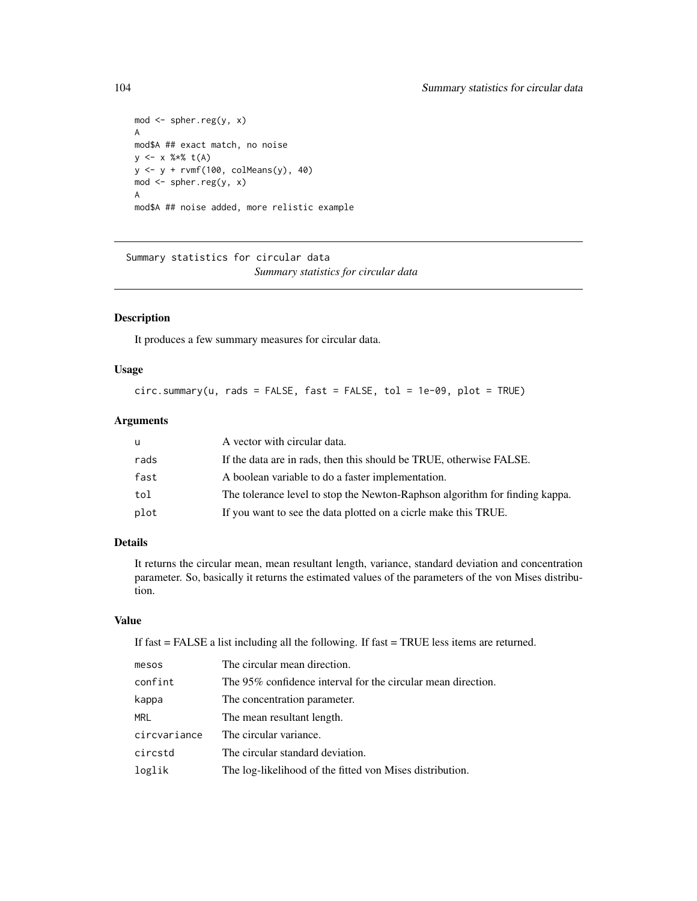```
mod <- spher.reg(y, x)
A
mod$A ## exact match, no noise
y \le -x % * * t(A)y \leftarrow y + r \text{vmf}(100, \text{ colMeans}(y), 40)mod <- spher.reg(y, x)
A
mod$A ## noise added, more relistic example
```
Summary statistics for circular data *Summary statistics for circular data*

# <span id="page-103-0"></span>Description

It produces a few summary measures for circular data.

# Usage

circ.summary(u, rads = FALSE, fast = FALSE, tol = 1e-09, plot = TRUE)

# Arguments

| u    | A vector with circular data.                                                |
|------|-----------------------------------------------------------------------------|
| rads | If the data are in rads, then this should be TRUE, otherwise FALSE.         |
| fast | A boolean variable to do a faster implementation.                           |
| tol  | The tolerance level to stop the Newton-Raphson algorithm for finding kappa. |
| plot | If you want to see the data plotted on a cicrle make this TRUE.             |

# Details

It returns the circular mean, mean resultant length, variance, standard deviation and concentration parameter. So, basically it returns the estimated values of the parameters of the von Mises distribution.

# Value

If fast = FALSE a list including all the following. If fast = TRUE less items are returned.

| mesos        | The circular mean direction.                                 |
|--------------|--------------------------------------------------------------|
| confint      | The 95% confidence interval for the circular mean direction. |
| kappa        | The concentration parameter.                                 |
| MRL          | The mean resultant length.                                   |
| circvariance | The circular variance.                                       |
| circstd      | The circular standard deviation.                             |
| loglik       | The log-likelihood of the fitted von Mises distribution.     |
|              |                                                              |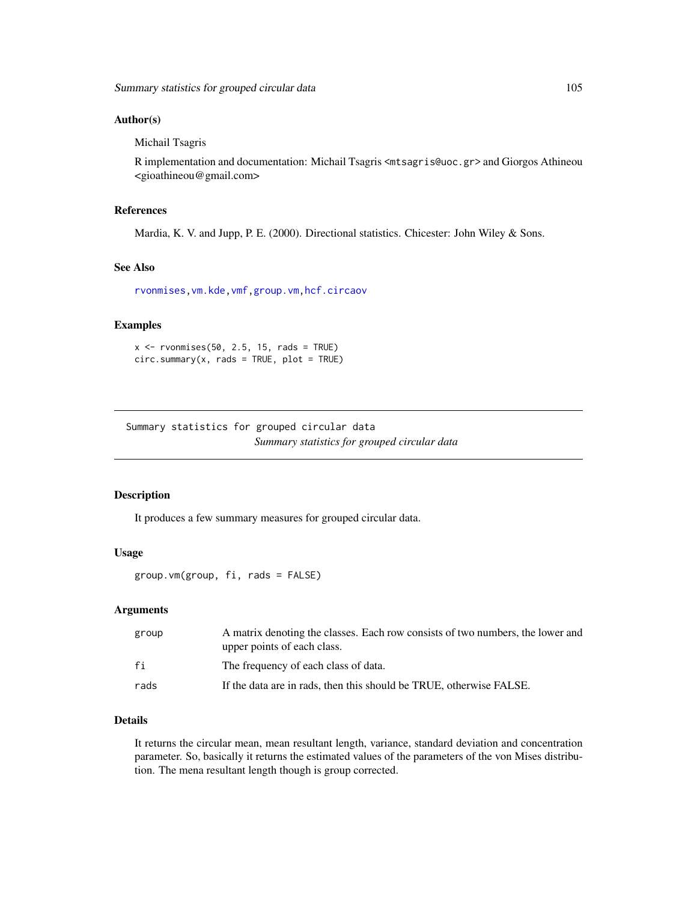#### Author(s)

Michail Tsagris

R implementation and documentation: Michail Tsagris <mtsagris@uoc.gr> and Giorgos Athineou <gioathineou@gmail.com>

#### References

Mardia, K. V. and Jupp, P. E. (2000). Directional statistics. Chicester: John Wiley & Sons.

#### See Also

[rvonmises](#page-80-0)[,vm.kde](#page-119-0)[,vmf,](#page-57-0)[group.vm,](#page-104-0)[hcf.circaov](#page-8-0)

# Examples

 $x \le -r$  rvonmises(50, 2.5, 15, rads = TRUE)  $circ.summary(x, rads = TRUE, plot = TRUE)$ 

Summary statistics for grouped circular data *Summary statistics for grouped circular data*

## <span id="page-104-0"></span>Description

It produces a few summary measures for grouped circular data.

## Usage

group.vm(group, fi, rads = FALSE)

#### Arguments

| group | A matrix denoting the classes. Each row consists of two numbers, the lower and<br>upper points of each class. |
|-------|---------------------------------------------------------------------------------------------------------------|
| fi    | The frequency of each class of data.                                                                          |
| rads  | If the data are in rads, then this should be TRUE, otherwise FALSE.                                           |

## Details

It returns the circular mean, mean resultant length, variance, standard deviation and concentration parameter. So, basically it returns the estimated values of the parameters of the von Mises distribution. The mena resultant length though is group corrected.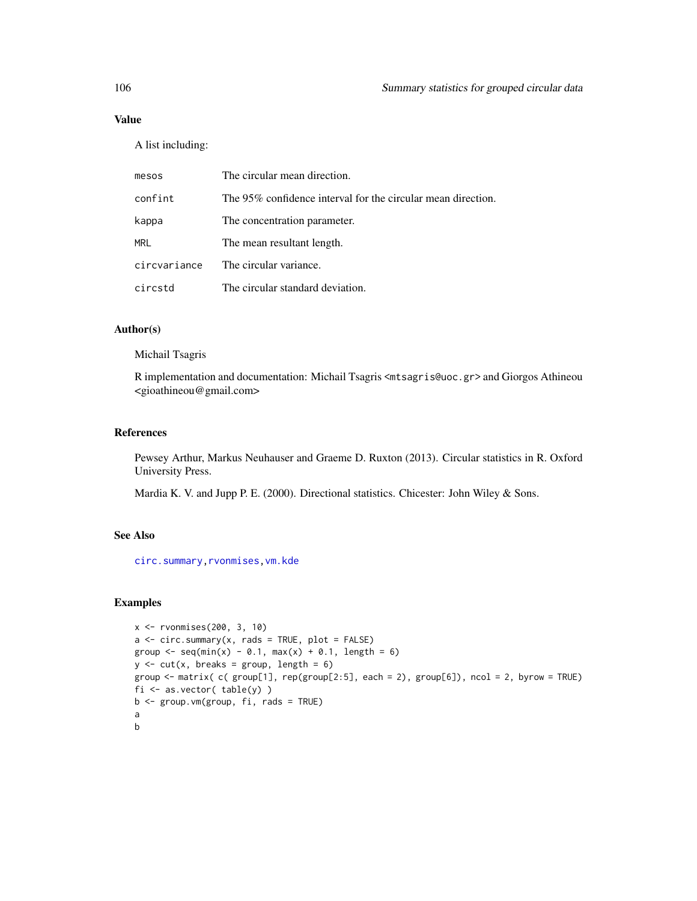# Value

A list including:

| mesos        | The circular mean direction.                                 |
|--------------|--------------------------------------------------------------|
| confint      | The 95% confidence interval for the circular mean direction. |
| kappa        | The concentration parameter.                                 |
| MRL          | The mean resultant length.                                   |
| circvariance | The circular variance.                                       |
| circstd      | The circular standard deviation.                             |

# Author(s)

Michail Tsagris

R implementation and documentation: Michail Tsagris <mtsagris@uoc.gr> and Giorgos Athineou <gioathineou@gmail.com>

# References

Pewsey Arthur, Markus Neuhauser and Graeme D. Ruxton (2013). Circular statistics in R. Oxford University Press.

Mardia K. V. and Jupp P. E. (2000). Directional statistics. Chicester: John Wiley & Sons.

# See Also

[circ.summary](#page-103-0)[,rvonmises,](#page-80-0)[vm.kde](#page-119-0)

# Examples

```
x <- rvonmises(200, 3, 10)
a \leq -\text{circ.summary}(x, \text{rads} = \text{TRUE}, \text{plot} = \text{FALSE})group \leq seq(min(x) - 0.1, max(x) + 0.1, length = 6)
y \le -\text{cut}(x, \text{ breaks} = \text{group}, \text{length} = 6)group <- matrix( c( group[1], rep(group[2:5], each = 2), group[6]), ncol = 2, byrow = TRUE)
fi \leq as.vector( table(y) )
b \leq - group. vm(group, fi, rads = TRUE)
a
b
```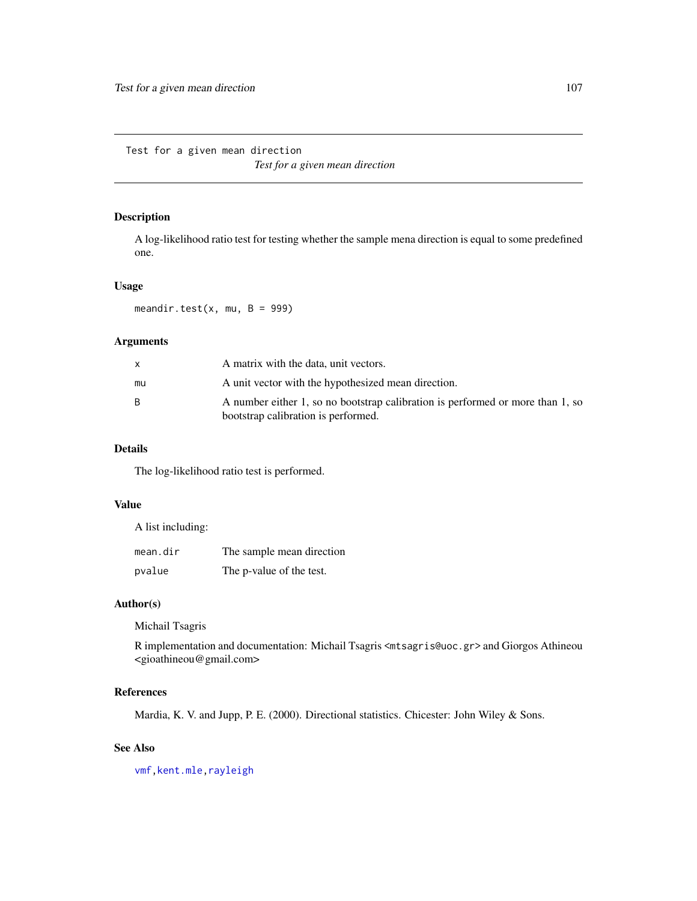Test for a given mean direction

*Test for a given mean direction*

# <span id="page-106-0"></span>Description

A log-likelihood ratio test for testing whether the sample mena direction is equal to some predefined one.

### Usage

meandir.test $(x, mu, B = 999)$ 

# Arguments

|    | A matrix with the data, unit vectors.                                                                                 |
|----|-----------------------------------------------------------------------------------------------------------------------|
| mu | A unit vector with the hypothesized mean direction.                                                                   |
| B. | A number either 1, so no bootstrap calibration is performed or more than 1, so<br>bootstrap calibration is performed. |

# Details

The log-likelihood ratio test is performed.

### Value

A list including:

| mean.dir | The sample mean direction |
|----------|---------------------------|
| pvalue   | The p-value of the test.  |

#### Author(s)

Michail Tsagris

R implementation and documentation: Michail Tsagris <mtsagris@uoc.gr> and Giorgos Athineou <gioathineou@gmail.com>

# References

Mardia, K. V. and Jupp, P. E. (2000). Directional statistics. Chicester: John Wiley & Sons.

# See Also

[vmf](#page-57-0)[,kent.mle](#page-65-0)[,rayleigh](#page-82-0)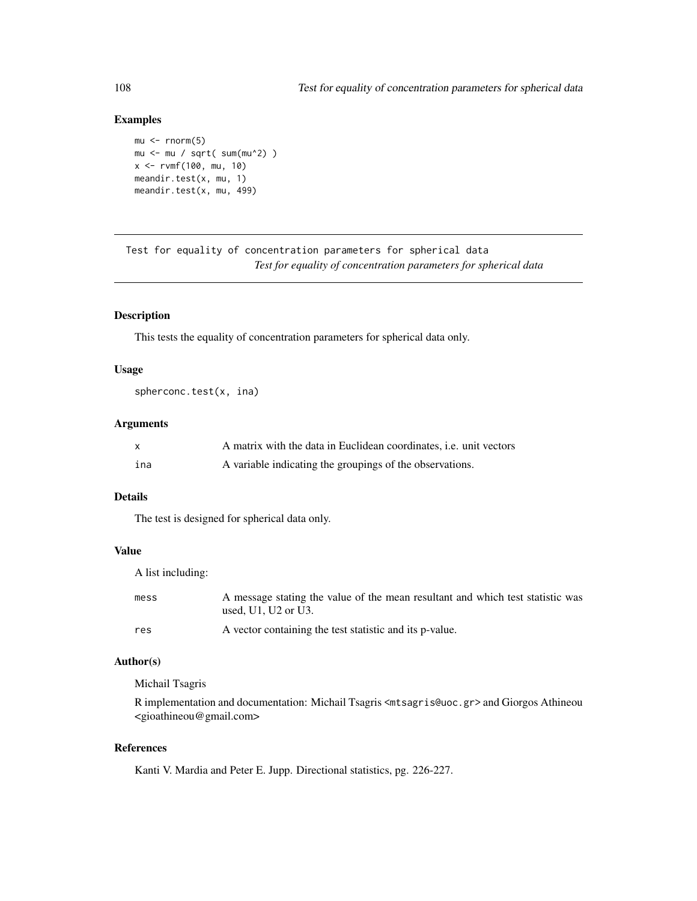# Examples

```
mu < - rnorm(5)mu <- mu / sqrt( sum(mu^2) )
x <- rvmf(100, mu, 10)
meandir.test(x, mu, 1)
meandir.test(x, mu, 499)
```
Test for equality of concentration parameters for spherical data *Test for equality of concentration parameters for spherical data*

# <span id="page-107-0"></span>Description

This tests the equality of concentration parameters for spherical data only.

# Usage

```
spherconc.test(x, ina)
```
## Arguments

| X   | A matrix with the data in Euclidean coordinates, <i>i.e.</i> unit vectors |
|-----|---------------------------------------------------------------------------|
| ina | A variable indicating the groupings of the observations.                  |

# Details

The test is designed for spherical data only.

# Value

A list including:

| mess | A message stating the value of the mean resultant and which test statistic was<br>used. $U1$ . $U2$ or $U3$ . |
|------|---------------------------------------------------------------------------------------------------------------|
| res  | A vector containing the test statistic and its p-value.                                                       |

## Author(s)

Michail Tsagris

R implementation and documentation: Michail Tsagris <mtsagris@uoc.gr> and Giorgos Athineou <gioathineou@gmail.com>

## References

Kanti V. Mardia and Peter E. Jupp. Directional statistics, pg. 226-227.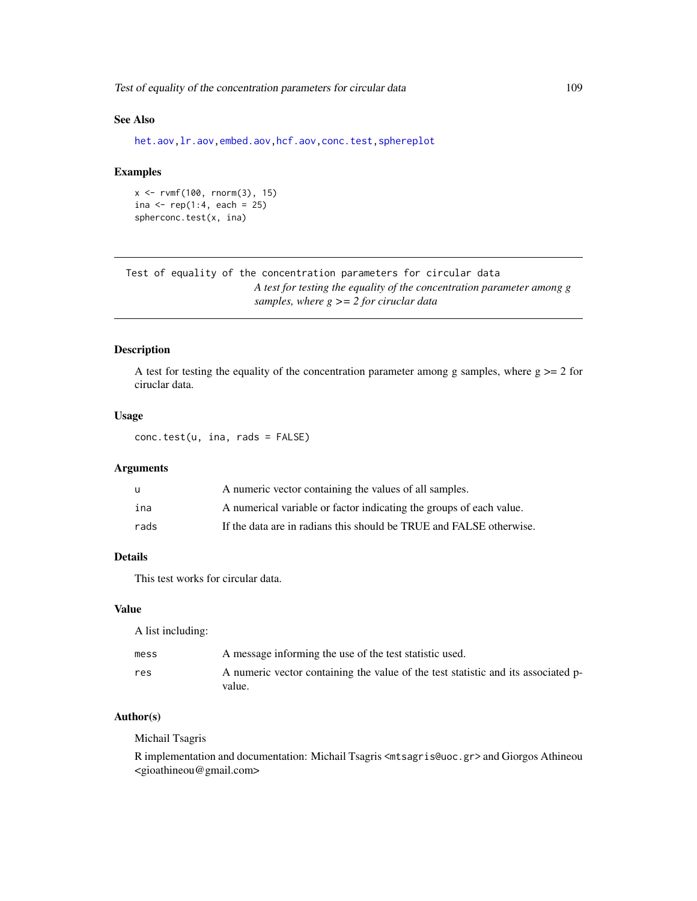<span id="page-108-1"></span>Test of equality of the concentration parameters for circular data 109

# See Also

[het.aov,lr.aov,embed.aov,hcf.aov,](#page-6-0)[conc.test,](#page-108-0)[sphereplot](#page-47-0)

# Examples

```
x <- rvmf(100, rnorm(3), 15)
ina <- rep(1:4, each = 25)spherconc.test(x, ina)
```
Test of equality of the concentration parameters for circular data *A test for testing the equality of the concentration parameter among g samples, where g >= 2 for ciruclar data*

# <span id="page-108-0"></span>Description

A test for testing the equality of the concentration parameter among g samples, where  $g \ge 2$  for ciruclar data.

# Usage

conc.test(u, ina, rads = FALSE)

# Arguments

| u    | A numeric vector containing the values of all samples.              |
|------|---------------------------------------------------------------------|
| ina  | A numerical variable or factor indicating the groups of each value. |
| rads | If the data are in radians this should be TRUE and FALSE otherwise. |

# Details

This test works for circular data.

#### Value

A list including:

| mess | A message informing the use of the test statistic used.                           |
|------|-----------------------------------------------------------------------------------|
| res  | A numeric vector containing the value of the test statistic and its associated p- |
|      | value.                                                                            |

# Author(s)

Michail Tsagris

R implementation and documentation: Michail Tsagris <mtsagris@uoc.gr> and Giorgos Athineou <gioathineou@gmail.com>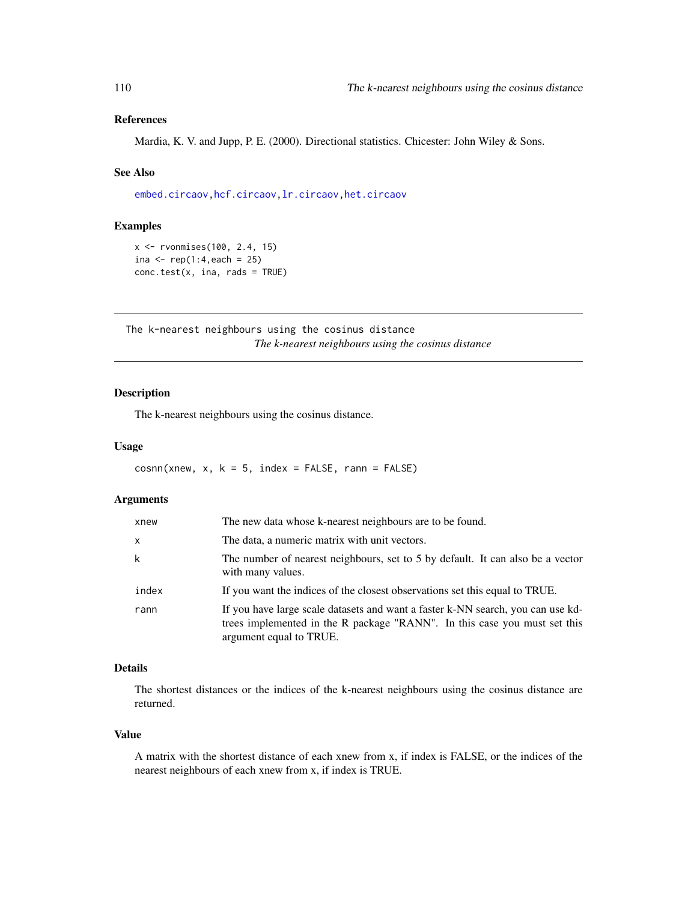# <span id="page-109-0"></span>References

Mardia, K. V. and Jupp, P. E. (2000). Directional statistics. Chicester: John Wiley & Sons.

# See Also

[embed.circaov,hcf.circaov,lr.circaov,het.circaov](#page-8-0)

# Examples

```
x <- rvonmises(100, 2.4, 15)
ina <- rep(1:4, each = 25)conc.test(x, ina, rads = TRUE)
```
The k-nearest neighbours using the cosinus distance *The k-nearest neighbours using the cosinus distance*

# Description

The k-nearest neighbours using the cosinus distance.

#### Usage

```
cosnn(xnew, x, k = 5, index = FALSE, rann = FALSE)
```
#### Arguments

| xnew  | The new data whose k-nearest neighbours are to be found.                                                                                                                                |
|-------|-----------------------------------------------------------------------------------------------------------------------------------------------------------------------------------------|
| X     | The data, a numeric matrix with unit vectors.                                                                                                                                           |
| k     | The number of nearest neighbours, set to 5 by default. It can also be a vector<br>with many values.                                                                                     |
| index | If you want the indices of the closest observations set this equal to TRUE.                                                                                                             |
| rann  | If you have large scale datasets and want a faster k-NN search, you can use kd-<br>trees implemented in the R package "RANN". In this case you must set this<br>argument equal to TRUE. |

#### Details

The shortest distances or the indices of the k-nearest neighbours using the cosinus distance are returned.

#### Value

A matrix with the shortest distance of each xnew from x, if index is FALSE, or the indices of the nearest neighbours of each xnew from x, if index is TRUE.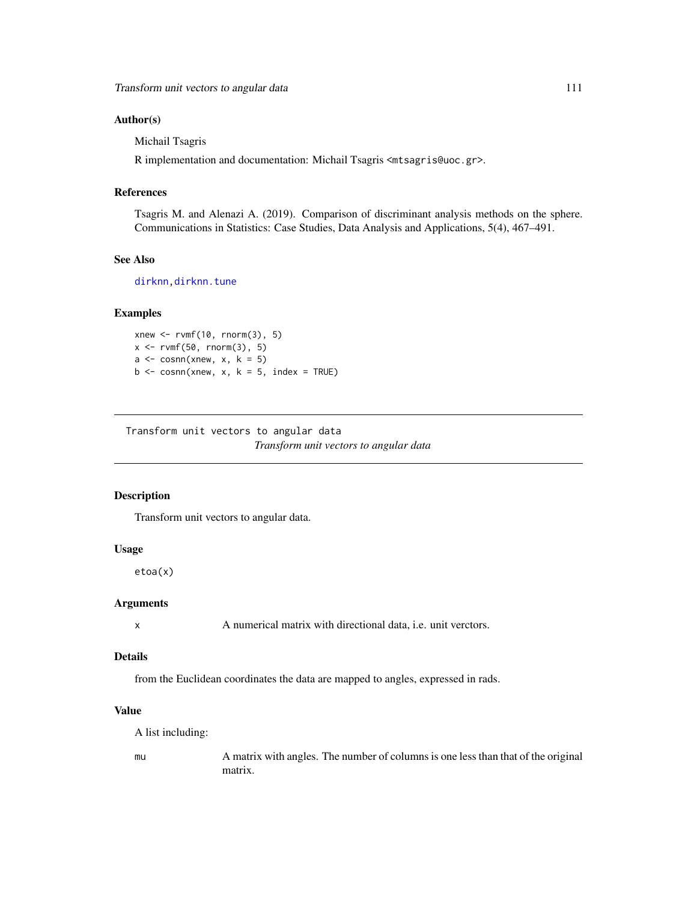#### <span id="page-110-0"></span>Author(s)

Michail Tsagris

R implementation and documentation: Michail Tsagris <mtsagris@uoc.gr>.

#### References

Tsagris M. and Alenazi A. (2019). Comparison of discriminant analysis methods on the sphere. Communications in Statistics: Case Studies, Data Analysis and Applications, 5(4), 467–491.

# See Also

[dirknn](#page-50-0), dirknn.tune

# Examples

```
xnew <- rvmf(10, rnorm(3), 5)
x \le -r \text{vmf}(50, r \text{norm}(3), 5)a \leq \text{cosnn(xnew, x, k = 5)}b \leq cosnn(xnew, x, k = 5, index = TRUE)
```
Transform unit vectors to angular data *Transform unit vectors to angular data*

# Description

Transform unit vectors to angular data.

#### Usage

etoa(x)

#### Arguments

x A numerical matrix with directional data, i.e. unit verctors.

# Details

from the Euclidean coordinates the data are mapped to angles, expressed in rads.

# Value

A list including:

mu A matrix with angles. The number of columns is one less than that of the original matrix.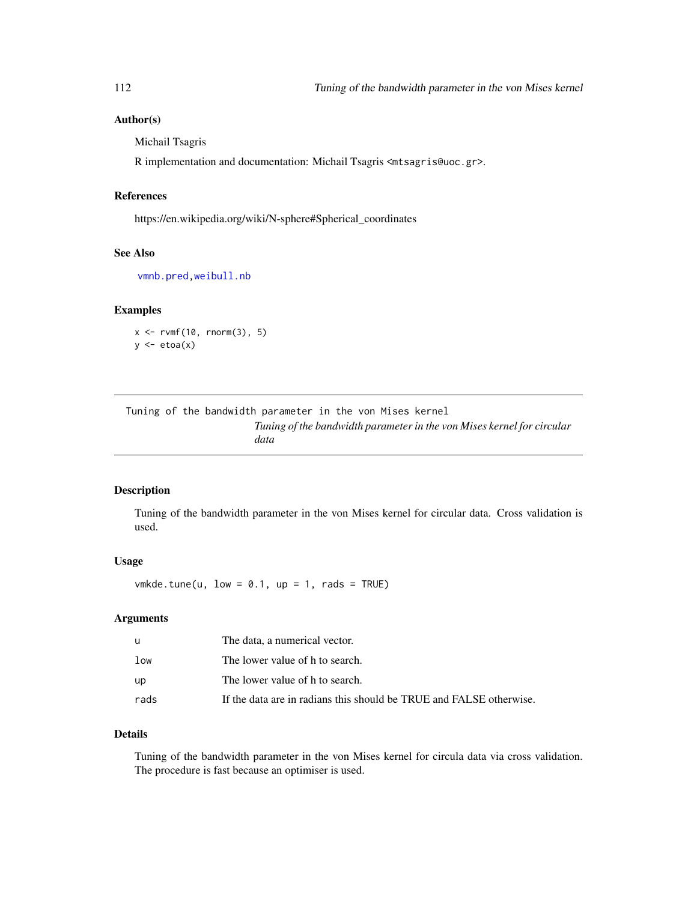#### <span id="page-111-1"></span>Author(s)

Michail Tsagris

R implementation and documentation: Michail Tsagris <mtsagris@uoc.gr>.

# References

https://en.wikipedia.org/wiki/N-sphere#Spherical\_coordinates

# See Also

[vmnb.pred,](#page-76-0)[weibull.nb](#page-0-0)

# Examples

 $x \le -r \text{vmf}(10, r \text{norm}(3), 5)$  $y \leftarrow etoa(x)$ 

# Tuning of the bandwidth parameter in the von Mises kernel *Tuning of the bandwidth parameter in the von Mises kernel for circular data*

#### <span id="page-111-0"></span>Description

Tuning of the bandwidth parameter in the von Mises kernel for circular data. Cross validation is used.

#### Usage

 $vmkde.tune(u, low = 0.1, up = 1, rads = TRUE)$ 

# Arguments

| u    | The data, a numerical vector.                                       |
|------|---------------------------------------------------------------------|
| low  | The lower value of h to search.                                     |
| up   | The lower value of h to search.                                     |
| rads | If the data are in radians this should be TRUE and FALSE otherwise. |

# Details

Tuning of the bandwidth parameter in the von Mises kernel for circula data via cross validation. The procedure is fast because an optimiser is used.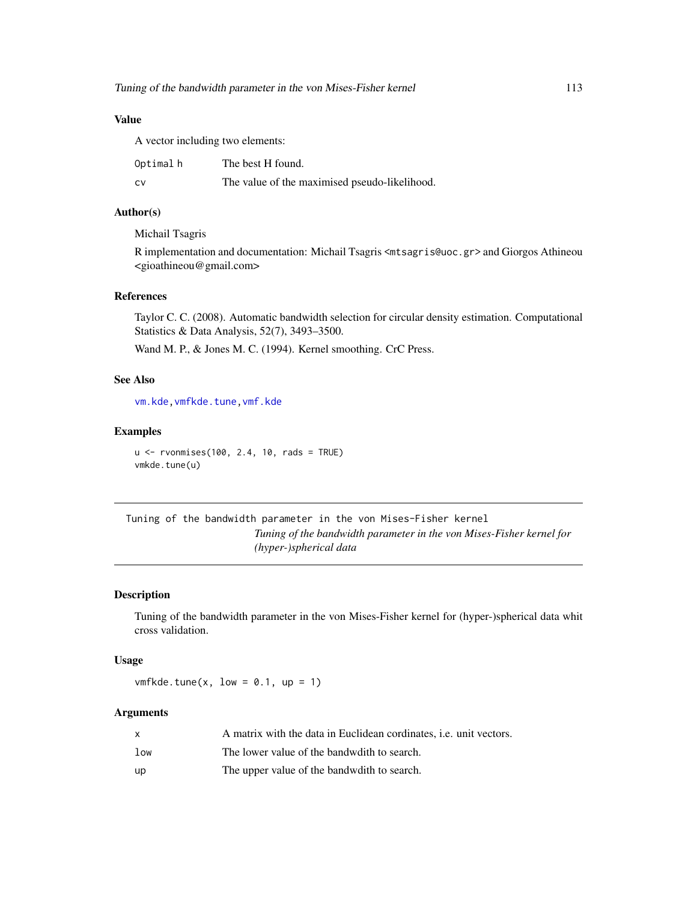# <span id="page-112-1"></span>Value

A vector including two elements:

| Optimalh | The best H found.                             |
|----------|-----------------------------------------------|
| CV.      | The value of the maximised pseudo-likelihood. |

# Author(s)

Michail Tsagris

R implementation and documentation: Michail Tsagris <mtsagris@uoc.gr> and Giorgos Athineou <gioathineou@gmail.com>

# References

Taylor C. C. (2008). Automatic bandwidth selection for circular density estimation. Computational Statistics & Data Analysis, 52(7), 3493–3500.

Wand M. P., & Jones M. C. (1994). Kernel smoothing. CrC Press.

# See Also

[vm.kde](#page-119-0)[,vmfkde.tune](#page-112-0)[,vmf.kde](#page-121-0)

#### Examples

```
u <- rvonmises(100, 2.4, 10, rads = TRUE)
vmkde.tune(u)
```
Tuning of the bandwidth parameter in the von Mises-Fisher kernel *Tuning of the bandwidth parameter in the von Mises-Fisher kernel for (hyper-)spherical data*

# <span id="page-112-0"></span>Description

Tuning of the bandwidth parameter in the von Mises-Fisher kernel for (hyper-)spherical data whit cross validation.

# Usage

 $v$ mfkde.tune(x, low = 0.1, up = 1)

# Arguments

|                 | A matrix with the data in Euclidean cordinates, <i>i.e.</i> unit vectors. |
|-----------------|---------------------------------------------------------------------------|
| 1 <sub>ow</sub> | The lower value of the bandwdith to search.                               |
| up              | The upper value of the bandwdith to search.                               |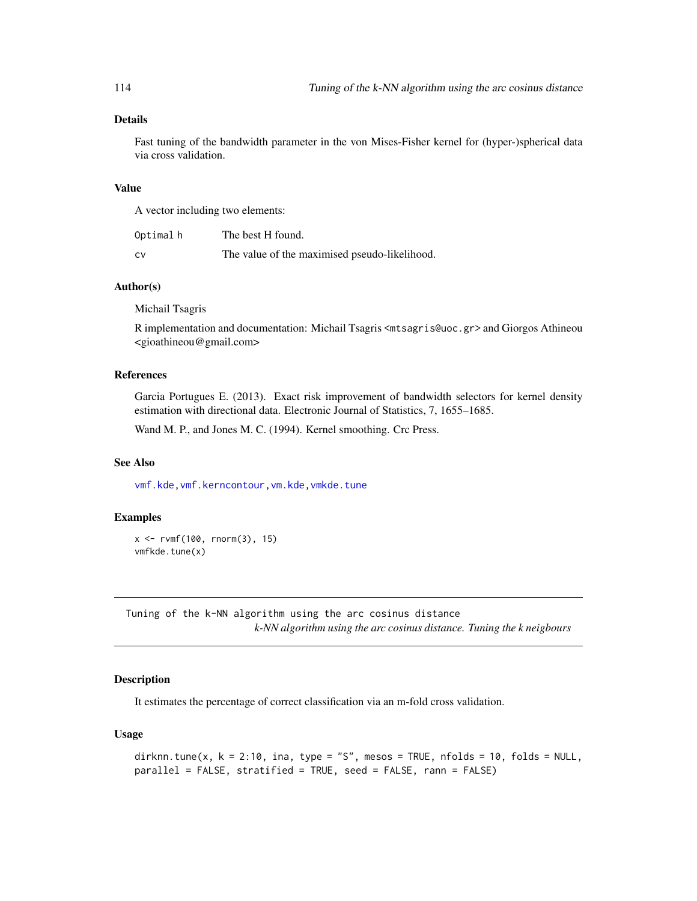# <span id="page-113-1"></span>Details

Fast tuning of the bandwidth parameter in the von Mises-Fisher kernel for (hyper-)spherical data via cross validation.

# Value

A vector including two elements:

| Optimalh | The best H found.                             |
|----------|-----------------------------------------------|
| CV.      | The value of the maximised pseudo-likelihood. |

#### Author(s)

Michail Tsagris

R implementation and documentation: Michail Tsagris <mtsagris@uoc.gr> and Giorgos Athineou <gioathineou@gmail.com>

#### References

Garcia Portugues E. (2013). Exact risk improvement of bandwidth selectors for kernel density estimation with directional data. Electronic Journal of Statistics, 7, 1655–1685.

Wand M. P., and Jones M. C. (1994). Kernel smoothing. Crc Press.

#### See Also

[vmf.kde](#page-121-0)[,vmf.kerncontour,](#page-21-0)[vm.kde,](#page-119-0)[vmkde.tune](#page-111-0)

#### Examples

```
x <- rvmf(100, rnorm(3), 15)
vmfkde.tune(x)
```
Tuning of the k-NN algorithm using the arc cosinus distance *k-NN algorithm using the arc cosinus distance. Tuning the k neigbours*

# <span id="page-113-0"></span>Description

It estimates the percentage of correct classification via an m-fold cross validation.

#### Usage

```
dirknn.tune(x, k = 2:10, ina, type = "S", mesos = TRUE, nfolds = 10, folds = NULL,
parallel = FALSE, stratified = TRUE, seed = FALSE, rann = FALSE)
```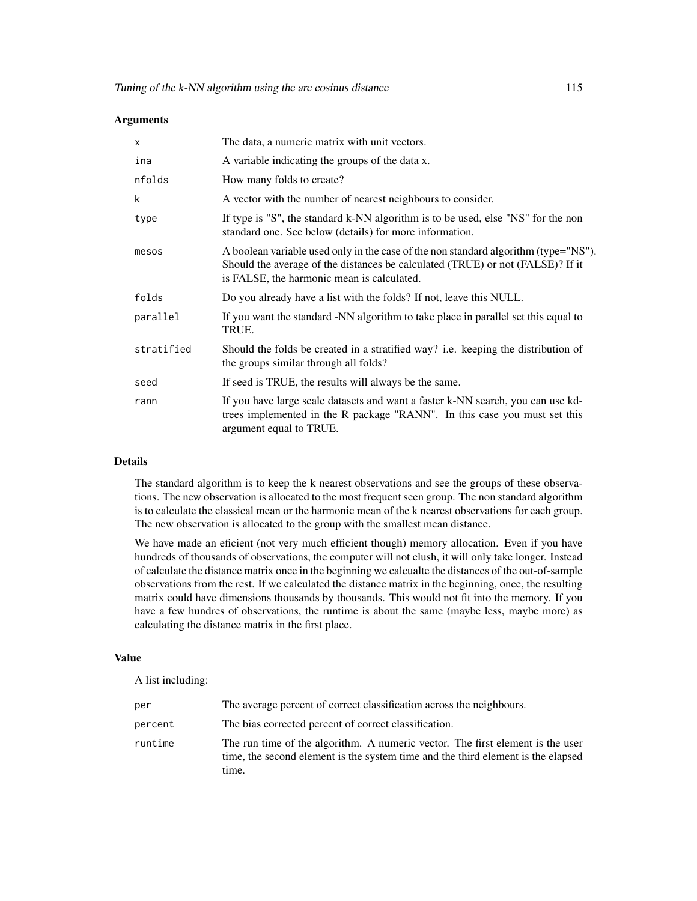#### Arguments

| $\mathsf{x}$ | The data, a numeric matrix with unit vectors.                                                                                                                                                                       |
|--------------|---------------------------------------------------------------------------------------------------------------------------------------------------------------------------------------------------------------------|
| ina          | A variable indicating the groups of the data x.                                                                                                                                                                     |
| nfolds       | How many folds to create?                                                                                                                                                                                           |
| k            | A vector with the number of nearest neighbours to consider.                                                                                                                                                         |
| type         | If type is "S", the standard k-NN algorithm is to be used, else "NS" for the non<br>standard one. See below (details) for more information.                                                                         |
| mesos        | A boolean variable used only in the case of the non standard algorithm (type="NS").<br>Should the average of the distances be calculated (TRUE) or not (FALSE)? If it<br>is FALSE, the harmonic mean is calculated. |
| folds        | Do you already have a list with the folds? If not, leave this NULL.                                                                                                                                                 |
| parallel     | If you want the standard -NN algorithm to take place in parallel set this equal to<br>TRUE.                                                                                                                         |
| stratified   | Should the folds be created in a stratified way? i.e. keeping the distribution of<br>the groups similar through all folds?                                                                                          |
| seed         | If seed is TRUE, the results will always be the same.                                                                                                                                                               |
| rann         | If you have large scale datasets and want a faster k-NN search, you can use kd-<br>trees implemented in the R package "RANN". In this case you must set this<br>argument equal to TRUE.                             |

#### Details

The standard algorithm is to keep the k nearest observations and see the groups of these observations. The new observation is allocated to the most frequent seen group. The non standard algorithm is to calculate the classical mean or the harmonic mean of the k nearest observations for each group. The new observation is allocated to the group with the smallest mean distance.

We have made an eficient (not very much efficient though) memory allocation. Even if you have hundreds of thousands of observations, the computer will not clush, it will only take longer. Instead of calculate the distance matrix once in the beginning we calcualte the distances of the out-of-sample observations from the rest. If we calculated the distance matrix in the beginning, once, the resulting matrix could have dimensions thousands by thousands. This would not fit into the memory. If you have a few hundres of observations, the runtime is about the same (maybe less, maybe more) as calculating the distance matrix in the first place.

# Value

A list including:

| per     | The average percent of correct classification across the neighbours.                                                                                                        |
|---------|-----------------------------------------------------------------------------------------------------------------------------------------------------------------------------|
| percent | The bias corrected percent of correct classification.                                                                                                                       |
| runtime | The run time of the algorithm. A numeric vector. The first element is the user<br>time, the second element is the system time and the third element is the elapsed<br>time. |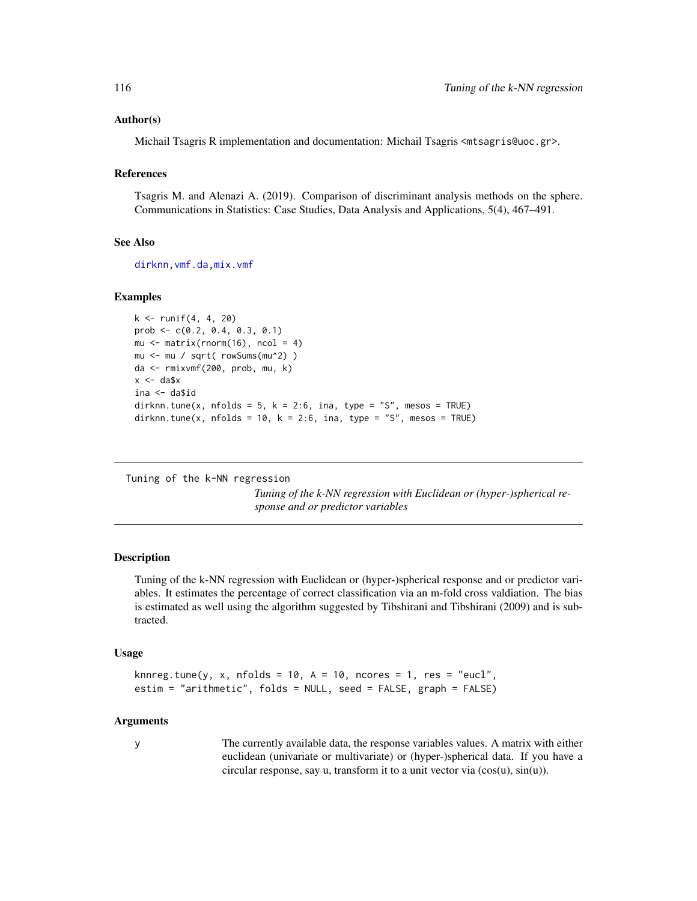#### <span id="page-115-0"></span>Author(s)

Michail Tsagris R implementation and documentation: Michail Tsagris <mtsagris@uoc.gr>.

#### References

Tsagris M. and Alenazi A. (2019). Comparison of discriminant analysis methods on the sphere. Communications in Statistics: Case Studies, Data Analysis and Applications, 5(4), 467–491.

#### See Also

[dirknn](#page-50-0)[,vmf.da](#page-31-0)[,mix.vmf](#page-56-0)

#### Examples

```
k <- runif(4, 4, 20)
prob \leq -c(0.2, 0.4, 0.3, 0.1)mu \leq matrix(rnorm(16), ncol = 4)
mu <- mu / sqrt( rowSums(mu^2) )
da <- rmixvmf(200, prob, mu, k)
x \le - da$x
ina <- da$id
dirknn.tune(x, nfolds = 5, k = 2:6, ina, type = "S", mesos = TRUE)
dirknn.tune(x, nfolds = 10, k = 2:6, ina, type = "S", mesos = TRUE)
```
Tuning of the k-NN regression

*Tuning of the k-NN regression with Euclidean or (hyper-)spherical response and or predictor variables*

#### Description

Tuning of the k-NN regression with Euclidean or (hyper-)spherical response and or predictor variables. It estimates the percentage of correct classification via an m-fold cross valdiation. The bias is estimated as well using the algorithm suggested by Tibshirani and Tibshirani (2009) and is subtracted.

#### Usage

```
knnreg.tune(y, x, nfolds = 10, A = 10, ncores = 1, res = "eucl",
estim = "arithmetic", folds = NULL, seed = FALSE, graph = FALSE)
```
#### Arguments

y The currently available data, the response variables values. A matrix with either euclidean (univariate or multivariate) or (hyper-)spherical data. If you have a circular response, say u, transform it to a unit vector via (cos(u), sin(u)).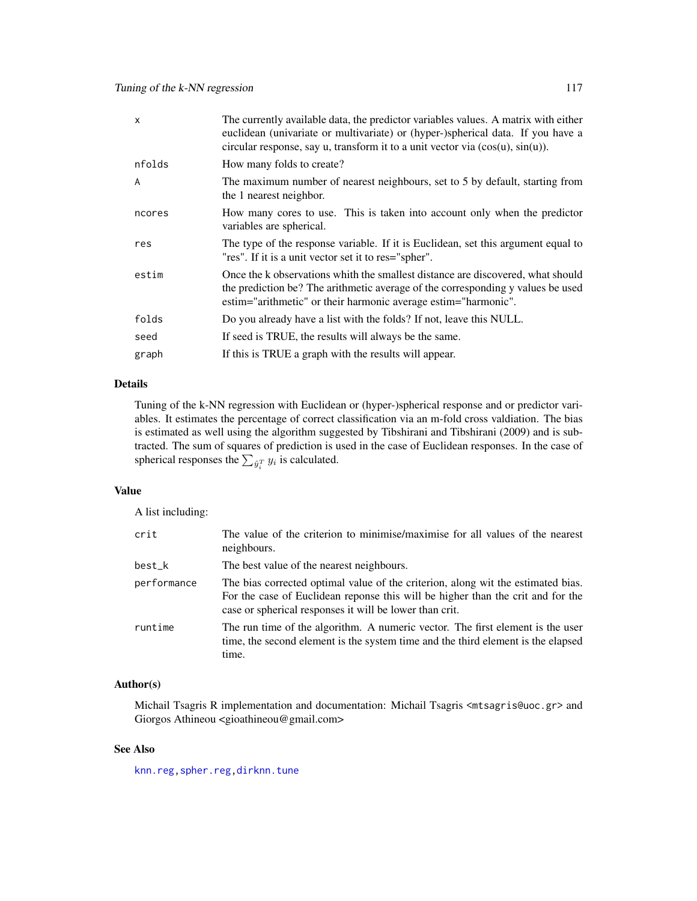<span id="page-116-0"></span>

| $\mathsf{x}$ | The currently available data, the predictor variables values. A matrix with either<br>euclidean (univariate or multivariate) or (hyper-)spherical data. If you have a<br>circular response, say u, transform it to a unit vector via $(cos(u), sin(u))$ . |
|--------------|-----------------------------------------------------------------------------------------------------------------------------------------------------------------------------------------------------------------------------------------------------------|
| nfolds       | How many folds to create?                                                                                                                                                                                                                                 |
| A            | The maximum number of nearest neighbours, set to 5 by default, starting from<br>the 1 nearest neighbor.                                                                                                                                                   |
| ncores       | How many cores to use. This is taken into account only when the predictor<br>variables are spherical.                                                                                                                                                     |
| res          | The type of the response variable. If it is Euclidean, set this argument equal to<br>"res". If it is a unit vector set it to res="spher".                                                                                                                 |
| estim        | Once the k observations whith the smallest distance are discovered, what should<br>the prediction be? The arithmetic average of the corresponding y values be used<br>estim="arithmetic" or their harmonic average estim="harmonic".                      |
| folds        | Do you already have a list with the folds? If not, leave this NULL.                                                                                                                                                                                       |
| seed         | If seed is TRUE, the results will always be the same.                                                                                                                                                                                                     |
| graph        | If this is TRUE a graph with the results will appear.                                                                                                                                                                                                     |

# Details

Tuning of the k-NN regression with Euclidean or (hyper-)spherical response and or predictor variables. It estimates the percentage of correct classification via an m-fold cross valdiation. The bias is estimated as well using the algorithm suggested by Tibshirani and Tibshirani (2009) and is subtracted. The sum of squares of prediction is used in the case of Euclidean responses. In the case of spherical responses the  $\sum_{\hat{y}_i^T} y_i$  is calculated.

# Value

A list including:

| crit        | The value of the criterion to minimise/maximise for all values of the nearest<br>neighbours.                                                                                                                                   |
|-------------|--------------------------------------------------------------------------------------------------------------------------------------------------------------------------------------------------------------------------------|
| best_k      | The best value of the nearest neighbours.                                                                                                                                                                                      |
| performance | The bias corrected optimal value of the criterion, along wit the estimated bias.<br>For the case of Euclidean reponse this will be higher than the crit and for the<br>case or spherical responses it will be lower than crit. |
| runtime     | The run time of the algorithm. A numeric vector. The first element is the user<br>time, the second element is the system time and the third element is the elapsed<br>time.                                                    |

#### Author(s)

Michail Tsagris R implementation and documentation: Michail Tsagris <mtsagris@uoc.gr> and Giorgos Athineou <gioathineou@gmail.com>

# See Also

[knn.reg](#page-51-0)[,spher.reg](#page-101-0)[,dirknn.tune](#page-113-0)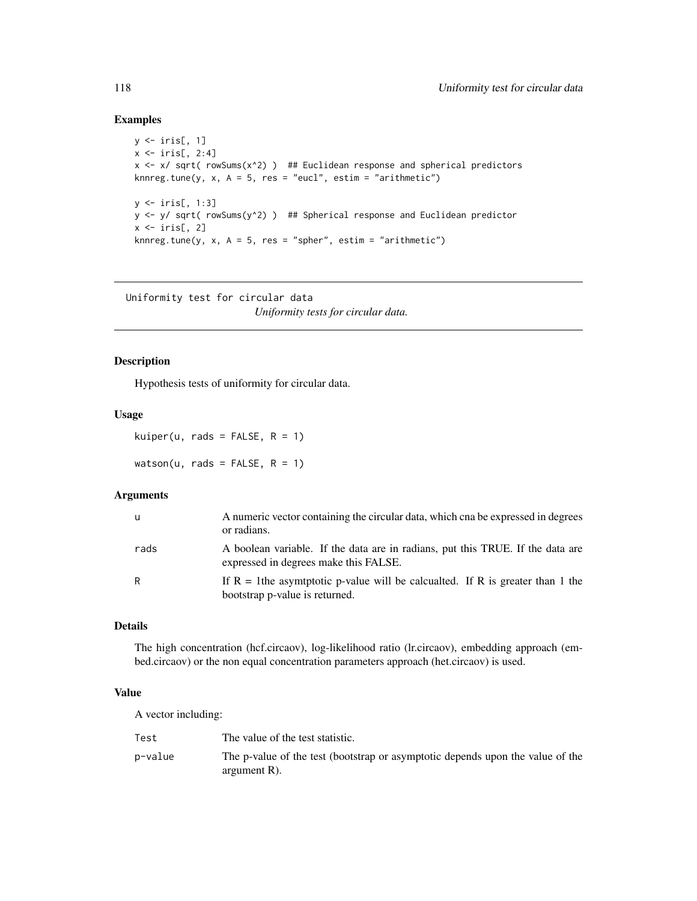# Examples

```
y \leftarrow \text{iris}[, 1]x \leftarrow \text{iris}[, 2:4]x \leftarrow x/ sqrt( rowSums(x<sup>2</sup>) ) ## Euclidean response and spherical predictors
knnreg.tune(y, x, A = 5, res = "eucl", estim = "arithmetic")
y <- iris[, 1:3]
y <- y/ sqrt( rowSums(y^2) ) ## Spherical response and Euclidean predictor
x \leftarrow \text{iris}[, 2]knnreg.tune(y, x, A = 5, res = "spher", estim = "arithmetic")
```
Uniformity test for circular data *Uniformity tests for circular data.*

#### Description

Hypothesis tests of uniformity for circular data.

#### Usage

kuiper(u, rads = FALSE,  $R = 1$ ) watson(u, rads =  $FALSE, R = 1)$ 

## Arguments

| u    | A numeric vector containing the circular data, which cna be expressed in degrees<br>or radians.                         |
|------|-------------------------------------------------------------------------------------------------------------------------|
| rads | A boolean variable. If the data are in radians, put this TRUE. If the data are<br>expressed in degrees make this FALSE. |
| R    | If $R = 1$ the asymptotic p-value will be calcualted. If R is greater than 1 the<br>bootstrap p-value is returned.      |

# Details

The high concentration (hcf.circaov), log-likelihood ratio (lr.circaov), embedding approach (embed.circaov) or the non equal concentration parameters approach (het.circaov) is used.

#### Value

A vector including:

| Test    | The value of the test statistic.                                                                  |
|---------|---------------------------------------------------------------------------------------------------|
| p-value | The p-value of the test (bootstrap or asymptotic depends upon the value of the<br>argument $R$ ). |

<span id="page-117-0"></span>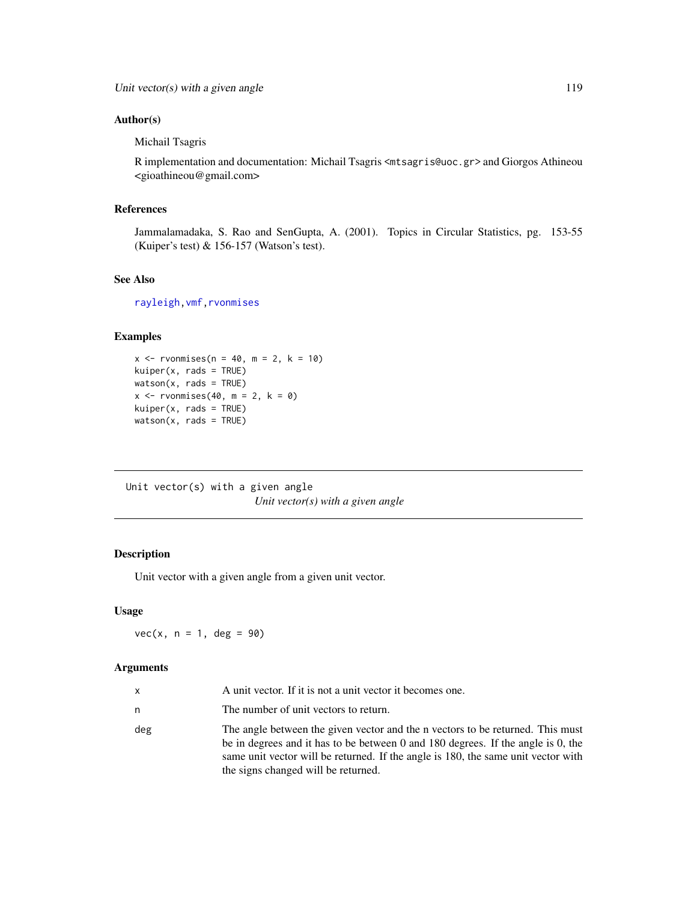# <span id="page-118-0"></span>Author(s)

Michail Tsagris

R implementation and documentation: Michail Tsagris <mtsagris@uoc.gr> and Giorgos Athineou <gioathineou@gmail.com>

#### References

Jammalamadaka, S. Rao and SenGupta, A. (2001). Topics in Circular Statistics, pg. 153-55 (Kuiper's test) & 156-157 (Watson's test).

## See Also

[rayleigh](#page-82-0)[,vmf](#page-57-0)[,rvonmises](#page-80-0)

# Examples

```
x < - rvonmises(n = 40, m = 2, k = 10)
kuiper(x, rads = TRUE)
watson(x, rads = TRUE)x \leftarrow rvonmises(40, m = 2, k = 0)
kuiper(x, rads = TRUE)watson(x, rads = TRUE)
```
Unit vector(s) with a given angle *Unit vector(s) with a given angle*

# Description

Unit vector with a given angle from a given unit vector.

# Usage

 $vec(x, n = 1, deg = 90)$ 

# Arguments

| <b>x</b> | A unit vector. If it is not a unit vector it becomes one.                                                                                                                                                                                                                                      |
|----------|------------------------------------------------------------------------------------------------------------------------------------------------------------------------------------------------------------------------------------------------------------------------------------------------|
| n        | The number of unit vectors to return.                                                                                                                                                                                                                                                          |
| deg      | The angle between the given vector and the n vectors to be returned. This must<br>be in degrees and it has to be between 0 and 180 degrees. If the angle is 0, the<br>same unit vector will be returned. If the angle is 180, the same unit vector with<br>the signs changed will be returned. |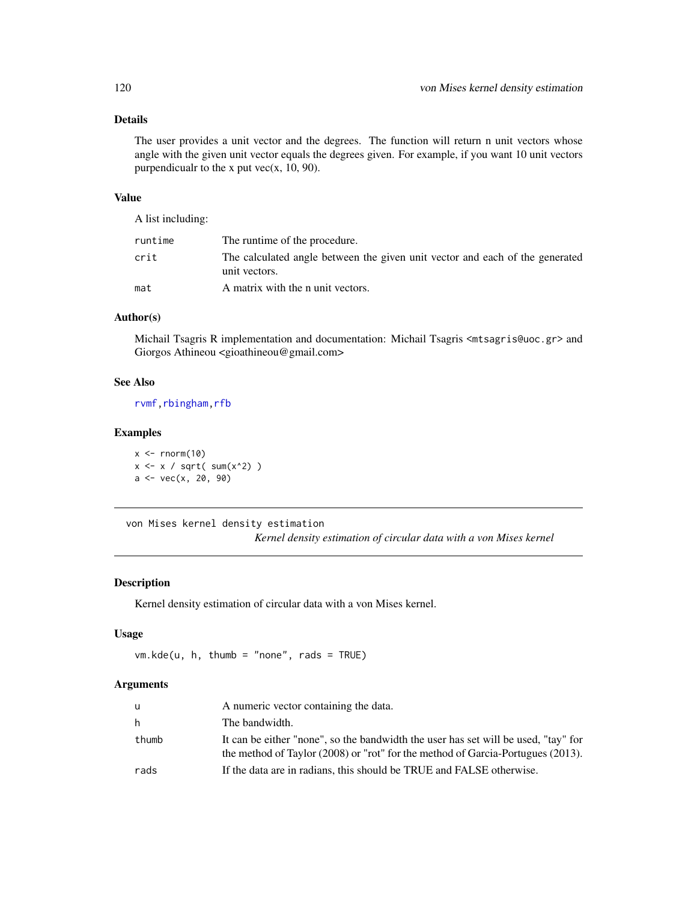# <span id="page-119-1"></span>Details

The user provides a unit vector and the degrees. The function will return n unit vectors whose angle with the given unit vector equals the degrees given. For example, if you want 10 unit vectors purpendicualr to the x put vec $(x, 10, 90)$ .

#### Value

A list including:

| runtime | The runtime of the procedure.                                                                 |
|---------|-----------------------------------------------------------------------------------------------|
| crit    | The calculated angle between the given unit vector and each of the generated<br>unit vectors. |
| mat     | A matrix with the n unit vectors.                                                             |

# Author(s)

Michail Tsagris R implementation and documentation: Michail Tsagris <mtsagris@uoc.gr> and Giorgos Athineou <gioathineou@gmail.com>

# See Also

[rvmf](#page-97-0), rbingham, rfb

# Examples

 $x \le -$  rnorm(10)  $x \leftarrow x / sqrt(\text{sum}(x^2))$ a <- vec(x, 20, 90)

von Mises kernel density estimation *Kernel density estimation of circular data with a von Mises kernel*

# <span id="page-119-0"></span>Description

Kernel density estimation of circular data with a von Mises kernel.

# Usage

```
vm.kde(u, h, thumb = "none", rads = TRUE)
```
#### Arguments

| u     | A numeric vector containing the data.                                                                                                                                      |
|-------|----------------------------------------------------------------------------------------------------------------------------------------------------------------------------|
| h.    | The bandwidth.                                                                                                                                                             |
| thumb | It can be either "none", so the bandwidth the user has set will be used, "tay" for<br>the method of Taylor $(2008)$ or "rot" for the method of Garcia-Portugues $(2013)$ . |
| rads  | If the data are in radians, this should be TRUE and FALSE otherwise.                                                                                                       |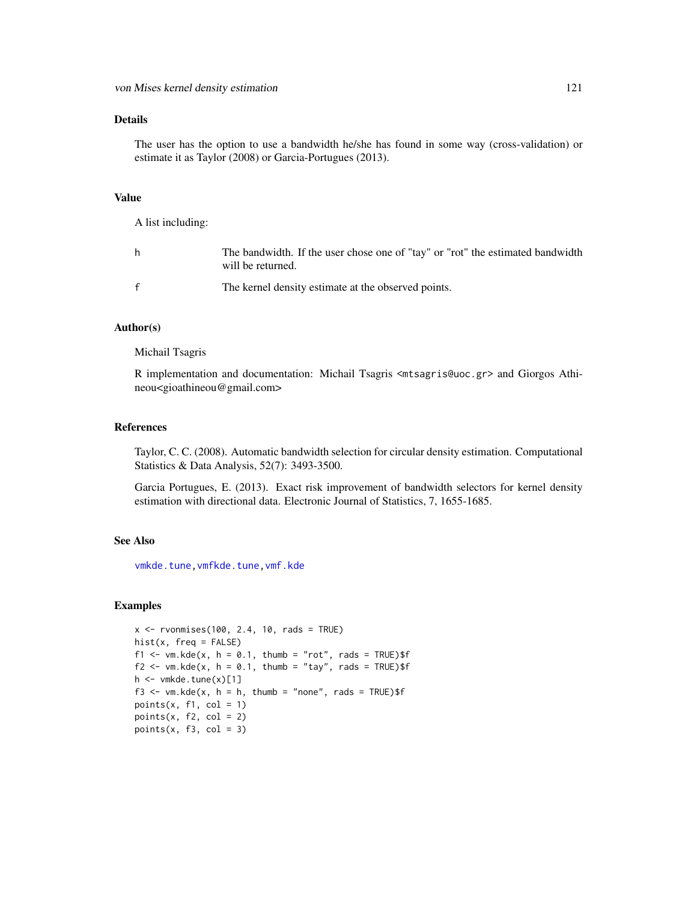#### <span id="page-120-0"></span>Details

The user has the option to use a bandwidth he/she has found in some way (cross-validation) or estimate it as Taylor (2008) or Garcia-Portugues (2013).

#### Value

A list including:

| h | The bandwidth. If the user chose one of "tay" or "rot" the estimated bandwidth<br>will be returned. |
|---|-----------------------------------------------------------------------------------------------------|
| f | The kernel density estimate at the observed points.                                                 |

# Author(s)

Michail Tsagris

R implementation and documentation: Michail Tsagris <mtsagris@uoc.gr> and Giorgos Athineou<gioathineou@gmail.com>

# References

Taylor, C. C. (2008). Automatic bandwidth selection for circular density estimation. Computational Statistics & Data Analysis, 52(7): 3493-3500.

Garcia Portugues, E. (2013). Exact risk improvement of bandwidth selectors for kernel density estimation with directional data. Electronic Journal of Statistics, 7, 1655-1685.

#### See Also

[vmkde.tune](#page-111-0)[,vmfkde.tune,](#page-112-0)[vmf.kde](#page-121-0)

#### Examples

```
x \le rvonmises(100, 2.4, 10, rads = TRUE)
hist(x, freq = FALSE)f1 <- vm.kde(x, h = 0.1, thumb = "rot", rads = TRUE)$f
f2 \leq -vm.kde(x, h = 0.1, thumb = "tay", rads = TRUE)$f
h \le - vmkde.tune(x)[1]f3 \leq vm.kde(x, h = h, thumb = "none", rads = TRUE)$f
points(x, f1, col = 1)
points(x, f2, col = 2)
points(x, f3, col = 3)
```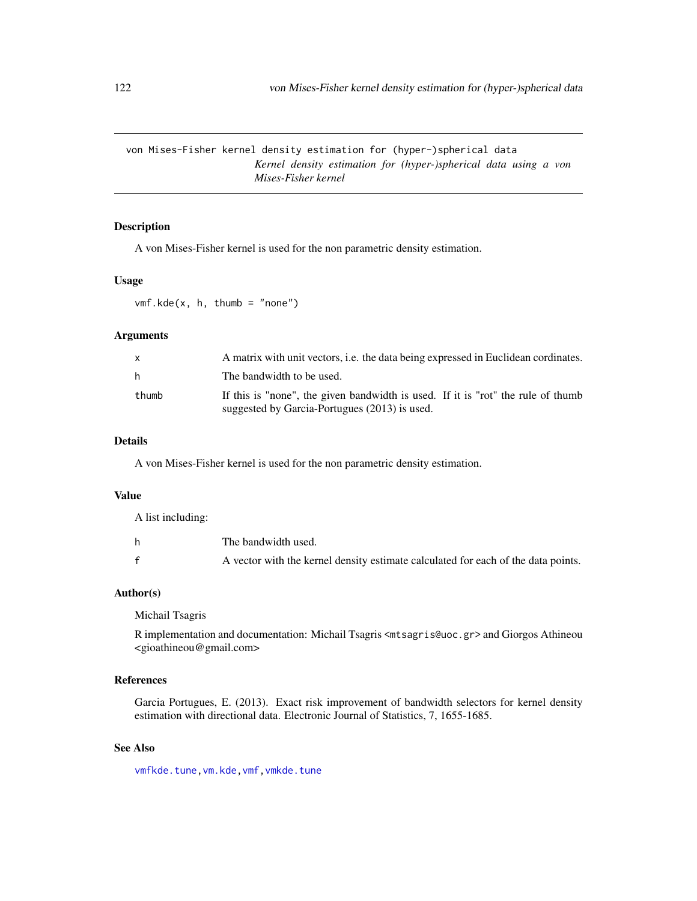<span id="page-121-1"></span>von Mises-Fisher kernel density estimation for (hyper-)spherical data *Kernel density estimation for (hyper-)spherical data using a von Mises-Fisher kernel*

# <span id="page-121-0"></span>Description

A von Mises-Fisher kernel is used for the non parametric density estimation.

#### Usage

 $vmf.kde(x, h, thumb = "none")$ 

#### **Arguments**

| x.    | A matrix with unit vectors, i.e. the data being expressed in Euclidean cordinates.                                                |
|-------|-----------------------------------------------------------------------------------------------------------------------------------|
| h.    | The bandwidth to be used.                                                                                                         |
| thumb | If this is "none", the given bandwidth is used. If it is "rot" the rule of thumb<br>suggested by Garcia-Portugues (2013) is used. |

# Details

A von Mises-Fisher kernel is used for the non parametric density estimation.

#### Value

A list including:

| The bandwidth used.                                                               |
|-----------------------------------------------------------------------------------|
| A vector with the kernel density estimate calculated for each of the data points. |

#### Author(s)

Michail Tsagris

R implementation and documentation: Michail Tsagris <mtsagris@uoc.gr> and Giorgos Athineou <gioathineou@gmail.com>

# References

Garcia Portugues, E. (2013). Exact risk improvement of bandwidth selectors for kernel density estimation with directional data. Electronic Journal of Statistics, 7, 1655-1685.

# See Also

[vmfkde.tune](#page-112-0)[,vm.kde](#page-119-0)[,vmf,](#page-57-0)[vmkde.tune](#page-111-0)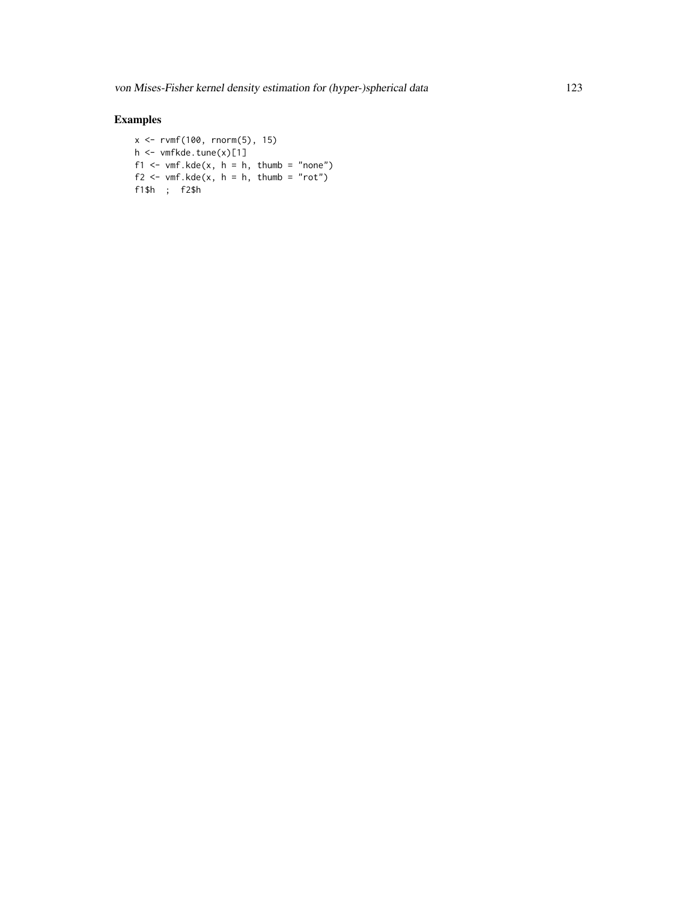# Examples

```
x <- rvmf(100, rnorm(5), 15)
h <- vmfkde.tune(x)[1]
f1 <- vmf.kde(x, h = h, thumb = "none")
f2 <- vmf. kde(x, h = h, thumb = "rot")f1$h ; f2$h
```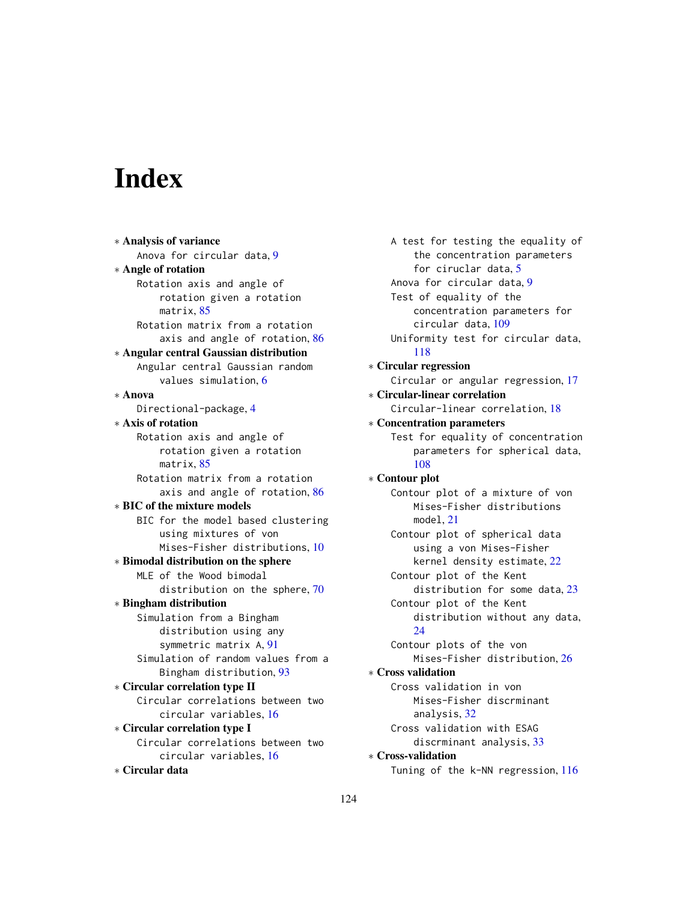# Index

∗ Analysis of variance Anova for circular data, [9](#page-8-1) ∗ Angle of rotation Rotation axis and angle of rotation given a rotation matrix, [85](#page-84-0) Rotation matrix from a rotation axis and angle of rotation, [86](#page-85-0) ∗ Angular central Gaussian distribution Angular central Gaussian random values simulation, [6](#page-5-0) ∗ Anova Directional-package, [4](#page-3-0) ∗ Axis of rotation Rotation axis and angle of rotation given a rotation matrix, [85](#page-84-0) Rotation matrix from a rotation axis and angle of rotation, [86](#page-85-0) ∗ BIC of the mixture models BIC for the model based clustering using mixtures of von Mises-Fisher distributions, [10](#page-9-0) ∗ Bimodal distribution on the sphere MLE of the Wood bimodal distribution on the sphere, [70](#page-69-0) ∗ Bingham distribution Simulation from a Bingham distribution using any symmetric matrix A, [91](#page-90-1) Simulation of random values from a Bingham distribution, [93](#page-92-0) ∗ Circular correlation type II Circular correlations between two circular variables, [16](#page-15-0) ∗ Circular correlation type I Circular correlations between two circular variables, [16](#page-15-0) ∗ Circular data

A test for testing the equality of the concentration parameters for ciruclar data, [5](#page-4-0) Anova for circular data, [9](#page-8-1) Test of equality of the concentration parameters for circular data, [109](#page-108-1) Uniformity test for circular data, [118](#page-117-0) ∗ Circular regression Circular or angular regression, [17](#page-16-0) ∗ Circular-linear correlation Circular-linear correlation, [18](#page-17-0) ∗ Concentration parameters Test for equality of concentration parameters for spherical data, [108](#page-107-0) ∗ Contour plot Contour plot of a mixture of von Mises-Fisher distributions model, [21](#page-20-0) Contour plot of spherical data using a von Mises-Fisher kernel density estimate, [22](#page-21-1) Contour plot of the Kent distribution for some data, [23](#page-22-0) Contour plot of the Kent distribution without any data, [24](#page-23-0) Contour plots of the von Mises-Fisher distribution, [26](#page-25-0) ∗ Cross validation Cross validation in von Mises-Fisher discrminant analysis, [32](#page-31-1) Cross validation with ESAG discrminant analysis, [33](#page-32-0) ∗ Cross-validation Tuning of the k-NN regression, [116](#page-115-0)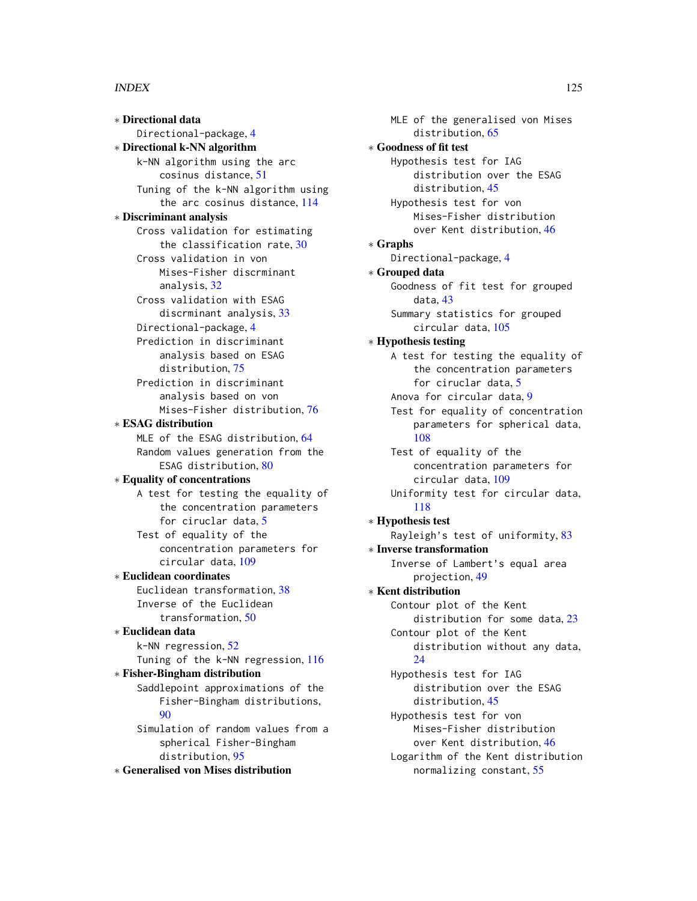#### INDEX 125

∗ Directional data Directional-package, [4](#page-3-0) ∗ Directional k-NN algorithm k-NN algorithm using the arc cosinus distance, [51](#page-50-1) Tuning of the k-NN algorithm using the arc cosinus distance, [114](#page-113-1) ∗ Discriminant analysis Cross validation for estimating the classification rate, [30](#page-29-0) Cross validation in von Mises-Fisher discrminant analysis, [32](#page-31-1) Cross validation with ESAG discrminant analysis, [33](#page-32-0) Directional-package, [4](#page-3-0) Prediction in discriminant analysis based on ESAG distribution, [75](#page-74-0) Prediction in discriminant analysis based on von Mises-Fisher distribution, [76](#page-75-0) ∗ ESAG distribution MLE of the ESAG distribution, [64](#page-63-0) Random values generation from the ESAG distribution, [80](#page-79-0) ∗ Equality of concentrations A test for testing the equality of the concentration parameters for ciruclar data, [5](#page-4-0) Test of equality of the concentration parameters for circular data, [109](#page-108-1) ∗ Euclidean coordinates Euclidean transformation, [38](#page-37-0) Inverse of the Euclidean transformation, [50](#page-49-0) ∗ Euclidean data k-NN regression, [52](#page-51-1) Tuning of the k-NN regression, [116](#page-115-0) ∗ Fisher-Bingham distribution Saddlepoint approximations of the Fisher-Bingham distributions,  $90$ Simulation of random values from a spherical Fisher-Bingham distribution, [95](#page-94-1)

∗ Generalised von Mises distribution

MLE of the generalised von Mises distribution, [65](#page-64-0) ∗ Goodness of fit test Hypothesis test for IAG distribution over the ESAG distribution, [45](#page-44-0) Hypothesis test for von Mises-Fisher distribution over Kent distribution, [46](#page-45-0) ∗ Graphs Directional-package, [4](#page-3-0) ∗ Grouped data Goodness of fit test for grouped data, [43](#page-42-0) Summary statistics for grouped circular data, [105](#page-104-0) ∗ Hypothesis testing A test for testing the equality of the concentration parameters for ciruclar data, [5](#page-4-0) Anova for circular data, [9](#page-8-1) Test for equality of concentration parameters for spherical data, [108](#page-107-0) Test of equality of the concentration parameters for circular data, [109](#page-108-1) Uniformity test for circular data, [118](#page-117-0) ∗ Hypothesis test Rayleigh's test of uniformity, [83](#page-82-1) ∗ Inverse transformation Inverse of Lambert's equal area projection, [49](#page-48-0) ∗ Kent distribution Contour plot of the Kent distribution for some data, [23](#page-22-0) Contour plot of the Kent distribution without any data, [24](#page-23-0) Hypothesis test for IAG distribution over the ESAG distribution, [45](#page-44-0) Hypothesis test for von Mises-Fisher distribution over Kent distribution, [46](#page-45-0) Logarithm of the Kent distribution normalizing constant, [55](#page-54-0)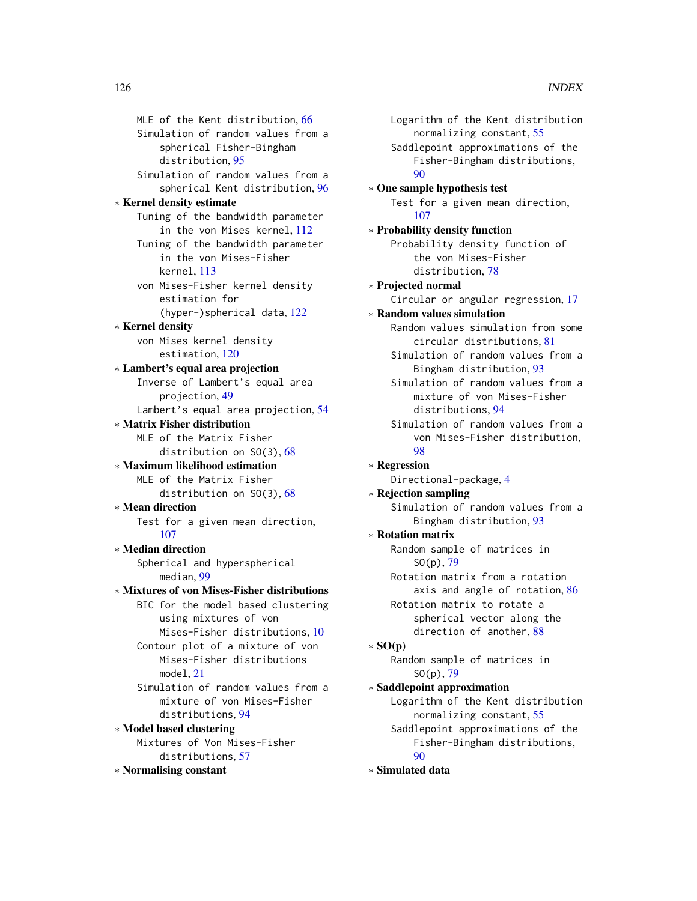MLE of the Kent distribution, [66](#page-65-0) Simulation of random values from a spherical Fisher-Bingham distribution, [95](#page-94-1) Simulation of random values from a spherical Kent distribution, [96](#page-95-0) ∗ Kernel density estimate Tuning of the bandwidth parameter in the von Mises kernel, [112](#page-111-1) Tuning of the bandwidth parameter in the von Mises-Fisher kernel, [113](#page-112-1) von Mises-Fisher kernel density estimation for (hyper-)spherical data, [122](#page-121-1) ∗ Kernel density von Mises kernel density estimation, [120](#page-119-1) ∗ Lambert's equal area projection Inverse of Lambert's equal area projection, [49](#page-48-0) Lambert's equal area projection, [54](#page-53-0) ∗ Matrix Fisher distribution MLE of the Matrix Fisher distribution on SO(3), [68](#page-67-0) ∗ Maximum likelihood estimation MLE of the Matrix Fisher distribution on SO(3), [68](#page-67-0) ∗ Mean direction Test for a given mean direction, [107](#page-106-0) ∗ Median direction Spherical and hyperspherical median, [99](#page-98-0) ∗ Mixtures of von Mises-Fisher distributions BIC for the model based clustering using mixtures of von Mises-Fisher distributions, [10](#page-9-0) Contour plot of a mixture of von Mises-Fisher distributions model, [21](#page-20-0) Simulation of random values from a mixture of von Mises-Fisher distributions, [94](#page-93-0) ∗ Model based clustering Mixtures of Von Mises-Fisher distributions, [57](#page-56-1) ∗ Normalising constant

Logarithm of the Kent distribution normalizing constant, [55](#page-54-0) Saddlepoint approximations of the Fisher-Bingham distributions, [90](#page-89-0) ∗ One sample hypothesis test Test for a given mean direction, [107](#page-106-0) ∗ Probability density function Probability density function of the von Mises-Fisher distribution, [78](#page-77-0) ∗ Projected normal Circular or angular regression, [17](#page-16-0) ∗ Random values simulation Random values simulation from some circular distributions, [81](#page-80-1) Simulation of random values from a Bingham distribution, [93](#page-92-0) Simulation of random values from a mixture of von Mises-Fisher distributions, [94](#page-93-0) Simulation of random values from a von Mises-Fisher distribution, [98](#page-97-1) ∗ Regression Directional-package, [4](#page-3-0) ∗ Rejection sampling Simulation of random values from a Bingham distribution, [93](#page-92-0) ∗ Rotation matrix Random sample of matrices in  $SO(p), 79$  $SO(p), 79$ Rotation matrix from a rotation axis and angle of rotation, [86](#page-85-0) Rotation matrix to rotate a spherical vector along the direction of another, [88](#page-87-0)  $*$  SO(p) Random sample of matrices in  $SO(p)$ , [79](#page-78-0) ∗ Saddlepoint approximation Logarithm of the Kent distribution normalizing constant, [55](#page-54-0) Saddlepoint approximations of the Fisher-Bingham distributions, [90](#page-89-0) ∗ Simulated data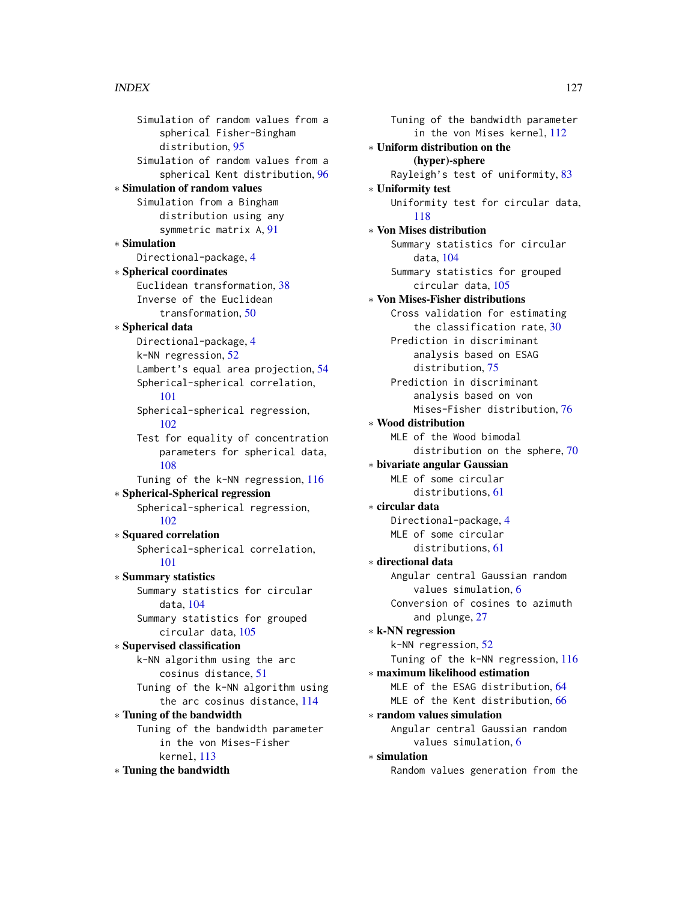Simulation of random values from a spherical Fisher-Bingham distribution, [95](#page-94-1) Simulation of random values from a spherical Kent distribution, [96](#page-95-0) ∗ Simulation of random values Simulation from a Bingham distribution using any symmetric matrix A, [91](#page-90-1) ∗ Simulation Directional-package, [4](#page-3-0) ∗ Spherical coordinates Euclidean transformation, [38](#page-37-0) Inverse of the Euclidean transformation, [50](#page-49-0) ∗ Spherical data Directional-package, [4](#page-3-0) k-NN regression, [52](#page-51-1) Lambert's equal area projection, [54](#page-53-0) Spherical-spherical correlation, [101](#page-100-0) Spherical-spherical regression, [102](#page-101-1) Test for equality of concentration parameters for spherical data, [108](#page-107-0) Tuning of the k-NN regression, [116](#page-115-0) ∗ Spherical-Spherical regression Spherical-spherical regression, [102](#page-101-1) ∗ Squared correlation Spherical-spherical correlation, [101](#page-100-0) ∗ Summary statistics Summary statistics for circular data, [104](#page-103-0) Summary statistics for grouped circular data, [105](#page-104-0) ∗ Supervised classification k-NN algorithm using the arc cosinus distance, [51](#page-50-1) Tuning of the k-NN algorithm using the arc cosinus distance, [114](#page-113-1) ∗ Tuning of the bandwidth Tuning of the bandwidth parameter in the von Mises-Fisher kernel, [113](#page-112-1) ∗ Tuning the bandwidth

Tuning of the bandwidth parameter in the von Mises kernel, [112](#page-111-1) ∗ Uniform distribution on the (hyper)-sphere Rayleigh's test of uniformity, [83](#page-82-1) ∗ Uniformity test Uniformity test for circular data, [118](#page-117-0) ∗ Von Mises distribution Summary statistics for circular data, [104](#page-103-0) Summary statistics for grouped circular data, [105](#page-104-0) ∗ Von Mises-Fisher distributions Cross validation for estimating the classification rate, [30](#page-29-0) Prediction in discriminant analysis based on ESAG distribution, [75](#page-74-0) Prediction in discriminant analysis based on von Mises-Fisher distribution, [76](#page-75-0) ∗ Wood distribution MLE of the Wood bimodal distribution on the sphere, [70](#page-69-0) ∗ bivariate angular Gaussian MLE of some circular distributions, [61](#page-60-0) ∗ circular data Directional-package, [4](#page-3-0) MLE of some circular distributions, [61](#page-60-0) ∗ directional data Angular central Gaussian random values simulation, [6](#page-5-0) Conversion of cosines to azimuth and plunge, [27](#page-26-0) ∗ k-NN regression k-NN regression, [52](#page-51-1) Tuning of the k-NN regression, [116](#page-115-0) ∗ maximum likelihood estimation MLE of the ESAG distribution, [64](#page-63-0) MLE of the Kent distribution, [66](#page-65-0) ∗ random values simulation Angular central Gaussian random values simulation, [6](#page-5-0) ∗ simulation Random values generation from the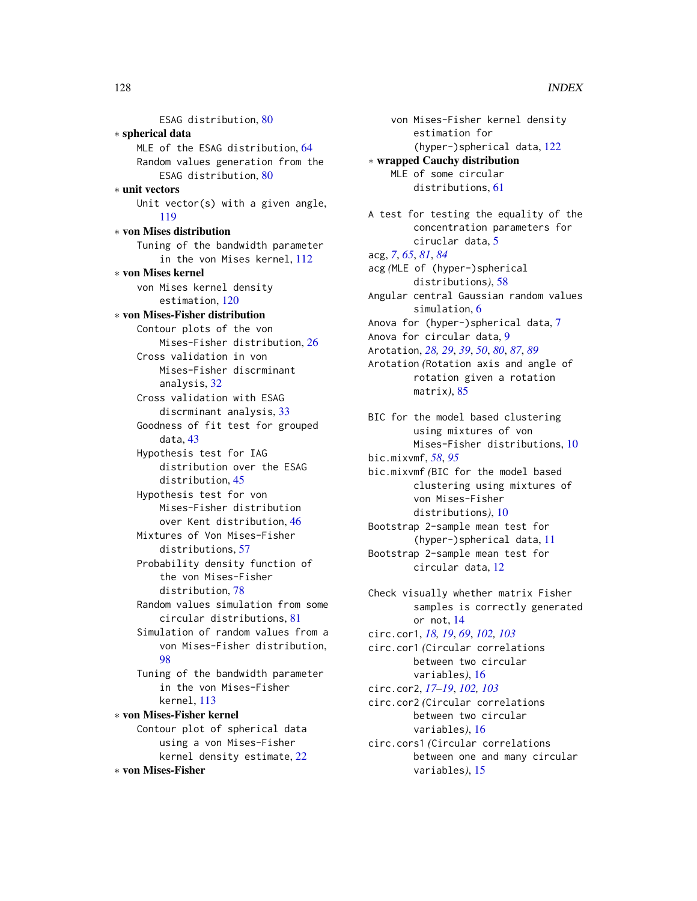ESAG distribution, [80](#page-79-0) ∗ spherical data MLE of the ESAG distribution, [64](#page-63-0) Random values generation from the ESAG distribution, [80](#page-79-0) ∗ unit vectors Unit vector(s) with a given angle, [119](#page-118-0) ∗ von Mises distribution Tuning of the bandwidth parameter in the von Mises kernel, [112](#page-111-1) ∗ von Mises kernel von Mises kernel density estimation, [120](#page-119-1) ∗ von Mises-Fisher distribution Contour plots of the von Mises-Fisher distribution, [26](#page-25-0) Cross validation in von Mises-Fisher discrminant analysis, [32](#page-31-1) Cross validation with ESAG discrminant analysis, [33](#page-32-0) Goodness of fit test for grouped data, [43](#page-42-0) Hypothesis test for IAG distribution over the ESAG distribution, [45](#page-44-0) Hypothesis test for von Mises-Fisher distribution over Kent distribution, [46](#page-45-0) Mixtures of Von Mises-Fisher distributions, [57](#page-56-1) Probability density function of the von Mises-Fisher distribution, [78](#page-77-0) Random values simulation from some circular distributions, [81](#page-80-1) Simulation of random values from a von Mises-Fisher distribution, [98](#page-97-1) Tuning of the bandwidth parameter in the von Mises-Fisher kernel, [113](#page-112-1) ∗ von Mises-Fisher kernel Contour plot of spherical data using a von Mises-Fisher kernel density estimate, [22](#page-21-1)

∗ von Mises-Fisher

von Mises-Fisher kernel density estimation for (hyper-)spherical data, [122](#page-121-1) ∗ wrapped Cauchy distribution MLE of some circular distributions, [61](#page-60-0) A test for testing the equality of the concentration parameters for ciruclar data, [5](#page-4-0) acg, *[7](#page-6-1)*, *[65](#page-64-0)*, *[81](#page-80-1)*, *[84](#page-83-0)* acg *(*MLE of (hyper-)spherical distributions*)*, [58](#page-57-1) Angular central Gaussian random values simulation, [6](#page-5-0) Anova for (hyper-)spherical data, [7](#page-6-1) Anova for circular data, [9](#page-8-1) Arotation, *[28,](#page-27-0) [29](#page-28-0)*, *[39](#page-38-0)*, *[50](#page-49-0)*, *[80](#page-79-0)*, *[87](#page-86-0)*, *[89](#page-88-0)* Arotation *(*Rotation axis and angle of rotation given a rotation matrix*)*, [85](#page-84-0)

BIC for the model based clustering using mixtures of von Mises-Fisher distributions, [10](#page-9-0) bic.mixvmf, *[58](#page-57-1)*, *[95](#page-94-1)* bic.mixvmf *(*BIC for the model based clustering using mixtures of

von Mises-Fisher distributions*)*, [10](#page-9-0) Bootstrap 2-sample mean test for (hyper-)spherical data, [11](#page-10-0) Bootstrap 2-sample mean test for

circular data, [12](#page-11-0)

Check visually whether matrix Fisher samples is correctly generated or not, [14](#page-13-0) circ.cor1, *[18,](#page-17-0) [19](#page-18-0)*, *[69](#page-68-0)*, *[102,](#page-101-1) [103](#page-102-0)* circ.cor1 *(*Circular correlations between two circular variables*)*, [16](#page-15-0) circ.cor2, *[17](#page-16-0)[–19](#page-18-0)*, *[102,](#page-101-1) [103](#page-102-0)* circ.cor2 *(*Circular correlations between two circular variables*)*, [16](#page-15-0)

circ.cors1 *(*Circular correlations between one and many circular variables*)*, [15](#page-14-0)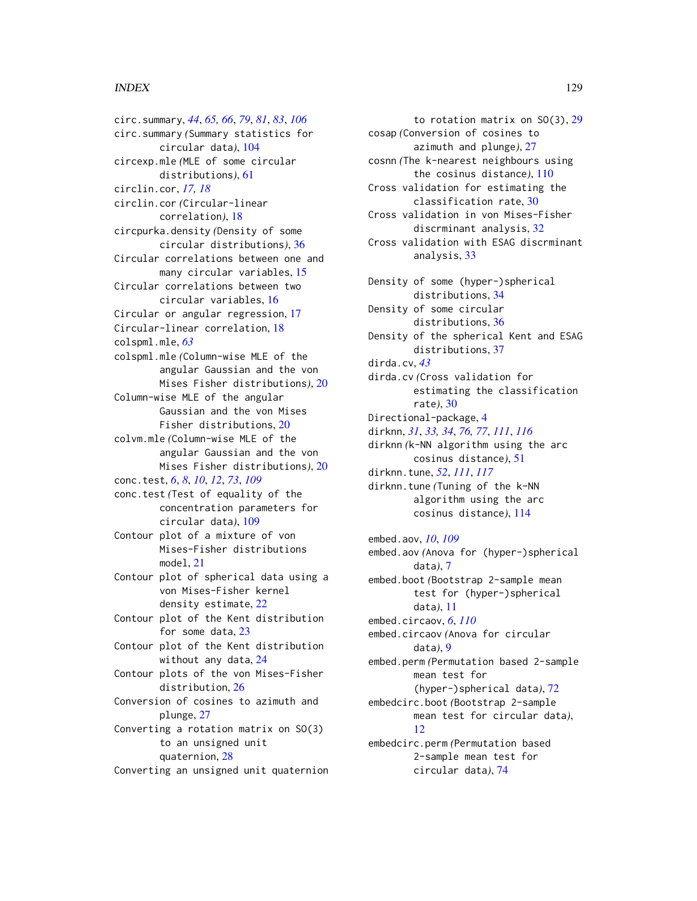#### INDEX 229

circ.summary, *[44](#page-43-0)*, *[65,](#page-64-0) [66](#page-65-0)*, *[79](#page-78-0)*, *[81](#page-80-1)*, *[83](#page-82-1)*, *[106](#page-105-0)* circ.summary *(*Summary statistics for circular data*)*, [104](#page-103-0) circexp.mle *(*MLE of some circular distributions*)*, [61](#page-60-0) circlin.cor, *[17,](#page-16-0) [18](#page-17-0)* circlin.cor *(*Circular-linear correlation*)*, [18](#page-17-0) circpurka.density *(*Density of some circular distributions*)*, [36](#page-35-0) Circular correlations between one and many circular variables, [15](#page-14-0) Circular correlations between two circular variables, [16](#page-15-0) Circular or angular regression, [17](#page-16-0) Circular-linear correlation, [18](#page-17-0) colspml.mle, *[63](#page-62-0)* colspml.mle *(*Column-wise MLE of the angular Gaussian and the von Mises Fisher distributions*)*, [20](#page-19-0) Column-wise MLE of the angular Gaussian and the von Mises Fisher distributions, [20](#page-19-0) colvm.mle *(*Column-wise MLE of the angular Gaussian and the von Mises Fisher distributions*)*, [20](#page-19-0) conc.test, *[6](#page-5-0)*, *[8](#page-7-0)*, *[10](#page-9-0)*, *[12](#page-11-0)*, *[73](#page-72-0)*, *[109](#page-108-1)* conc.test *(*Test of equality of the concentration parameters for circular data*)*, [109](#page-108-1) Contour plot of a mixture of von Mises-Fisher distributions model, [21](#page-20-0) Contour plot of spherical data using a von Mises-Fisher kernel density estimate, [22](#page-21-1) Contour plot of the Kent distribution for some data, [23](#page-22-0) Contour plot of the Kent distribution without any data, [24](#page-23-0) Contour plots of the von Mises-Fisher distribution, [26](#page-25-0) Conversion of cosines to azimuth and plunge, [27](#page-26-0) Converting a rotation matrix on SO(3) to an unsigned unit quaternion, [28](#page-27-0) Converting an unsigned unit quaternion

to rotation matrix on SO(3), [29](#page-28-0) cosap *(*Conversion of cosines to azimuth and plunge*)*, [27](#page-26-0) cosnn *(*The k-nearest neighbours using the cosinus distance*)*, [110](#page-109-0) Cross validation for estimating the classification rate, [30](#page-29-0) Cross validation in von Mises-Fisher discrminant analysis, [32](#page-31-1) Cross validation with ESAG discrminant analysis, [33](#page-32-0) Density of some (hyper-)spherical distributions, [34](#page-33-0) Density of some circular distributions, [36](#page-35-0) Density of the spherical Kent and ESAG distributions, [37](#page-36-0) dirda.cv, *[43](#page-42-0)* dirda.cv *(*Cross validation for estimating the classification rate*)*, [30](#page-29-0) Directional-package, [4](#page-3-0) dirknn, *[31](#page-30-0)*, *[33,](#page-32-0) [34](#page-33-0)*, *[76,](#page-75-0) [77](#page-76-1)*, *[111](#page-110-0)*, *[116](#page-115-0)* dirknn *(*k-NN algorithm using the arc cosinus distance*)*, [51](#page-50-1) dirknn.tune, *[52](#page-51-1)*, *[111](#page-110-0)*, *[117](#page-116-0)* dirknn.tune *(*Tuning of the k-NN algorithm using the arc cosinus distance*)*, [114](#page-113-1) embed.aov, *[10](#page-9-0)*, *[109](#page-108-1)* embed.aov *(*Anova for (hyper-)spherical data*)*, [7](#page-6-1) embed.boot *(*Bootstrap 2-sample mean test for (hyper-)spherical data*)*, [11](#page-10-0) embed.circaov, *[6](#page-5-0)*, *[110](#page-109-0)* embed.circaov *(*Anova for circular data*)*, [9](#page-8-1) embed.perm *(*Permutation based 2-sample mean test for (hyper-)spherical data*)*, [72](#page-71-0) embedcirc.boot *(*Bootstrap 2-sample mean test for circular data*)*, [12](#page-11-0) embedcirc.perm *(*Permutation based 2-sample mean test for

circular data*)*, [74](#page-73-0)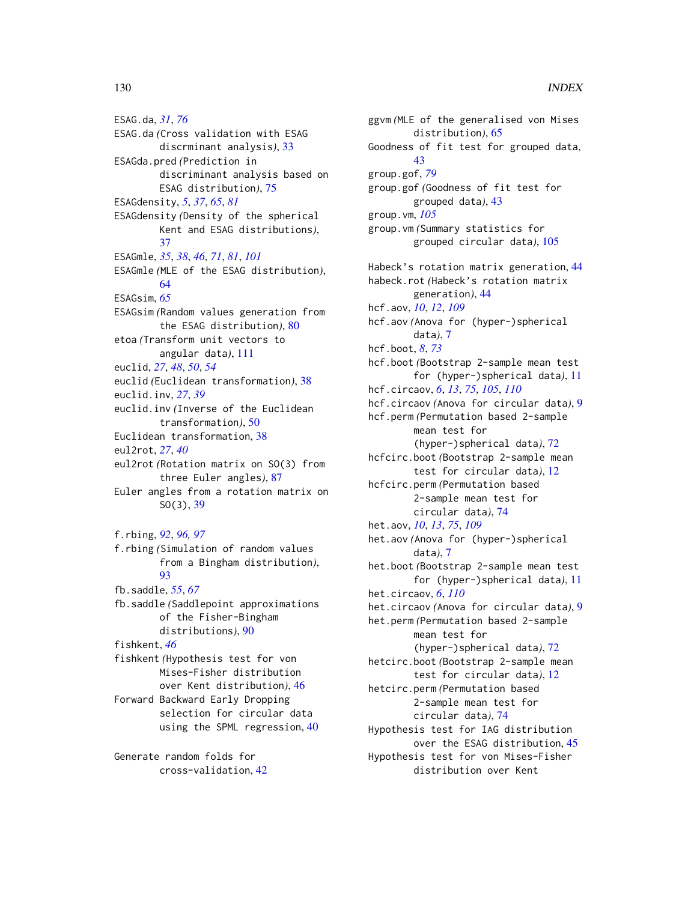ESAG.da, *[31](#page-30-0)*, *[76](#page-75-0)* ESAG.da *(*Cross validation with ESAG discrminant analysis*)*, [33](#page-32-0) ESAGda.pred *(*Prediction in discriminant analysis based on ESAG distribution*)*, [75](#page-74-0) ESAGdensity, *[5](#page-4-0)*, *[37](#page-36-0)*, *[65](#page-64-0)*, *[81](#page-80-1)* ESAGdensity *(*Density of the spherical Kent and ESAG distributions*)*, [37](#page-36-0) ESAGmle, *[35](#page-34-0)*, *[38](#page-37-0)*, *[46](#page-45-0)*, *[71](#page-70-0)*, *[81](#page-80-1)*, *[101](#page-100-0)* ESAGmle *(*MLE of the ESAG distribution*)*, [64](#page-63-0) ESAGsim, *[65](#page-64-0)* ESAGsim *(*Random values generation from the ESAG distribution*)*, [80](#page-79-0) etoa *(*Transform unit vectors to angular data*)*, [111](#page-110-0) euclid, *[27](#page-26-0)*, *[48](#page-47-1)*, *[50](#page-49-0)*, *[54](#page-53-0)* euclid *(*Euclidean transformation*)*, [38](#page-37-0) euclid.inv, *[27](#page-26-0)*, *[39](#page-38-0)* euclid.inv *(*Inverse of the Euclidean transformation*)*, [50](#page-49-0) Euclidean transformation, [38](#page-37-0) eul2rot, *[27](#page-26-0)*, *[40](#page-39-0)* eul2rot *(*Rotation matrix on SO(3) from three Euler angles*)*, [87](#page-86-0) Euler angles from a rotation matrix on SO(3), [39](#page-38-0) f.rbing, *[92](#page-91-0)*, *[96,](#page-95-0) [97](#page-96-0)* f.rbing *(*Simulation of random values from a Bingham distribution*)*, [93](#page-92-0) fb.saddle, *[55](#page-54-0)*, *[67](#page-66-0)* fb.saddle *(*Saddlepoint approximations of the Fisher-Bingham distributions*)*, [90](#page-89-0) fishkent, *[46](#page-45-0)* fishkent *(*Hypothesis test for von Mises-Fisher distribution over Kent distribution*)*, [46](#page-45-0) Forward Backward Early Dropping selection for circular data using the SPML regression, [40](#page-39-0)

Generate random folds for cross-validation, [42](#page-41-0)

ggvm *(*MLE of the generalised von Mises distribution*)*, [65](#page-64-0) Goodness of fit test for grouped data, [43](#page-42-0) group.gof, *[79](#page-78-0)* group.gof *(*Goodness of fit test for grouped data*)*, [43](#page-42-0) group.vm, *[105](#page-104-0)* group.vm *(*Summary statistics for grouped circular data*)*, [105](#page-104-0) Habeck's rotation matrix generation, [44](#page-43-0) habeck.rot *(*Habeck's rotation matrix generation*)*, [44](#page-43-0) hcf.aov, *[10](#page-9-0)*, *[12](#page-11-0)*, *[109](#page-108-1)* hcf.aov *(*Anova for (hyper-)spherical data*)*, [7](#page-6-1) hcf.boot, *[8](#page-7-0)*, *[73](#page-72-0)* hcf.boot *(*Bootstrap 2-sample mean test for (hyper-)spherical data*)*, [11](#page-10-0) hcf.circaov, *[6](#page-5-0)*, *[13](#page-12-0)*, *[75](#page-74-0)*, *[105](#page-104-0)*, *[110](#page-109-0)* hcf.circaov *(*Anova for circular data*)*, [9](#page-8-1) hcf.perm *(*Permutation based 2-sample mean test for (hyper-)spherical data*)*, [72](#page-71-0) hcfcirc.boot *(*Bootstrap 2-sample mean test for circular data*)*, [12](#page-11-0) hcfcirc.perm *(*Permutation based 2-sample mean test for circular data*)*, [74](#page-73-0) het.aov, *[10](#page-9-0)*, *[13](#page-12-0)*, *[75](#page-74-0)*, *[109](#page-108-1)* het.aov *(*Anova for (hyper-)spherical data*)*, [7](#page-6-1) het.boot *(*Bootstrap 2-sample mean test for (hyper-)spherical data*)*, [11](#page-10-0) het.circaov, *[6](#page-5-0)*, *[110](#page-109-0)* het.circaov *(*Anova for circular data*)*, [9](#page-8-1) het.perm *(*Permutation based 2-sample mean test for (hyper-)spherical data*)*, [72](#page-71-0) hetcirc.boot *(*Bootstrap 2-sample mean test for circular data*)*, [12](#page-11-0) hetcirc.perm *(*Permutation based 2-sample mean test for circular data*)*, [74](#page-73-0) Hypothesis test for IAG distribution over the ESAG distribution, [45](#page-44-0) Hypothesis test for von Mises-Fisher distribution over Kent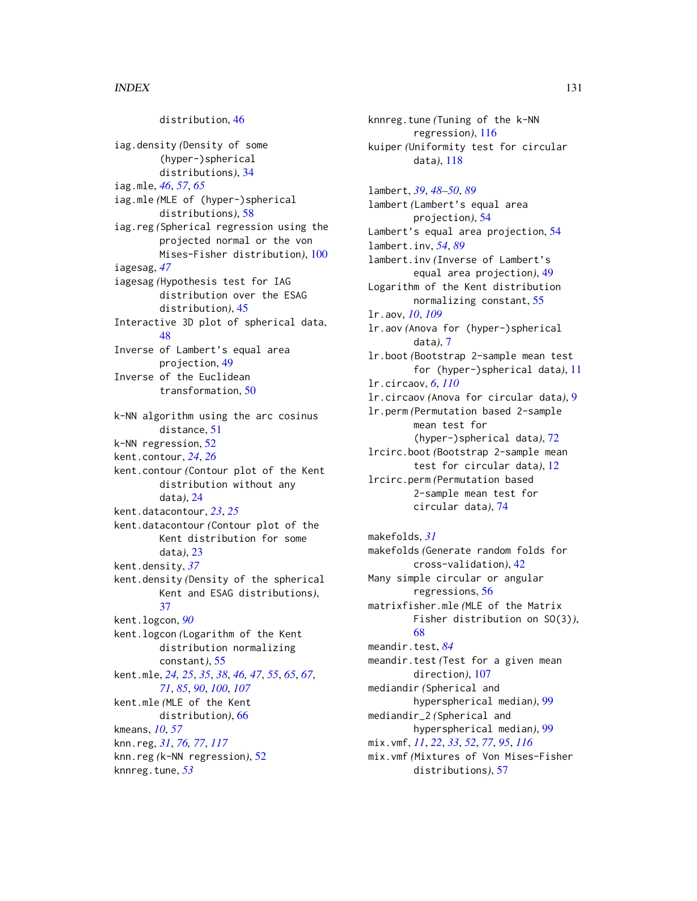distribution, [46](#page-45-0) iag.density *(*Density of some (hyper-)spherical distributions*)*, [34](#page-33-0) iag.mle, *[46](#page-45-0)*, *[57](#page-56-1)*, *[65](#page-64-0)* iag.mle *(*MLE of (hyper-)spherical distributions*)*, [58](#page-57-1) iag.reg *(*Spherical regression using the projected normal or the von Mises-Fisher distribution*)*, [100](#page-99-0) iagesag, *[47](#page-46-0)* iagesag *(*Hypothesis test for IAG distribution over the ESAG distribution*)*, [45](#page-44-0) Interactive 3D plot of spherical data, [48](#page-47-1) Inverse of Lambert's equal area projection, [49](#page-48-0) Inverse of the Euclidean transformation, [50](#page-49-0) k-NN algorithm using the arc cosinus distance, [51](#page-50-1) k-NN regression, [52](#page-51-1) kent.contour, *[24](#page-23-0)*, *[26](#page-25-0)* kent.contour *(*Contour plot of the Kent distribution without any data*)*, [24](#page-23-0) kent.datacontour, *[23](#page-22-0)*, *[25](#page-24-0)* kent.datacontour *(*Contour plot of the Kent distribution for some data*)*, [23](#page-22-0) kent.density, *[37](#page-36-0)* kent.density *(*Density of the spherical Kent and ESAG distributions*)*, [37](#page-36-0) kent.logcon, *[90](#page-89-0)* kent.logcon *(*Logarithm of the Kent distribution normalizing constant*)*, [55](#page-54-0) kent.mle, *[24,](#page-23-0) [25](#page-24-0)*, *[35](#page-34-0)*, *[38](#page-37-0)*, *[46,](#page-45-0) [47](#page-46-0)*, *[55](#page-54-0)*, *[65](#page-64-0)*, *[67](#page-66-0)*, *[71](#page-70-0)*, *[85](#page-84-0)*, *[90](#page-89-0)*, *[100](#page-99-0)*, *[107](#page-106-0)* kent.mle *(*MLE of the Kent distribution*)*, [66](#page-65-0) kmeans, *[10](#page-9-0)*, *[57](#page-56-1)* knn.reg, *[31](#page-30-0)*, *[76,](#page-75-0) [77](#page-76-1)*, *[117](#page-116-0)* knn.reg *(*k-NN regression*)*, [52](#page-51-1) knnreg.tune, *[53](#page-52-0)*

knnreg.tune *(*Tuning of the k-NN regression*)*, [116](#page-115-0) kuiper *(*Uniformity test for circular data*)*, [118](#page-117-0) lambert, *[39](#page-38-0)*, *[48](#page-47-1)[–50](#page-49-0)*, *[89](#page-88-0)* lambert *(*Lambert's equal area projection*)*, [54](#page-53-0) Lambert's equal area projection, [54](#page-53-0) lambert.inv, *[54](#page-53-0)*, *[89](#page-88-0)* lambert.inv *(*Inverse of Lambert's equal area projection*)*, [49](#page-48-0) Logarithm of the Kent distribution normalizing constant, [55](#page-54-0) lr.aov, *[10](#page-9-0)*, *[109](#page-108-1)* lr.aov *(*Anova for (hyper-)spherical data*)*, [7](#page-6-1) lr.boot *(*Bootstrap 2-sample mean test for (hyper-)spherical data*)*, [11](#page-10-0) lr.circaov, *[6](#page-5-0)*, *[110](#page-109-0)* lr.circaov *(*Anova for circular data*)*, [9](#page-8-1) lr.perm *(*Permutation based 2-sample mean test for (hyper-)spherical data*)*, [72](#page-71-0) lrcirc.boot *(*Bootstrap 2-sample mean test for circular data*)*, [12](#page-11-0) lrcirc.perm *(*Permutation based 2-sample mean test for circular data*)*, [74](#page-73-0) makefolds, *[31](#page-30-0)* makefolds *(*Generate random folds for cross-validation*)*, [42](#page-41-0) Many simple circular or angular

regressions, [56](#page-55-0) matrixfisher.mle *(*MLE of the Matrix Fisher distribution on SO(3)*)*, [68](#page-67-0) meandir.test, *[84](#page-83-0)* meandir.test *(*Test for a given mean direction*)*, [107](#page-106-0) mediandir *(*Spherical and hyperspherical median*)*, [99](#page-98-0) mediandir\_2 *(*Spherical and hyperspherical median*)*, [99](#page-98-0) mix.vmf, *[11](#page-10-0)*, *[22](#page-21-1)*, *[33](#page-32-0)*, *[52](#page-51-1)*, *[77](#page-76-1)*, *[95](#page-94-1)*, *[116](#page-115-0)* mix.vmf *(*Mixtures of Von Mises-Fisher distributions*)*, [57](#page-56-1)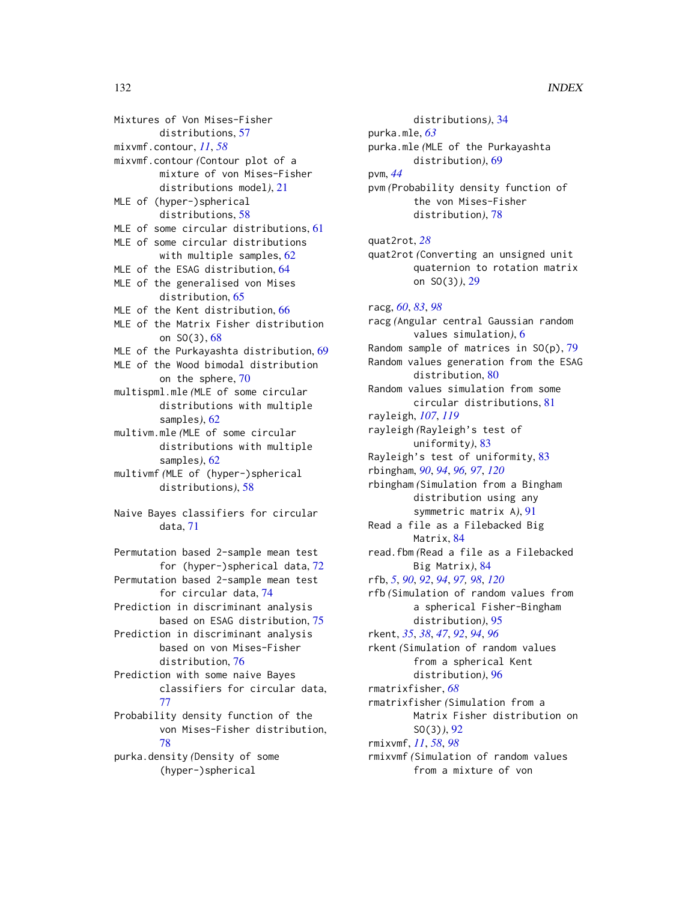Mixtures of Von Mises-Fisher distributions, [57](#page-56-1) mixvmf.contour, *[11](#page-10-0)*, *[58](#page-57-1)* mixvmf.contour *(*Contour plot of a mixture of von Mises-Fisher distributions model*)*, [21](#page-20-0) MLE of (hyper-)spherical distributions, [58](#page-57-1) MLE of some circular distributions, [61](#page-60-0) MLE of some circular distributions with multiple samples, [62](#page-61-0) MLE of the ESAG distribution, [64](#page-63-0) MLE of the generalised von Mises distribution, [65](#page-64-0) MLE of the Kent distribution, [66](#page-65-0) MLE of the Matrix Fisher distribution on SO(3), [68](#page-67-0) MLE of the Purkayashta distribution, [69](#page-68-0) MLE of the Wood bimodal distribution on the sphere, [70](#page-69-0) multispml.mle *(*MLE of some circular distributions with multiple samples*)*, [62](#page-61-0) multivm.mle *(*MLE of some circular distributions with multiple samples*)*, [62](#page-61-0) multivmf *(*MLE of (hyper-)spherical distributions*)*, [58](#page-57-1) Naive Bayes classifiers for circular data, [71](#page-70-0) Permutation based 2-sample mean test for (hyper-)spherical data, [72](#page-71-0) Permutation based 2-sample mean test for circular data, [74](#page-73-0) Prediction in discriminant analysis based on ESAG distribution, [75](#page-74-0) Prediction in discriminant analysis based on von Mises-Fisher distribution, [76](#page-75-0) Prediction with some naive Bayes classifiers for circular data, [77](#page-76-1) Probability density function of the

von Mises-Fisher distribution, [78](#page-77-0) purka.density *(*Density of some (hyper-)spherical

distributions*)*, [34](#page-33-0) purka.mle, *[63](#page-62-0)* purka.mle *(*MLE of the Purkayashta distribution*)*, [69](#page-68-0) pvm, *[44](#page-43-0)* pvm *(*Probability density function of the von Mises-Fisher distribution*)*, [78](#page-77-0) quat2rot, *[28](#page-27-0)* quat2rot *(*Converting an unsigned unit quaternion to rotation matrix on SO(3)*)*, [29](#page-28-0) racg, *[60](#page-59-0)*, *[83](#page-82-1)*, *[98](#page-97-1)* racg *(*Angular central Gaussian random values simulation*)*, [6](#page-5-0) Random sample of matrices in  $SO(p)$ , [79](#page-78-0) Random values generation from the ESAG distribution, [80](#page-79-0) Random values simulation from some circular distributions, [81](#page-80-1) rayleigh, *[107](#page-106-0)*, *[119](#page-118-0)* rayleigh *(*Rayleigh's test of uniformity*)*, [83](#page-82-1) Rayleigh's test of uniformity, [83](#page-82-1) rbingham, *[90](#page-89-0)*, *[94](#page-93-0)*, *[96,](#page-95-0) [97](#page-96-0)*, *[120](#page-119-1)* rbingham *(*Simulation from a Bingham distribution using any symmetric matrix A*)*, [91](#page-90-1) Read a file as a Filebacked Big Matrix, [84](#page-83-0) read.fbm *(*Read a file as a Filebacked Big Matrix*)*, [84](#page-83-0) rfb, *[5](#page-4-0)*, *[90](#page-89-0)*, *[92](#page-91-0)*, *[94](#page-93-0)*, *[97,](#page-96-0) [98](#page-97-1)*, *[120](#page-119-1)* rfb *(*Simulation of random values from a spherical Fisher-Bingham distribution*)*, [95](#page-94-1) rkent, *[35](#page-34-0)*, *[38](#page-37-0)*, *[47](#page-46-0)*, *[92](#page-91-0)*, *[94](#page-93-0)*, *[96](#page-95-0)* rkent *(*Simulation of random values from a spherical Kent distribution*)*, [96](#page-95-0) rmatrixfisher, *[68](#page-67-0)* rmatrixfisher *(*Simulation from a Matrix Fisher distribution on SO(3)*)*, [92](#page-91-0) rmixvmf, *[11](#page-10-0)*, *[58](#page-57-1)*, *[98](#page-97-1)* rmixvmf *(*Simulation of random values from a mixture of von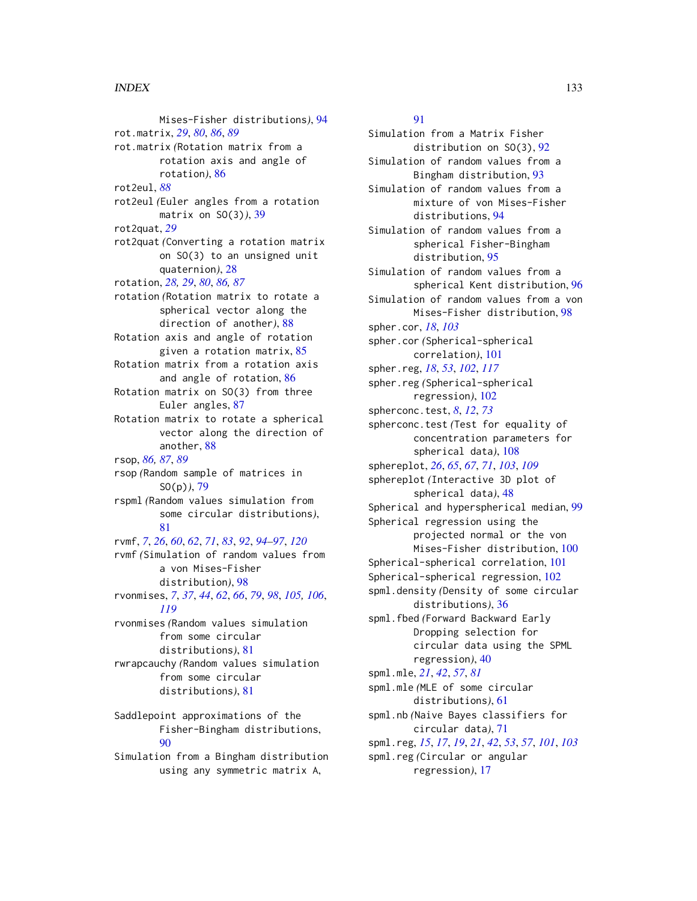#### INDEX  $133$

Mises-Fisher distributions*)*, [94](#page-93-0) rot.matrix, *[29](#page-28-0)*, *[80](#page-79-0)*, *[86](#page-85-0)*, *[89](#page-88-0)* rot.matrix *(*Rotation matrix from a rotation axis and angle of rotation*)*, [86](#page-85-0) rot2eul, *[88](#page-87-0)* rot2eul *(*Euler angles from a rotation matrix on SO(3)*)*, [39](#page-38-0) rot2quat, *[29](#page-28-0)* rot2quat *(*Converting a rotation matrix on SO(3) to an unsigned unit quaternion*)*, [28](#page-27-0) rotation, *[28,](#page-27-0) [29](#page-28-0)*, *[80](#page-79-0)*, *[86,](#page-85-0) [87](#page-86-0)* rotation *(*Rotation matrix to rotate a spherical vector along the direction of another*)*, [88](#page-87-0) Rotation axis and angle of rotation given a rotation matrix, [85](#page-84-0) Rotation matrix from a rotation axis and angle of rotation, [86](#page-85-0) Rotation matrix on SO(3) from three Euler angles, [87](#page-86-0) Rotation matrix to rotate a spherical vector along the direction of another, [88](#page-87-0) rsop, *[86,](#page-85-0) [87](#page-86-0)*, *[89](#page-88-0)* rsop *(*Random sample of matrices in SO(p)*)*, [79](#page-78-0) rspml *(*Random values simulation from some circular distributions*)*, [81](#page-80-1) rvmf, *[7](#page-6-1)*, *[26](#page-25-0)*, *[60](#page-59-0)*, *[62](#page-61-0)*, *[71](#page-70-0)*, *[83](#page-82-1)*, *[92](#page-91-0)*, *[94–](#page-93-0)[97](#page-96-0)*, *[120](#page-119-1)* rvmf *(*Simulation of random values from a von Mises-Fisher distribution*)*, [98](#page-97-1) rvonmises, *[7](#page-6-1)*, *[37](#page-36-0)*, *[44](#page-43-0)*, *[62](#page-61-0)*, *[66](#page-65-0)*, *[79](#page-78-0)*, *[98](#page-97-1)*, *[105,](#page-104-0) [106](#page-105-0)*, *[119](#page-118-0)* rvonmises *(*Random values simulation from some circular distributions*)*, [81](#page-80-1) rwrapcauchy *(*Random values simulation from some circular distributions*)*, [81](#page-80-1) Saddlepoint approximations of the Fisher-Bingham distributions, [90](#page-89-0)

Simulation from a Bingham distribution using any symmetric matrix A,

[91](#page-90-1)

Simulation from a Matrix Fisher distribution on SO(3), [92](#page-91-0) Simulation of random values from a Bingham distribution, [93](#page-92-0) Simulation of random values from a mixture of von Mises-Fisher distributions, [94](#page-93-0) Simulation of random values from a spherical Fisher-Bingham distribution, [95](#page-94-1) Simulation of random values from a spherical Kent distribution, [96](#page-95-0) Simulation of random values from a von Mises-Fisher distribution, [98](#page-97-1) spher.cor, *[18](#page-17-0)*, *[103](#page-102-0)* spher.cor *(*Spherical-spherical correlation*)*, [101](#page-100-0) spher.reg, *[18](#page-17-0)*, *[53](#page-52-0)*, *[102](#page-101-1)*, *[117](#page-116-0)* spher.reg *(*Spherical-spherical regression*)*, [102](#page-101-1) spherconc.test, *[8](#page-7-0)*, *[12](#page-11-0)*, *[73](#page-72-0)* spherconc.test *(*Test for equality of concentration parameters for spherical data*)*, [108](#page-107-0) sphereplot, *[26](#page-25-0)*, *[65](#page-64-0)*, *[67](#page-66-0)*, *[71](#page-70-0)*, *[103](#page-102-0)*, *[109](#page-108-1)* sphereplot *(*Interactive 3D plot of spherical data*)*, [48](#page-47-1) Spherical and hyperspherical median, [99](#page-98-0) Spherical regression using the projected normal or the von Mises-Fisher distribution, [100](#page-99-0) Spherical-spherical correlation, [101](#page-100-0) Spherical-spherical regression, [102](#page-101-1) spml.density *(*Density of some circular distributions*)*, [36](#page-35-0) spml.fbed *(*Forward Backward Early Dropping selection for circular data using the SPML regression*)*, [40](#page-39-0) spml.mle, *[21](#page-20-0)*, *[42](#page-41-0)*, *[57](#page-56-1)*, *[81](#page-80-1)* spml.mle *(*MLE of some circular distributions*)*, [61](#page-60-0) spml.nb *(*Naive Bayes classifiers for circular data*)*, [71](#page-70-0) spml.reg, *[15](#page-14-0)*, *[17](#page-16-0)*, *[19](#page-18-0)*, *[21](#page-20-0)*, *[42](#page-41-0)*, *[53](#page-52-0)*, *[57](#page-56-1)*, *[101](#page-100-0)*, *[103](#page-102-0)* spml.reg *(*Circular or angular regression*)*, [17](#page-16-0)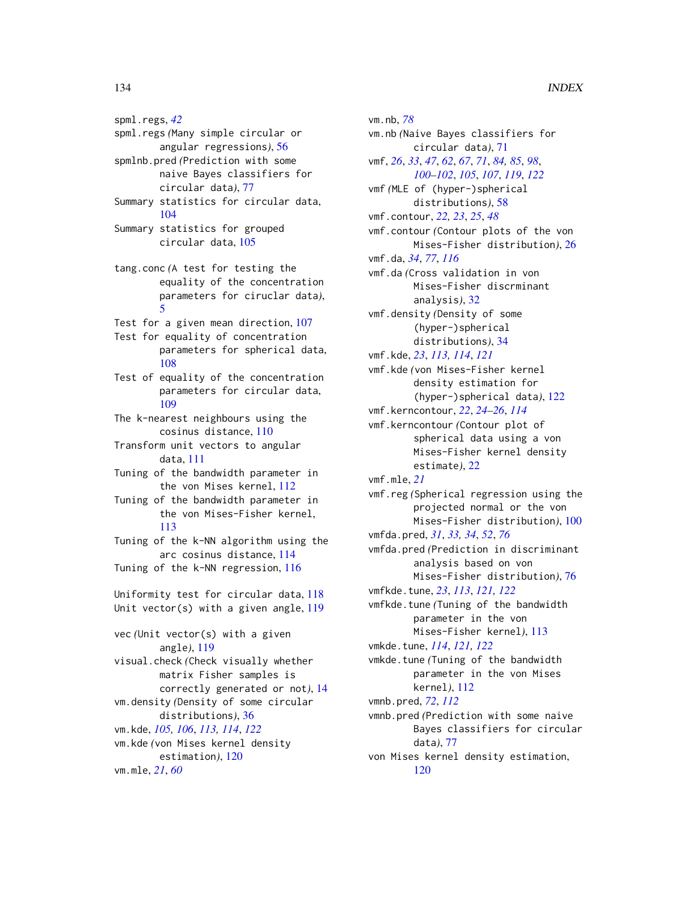spml.regs, *[42](#page-41-0)* spml.regs *(*Many simple circular or angular regressions*)*, [56](#page-55-0) spmlnb.pred *(*Prediction with some naive Bayes classifiers for circular data*)*, [77](#page-76-1) Summary statistics for circular data,

- [104](#page-103-0) Summary statistics for grouped
	- circular data, [105](#page-104-0)
- tang.conc *(*A test for testing the equality of the concentration parameters for ciruclar data*)*, [5](#page-4-0)
- Test for a given mean direction, [107](#page-106-0)
- Test for equality of concentration parameters for spherical data, [108](#page-107-0)
- Test of equality of the concentration parameters for circular data, [109](#page-108-1)
- The k-nearest neighbours using the cosinus distance, [110](#page-109-0)
- Transform unit vectors to angular data, [111](#page-110-0)
- Tuning of the bandwidth parameter in the von Mises kernel, [112](#page-111-1)
- Tuning of the bandwidth parameter in the von Mises-Fisher kernel, [113](#page-112-1)
- Tuning of the k-NN algorithm using the arc cosinus distance, [114](#page-113-1) Tuning of the k-NN regression, [116](#page-115-0)
- Uniformity test for circular data, [118](#page-117-0) Unit vector(s) with a given angle, [119](#page-118-0) vec *(*Unit vector(s) with a given angle*)*, [119](#page-118-0)

visual.check *(*Check visually whether matrix Fisher samples is correctly generated or not*)*, [14](#page-13-0) vm.density *(*Density of some circular distributions*)*, [36](#page-35-0) vm.kde, *[105,](#page-104-0) [106](#page-105-0)*, *[113,](#page-112-1) [114](#page-113-1)*, *[122](#page-121-1)* vm.kde *(*von Mises kernel density estimation*)*, [120](#page-119-1) vm.mle, *[21](#page-20-0)*, *[60](#page-59-0)*

vm.nb, *[78](#page-77-0)* vm.nb *(*Naive Bayes classifiers for circular data*)*, [71](#page-70-0) vmf, *[26](#page-25-0)*, *[33](#page-32-0)*, *[47](#page-46-0)*, *[62](#page-61-0)*, *[67](#page-66-0)*, *[71](#page-70-0)*, *[84,](#page-83-0) [85](#page-84-0)*, *[98](#page-97-1)*, *[100](#page-99-0)[–102](#page-101-1)*, *[105](#page-104-0)*, *[107](#page-106-0)*, *[119](#page-118-0)*, *[122](#page-121-1)* vmf *(*MLE of (hyper-)spherical distributions*)*, [58](#page-57-1) vmf.contour, *[22,](#page-21-1) [23](#page-22-0)*, *[25](#page-24-0)*, *[48](#page-47-1)* vmf.contour *(*Contour plots of the von Mises-Fisher distribution*)*, [26](#page-25-0) vmf.da, *[34](#page-33-0)*, *[77](#page-76-1)*, *[116](#page-115-0)* vmf.da *(*Cross validation in von Mises-Fisher discrminant analysis*)*, [32](#page-31-1) vmf.density *(*Density of some (hyper-)spherical distributions*)*, [34](#page-33-0) vmf.kde, *[23](#page-22-0)*, *[113,](#page-112-1) [114](#page-113-1)*, *[121](#page-120-0)* vmf.kde *(*von Mises-Fisher kernel density estimation for (hyper-)spherical data*)*, [122](#page-121-1) vmf.kerncontour, *[22](#page-21-1)*, *[24](#page-23-0)[–26](#page-25-0)*, *[114](#page-113-1)* vmf.kerncontour *(*Contour plot of spherical data using a von Mises-Fisher kernel density estimate*)*, [22](#page-21-1) vmf.mle, *[21](#page-20-0)* vmf.reg *(*Spherical regression using the projected normal or the von Mises-Fisher distribution*)*, [100](#page-99-0) vmfda.pred, *[31](#page-30-0)*, *[33,](#page-32-0) [34](#page-33-0)*, *[52](#page-51-1)*, *[76](#page-75-0)* vmfda.pred *(*Prediction in discriminant analysis based on von Mises-Fisher distribution*)*, [76](#page-75-0) vmfkde.tune, *[23](#page-22-0)*, *[113](#page-112-1)*, *[121,](#page-120-0) [122](#page-121-1)* vmfkde.tune *(*Tuning of the bandwidth parameter in the von Mises-Fisher kernel*)*, [113](#page-112-1) vmkde.tune, *[114](#page-113-1)*, *[121,](#page-120-0) [122](#page-121-1)* vmkde.tune *(*Tuning of the bandwidth parameter in the von Mises kernel*)*, [112](#page-111-1) vmnb.pred, *[72](#page-71-0)*, *[112](#page-111-1)* vmnb.pred *(*Prediction with some naive Bayes classifiers for circular data*)*, [77](#page-76-1) von Mises kernel density estimation, [120](#page-119-1)